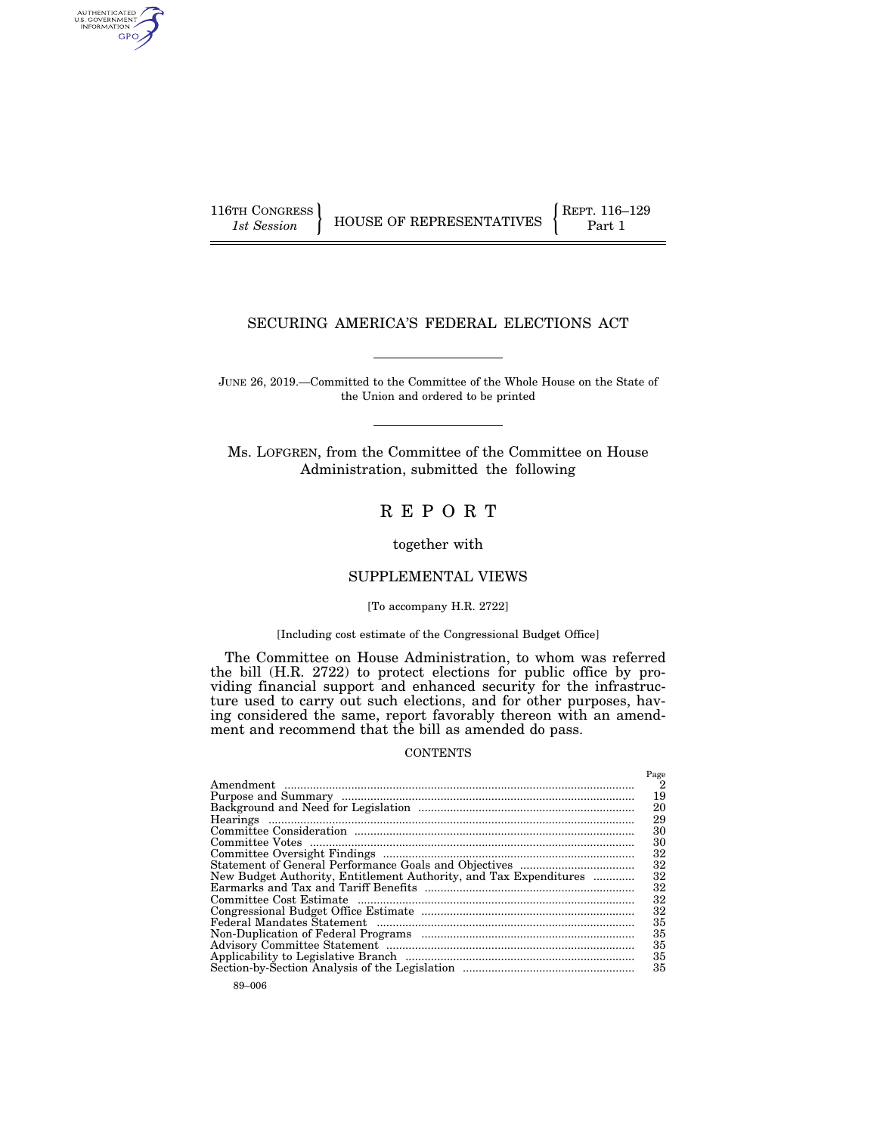AUTHENTICATED<br>U.S. GOVERNMENT<br>INFORMATION GPO

116TH CONGRESS HOUSE OF REPRESENTATIVES **REPR. 116–129** Part 1

# SECURING AMERICA'S FEDERAL ELECTIONS ACT

JUNE 26, 2019.—Committed to the Committee of the Whole House on the State of the Union and ordered to be printed

Ms. LOFGREN, from the Committee of the Committee on House Administration, submitted the following

# R E P O R T

together with

# SUPPLEMENTAL VIEWS

# [To accompany H.R. 2722]

### [Including cost estimate of the Congressional Budget Office]

The Committee on House Administration, to whom was referred the bill (H.R. 2722) to protect elections for public office by providing financial support and enhanced security for the infrastructure used to carry out such elections, and for other purposes, having considered the same, report favorably thereon with an amendment and recommend that the bill as amended do pass.

### **CONTENTS**

|                                                                   | Page |
|-------------------------------------------------------------------|------|
|                                                                   | 2    |
|                                                                   | 19   |
|                                                                   | 20   |
|                                                                   | 29   |
|                                                                   | 30   |
|                                                                   | 30   |
|                                                                   | 32   |
|                                                                   | 32   |
| New Budget Authority, Entitlement Authority, and Tax Expenditures | 32   |
|                                                                   | 32   |
|                                                                   | 32   |
|                                                                   | 32   |
|                                                                   | 35   |
|                                                                   | 35   |
|                                                                   | 35   |
|                                                                   | 35   |
|                                                                   | 35   |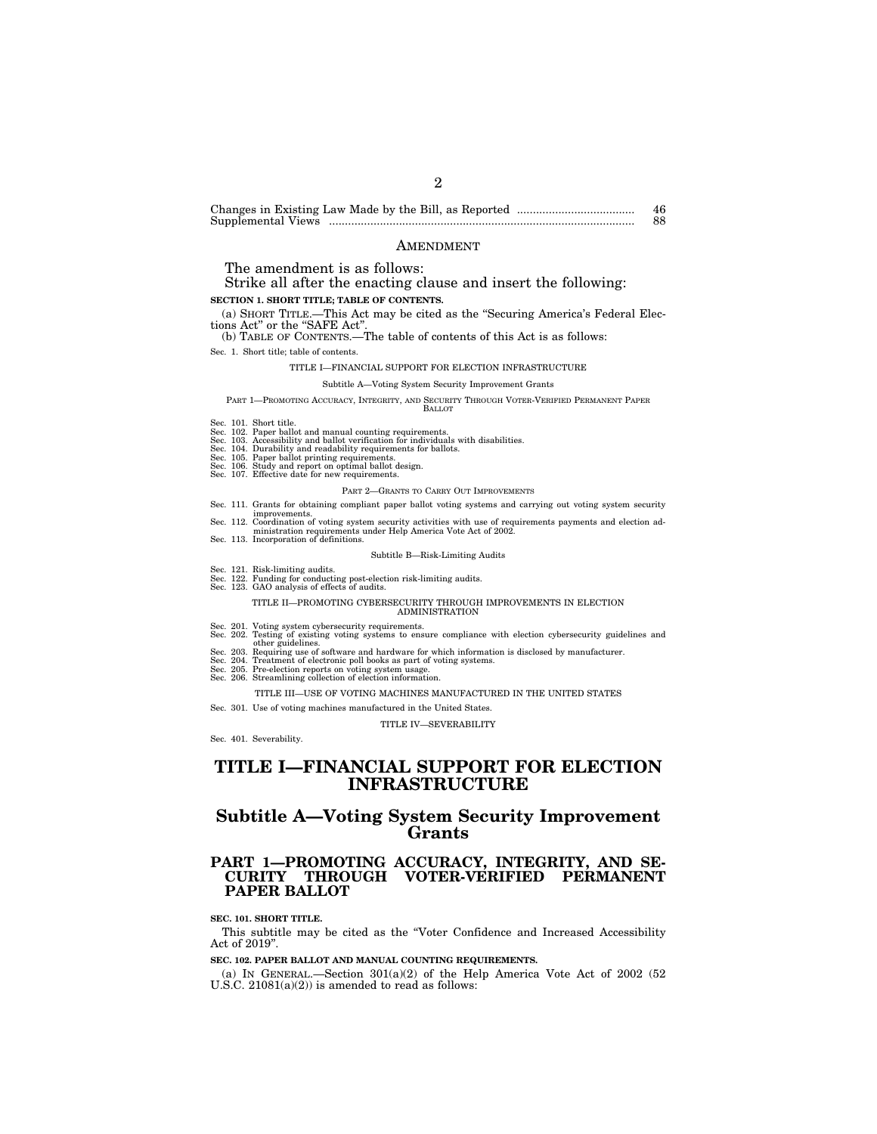Changes in Existing Law Made by the Bill, as Reported ..................................... 46 Supplemental Views ................................................................................................ 88

### AMENDMENT

### The amendment is as follows:

# Strike all after the enacting clause and insert the following:

## **SECTION 1. SHORT TITLE; TABLE OF CONTENTS.**

(a) SHORT TITLE.—This Act may be cited as the ''Securing America's Federal Elections Act'' or the ''SAFE Act''.

(b) TABLE OF CONTENTS.—The table of contents of this Act is as follows:

# Sec. 1. Short title; table of contents.

### TITLE I—FINANCIAL SUPPORT FOR ELECTION INFRASTRUCTURE

### Subtitle A—Voting System Security Improvement Grants

# PART 1—PROMOTING ACCURACY, INTEGRITY, AND SECURITY THROUGH VOTER-VERIFIED PERMANENT PAPER BALLOT

- 
- 
- Sec. 101. Short title.<br>Sec. 102. Paper ballot and manual counting requirements.<br>Sec. 103. Accessibility and ballot verification for individuals with disabilities.<br>Sec. 104. Durability and readability requirements for ballo
- 
- 
- 

### PART 2—GRANTS TO CARRY OUT IMPROVEMENTS

- Sec. 111. Grants for obtaining compliant paper ballot voting systems and carrying out voting system security
- improvements.<br>Sec. 112. Coordination of voting system security activities with use of requirements payments and election ad-<br>Sec. 113. Incorporation requirements under Help America Vote Act of 2002.<br>Sec. 113. Incorporation
- 

### Subtitle B—Risk-Limiting Audits

- 
- Sec. 121. Risk-limiting audits. Sec. 122. Funding for conducting post-election risk-limiting audits. Sec. 123. GAO analysis of effects of audits.
- 

# TITLE II—PROMOTING CYBERSECURITY THROUGH IMPROVEMENTS IN ELECTION ADMINISTRATION

- 
- Sec. 201. Voting system cybersecurity requirements.<br>Sec. 201. Voting system cybersecurity requirements.<br>Sec. 202. Testing of existing voting systems to ensure compliance with election cybersecurity guidelines and<br>Sec. 204.
- 
- 
- 

#### TITLE III—USE OF VOTING MACHINES MANUFACTURED IN THE UNITED STATES

Sec. 301. Use of voting machines manufactured in the United States.

TITLE IV—SEVERABILITY

Sec. 401. Severability.

# **TITLE I—FINANCIAL SUPPORT FOR ELECTION INFRASTRUCTURE**

# **Subtitle A—Voting System Security Improvement Grants**

### **PART 1—PROMOTING ACCURACY, INTEGRITY, AND SE-CURITY THROUGH VOTER-VERIFIED PERMANENT PAPER BALLOT**

### **SEC. 101. SHORT TITLE.**

This subtitle may be cited as the ''Voter Confidence and Increased Accessibility Act of 2019''.

### **SEC. 102. PAPER BALLOT AND MANUAL COUNTING REQUIREMENTS.**

(a) IN GENERAL.—Section  $301(a)(2)$  of the Help America Vote Act of 2002 (52) U.S.C.  $21081(a)(2)$  is amended to read as follows: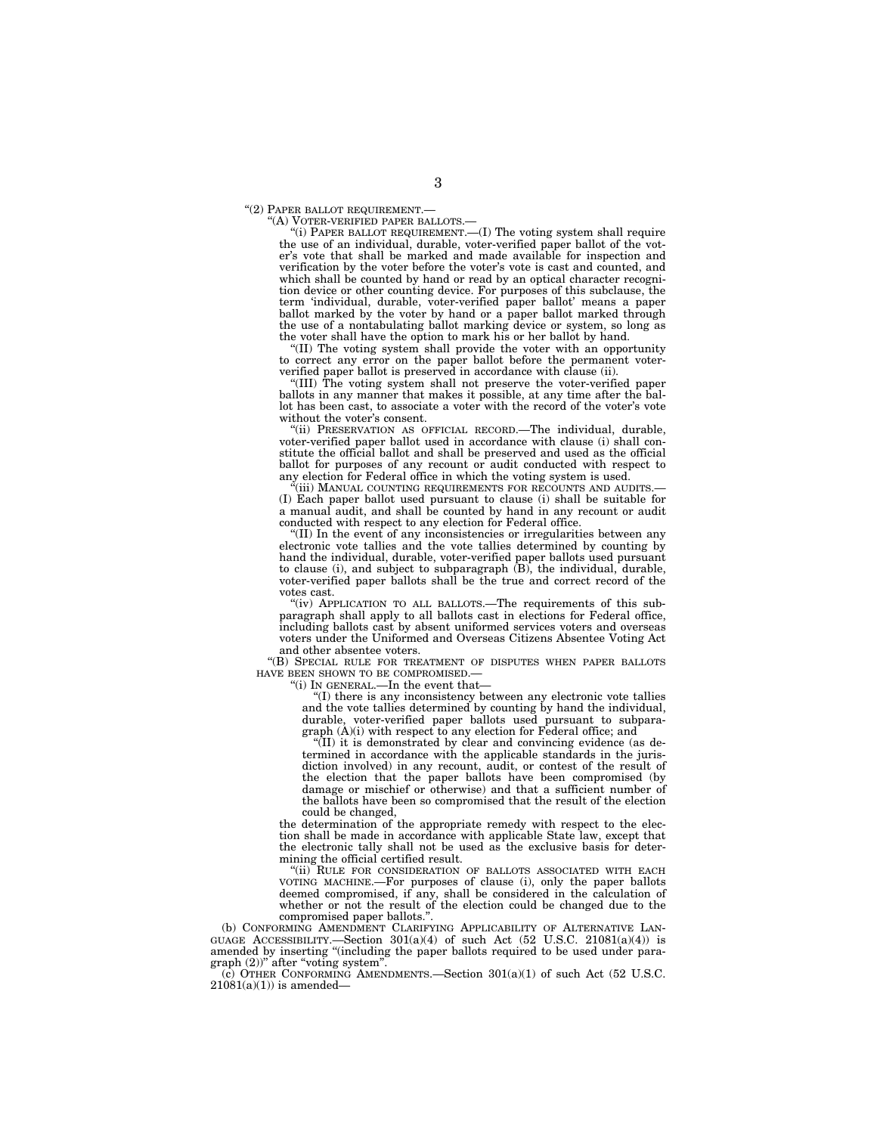''(2) PAPER BALLOT REQUIREMENT.—

''(A) VOTER-VERIFIED PAPER BALLOTS.—

''(i) PAPER BALLOT REQUIREMENT.—(I) The voting system shall require the use of an individual, durable, voter-verified paper ballot of the voter's vote that shall be marked and made available for inspection and verification by the voter before the voter's vote is cast and counted, and which shall be counted by hand or read by an optical character recognition device or other counting device. For purposes of this subclause, the term 'individual, durable, voter-verified paper ballot' means a paper ballot marked by the voter by hand or a paper ballot marked through the use of a nontabulating ballot marking device or system, so long as the voter shall have the option to mark his or her ballot by hand.

''(II) The voting system shall provide the voter with an opportunity to correct any error on the paper ballot before the permanent voterverified paper ballot is preserved in accordance with clause (ii).

''(III) The voting system shall not preserve the voter-verified paper ballots in any manner that makes it possible, at any time after the ballot has been cast, to associate a voter with the record of the voter's vote without the voter's consent.

"(ii) PRESERVATION AS OFFICIAL RECORD.—The individual, durable, voter-verified paper ballot used in accordance with clause (i) shall constitute the official ballot and shall be preserved and used as the official ballot for purposes of any recount or audit conducted with respect to any election for Federal office in which the voting system is used.

 $\tilde{f}$ (iii) Manual counting requirements for recounts and audits. (I) Each paper ballot used pursuant to clause (i) shall be suitable for a manual audit, and shall be counted by hand in any recount or audit conducted with respect to any election for Federal office.

''(II) In the event of any inconsistencies or irregularities between any electronic vote tallies and the vote tallies determined by counting by hand the individual, durable, voter-verified paper ballots used pursuant to clause (i), and subject to subparagraph (B), the individual, durable, voter-verified paper ballots shall be the true and correct record of the votes cast.

"(iv) APPLICATION TO ALL BALLOTS.—The requirements of this subparagraph shall apply to all ballots cast in elections for Federal office, including ballots cast by absent uniformed services voters and overseas voters under the Uniformed and Overseas Citizens Absentee Voting Act and other absentee voters.

''(B) SPECIAL RULE FOR TREATMENT OF DISPUTES WHEN PAPER BALLOTS HAVE BEEN SHOWN TO BE COMPROMISED.—

(i) IN GENERAL.—In the event that-

''(I) there is any inconsistency between any electronic vote tallies and the vote tallies determined by counting by hand the individual, durable, voter-verified paper ballots used pursuant to subparagraph (A)(i) with respect to any election for Federal office; and

''(II) it is demonstrated by clear and convincing evidence (as determined in accordance with the applicable standards in the jurisdiction involved) in any recount, audit, or contest of the result of the election that the paper ballots have been compromised (by damage or mischief or otherwise) and that a sufficient number of the ballots have been so compromised that the result of the election could be changed,

the determination of the appropriate remedy with respect to the election shall be made in accordance with applicable State law, except that the electronic tally shall not be used as the exclusive basis for determining the official certified result.

"(ii) RULE FOR CONSIDERATION OF BALLOTS ASSOCIATED WITH EACH VOTING MACHINE.—For purposes of clause (i), only the paper ballots deemed compromised, if any, shall be considered in the calculation of whether or not the result of the election could be changed due to the compromised paper ballots."

(b) CONFORMING AMENDMENT CLARIFYING APPLICABILITY OF ALTERNATIVE LAN-GUAGE ACCESSIBILITY.—Section 301(a)(4) of such Act (52 U.S.C. 21081(a)(4)) is amended by inserting "(including the paper ballots required to be used under paragraph (2))'' after ''voting system''.

(c) OTHER CONFORMING AMENDMENTS.—Section 301(a)(1) of such Act (52 U.S.C.  $21081(a)(1)$ ) is amended—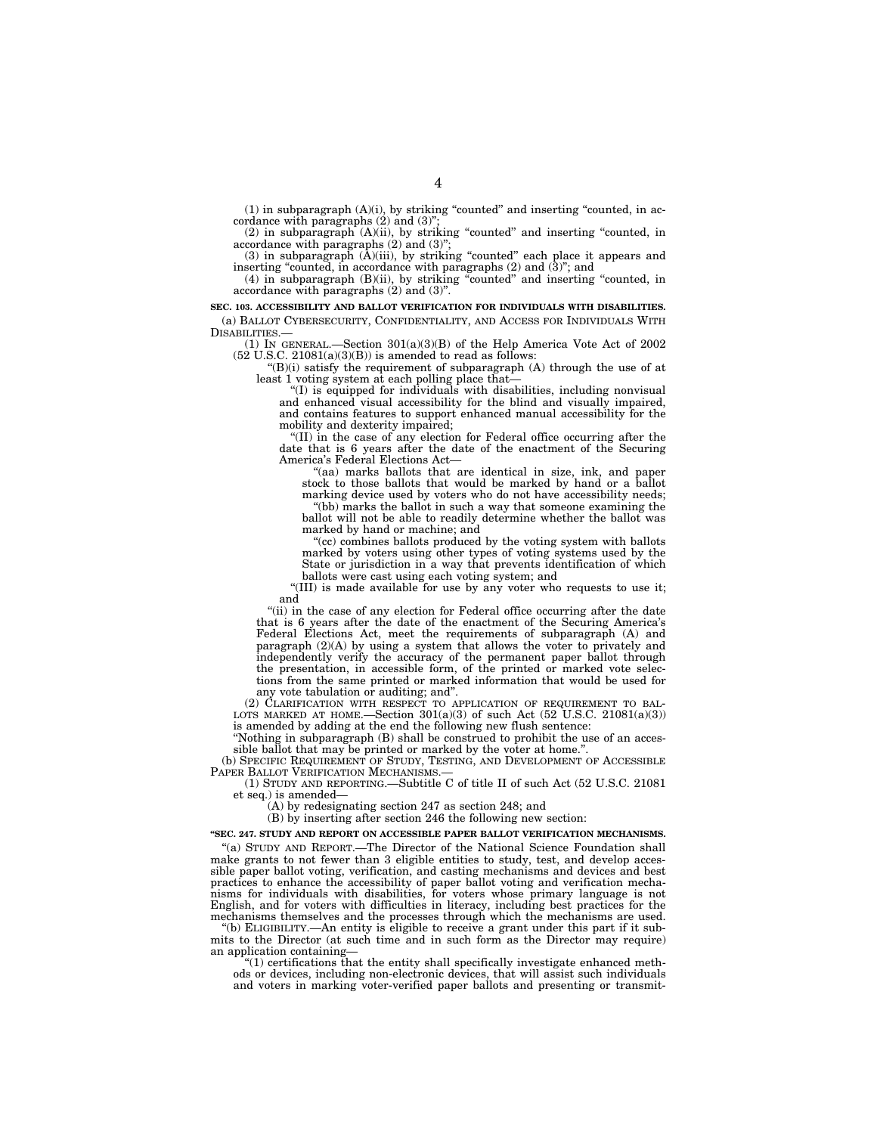(1) in subparagraph (A)(i), by striking ''counted'' and inserting ''counted, in accordance with paragraphs  $(2)$  and  $(3)$ 

(2) in subparagraph (A)(ii), by striking ''counted'' and inserting ''counted, in accordance with paragraphs (2) and (3)'';

 $(3)$  in subparagraph  $(\overline{A})(iii)$ , by striking "counted" each place it appears and inserting "counted, in accordance with paragraphs  $(2)$  and  $(3)$ "; and (4) in subparagraph (B)(ii), by striking ''counted'' and inserting ''counted, in

accordance with paragraphs  $(2)$  and  $(3)$ ".

### **SEC. 103. ACCESSIBILITY AND BALLOT VERIFICATION FOR INDIVIDUALS WITH DISABILITIES.**

(a) BALLOT CYBERSECURITY, CONFIDENTIALITY, AND ACCESS FOR INDIVIDUALS WITH DISABILITIES.—

(1) IN GENERAL.—Section  $301(a)(3)(B)$  of the Help America Vote Act of 2002  $(52 \text{ U.S.C. } 21081(a)(3)(B))$  is amended to read as follows:

''(B)(i) satisfy the requirement of subparagraph (A) through the use of at least 1 voting system at each polling place that—

''(I) is equipped for individuals with disabilities, including nonvisual and enhanced visual accessibility for the blind and visually impaired, and contains features to support enhanced manual accessibility for the mobility and dexterity impaired;

''(II) in the case of any election for Federal office occurring after the date that is 6 years after the date of the enactment of the Securing America's Federal Elections Act—

"(aa) marks ballots that are identical in size, ink, and paper stock to those ballots that would be marked by hand or a ballot marking device used by voters who do not have accessibility needs;

 $'(bb)$  marks the ballot in such a way that someone examining the ballot will not be able to readily determine whether the ballot was marked by hand or machine; and

"(cc) combines ballots produced by the voting system with ballots marked by voters using other types of voting systems used by the State or jurisdiction in a way that prevents identification of which

ballots were cast using each voting system; and

''(III) is made available for use by any voter who requests to use it; and

"(ii) in the case of any election for Federal office occurring after the date that is 6 years after the date of the enactment of the Securing America's Federal Elections Act, meet the requirements of subparagraph (A) and paragraph (2)(A) by using a system that allows the voter to privately and independently verify the accuracy of the permanent paper ballot through the presentation, in accessible form, of the printed or marked vote selections from the same printed or marked information that would be used for any vote tabulation or auditing; and''.

(2) CLARIFICATION WITH RESPECT TO APPLICATION OF REQUIREMENT TO BALLOTS MARKED AT HOME.—Section  $301(a)(3)$  of such Act (52 U.S.C. 21081 $(a)(3)$ ) is amended by adding at the end the following new flush sentence:

''Nothing in subparagraph (B) shall be construed to prohibit the use of an accessible ballot that may be printed or marked by the voter at home.''.

(b) SPECIFIC REQUIREMENT OF STUDY, TESTING, AND DEVELOPMENT OF ACCESSIBLE PAPER BALLOT VERIFICATION MECHANISMS.—

(1) STUDY AND REPORTING.—Subtitle C of title II of such Act (52 U.S.C. 21081 et seq.) is amended—

(A) by redesignating section 247 as section 248; and

(B) by inserting after section 246 the following new section:

**''SEC. 247. STUDY AND REPORT ON ACCESSIBLE PAPER BALLOT VERIFICATION MECHANISMS.** 

''(a) STUDY AND REPORT.—The Director of the National Science Foundation shall make grants to not fewer than 3 eligible entities to study, test, and develop accessible paper ballot voting, verification, and casting mechanisms and devices and best practices to enhance the accessibility of paper ballot voting and verification mechanisms for individuals with disabilities, for voters whose primary language is not English, and for voters with difficulties in literacy, including best practices for the mechanisms themselves and the processes through which the mechanisms are used.

''(b) ELIGIBILITY.—An entity is eligible to receive a grant under this part if it submits to the Director (at such time and in such form as the Director may require) an application containing—

''(1) certifications that the entity shall specifically investigate enhanced methods or devices, including non-electronic devices, that will assist such individuals and voters in marking voter-verified paper ballots and presenting or transmit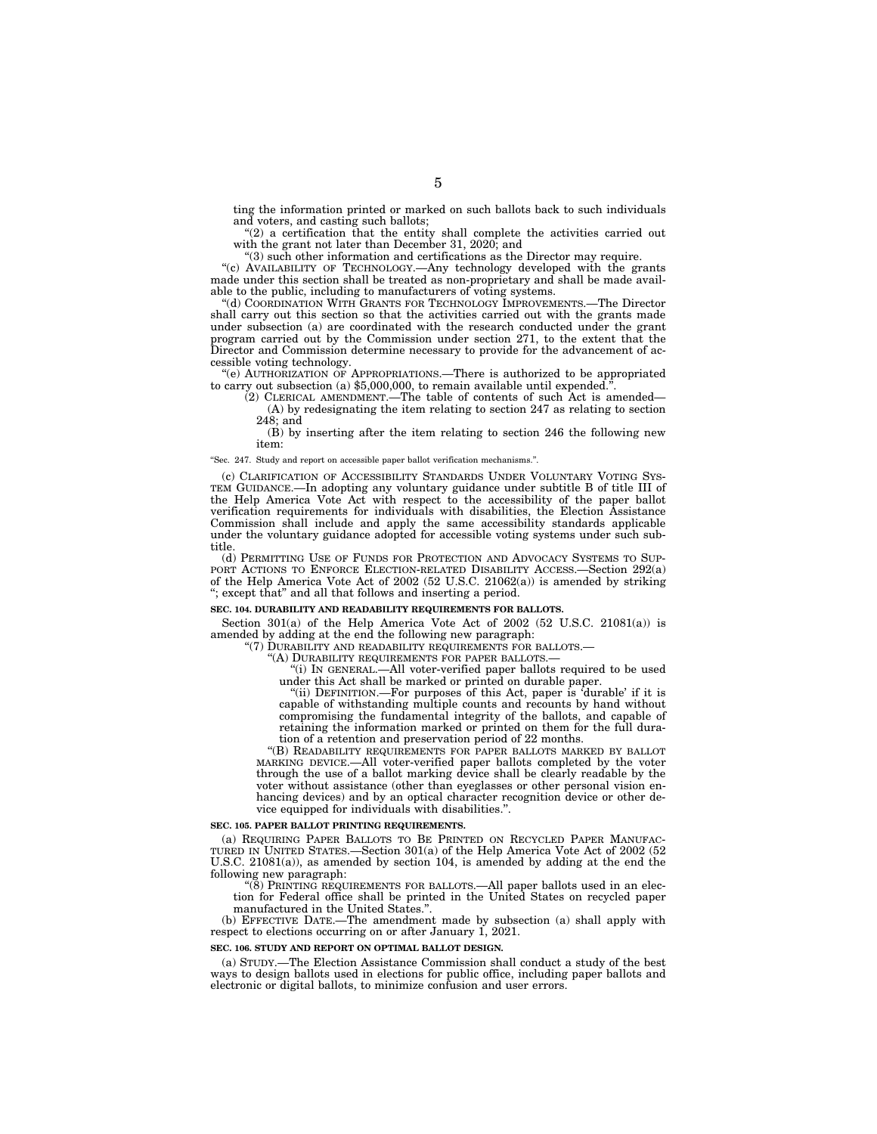ting the information printed or marked on such ballots back to such individuals and voters, and casting such ballots;

 $(2)$  a certification that the entity shall complete the activities carried out with the grant not later than December 31, 2020; and

 $(3)$  such other information and certifications as the Director may require.

''(c) AVAILABILITY OF TECHNOLOGY.—Any technology developed with the grants made under this section shall be treated as non-proprietary and shall be made available to the public, including to manufacturers of voting systems.

''(d) COORDINATION WITH GRANTS FOR TECHNOLOGY IMPROVEMENTS.—The Director shall carry out this section so that the activities carried out with the grants made under subsection (a) are coordinated with the research conducted under the grant program carried out by the Commission under section 271, to the extent that the Director and Commission determine necessary to provide for the advancement of accessible voting technology.

''(e) AUTHORIZATION OF APPROPRIATIONS.—There is authorized to be appropriated to carry out subsection (a) \$5,000,000, to remain available until expended.<sup>'</sup>

 $(2)$  CLERICAL AMENDMENT.—The table of contents of such Act is amended— (A) by redesignating the item relating to section 247 as relating to section 248; and

 $(\acute{B})$  by inserting after the item relating to section 246 the following new item:

#### ''Sec. 247. Study and report on accessible paper ballot verification mechanisms.''.

(c) CLARIFICATION OF ACCESSIBILITY STANDARDS UNDER VOLUNTARY VOTING SYS-TEM GUIDANCE.—In adopting any voluntary guidance under subtitle B of title III of the Help America Vote Act with respect to the accessibility of the paper ballot verification requirements for individuals with disabilities, the Election Assistance Commission shall include and apply the same accessibility standards applicable under the voluntary guidance adopted for accessible voting systems under such subtitle.

(d) PERMITTING USE OF FUNDS FOR PROTECTION AND ADVOCACY SYSTEMS TO SUP-PORT ACTIONS TO ENFORCE ELECTION-RELATED DISABILITY ACCESS.—Section 292(a) of the Help America Vote Act of 2002 (52 U.S.C. 21062(a)) is amended by striking ''; except that'' and all that follows and inserting a period.

### **SEC. 104. DURABILITY AND READABILITY REQUIREMENTS FOR BALLOTS.**

Section 301(a) of the Help America Vote Act of 2002 (52 U.S.C. 21081(a)) is amended by adding at the end the following new paragraph:

"(7) DURABILITY AND READABILITY REQUIREMENTS FOR BALLOTS.

''(A) DURABILITY REQUIREMENTS FOR PAPER BALLOTS.—

''(i) IN GENERAL.—All voter-verified paper ballots required to be used under this Act shall be marked or printed on durable paper.

''(ii) DEFINITION.—For purposes of this Act, paper is 'durable' if it is capable of withstanding multiple counts and recounts by hand without compromising the fundamental integrity of the ballots, and capable of retaining the information marked or printed on them for the full duration of a retention and preservation period of 22 months.

''(B) READABILITY REQUIREMENTS FOR PAPER BALLOTS MARKED BY BALLOT MARKING DEVICE.—All voter-verified paper ballots completed by the voter through the use of a ballot marking device shall be clearly readable by the voter without assistance (other than eyeglasses or other personal vision enhancing devices) and by an optical character recognition device or other device equipped for individuals with disabilities.''.

### **SEC. 105. PAPER BALLOT PRINTING REQUIREMENTS.**

(a) REQUIRING PAPER BALLOTS TO BE PRINTED ON RECYCLED PAPER MANUFAC-TURED IN UNITED STATES.—Section 301(a) of the Help America Vote Act of 2002 (52 U.S.C. 21081(a)), as amended by section 104, is amended by adding at the end the following new paragraph:

''(8) PRINTING REQUIREMENTS FOR BALLOTS.—All paper ballots used in an election for Federal office shall be printed in the United States on recycled paper manufactured in the United States.''.

(b) EFFECTIVE DATE.—The amendment made by subsection (a) shall apply with respect to elections occurring on or after January 1, 2021.

### **SEC. 106. STUDY AND REPORT ON OPTIMAL BALLOT DESIGN.**

(a) STUDY.—The Election Assistance Commission shall conduct a study of the best ways to design ballots used in elections for public office, including paper ballots and electronic or digital ballots, to minimize confusion and user errors.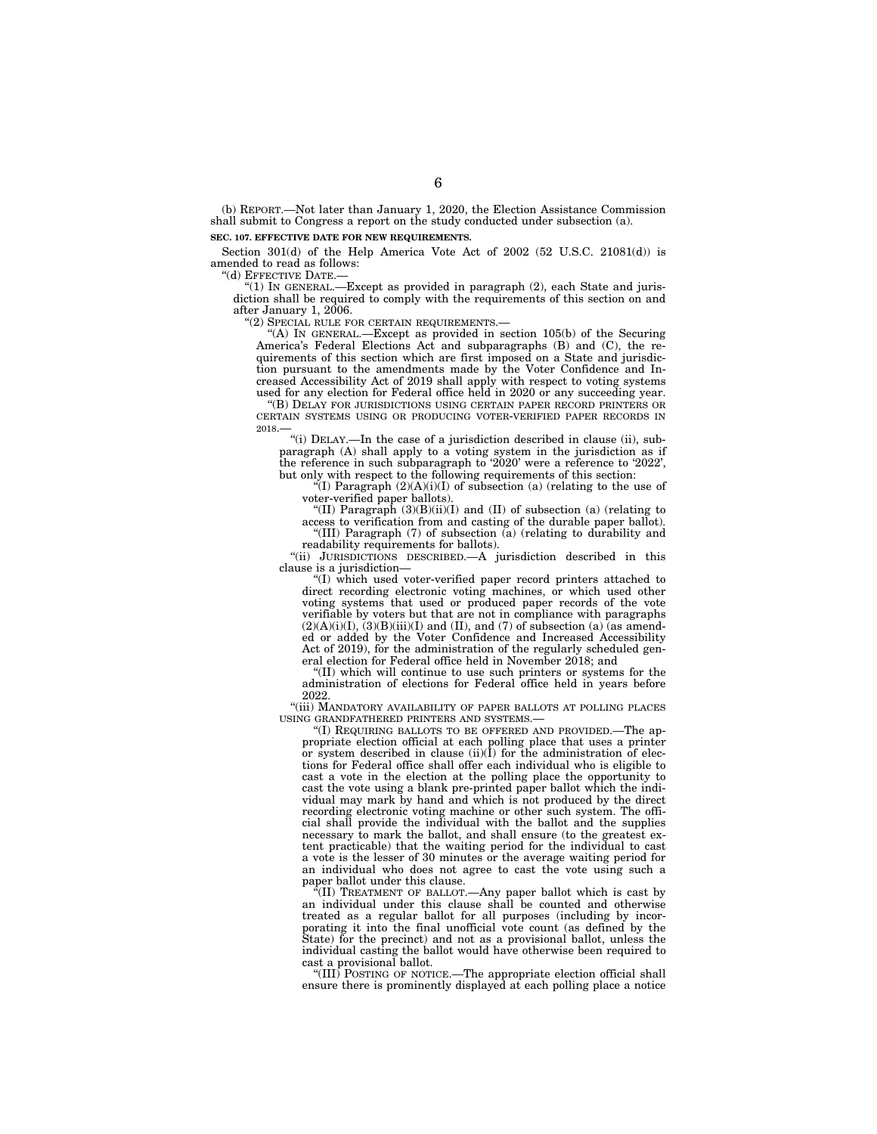(b) REPORT.—Not later than January 1, 2020, the Election Assistance Commission shall submit to Congress a report on the study conducted under subsection (a).

### **SEC. 107. EFFECTIVE DATE FOR NEW REQUIREMENTS.**

Section 301(d) of the Help America Vote Act of 2002 (52 U.S.C. 21081(d)) is amended to read as follows:

''(d) EFFECTIVE DATE.—

"(1) In GENERAL.—Except as provided in paragraph  $(2)$ , each State and jurisdiction shall be required to comply with the requirements of this section on and after January 1, 2006.

''(2) SPECIAL RULE FOR CERTAIN REQUIREMENTS.—

''(A) IN GENERAL.—Except as provided in section 105(b) of the Securing America's Federal Elections Act and subparagraphs (B) and (C), the requirements of this section which are first imposed on a State and jurisdiction pursuant to the amendments made by the Voter Confidence and Increased Accessibility Act of 2019 shall apply with respect to voting systems used for any election for Federal office held in 2020 or any succeeding year.

''(B) DELAY FOR JURISDICTIONS USING CERTAIN PAPER RECORD PRINTERS OR CERTAIN SYSTEMS USING OR PRODUCING VOTER-VERIFIED PAPER RECORDS IN 2018.—

''(i) DELAY.—In the case of a jurisdiction described in clause (ii), subparagraph (A) shall apply to a voting system in the jurisdiction as if the reference in such subparagraph to '2020' were a reference to '2022', but only with respect to the following requirements of this section:

"(I) Paragraph  $(2)(A)(i)(I)$  of subsection (a) (relating to the use of voter-verified paper ballots).

"(II) Paragraph  $(3)(B)(ii)(I)$  and  $(II)$  of subsection (a) (relating to access to verification from and casting of the durable paper ballot). ''(III) Paragraph (7) of subsection (a) (relating to durability and readability requirements for ballots).

''(ii) JURISDICTIONS DESCRIBED.—A jurisdiction described in this clause is a jurisdiction—

''(I) which used voter-verified paper record printers attached to direct recording electronic voting machines, or which used other voting systems that used or produced paper records of the vote verifiable by voters but that are not in compliance with paragraphs  $(2)(A)(i)(I), (3)(B)(iii)(I)$  and  $(II),$  and  $(7)$  of subsection (a) (as amended or added by the Voter Confidence and Increased Accessibility Act of 2019), for the administration of the regularly scheduled general election for Federal office held in November 2018; and

''(II) which will continue to use such printers or systems for the administration of elections for Federal office held in years before 2022.

''(iii) MANDATORY AVAILABILITY OF PAPER BALLOTS AT POLLING PLACES USING GRANDFATHERED PRINTERS AND SYSTEMS.—

''(I) REQUIRING BALLOTS TO BE OFFERED AND PROVIDED.—The appropriate election official at each polling place that uses a printer or system described in clause  $(ii)(\bar{I})$  for the administration of elections for Federal office shall offer each individual who is eligible to cast a vote in the election at the polling place the opportunity to cast the vote using a blank pre-printed paper ballot which the individual may mark by hand and which is not produced by the direct recording electronic voting machine or other such system. The official shall provide the individual with the ballot and the supplies necessary to mark the ballot, and shall ensure (to the greatest extent practicable) that the waiting period for the individual to cast a vote is the lesser of 30 minutes or the average waiting period for an individual who does not agree to cast the vote using such a paper ballot under this clause.

''(II) TREATMENT OF BALLOT.—Any paper ballot which is cast by an individual under this clause shall be counted and otherwise treated as a regular ballot for all purposes (including by incorporating it into the final unofficial vote count (as defined by the State) for the precinct) and not as a provisional ballot, unless the individual casting the ballot would have otherwise been required to cast a provisional ballot.

''(III) POSTING OF NOTICE.—The appropriate election official shall ensure there is prominently displayed at each polling place a notice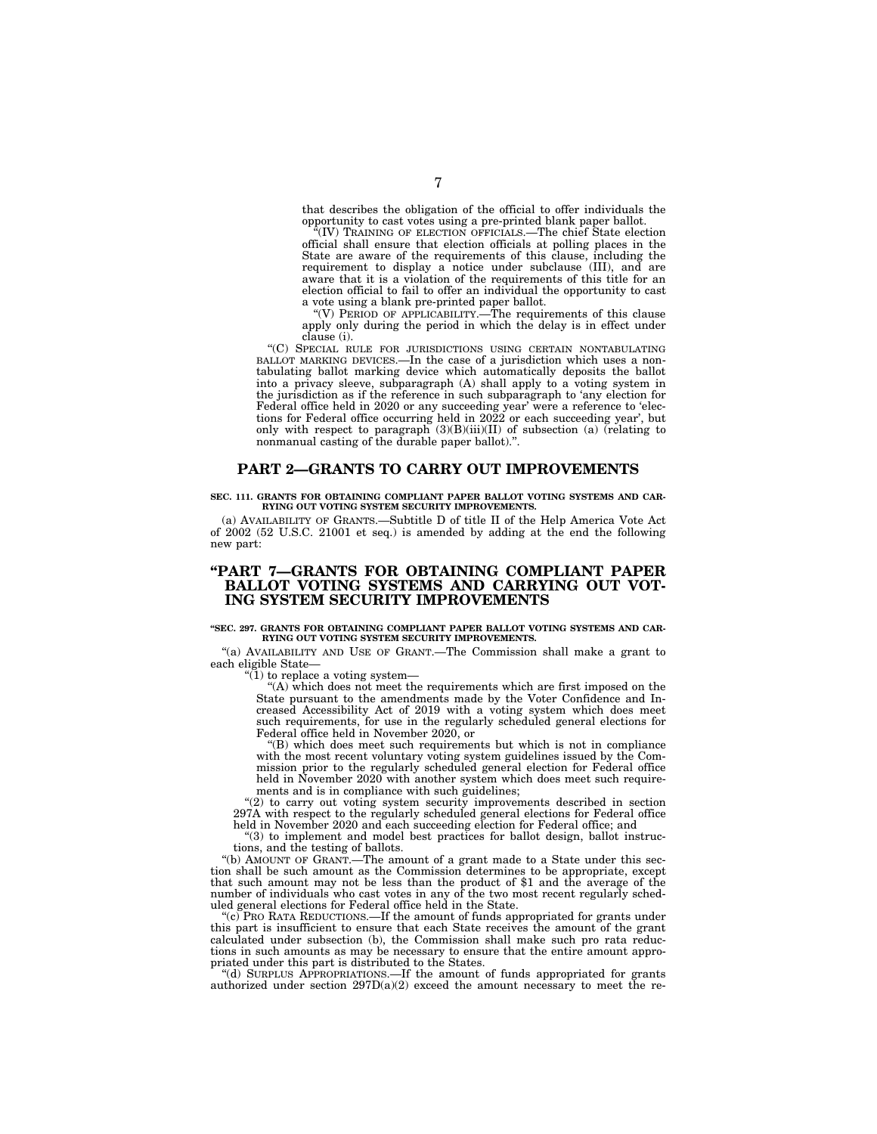that describes the obligation of the official to offer individuals the opportunity to cast votes using a pre-printed blank paper ballot.

''(IV) TRAINING OF ELECTION OFFICIALS.—The chief State election official shall ensure that election officials at polling places in the State are aware of the requirements of this clause, including the requirement to display a notice under subclause (III), and are aware that it is a violation of the requirements of this title for an election official to fail to offer an individual the opportunity to cast a vote using a blank pre-printed paper ballot.

''(V) PERIOD OF APPLICABILITY.—The requirements of this clause apply only during the period in which the delay is in effect under clause (i).

''(C) SPECIAL RULE FOR JURISDICTIONS USING CERTAIN NONTABULATING BALLOT MARKING DEVICES.—In the case of a jurisdiction which uses a nontabulating ballot marking device which automatically deposits the ballot into a privacy sleeve, subparagraph (A) shall apply to a voting system in the jurisdiction as if the reference in such subparagraph to 'any election for Federal office held in 2020 or any succeeding year' were a reference to 'elections for Federal office occurring held in 2022 or each succeeding year', but only with respect to paragraph  $(3)(B)(iii)(II)$  of subsection (a) (relating to nonmanual casting of the durable paper ballot).''.

### **PART 2—GRANTS TO CARRY OUT IMPROVEMENTS**

# **SEC. 111. GRANTS FOR OBTAINING COMPLIANT PAPER BALLOT VOTING SYSTEMS AND CAR-RYING OUT VOTING SYSTEM SECURITY IMPROVEMENTS.**

(a) AVAILABILITY OF GRANTS.—Subtitle D of title II of the Help America Vote Act of 2002 (52 U.S.C. 21001 et seq.) is amended by adding at the end the following new part:

## **''PART 7—GRANTS FOR OBTAINING COMPLIANT PAPER BALLOT VOTING SYSTEMS AND CARRYING OUT VOT-ING SYSTEM SECURITY IMPROVEMENTS**

### **''SEC. 297. GRANTS FOR OBTAINING COMPLIANT PAPER BALLOT VOTING SYSTEMS AND CAR-RYING OUT VOTING SYSTEM SECURITY IMPROVEMENTS.**

''(a) AVAILABILITY AND USE OF GRANT.—The Commission shall make a grant to each eligible State—

" $(1)$  to replace a voting system—

"(A) which does not meet the requirements which are first imposed on the State pursuant to the amendments made by the Voter Confidence and Increased Accessibility Act of 2019 with a voting system which does meet such requirements, for use in the regularly scheduled general elections for Federal office held in November 2020, or

''(B) which does meet such requirements but which is not in compliance with the most recent voluntary voting system guidelines issued by the Commission prior to the regularly scheduled general election for Federal office held in November 2020 with another system which does meet such requirements and is in compliance with such guidelines;

''(2) to carry out voting system security improvements described in section 297A with respect to the regularly scheduled general elections for Federal office held in November 2020 and each succeeding election for Federal office; and

''(3) to implement and model best practices for ballot design, ballot instructions, and the testing of ballots.

''(b) AMOUNT OF GRANT.—The amount of a grant made to a State under this section shall be such amount as the Commission determines to be appropriate, except that such amount may not be less than the product of \$1 and the average of the number of individuals who cast votes in any of the two most recent regularly scheduled general elections for Federal office held in the State.

''(c) PRO RATA REDUCTIONS.—If the amount of funds appropriated for grants under this part is insufficient to ensure that each State receives the amount of the grant calculated under subsection (b), the Commission shall make such pro rata reductions in such amounts as may be necessary to ensure that the entire amount appropriated under this part is distributed to the States.

''(d) SURPLUS APPROPRIATIONS.—If the amount of funds appropriated for grants authorized under section  $297D(a)(2)$  exceed the amount necessary to meet the re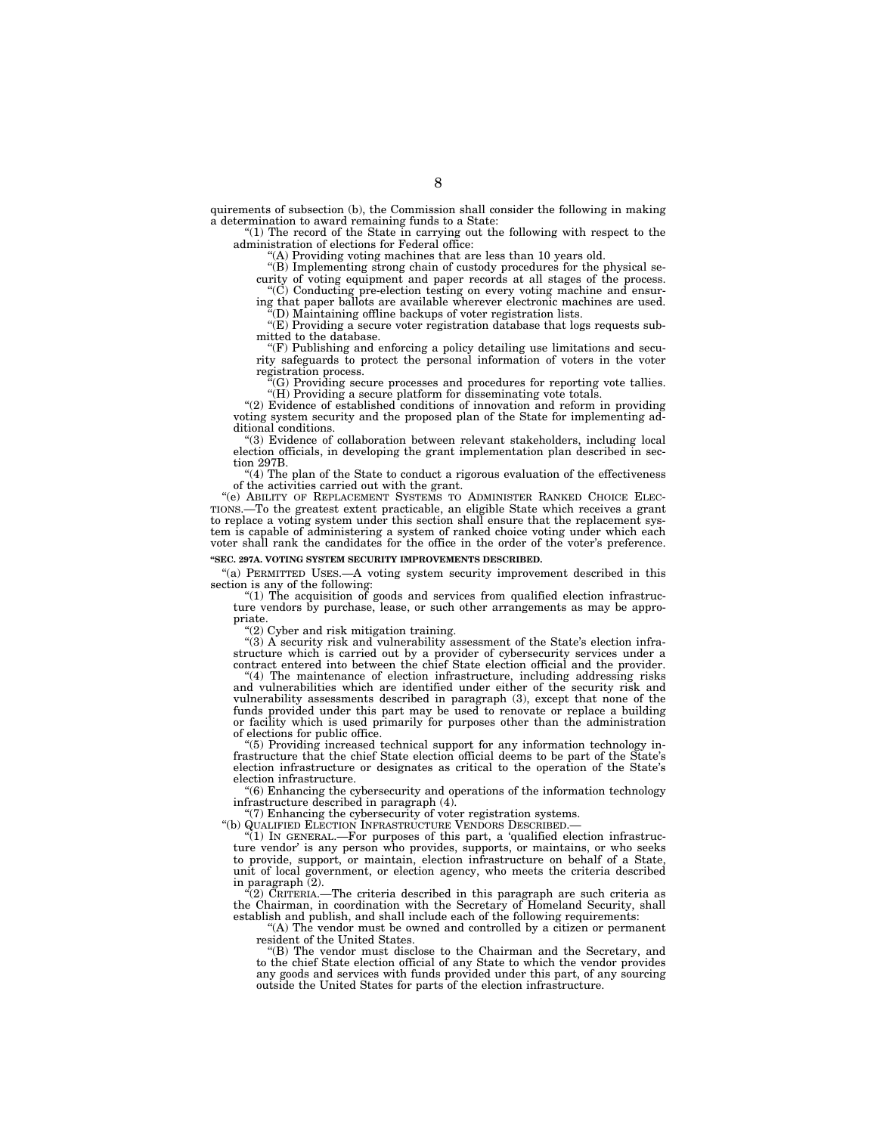quirements of subsection (b), the Commission shall consider the following in making a determination to award remaining funds to a State:

'(1) The record of the State in carrying out the following with respect to the administration of elections for Federal office:

''(A) Providing voting machines that are less than 10 years old.

''(B) Implementing strong chain of custody procedures for the physical se-

curity of voting equipment and paper records at all stages of the process.  $\mathrm{``}(\check{C})$  Conducting pre-election testing on every voting machine and ensur-

ing that paper ballots are available wherever electronic machines are used. ''(D) Maintaining offline backups of voter registration lists.

''(E) Providing a secure voter registration database that logs requests sub-

mitted to the database.

''(F) Publishing and enforcing a policy detailing use limitations and security safeguards to protect the personal information of voters in the voter registration process.

''(G) Providing secure processes and procedures for reporting vote tallies. ''(H) Providing a secure platform for disseminating vote totals.

''(2) Evidence of established conditions of innovation and reform in providing voting system security and the proposed plan of the State for implementing additional conditions.

''(3) Evidence of collaboration between relevant stakeholders, including local election officials, in developing the grant implementation plan described in section 297B.

"(4) The plan of the State to conduct a rigorous evaluation of the effectiveness of the activities carried out with the grant.

"(e) ABILITY OF REPLACEMENT SYSTEMS TO ADMINISTER RANKED CHOICE ELEC-TIONS.—To the greatest extent practicable, an eligible State which receives a grant to replace a voting system under this section shall ensure that the replacement system is capable of administering a system of ranked choice voting under which each voter shall rank the candidates for the office in the order of the voter's preference.

### **''SEC. 297A. VOTING SYSTEM SECURITY IMPROVEMENTS DESCRIBED.**

"(a) PERMITTED USES.—A voting system security improvement described in this section is any of the following:

" $(1)$  The acquisition of goods and services from qualified election infrastructure vendors by purchase, lease, or such other arrangements as may be appropriate.

''(2) Cyber and risk mitigation training.

"(3) A security risk and vulnerability assessment of the State's election infrastructure which is carried out by a provider of cybersecurity services under a contract entered into between the chief State election official and the provider.

"(4) The maintenance of election infrastructure, including addressing risks and vulnerabilities which are identified under either of the security risk and vulnerability assessments described in paragraph (3), except that none of the funds provided under this part may be used to renovate or replace a building or facility which is used primarily for purposes other than the administration of elections for public office.

 $\degree$ (5) Providing increased technical support for any information technology infrastructure that the chief State election official deems to be part of the State's election infrastructure or designates as critical to the operation of the State's election infrastructure.

''(6) Enhancing the cybersecurity and operations of the information technology infrastructure described in paragraph (4).

"(7) Enhancing the cybersecurity of voter registration systems.

''(b) QUALIFIED ELECTION INFRASTRUCTURE VENDORS DESCRIBED.— ''(1) IN GENERAL.—For purposes of this part, a 'qualified election infrastructure vendor' is any person who provides, supports, or maintains, or who seeks to provide, support, or maintain, election infrastructure on behalf of a State, unit of local government, or election agency, who meets the criteria described in paragraph (2).

<sup>'(2)</sup> CRITERIA.—The criteria described in this paragraph are such criteria as the Chairman, in coordination with the Secretary of Homeland Security, shall establish and publish, and shall include each of the following requirements:

''(A) The vendor must be owned and controlled by a citizen or permanent

resident of the United States. ''(B) The vendor must disclose to the Chairman and the Secretary, and to the chief State election official of any State to which the vendor provides any goods and services with funds provided under this part, of any sourcing outside the United States for parts of the election infrastructure.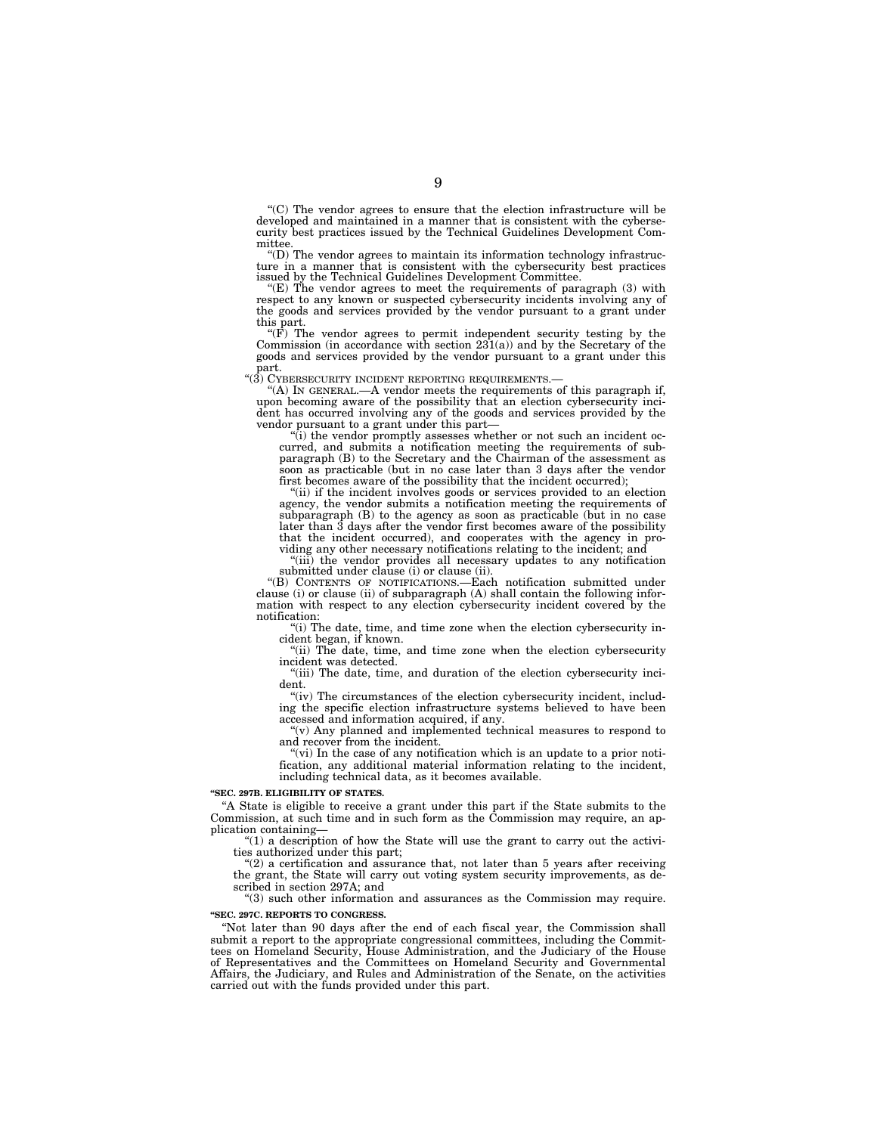''(C) The vendor agrees to ensure that the election infrastructure will be developed and maintained in a manner that is consistent with the cybersecurity best practices issued by the Technical Guidelines Development Committee.

''(D) The vendor agrees to maintain its information technology infrastructure in a manner that is consistent with the cybersecurity best practices issued by the Technical Guidelines Development Committee.

''(E) The vendor agrees to meet the requirements of paragraph (3) with respect to any known or suspected cybersecurity incidents involving any of the goods and services provided by the vendor pursuant to a grant under this part.

"(F) The vendor agrees to permit independent security testing by the Commission (in accordance with section  $231(a)$ ) and by the Secretary of the goods and services provided by the vendor pursuant to a grant under this part.

''(3) CYBERSECURITY INCIDENT REPORTING REQUIREMENTS.— ''(A) IN GENERAL.—A vendor meets the requirements of this paragraph if, upon becoming aware of the possibility that an election cybersecurity incident has occurred involving any of the goods and services provided by the vendor pursuant to a grant under this part—<br>"(i) the vendor promptly assesses whether or not such an incident oc-

curred, and submits a notification meeting the requirements of sub-paragraph (B) to the Secretary and the Chairman of the assessment as soon as practicable (but in no case later than 3 days after the vendor first becomes aware of the possibility that the incident occurred);

"(ii) if the incident involves goods or services provided to an election agency, the vendor submits a notification meeting the requirements of subparagraph (B) to the agency as soon as practicable (but in no case later than 3 days after the vendor first becomes aware of the possibility that the incident occurred), and cooperates with the agency in pro-

viding any other necessary notifications relating to the incident; and ''(iii) the vendor provides all necessary updates to any notification submitted under clause (i) or clause (ii).

''(B) CONTENTS OF NOTIFICATIONS.—Each notification submitted under clause (i) or clause (ii) of subparagraph (A) shall contain the following information with respect to any election cybersecurity incident covered by the notification:

 $f(i)$  The date, time, and time zone when the election cybersecurity incident began, if known.

''(ii) The date, time, and time zone when the election cybersecurity incident was detected.

"(iii) The date, time, and duration of the election cybersecurity incident.

 $f(iv)$  The circumstances of the election cybersecurity incident, including the specific election infrastructure systems believed to have been accessed and information acquired, if any.

''(v) Any planned and implemented technical measures to respond to and recover from the incident.

 $(vi)$  In the case of any notification which is an update to a prior notification, any additional material information relating to the incident, including technical data, as it becomes available.

### **''SEC. 297B. ELIGIBILITY OF STATES.**

''A State is eligible to receive a grant under this part if the State submits to the Commission, at such time and in such form as the Commission may require, an application containing—

 $(1)$  a description of how the State will use the grant to carry out the activities authorized under this part;

" $(2)$  a certification and assurance that, not later than 5 years after receiving the grant, the State will carry out voting system security improvements, as described in section 297A; and

''(3) such other information and assurances as the Commission may require. **''SEC. 297C. REPORTS TO CONGRESS.** 

''Not later than 90 days after the end of each fiscal year, the Commission shall submit a report to the appropriate congressional committees, including the Commit-tees on Homeland Security, House Administration, and the Judiciary of the House of Representatives and the Committees on Homeland Security and Governmental Affairs, the Judiciary, and Rules and Administration of the Senate, on the activities carried out with the funds provided under this part.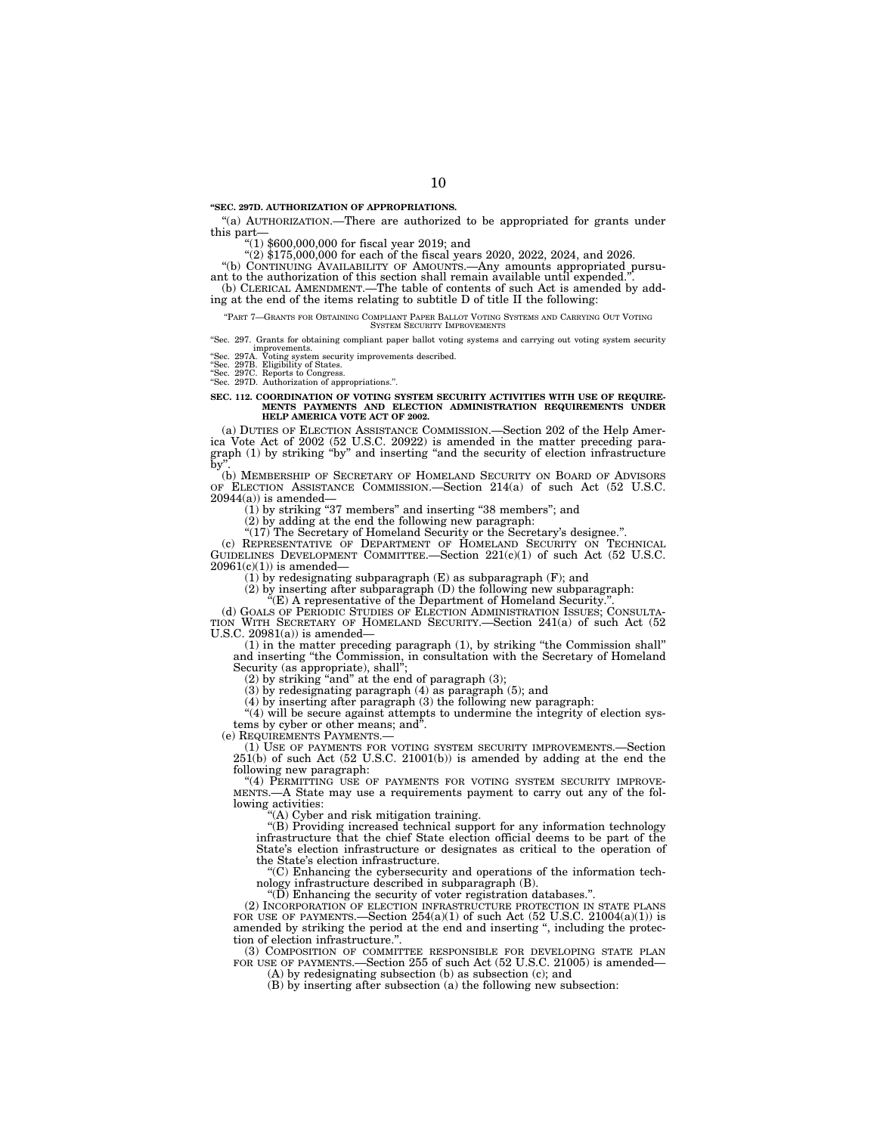**''SEC. 297D. AUTHORIZATION OF APPROPRIATIONS.** 

 $\lq$  (a) AUTHORIZATION.—There are authorized to be appropriated for grants under this part—

 $t''(1)$  \$600,000,000 for fiscal year 2019; and

 $(2)$  \$175,000,000 for each of the fiscal years 2020, 2022, 2024, and 2026.

''(b) CONTINUING AVAILABILITY OF AMOUNTS.—Any amounts appropriated pursuant to the authorization of this section shall remain available until expended.

(b) CLERICAL AMENDMENT.—The table of contents of such Act is amended by adding at the end of the items relating to subtitle D of title II the following:

''PART 7—GRANTS FOR OBTAINING COMPLIANT PAPER BALLOT VOTING SYSTEMS AND CARRYING OUT VOTING SYSTEM SECURITY IMPROVEMENTS

''Sec. 297. Grants for obtaining compliant paper ballot voting systems and carrying out voting system security improvements. ''Sec. 297A. Voting system security improvements described. ''Sec. 297B. Eligibility of States. ''Sec. 297C. Reports to Congress. ''Sec. 297D. Authorization of appropriations.''.

- 
- 
- 

#### **SEC. 112. COORDINATION OF VOTING SYSTEM SECURITY ACTIVITIES WITH USE OF REQUIRE-MENTS PAYMENTS AND ELECTION ADMINISTRATION REQUIREMENTS UNDER HELP AMERICA VOTE ACT OF 2002.**

(a) DUTIES OF ELECTION ASSISTANCE COMMISSION.—Section 202 of the Help Amer-<br>ica Vote Act of 2002 (52 U.S.C. 20922) is amended in the matter preceding paraica Vote Act of 2002 (52 U.S.C. 20922) is amended in the matter preceding para-graph (1) by striking ''by'' and inserting ''and the security of election infrastructure by''.

(b) MEMBERSHIP OF SECRETARY OF HOMELAND SECURITY ON BOARD OF ADVISORS OF ELECTION ASSISTANCE COMMISSION.—Section 214(a) of such Act (52 U.S.C. 20944(a)) is amended— (1) by striking ''37 members'' and inserting ''38 members''; and

(2) by adding at the end the following new paragraph:

"(17) The Secretary of Homeland Security or the Secretary's designee.".

(c) REPRESENTATIVE OF DEPARTMENT OF HOMELAND SECURITY ON TECHNICAL GUIDELINES DEVELOPMENT COMMITTEE.—Section 221(c)(1) of such Act (52 U.S.C.  $20961(c)(1)$  is amended-

 $(1)$  by redesignating subparagraph  $(E)$  as subparagraph  $(F)$ ; and

 $(2)$  by inserting after subparagraph  $(D)$  the following new subparagraph:

 $E(E)$  A representative of the Department of Homeland Security.

(d) GOALS OF PERIODIC STUDIES OF ELECTION ADMINISTRATION ISSUES; CONSULTA- TION WITH SECRETARY OF HOMELAND SECURITY.—Section 241(a) of such Act (52 U.S.C.  $20981(a)$ ) is amended-

(1) in the matter preceding paragraph (1), by striking ''the Commission shall'' and inserting ''the Commission, in consultation with the Secretary of Homeland Security (as appropriate), shall'';

 $(2)$  by striking "and" at the end of paragraph  $(3)$ ;

 $(3)$  by redesignating paragraph  $(4)$  as paragraph  $(5)$ ; and

(4) by inserting after paragraph (3) the following new paragraph:

"(4) will be secure against attempts to undermine the integrity of election systems by cyber or other means; and<br>
(e) REQUIREMENTS PAYMENTS.—

(1) USE OF PAYMENTS FOR VOTING SYSTEM SECURITY IMPROVEMENTS.—Section  $251(b)$  of such Act  $(52 \text{ U.S.C. } 21001(b))$  is amended by adding at the end the

following new paragraph:<br>"(4) PERMITTING USE OF PAYMENTS FOR VOTING SYSTEM SECURITY IMPROVE-MENTS.—A State may use a requirements payment to carry out any of the following activities:

(A) Cyber and risk mitigation training.

''(B) Providing increased technical support for any information technology infrastructure that the chief State election official deems to be part of the State's election infrastructure or designates as critical to the operation of the State's election infrastructure.

''(C) Enhancing the cybersecurity and operations of the information technology infrastructure described in subparagraph (B). ''(D) Enhancing the security of voter registration databases.''.

(2) INCORPORATION OF ELECTION INFRASTRUCTURE PROTECTION IN STATE PLANS FOR USE OF PAYMENTS.—Section  $254(a)(1)$  of such Act (52 U.S.C. 21004(a)(1)) is amended by striking the period at the end and inserting ", including the protection of election infrastructure.'

(3) COMPOSITION OF COMMITTEE RESPONSIBLE FOR DEVELOPING STATE PLAN FOR USE OF PAYMENTS.—Section 255 of such Act (52 U.S.C. 21005) is amended— (A) by redesignating subsection (b) as subsection (c); and

(B) by inserting after subsection (a) the following new subsection: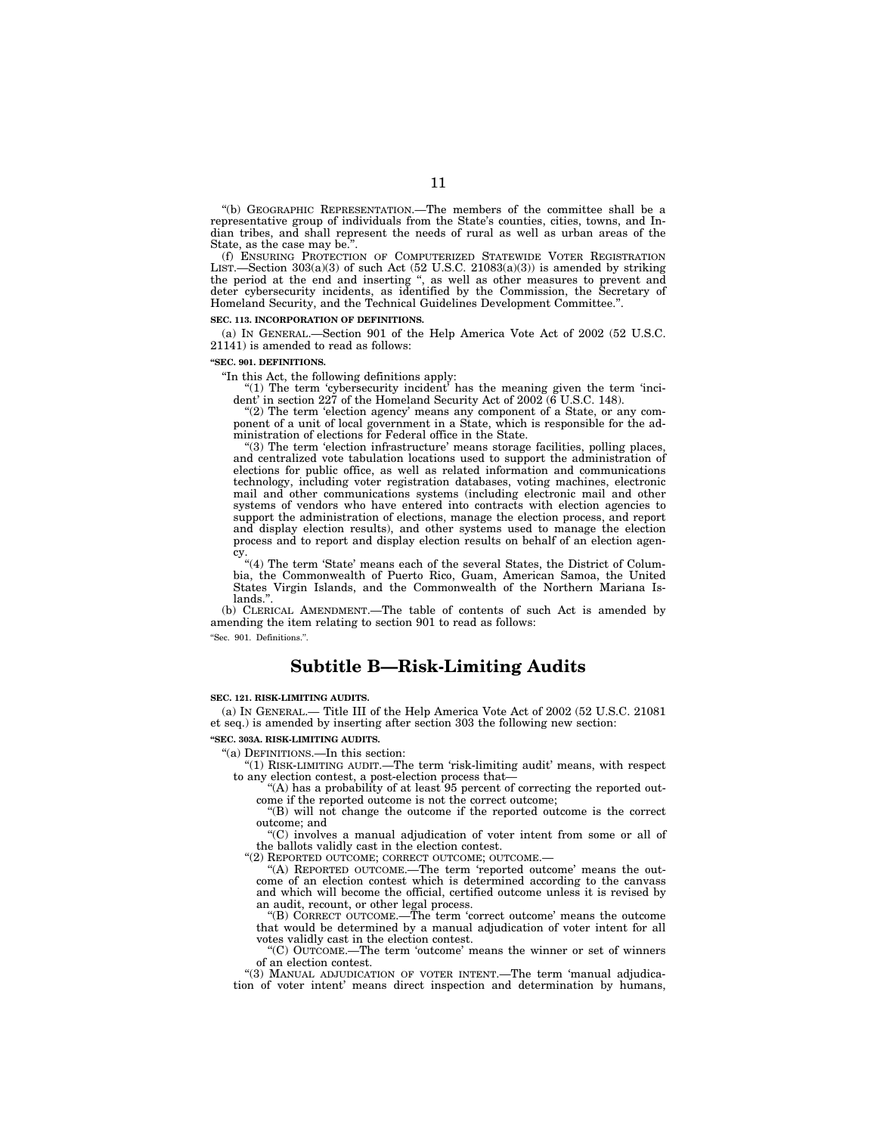''(b) GEOGRAPHIC REPRESENTATION.—The members of the committee shall be a representative group of individuals from the State's counties, cities, towns, and Indian tribes, and shall represent the needs of rural as well as urban areas of the State, as the case may be.<sup>3</sup>

(f) ENSURING PROTECTION OF COMPUTERIZED STATEWIDE VOTER REGISTRATION LIST.—Section  $303(a)(3)$  of such Act  $(52 \text{ U.S.C. } 21083(a)(3))$  is amended by striking the period at the end and inserting '', as well as other measures to prevent and deter cybersecurity incidents, as identified by the Commission, the Secretary of Homeland Security, and the Technical Guidelines Development Committee.''.

### **SEC. 113. INCORPORATION OF DEFINITIONS.**

(a) IN GENERAL.—Section 901 of the Help America Vote Act of 2002 (52 U.S.C. 21141) is amended to read as follows:

#### **''SEC. 901. DEFINITIONS.**

''In this Act, the following definitions apply:

"(1) The term 'cybersecurity incident' has the meaning given the term 'incident' in section 227 of the Homeland Security Act of 2002 ( $\tilde{6}$  U.S.C. 148).

" $(2)$  The term 'election agency' means any component of a State, or any component of a unit of local government in a State, which is responsible for the administration of elections for Federal office in the State.

''(3) The term 'election infrastructure' means storage facilities, polling places, and centralized vote tabulation locations used to support the administration of elections for public office, as well as related information and communications technology, including voter registration databases, voting machines, electronic mail and other communications systems (including electronic mail and other systems of vendors who have entered into contracts with election agencies to support the administration of elections, manage the election process, and report and display election results), and other systems used to manage the election process and to report and display election results on behalf of an election agency.

"(4) The term 'State' means each of the several States, the District of Columbia, the Commonwealth of Puerto Rico, Guam, American Samoa, the United States Virgin Islands, and the Commonwealth of the Northern Mariana Islands.

(b) CLERICAL AMENDMENT.—The table of contents of such Act is amended by amending the item relating to section 901 to read as follows:

''Sec. 901. Definitions.''.

# **Subtitle B—Risk-Limiting Audits**

### **SEC. 121. RISK-LIMITING AUDITS.**

(a) IN GENERAL.— Title III of the Help America Vote Act of 2002 (52 U.S.C. 21081 et seq.) is amended by inserting after section 303 the following new section:

**''SEC. 303A. RISK-LIMITING AUDITS.** 

''(a) DEFINITIONS.—In this section:

''(1) RISK-LIMITING AUDIT.—The term 'risk-limiting audit' means, with respect to any election contest, a post-election process that—

''(A) has a probability of at least 95 percent of correcting the reported outcome if the reported outcome is not the correct outcome;

''(B) will not change the outcome if the reported outcome is the correct outcome; and

''(C) involves a manual adjudication of voter intent from some or all of the ballots validly cast in the election contest.

"(2) REPORTED OUTCOME; CORRECT OUTCOME; OUTCOME.-

 $(A)$  REPORTED OUTCOME.—The term 'reported outcome' means the outcome of an election contest which is determined according to the canvass and which will become the official, certified outcome unless it is revised by an audit, recount, or other legal process.

''(B) CORRECT OUTCOME.—The term 'correct outcome' means the outcome that would be determined by a manual adjudication of voter intent for all votes validly cast in the election contest.

''(C) OUTCOME.—The term 'outcome' means the winner or set of winners of an election contest.

''(3) MANUAL ADJUDICATION OF VOTER INTENT.—The term 'manual adjudication of voter intent' means direct inspection and determination by humans,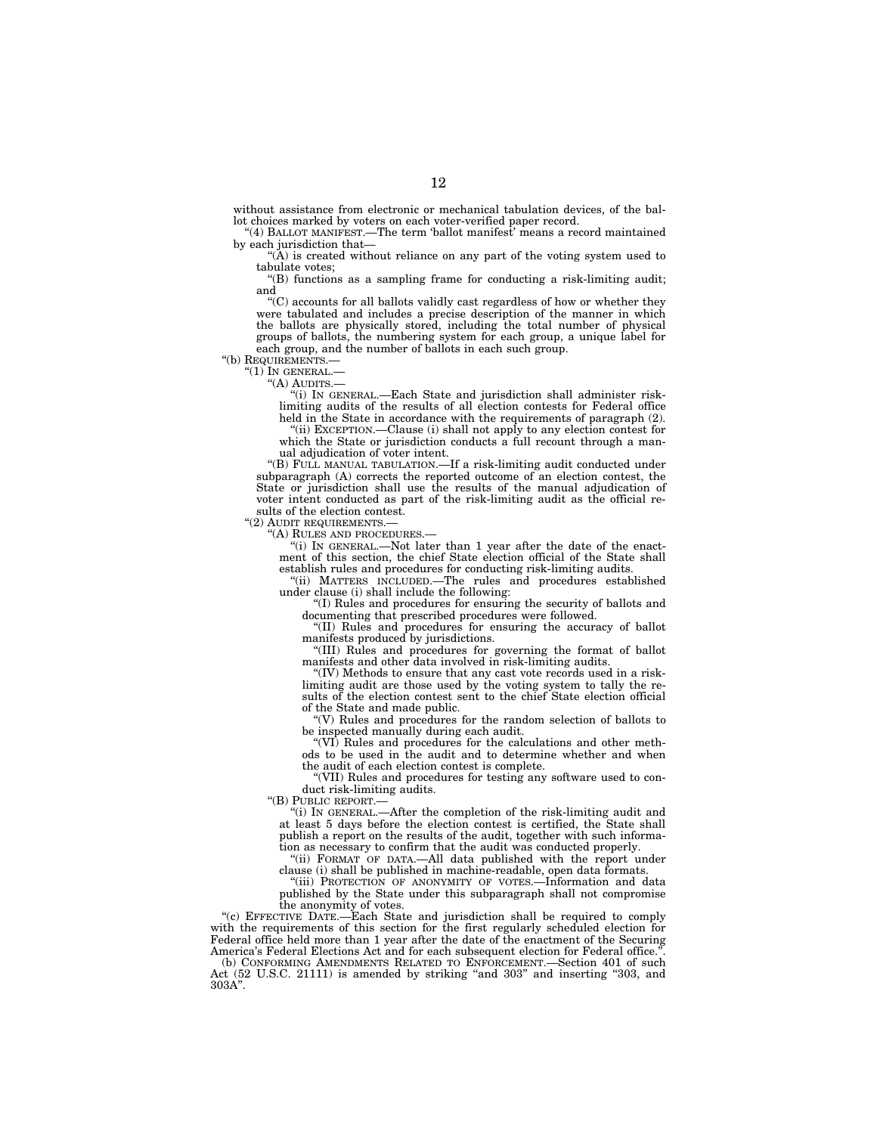without assistance from electronic or mechanical tabulation devices, of the ballot choices marked by voters on each voter-verified paper record.

''(4) BALLOT MANIFEST.—The term 'ballot manifest' means a record maintained by each jurisdiction that—

 $\mathcal{L}(\mathbf{A})$  is created without reliance on any part of the voting system used to tabulate votes;

''(B) functions as a sampling frame for conducting a risk-limiting audit; and

''(C) accounts for all ballots validly cast regardless of how or whether they were tabulated and includes a precise description of the manner in which the ballots are physically stored, including the total number of physical groups of ballots, the numbering system for each group, a unique label for each group, and the number of ballots in each such group.

''(b) REQUIREMENTS.—

" $(1)$  In GENERAL.— ''(A) AUDITS.—

''(i) IN GENERAL.—Each State and jurisdiction shall administer risklimiting audits of the results of all election contests for Federal office held in the State in accordance with the requirements of paragraph (2).

''(ii) EXCEPTION.—Clause (i) shall not apply to any election contest for which the State or jurisdiction conducts a full recount through a manual adjudication of voter intent.

''(B) FULL MANUAL TABULATION.—If a risk-limiting audit conducted under subparagraph (A) corrects the reported outcome of an election contest, the State or jurisdiction shall use the results of the manual adjudication of voter intent conducted as part of the risk-limiting audit as the official results of the election contest.

"(2) AUDIT REQUIREMENTS.-

''(A) RULES AND PROCEDURES.—

"(i) IN GENERAL.—Not later than 1 year after the date of the enactment of this section, the chief State election official of the State shall establish rules and procedures for conducting risk-limiting audits.

''(ii) MATTERS INCLUDED.—The rules and procedures established under clause (i) shall include the following:

''(I) Rules and procedures for ensuring the security of ballots and documenting that prescribed procedures were followed.

''(II) Rules and procedures for ensuring the accuracy of ballot manifests produced by jurisdictions.

''(III) Rules and procedures for governing the format of ballot manifests and other data involved in risk-limiting audits.

''(IV) Methods to ensure that any cast vote records used in a risklimiting audit are those used by the voting system to tally the results of the election contest sent to the chief State election official of the State and made public.

''(V) Rules and procedures for the random selection of ballots to be inspected manually during each audit.

''(VI) Rules and procedures for the calculations and other methods to be used in the audit and to determine whether and when the audit of each election contest is complete.

''(VII) Rules and procedures for testing any software used to conduct risk-limiting audits.

''(B) PUBLIC REPORT.—

''(i) IN GENERAL.—After the completion of the risk-limiting audit and at least 5 days before the election contest is certified, the State shall publish a report on the results of the audit, together with such information as necessary to confirm that the audit was conducted properly.

"(ii) FORMAT OF DATA.—All data published with the report under clause (i) shall be published in machine-readable, open data formats.

"(iii) PROTECTION OF ANONYMITY OF VOTES.—Information and data published by the State under this subparagraph shall not compromise the anonymity of votes.

''(c) EFFECTIVE DATE.—Each State and jurisdiction shall be required to comply with the requirements of this section for the first regularly scheduled election for Federal office held more than 1 year after the date of the enactment of the Securing America's Federal Elections Act and for each subsequent election for Federal office.

(b) CONFORMING AMENDMENTS RELATED TO ENFORCEMENT.—Section 401 of such Act (52 U.S.C. 21111) is amended by striking "and 303" and inserting "303, and 303A''.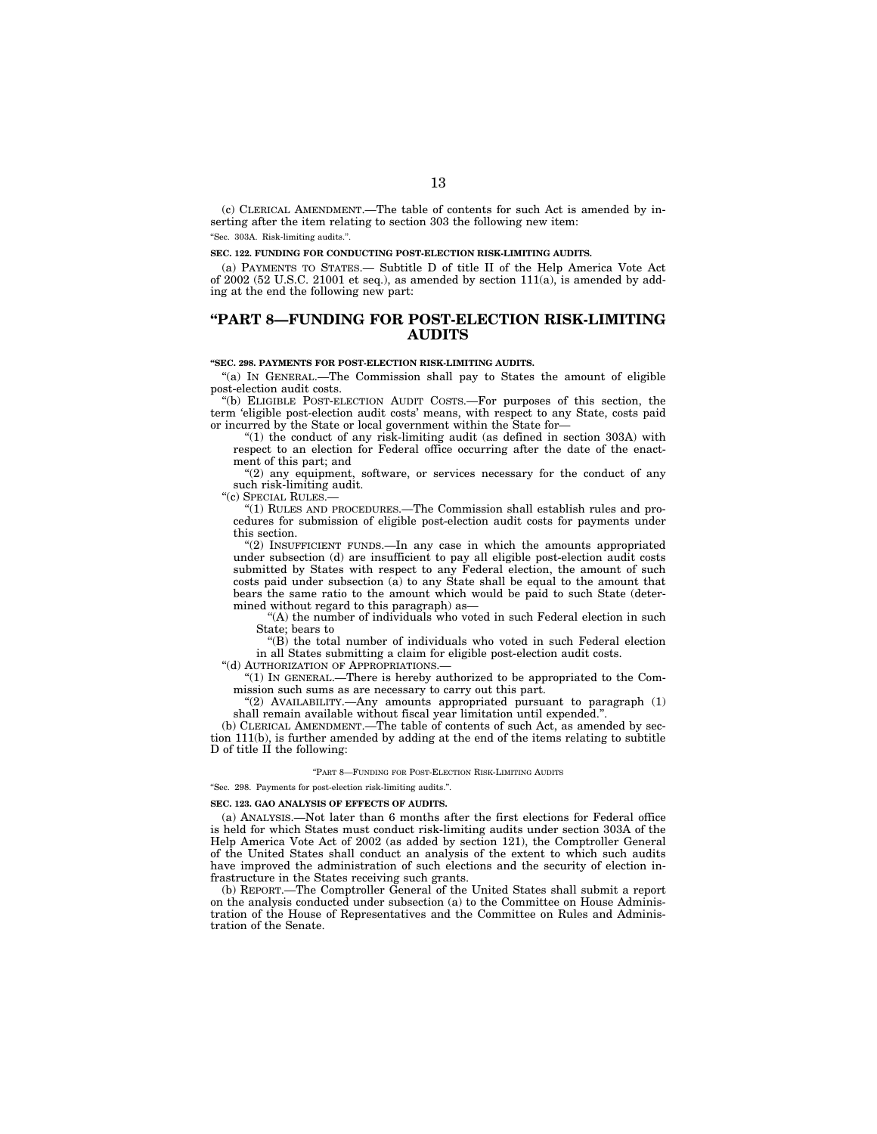(c) CLERICAL AMENDMENT.—The table of contents for such Act is amended by inserting after the item relating to section 303 the following new item:

''Sec. 303A. Risk-limiting audits.''.

### **SEC. 122. FUNDING FOR CONDUCTING POST-ELECTION RISK-LIMITING AUDITS.**

(a) PAYMENTS TO STATES.— Subtitle D of title II of the Help America Vote Act of 2002 (52 U.S.C. 21001 et seq.), as amended by section  $111(a)$ , is amended by adding at the end the following new part:

# **''PART 8—FUNDING FOR POST-ELECTION RISK-LIMITING AUDITS**

### **''SEC. 298. PAYMENTS FOR POST-ELECTION RISK-LIMITING AUDITS.**

''(a) IN GENERAL.—The Commission shall pay to States the amount of eligible post-election audit costs.

''(b) ELIGIBLE POST-ELECTION AUDIT COSTS.—For purposes of this section, the term 'eligible post-election audit costs' means, with respect to any State, costs paid or incurred by the State or local government within the State for—

" $(1)$  the conduct of any risk-limiting audit (as defined in section 303A) with respect to an election for Federal office occurring after the date of the enactment of this part; and

 $(2)$  any equipment, software, or services necessary for the conduct of any such risk-limiting audit.

''(c) SPECIAL RULES.—

''(1) RULES AND PROCEDURES.—The Commission shall establish rules and procedures for submission of eligible post-election audit costs for payments under this section.

''(2) INSUFFICIENT FUNDS.—In any case in which the amounts appropriated under subsection (d) are insufficient to pay all eligible post-election audit costs submitted by States with respect to any Federal election, the amount of such costs paid under subsection  $(a)$  to any State shall be equal to the amount that bears the same ratio to the amount which would be paid to such State (determined without regard to this paragraph) as-

''(A) the number of individuals who voted in such Federal election in such State; bears to

''(B) the total number of individuals who voted in such Federal election in all States submitting a claim for eligible post-election audit costs.

''(d) AUTHORIZATION OF APPROPRIATIONS.—

''(1) IN GENERAL.—There is hereby authorized to be appropriated to the Commission such sums as are necessary to carry out this part.

''(2) AVAILABILITY.—Any amounts appropriated pursuant to paragraph (1) shall remain available without fiscal year limitation until expended.'

(b) CLERICAL AMENDMENT.—The table of contents of such Act, as amended by section 111(b), is further amended by adding at the end of the items relating to subtitle D of title II the following:

#### ''PART 8—FUNDING FOR POST-ELECTION RISK-LIMITING AUDITS

''Sec. 298. Payments for post-election risk-limiting audits.''.

### **SEC. 123. GAO ANALYSIS OF EFFECTS OF AUDITS.**

(a) ANALYSIS.—Not later than 6 months after the first elections for Federal office is held for which States must conduct risk-limiting audits under section 303A of the Help America Vote Act of 2002 (as added by section 121), the Comptroller General of the United States shall conduct an analysis of the extent to which such audits have improved the administration of such elections and the security of election infrastructure in the States receiving such grants.

(b) REPORT.—The Comptroller General of the United States shall submit a report on the analysis conducted under subsection (a) to the Committee on House Administration of the House of Representatives and the Committee on Rules and Administration of the Senate.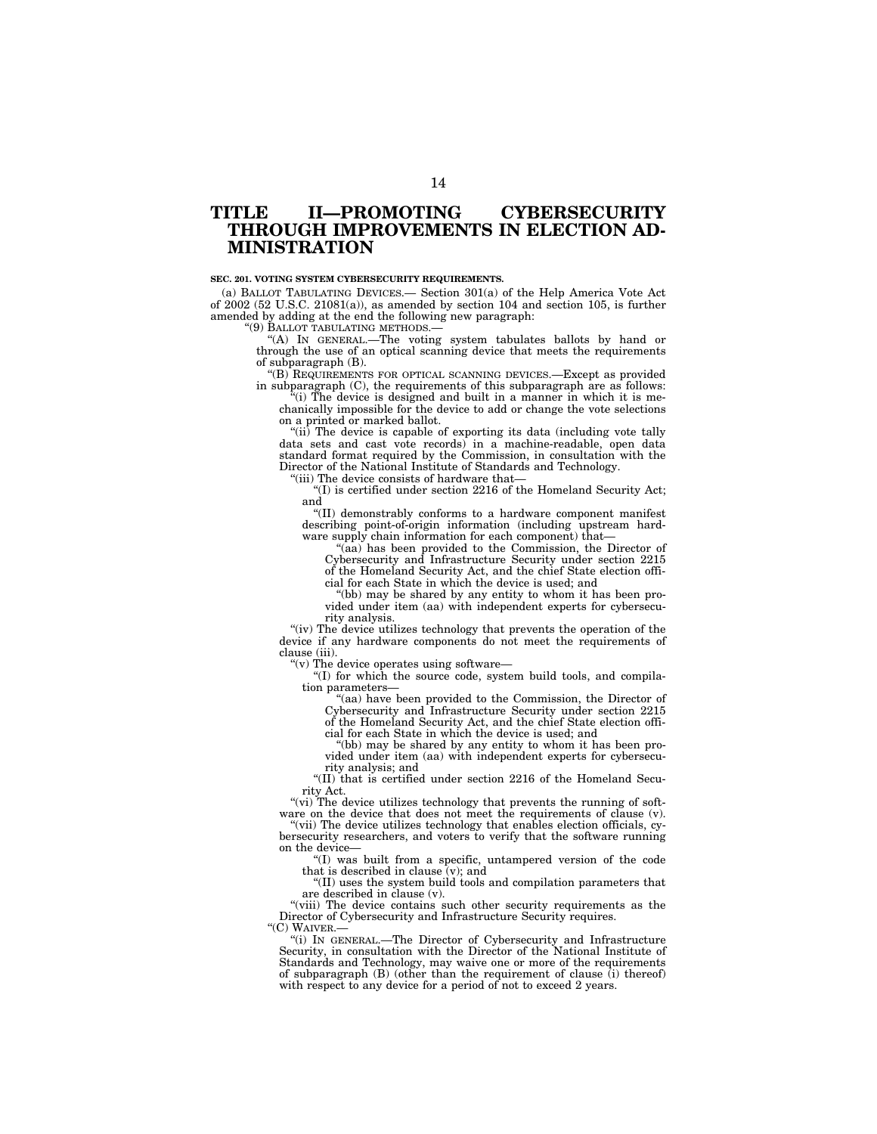# **TITLE II—PROMOTING CYBERSECURITY THROUGH IMPROVEMENTS IN ELECTION AD-MINISTRATION**

#### **SEC. 201. VOTING SYSTEM CYBERSECURITY REQUIREMENTS.**

(a) BALLOT TABULATING DEVICES.— Section 301(a) of the Help America Vote Act of 2002 (52 U.S.C. 21081(a)), as amended by section 104 and section 105, is further amended by adding at the end the following new paragraph:

''(9) BALLOT TABULATING METHODS.—

''(A) IN GENERAL.—The voting system tabulates ballots by hand or through the use of an optical scanning device that meets the requirements of subparagraph (B).

''(B) REQUIREMENTS FOR OPTICAL SCANNING DEVICES.—Except as provided in subparagraph (C), the requirements of this subparagraph are as follows:

(i) The device is designed and built in a manner in which it is mechanically impossible for the device to add or change the vote selections on a printed or marked ballot.

''(ii) The device is capable of exporting its data (including vote tally data sets and cast vote records) in a machine-readable, open data standard format required by the Commission, in consultation with the Director of the National Institute of Standards and Technology.

''(iii) The device consists of hardware that—

''(I) is certified under section 2216 of the Homeland Security Act; and

''(II) demonstrably conforms to a hardware component manifest describing point-of-origin information (including upstream hardware supply chain information for each component) that-

"(aa) has been provided to the Commission, the Director of Cybersecurity and Infrastructure Security under section 2215 of the Homeland Security Act, and the chief State election official for each State in which the device is used; and

"(bb) may be shared by any entity to whom it has been provided under item (aa) with independent experts for cybersecurity analysis.

"(iv) The device utilizes technology that prevents the operation of the device if any hardware components do not meet the requirements of clause (iii).

''(v) The device operates using software—

''(I) for which the source code, system build tools, and compilation parameters—

''(aa) have been provided to the Commission, the Director of Cybersecurity and Infrastructure Security under section 2215 of the Homeland Security Act, and the chief State election official for each State in which the device is used; and

"(bb) may be shared by any entity to whom it has been provided under item (aa) with independent experts for cybersecurity analysis; and

''(II) that is certified under section 2216 of the Homeland Security Act.

"(vi) The device utilizes technology that prevents the running of software on the device that does not meet the requirements of clause (v). "(vii) The device utilizes technology that enables election officials, cy-

bersecurity researchers, and voters to verify that the software running on the device— ''(I) was built from a specific, untampered version of the code

that is described in clause (v); and

''(II) uses the system build tools and compilation parameters that are described in clause (v).

"(viii) The device contains such other security requirements as the Director of Cybersecurity and Infrastructure Security requires. ''(C) WAIVER.—

''(i) IN GENERAL.—The Director of Cybersecurity and Infrastructure Security, in consultation with the Director of the National Institute of Standards and Technology, may waive one or more of the requirements of subparagraph (B) (other than the requirement of clause (i) thereof) with respect to any device for a period of not to exceed 2 years.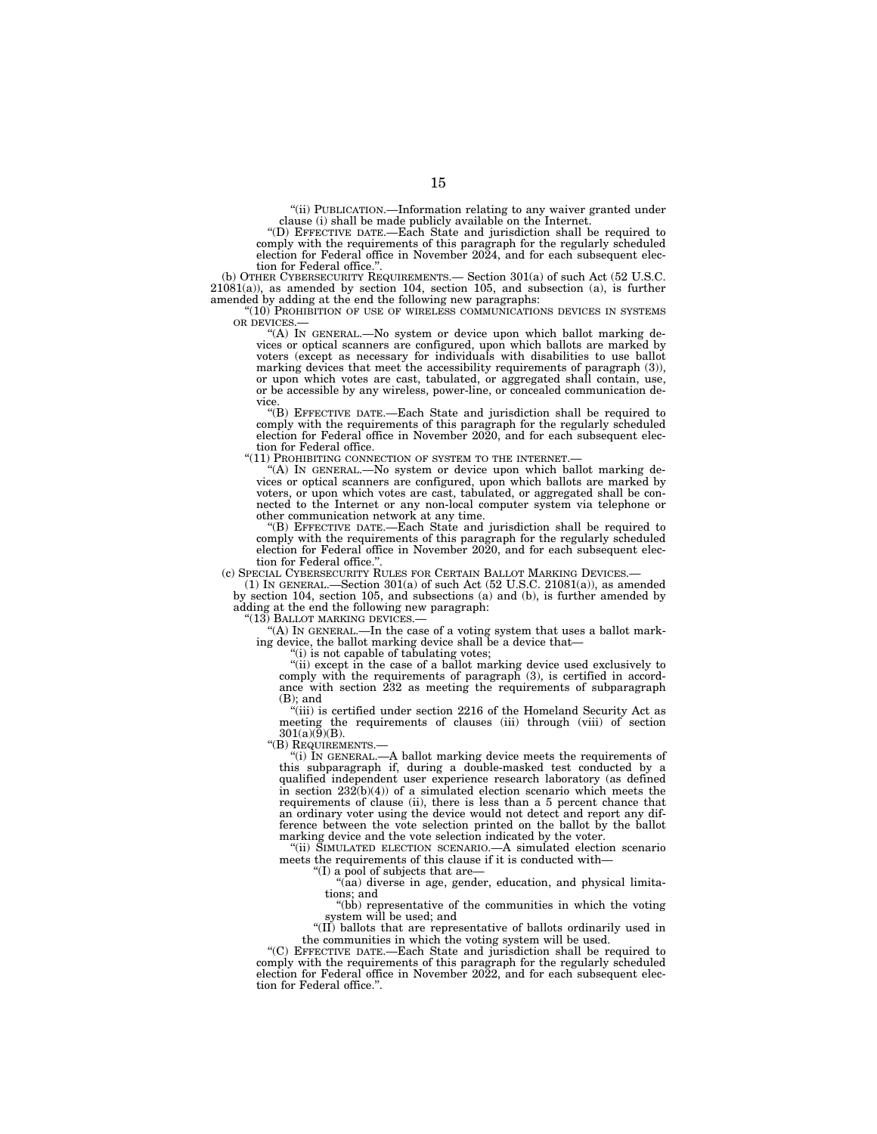"(ii) PUBLICATION.-Information relating to any waiver granted under clause (i) shall be made publicly available on the Internet.

''(D) EFFECTIVE DATE.—Each State and jurisdiction shall be required to comply with the requirements of this paragraph for the regularly scheduled election for Federal office in November 2024, and for each subsequent election for Federal office.'

(b) OTHER CYBERSECURITY REQUIREMENTS.— Section 301(a) of such Act (52 U.S.C.  $21081(a)$ ), as amended by section 104, section 105, and subsection (a), is further amended by adding at the end the following new paragraphs:

 $"$ (10) PROHIBITION OF USE OF WIRELESS COMMUNICATIONS DEVICES IN SYSTEMS OR DEVICES.—

"(A) IN GENERAL.—No system or device upon which ballot marking devices or optical scanners are configured, upon which ballots are marked by voters (except as necessary for individuals with disabilities to use ballot marking devices that meet the accessibility requirements of paragraph (3)), or upon which votes are cast, tabulated, or aggregated shall contain, use, or be accessible by any wireless, power-line, or concealed communication de-

vice. ''(B) EFFECTIVE DATE.—Each State and jurisdiction shall be required to comply with the requirements of this paragraph for the regularly scheduled election for Federal office in November 2020, and for each subsequent election for Federal office.

"(11) PROHIBITING CONNECTION OF SYSTEM TO THE INTERNET.

''(A) IN GENERAL.—No system or device upon which ballot marking devices or optical scanners are configured, upon which ballots are marked by voters, or upon which votes are cast, tabulated, or aggregated shall be connected to the Internet or any non-local computer system via telephone or other communication network at any time.

''(B) EFFECTIVE DATE.—Each State and jurisdiction shall be required to comply with the requirements of this paragraph for the regularly scheduled election for Federal office in November 2020, and for each subsequent election for Federal office."

(c) SPECIAL CYBERSECURITY RULES FOR CERTAIN BALLOT MARKING DEVICES.—

 $(1)$  In GENERAL.—Section 301(a) of such Act  $(52 \text{ U.S.C. } 21081(a))$ , as amended by section 104, section 105, and subsections (a) and (b), is further amended by adding at the end the following new paragraph:

''(13) BALLOT MARKING DEVICES.—

"(A) In GENERAL.—In the case of a voting system that uses a ballot marking device, the ballot marking device shall be a device that—

"(i) is not capable of tabulating votes;

''(ii) except in the case of a ballot marking device used exclusively to comply with the requirements of paragraph (3), is certified in accordance with section 232 as meeting the requirements of subparagraph (B); and

 $\tilde{f}$ (iii) is certified under section 2216 of the Homeland Security Act as meeting the requirements of clauses (iii) through (viii) of section  $301(a)(9)(B)$ .

''(B) REQUIREMENTS.—

"(i) IN GENERAL.—A ballot marking device meets the requirements of this subparagraph if, during a double-masked test conducted by a qualified independent user experience research laboratory (as defined in section  $232(b)(4)$  of a simulated election scenario which meets the requirements of clause (ii), there is less than a 5 percent chance that an ordinary voter using the device would not detect and report any difference between the vote selection printed on the ballot by the ballot marking device and the vote selection indicated by the voter.

''(ii) SIMULATED ELECTION SCENARIO.—A simulated election scenario meets the requirements of this clause if it is conducted with—

''(I) a pool of subjects that are—

"(aa) diverse in age, gender, education, and physical limitations; and

''(bb) representative of the communities in which the voting system will be used; and

''(II) ballots that are representative of ballots ordinarily used in the communities in which the voting system will be used.

''(C) EFFECTIVE DATE.—Each State and jurisdiction shall be required to comply with the requirements of this paragraph for the regularly scheduled election for Federal office in November 2022, and for each subsequent election for Federal office.''.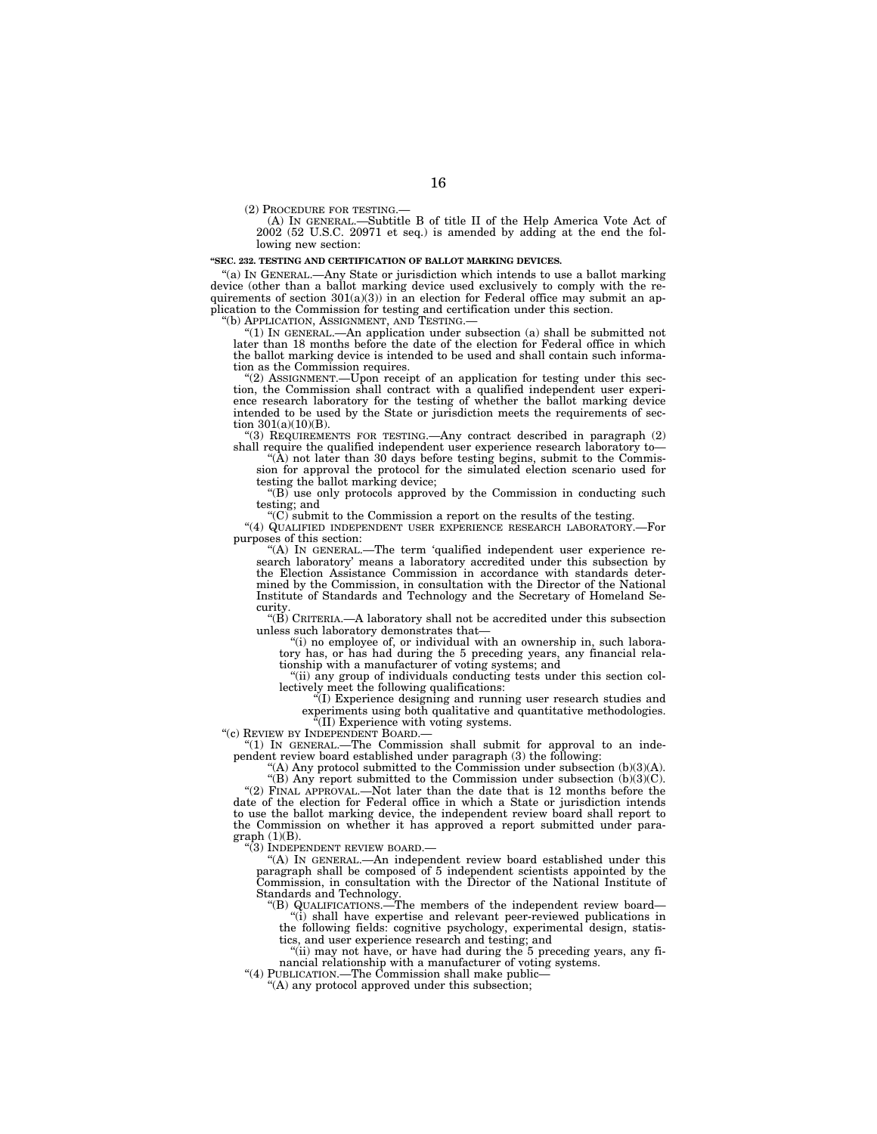(2) PROCEDURE FOR TESTING.—

(A) IN GENERAL.—Subtitle B of title II of the Help America Vote Act of 2002 (52 U.S.C. 20971 et seq.) is amended by adding at the end the following new section:

### **''SEC. 232. TESTING AND CERTIFICATION OF BALLOT MARKING DEVICES.**

''(a) IN GENERAL.—Any State or jurisdiction which intends to use a ballot marking device (other than a ballot marking device used exclusively to comply with the requirements of section  $301(a)(3)$ ) in an election for Federal office may submit an application to the Commission for testing and certification under this section.

''(b) APPLICATION, ASSIGNMENT, AND TESTING.—

 $(1)$  In GENERAL.—An application under subsection (a) shall be submitted not later than 18 months before the date of the election for Federal office in which the ballot marking device is intended to be used and shall contain such information as the Commission requires.

"(2) ASSIGNMENT.—Upon receipt of an application for testing under this section, the Commission shall contract with a qualified independent user experience research laboratory for the testing of whether the ballot marking device intended to be used by the State or jurisdiction meets the requirements of section 301(a)(10)(B).

''(3) REQUIREMENTS FOR TESTING.—Any contract described in paragraph (2) shall require the qualified independent user experience research laboratory to-

''(A) not later than 30 days before testing begins, submit to the Commission for approval the protocol for the simulated election scenario used for testing the ballot marking device;

''(B) use only protocols approved by the Commission in conducting such testing; and

''(C) submit to the Commission a report on the results of the testing.

"(4) QUALIFIED INDEPENDENT USER EXPERIENCE RESEARCH LABORATORY.purposes of this section:

''(A) IN GENERAL.—The term 'qualified independent user experience research laboratory' means a laboratory accredited under this subsection by the Election Assistance Commission in accordance with standards determined by the Commission, in consultation with the Director of the National Institute of Standards and Technology and the Secretary of Homeland Security.

" $(B)$  CRITERIA.—A laboratory shall not be accredited under this subsection unless such laboratory demonstrates that—

"(i) no employee of, or individual with an ownership in, such laboratory has, or has had during the 5 preceding years, any financial relationship with a manufacturer of voting systems; and

"(ii) any group of individuals conducting tests under this section collectively meet the following qualifications:

''(I) Experience designing and running user research studies and

experiments using both qualitative and quantitative methodologies.

''(II) Experience with voting systems. ''(c) REVIEW BY INDEPENDENT BOARD.—

 $(1)$  IN GENERAL.—The Commission shall submit for approval to an independent review board established under paragraph (3) the following:

"(A) Any protocol submitted to the Commission under subsection  $(b)(3)(A)$ . ''(B) Any report submitted to the Commission under subsection (b)(3)(C). "(2) FINAL APPROVAL.—Not later than the date that is 12 months before the date of the election for Federal office in which a State or jurisdiction intends

to use the ballot marking device, the independent review board shall report to the Commission on whether it has approved a report submitted under paragraph (1)(B).

''(3) INDEPENDENT REVIEW BOARD.—

''(A) IN GENERAL.—An independent review board established under this paragraph shall be composed of 5 independent scientists appointed by the Commission, in consultation with the Director of the National Institute of Standards and Technology.

''(B) QUALIFICATIONS.—The members of the independent review board— ''(i) shall have expertise and relevant peer-reviewed publications in the following fields: cognitive psychology, experimental design, statistics, and user experience research and testing; and

"(ii) may not have, or have had during the 5 preceding years, any financial relationship with a manufacturer of voting systems.

"(4) PUBLICATION.—The Commission shall make public-

''(A) any protocol approved under this subsection;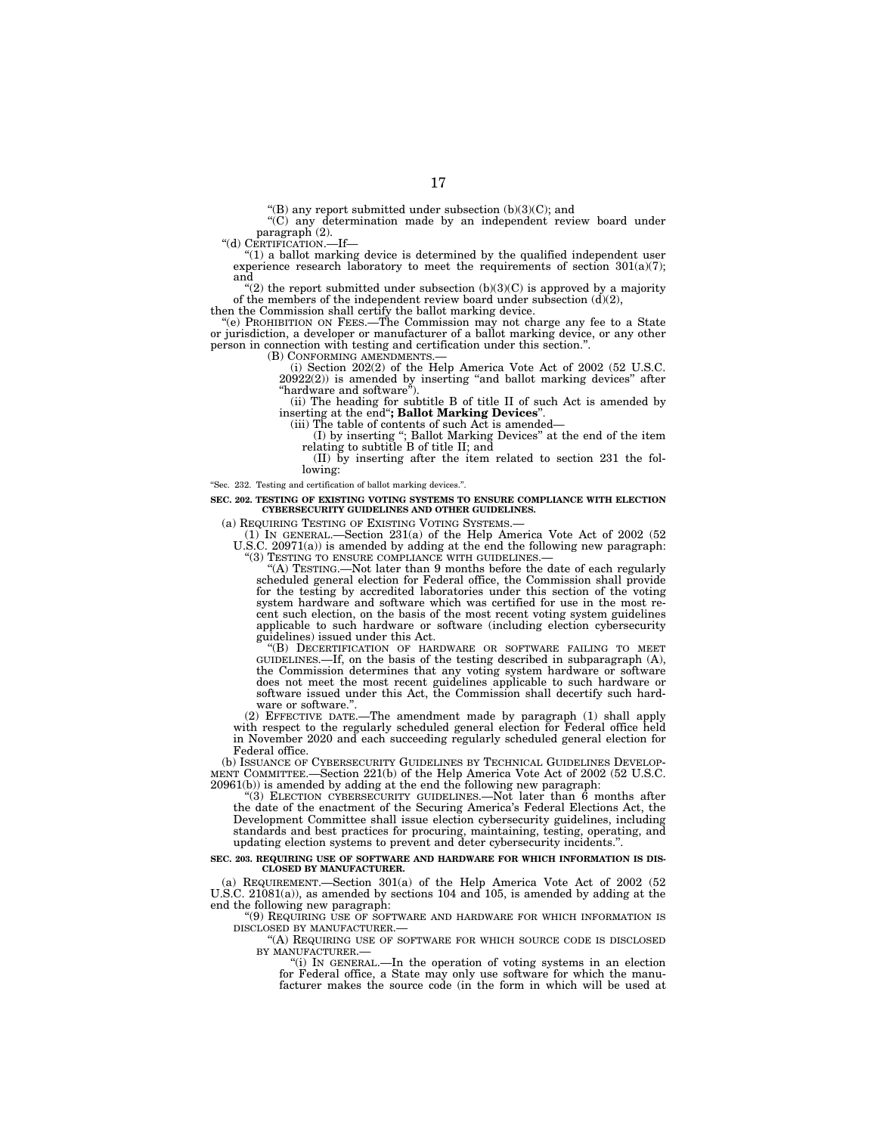$f(B)$  any report submitted under subsection (b)(3)(C); and

''(C) any determination made by an independent review board under paragraph (2).

''(d) CERTIFICATION.—If—

''(1) a ballot marking device is determined by the qualified independent user experience research laboratory to meet the requirements of section 301(a)(7); and

 $\widetilde{C}(2)$  the report submitted under subsection (b)(3)(C) is approved by a majority of the members of the independent review board under subsection  $(d)(2)$ , then the Commission shall certify the ballot marking device.

''(e) PROHIBITION ON FEES.—The Commission may not charge any fee to a State or jurisdiction, a developer or manufacturer of a ballot marking device, or any other person in connection with testing and certification under this section.'

(B) CONFORMING AMENDMENTS.— (i) Section 202(2) of the Help America Vote Act of 2002 (52 U.S.C. 20922(2)) is amended by inserting "and ballot marking devices" after ''hardware and software'').

(ii) The heading for subtitle B of title II of such Act is amended by inserting at the end''**; Ballot Marking Devices**''.

(iii) The table of contents of such Act is amended— (I) by inserting ''; Ballot Marking Devices'' at the end of the item relating to subtitle B of title II; and (II) by inserting after the item related to section 231 the fol-

lowing:

''Sec. 232. Testing and certification of ballot marking devices.''.

**SEC. 202. TESTING OF EXISTING VOTING SYSTEMS TO ENSURE COMPLIANCE WITH ELECTION CYBERSECURITY GUIDELINES AND OTHER GUIDELINES.** 

(a) REQUIRING TESTING OF EXISTING VOTING SYSTEMS.— (1) IN GENERAL.—Section 231(a) of the Help America Vote Act of 2002 (52 U.S.C. 20971(a)) is amended by adding at the end the following new paragraph:

''(3) TESTING TO ENSURE COMPLIANCE WITH GUIDELINES.— ''(A) TESTING.—Not later than 9 months before the date of each regularly scheduled general election for Federal office, the Commission shall provide for the testing by accredited laboratories under this section of the voting system hardware and software which was certified for use in the most recent such election, on the basis of the most recent voting system guidelines applicable to such hardware or software (including election cybersecurity

guidelines) issued under this Act. ''(B) DECERTIFICATION OF HARDWARE OR SOFTWARE FAILING TO MEET GUIDELINES.—If, on the basis of the testing described in subparagraph (A), the Commission determines that any voting system hardware or software does not meet the most recent guidelines applicable to such hardware or software issued under this Act, the Commission shall decertify such hardware or software."

(2) EFFECTIVE DATE.—The amendment made by paragraph (1) shall apply with respect to the regularly scheduled general election for Federal office held in November 2020 and each succeeding regularly scheduled general election for Federal office.

(b) ISSUANCE OF CYBERSECURITY GUIDELINES BY TECHNICAL GUIDELINES DEVELOP-MENT COMMITTEE.—Section 221(b) of the Help America Vote Act of 2002 (52 U.S.C. 20961(b)) is amended by adding at the end the following new paragraph:

"(3) ELECTION CYBERSECURITY GUIDELINES.—Not later than  $\hat{6}$  months after the date of the enactment of the Securing America's Federal Elections Act, the Development Committee shall issue election cybersecurity guidelines, including standards and best practices for procuring, maintaining, testing, operating, and updating election systems to prevent and deter cybersecurity incidents.''.

#### **SEC. 203. REQUIRING USE OF SOFTWARE AND HARDWARE FOR WHICH INFORMATION IS DIS-CLOSED BY MANUFACTURER.**

(a) REQUIREMENT.—Section 301(a) of the Help America Vote Act of 2002 (52 U.S.C. 21081(a)), as amended by sections 104 and 105, is amended by adding at the end the following new paragraph:

''(9) REQUIRING USE OF SOFTWARE AND HARDWARE FOR WHICH INFORMATION IS DISCLOSED BY MANUFACTURER.—

''(A) REQUIRING USE OF SOFTWARE FOR WHICH SOURCE CODE IS DISCLOSED BY MANUFACTURER.—

''(i) IN GENERAL.—In the operation of voting systems in an election for Federal office, a State may only use software for which the manufacturer makes the source code (in the form in which will be used at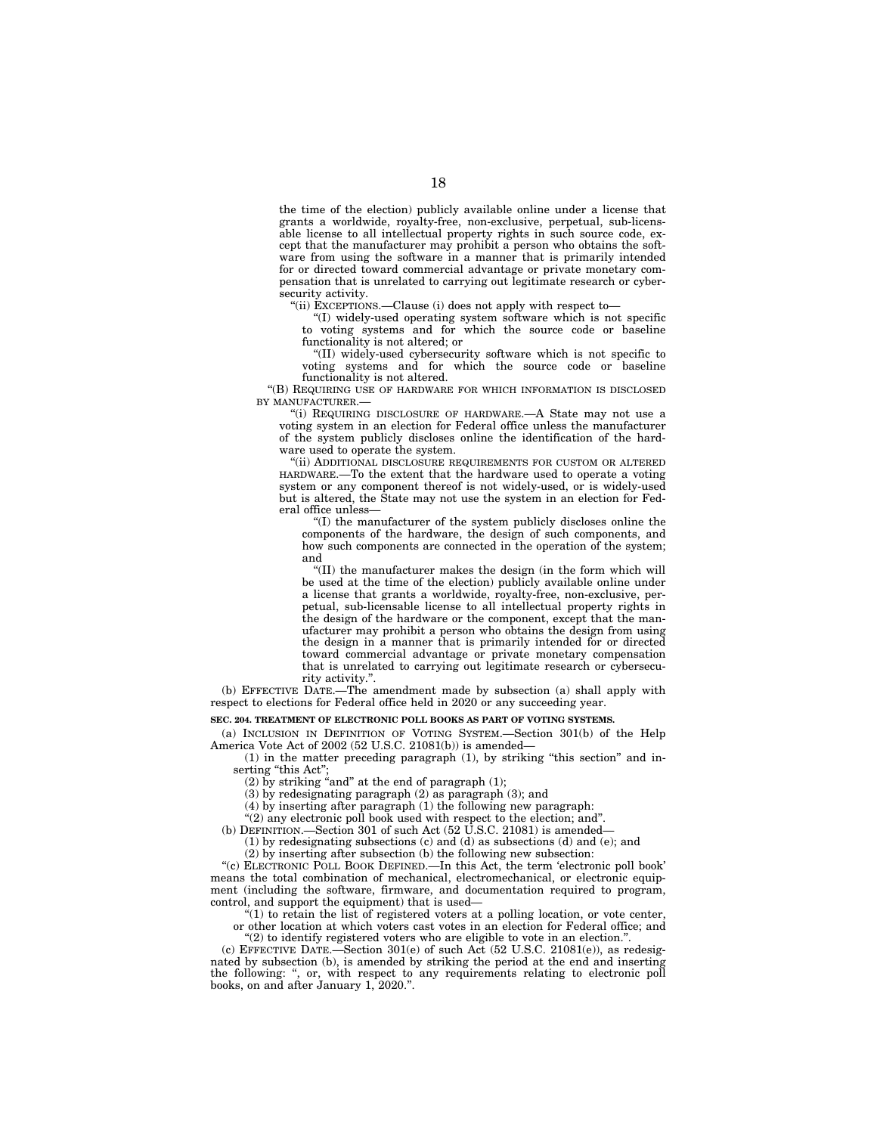the time of the election) publicly available online under a license that grants a worldwide, royalty-free, non-exclusive, perpetual, sub-licensable license to all intellectual property rights in such source code, except that the manufacturer may prohibit a person who obtains the software from using the software in a manner that is primarily intended for or directed toward commercial advantage or private monetary compensation that is unrelated to carrying out legitimate research or cybersecurity activity.

''(ii) EXCEPTIONS.—Clause (i) does not apply with respect to—

''(I) widely-used operating system software which is not specific to voting systems and for which the source code or baseline functionality is not altered; or

''(II) widely-used cybersecurity software which is not specific to voting systems and for which the source code or baseline functionality is not altered.

''(B) REQUIRING USE OF HARDWARE FOR WHICH INFORMATION IS DISCLOSED BY MANUFACTURER.—

''(i) REQUIRING DISCLOSURE OF HARDWARE.—A State may not use a voting system in an election for Federal office unless the manufacturer of the system publicly discloses online the identification of the hardware used to operate the system.

''(ii) ADDITIONAL DISCLOSURE REQUIREMENTS FOR CUSTOM OR ALTERED HARDWARE.—To the extent that the hardware used to operate a voting system or any component thereof is not widely-used, or is widely-used but is altered, the State may not use the system in an election for Federal office unless—

''(I) the manufacturer of the system publicly discloses online the components of the hardware, the design of such components, and how such components are connected in the operation of the system; and

''(II) the manufacturer makes the design (in the form which will be used at the time of the election) publicly available online under a license that grants a worldwide, royalty-free, non-exclusive, perpetual, sub-licensable license to all intellectual property rights in the design of the hardware or the component, except that the manufacturer may prohibit a person who obtains the design from using the design in a manner that is primarily intended for or directed toward commercial advantage or private monetary compensation that is unrelated to carrying out legitimate research or cybersecurity activity.''.

(b) EFFECTIVE DATE.—The amendment made by subsection (a) shall apply with respect to elections for Federal office held in 2020 or any succeeding year.

### **SEC. 204. TREATMENT OF ELECTRONIC POLL BOOKS AS PART OF VOTING SYSTEMS.**

(a) INCLUSION IN DEFINITION OF VOTING SYSTEM.—Section 301(b) of the Help America Vote Act of 2002 (52 U.S.C. 21081(b)) is amended—

(1) in the matter preceding paragraph (1), by striking ''this section'' and inserting "this Act";

 $(2)$  by striking "and" at the end of paragraph  $(1)$ ;

(3) by redesignating paragraph (2) as paragraph (3); and

(4) by inserting after paragraph (1) the following new paragraph:

''(2) any electronic poll book used with respect to the election; and''.

(b) DEFINITION.—Section 301 of such Act (52 U.S.C. 21081) is amended— (1) by redesignating subsections (c) and (d) as subsections (d) and (e); and

(2) by inserting after subsection (b) the following new subsection:

''(c) ELECTRONIC POLL BOOK DEFINED.—In this Act, the term 'electronic poll book' means the total combination of mechanical, electromechanical, or electronic equipment (including the software, firmware, and documentation required to program, control, and support the equipment) that is used—

 $f''(1)$  to retain the list of registered voters at a polling location, or vote center, or other location at which voters cast votes in an election for Federal office; and

 $\mathcal{L}(2)$  to identify registered voters who are eligible to vote in an election.".

(c) EFFECTIVE DATE.—Section 301(e) of such Act (52 U.S.C. 21081(e)), as redesignated by subsection (b), is amended by striking the period at the end and inserting the following: ", or, with respect to any requirements relating to electronic poll books, on and after January 1, 2020.''.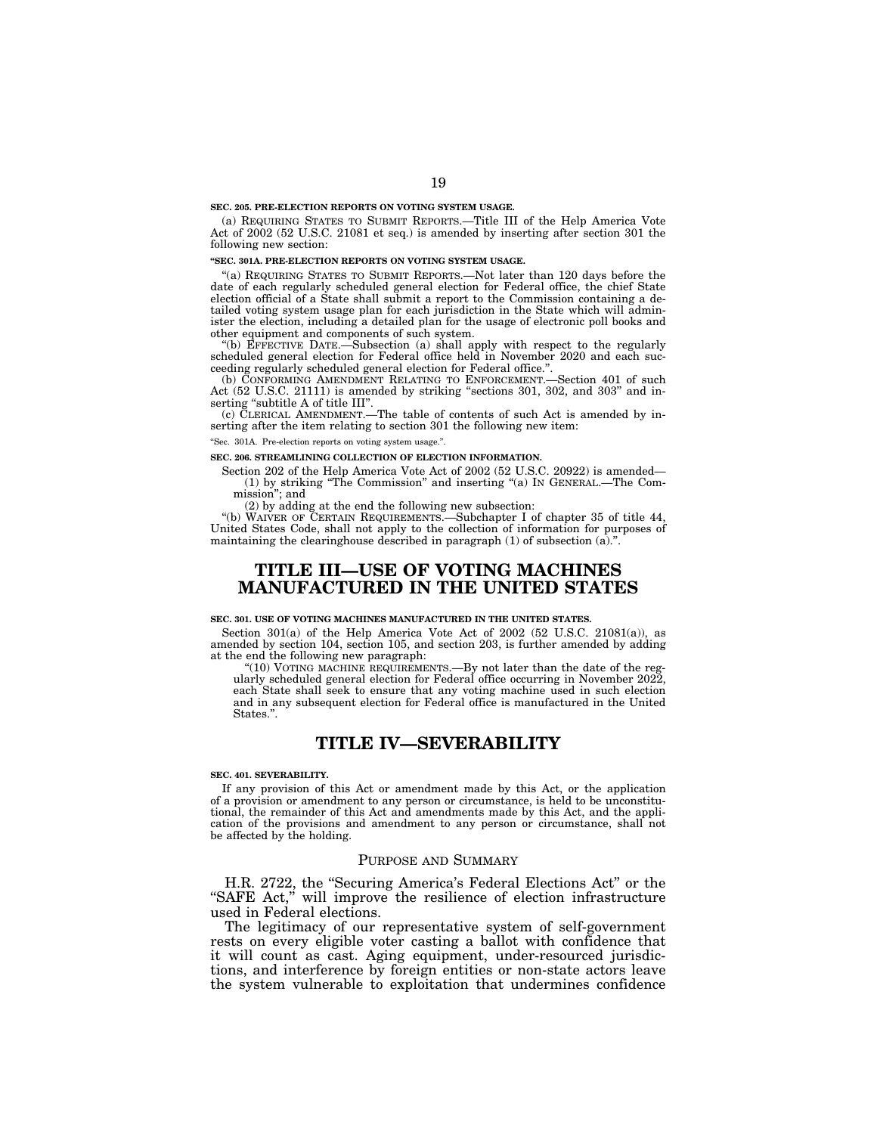### **SEC. 205. PRE-ELECTION REPORTS ON VOTING SYSTEM USAGE.**

(a) REQUIRING STATES TO SUBMIT REPORTS.—Title III of the Help America Vote Act of 2002 (52 U.S.C. 21081 et seq.) is amended by inserting after section 301 the following new section:

### **''SEC. 301A. PRE-ELECTION REPORTS ON VOTING SYSTEM USAGE.**

''(a) REQUIRING STATES TO SUBMIT REPORTS.—Not later than 120 days before the date of each regularly scheduled general election for Federal office, the chief State election official of a State shall submit a report to the Commission containing a detailed voting system usage plan for each jurisdiction in the State which will administer the election, including a detailed plan for the usage of electronic poll books and other equipment and components of such system.

''(b) EFFECTIVE DATE.—Subsection (a) shall apply with respect to the regularly scheduled general election for Federal office held in November 2020 and each succeeding regularly scheduled general election for Federal office.'

(b) CONFORMING AMENDMENT RELATING TO ENFORCEMENT.—Section 401 of such Act (52 U.S.C. 21111) is amended by striking "sections 301, 302, and 303" and inserting "subtitle A of title III".

(c) CLERICAL AMENDMENT.—The table of contents of such Act is amended by inserting after the item relating to section 301 the following new item:

''Sec. 301A. Pre-election reports on voting system usage.''.

### **SEC. 206. STREAMLINING COLLECTION OF ELECTION INFORMATION.**

Section 202 of the Help America Vote Act of 2002 (52 U.S.C. 20922) is amended— (1) by striking ''The Commission'' and inserting ''(a) IN GENERAL.—The Commission''; and

(2) by adding at the end the following new subsection:

''(b) WAIVER OF CERTAIN REQUIREMENTS.—Subchapter I of chapter 35 of title 44, United States Code, shall not apply to the collection of information for purposes of maintaining the clearinghouse described in paragraph  $(1)$  of subsection  $(a)$ .".

# **TITLE III—USE OF VOTING MACHINES MANUFACTURED IN THE UNITED STATES**

### **SEC. 301. USE OF VOTING MACHINES MANUFACTURED IN THE UNITED STATES.**

Section 301(a) of the Help America Vote Act of 2002 (52 U.S.C. 21081(a)), as amended by section 104, section 105, and section 203, is further amended by adding at the end the following new paragraph:

 $(10)$  VOTING MACHINE REQUIREMENTS.—By not later than the date of the regularly scheduled general election for Federal office occurring in November 2022, each State shall seek to ensure that any voting machine used in such election and in any subsequent election for Federal office is manufactured in the United States.''.

# **TITLE IV—SEVERABILITY**

#### **SEC. 401. SEVERABILITY.**

If any provision of this Act or amendment made by this Act, or the application of a provision or amendment to any person or circumstance, is held to be unconstitutional, the remainder of this Act and amendments made by this Act, and the application of the provisions and amendment to any person or circumstance, shall not be affected by the holding.

### PURPOSE AND SUMMARY

H.R. 2722, the "Securing America's Federal Elections Act" or the "SAFE Act," will improve the resilience of election infrastructure used in Federal elections.

The legitimacy of our representative system of self-government rests on every eligible voter casting a ballot with confidence that it will count as cast. Aging equipment, under-resourced jurisdictions, and interference by foreign entities or non-state actors leave the system vulnerable to exploitation that undermines confidence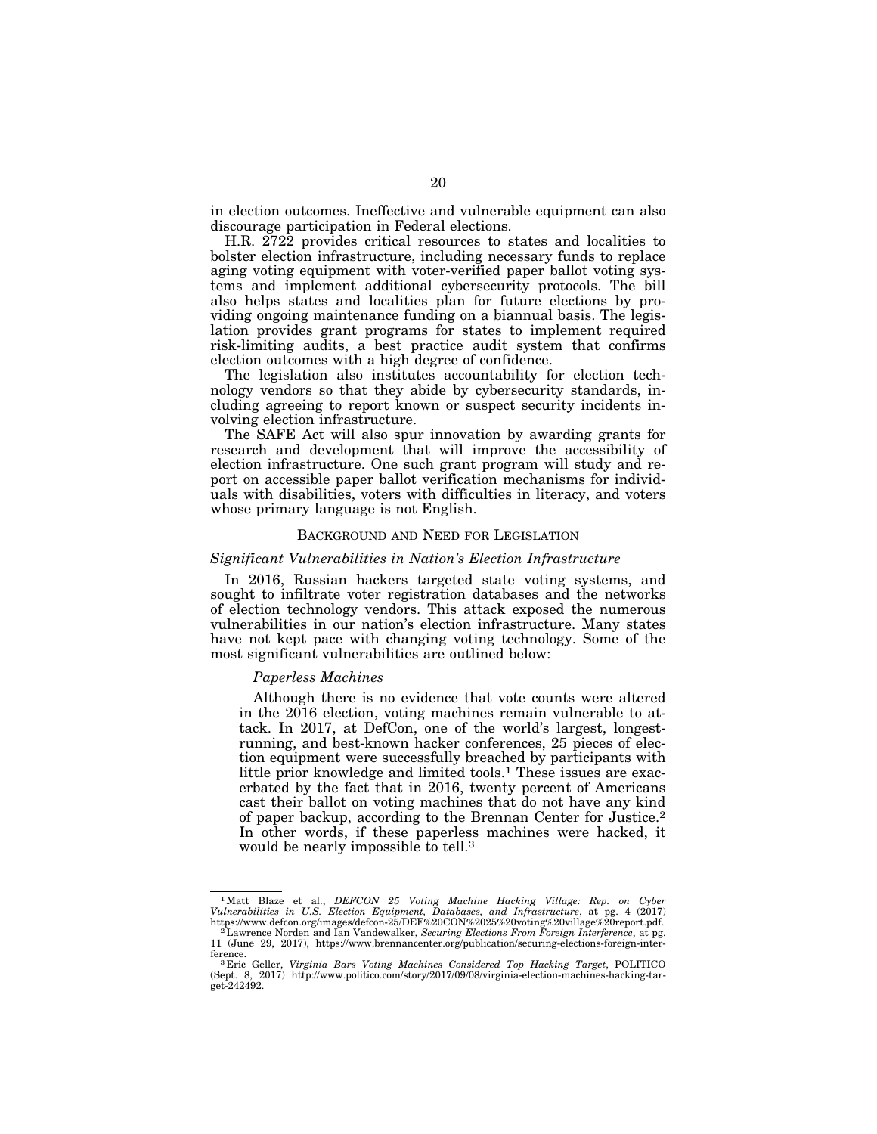in election outcomes. Ineffective and vulnerable equipment can also discourage participation in Federal elections.

H.R. 2722 provides critical resources to states and localities to bolster election infrastructure, including necessary funds to replace aging voting equipment with voter-verified paper ballot voting systems and implement additional cybersecurity protocols. The bill also helps states and localities plan for future elections by providing ongoing maintenance funding on a biannual basis. The legislation provides grant programs for states to implement required risk-limiting audits, a best practice audit system that confirms election outcomes with a high degree of confidence.

The legislation also institutes accountability for election technology vendors so that they abide by cybersecurity standards, including agreeing to report known or suspect security incidents involving election infrastructure.

The SAFE Act will also spur innovation by awarding grants for research and development that will improve the accessibility of election infrastructure. One such grant program will study and report on accessible paper ballot verification mechanisms for individuals with disabilities, voters with difficulties in literacy, and voters whose primary language is not English.

### BACKGROUND AND NEED FOR LEGISLATION

### *Significant Vulnerabilities in Nation's Election Infrastructure*

In 2016, Russian hackers targeted state voting systems, and sought to infiltrate voter registration databases and the networks of election technology vendors. This attack exposed the numerous vulnerabilities in our nation's election infrastructure. Many states have not kept pace with changing voting technology. Some of the most significant vulnerabilities are outlined below:

# *Paperless Machines*

Although there is no evidence that vote counts were altered in the 2016 election, voting machines remain vulnerable to attack. In 2017, at DefCon, one of the world's largest, longestrunning, and best-known hacker conferences, 25 pieces of election equipment were successfully breached by participants with little prior knowledge and limited tools.1 These issues are exacerbated by the fact that in 2016, twenty percent of Americans cast their ballot on voting machines that do not have any kind of paper backup, according to the Brennan Center for Justice.2 In other words, if these paperless machines were hacked, it would be nearly impossible to tell.<sup>3</sup>

<sup>1</sup>Matt Blaze et al., *DEFCON 25 Voting Machine Hacking Village: Rep. on Cyber Vulnerabilities in U.S. Election Equipment, Databases, and Infrastructure*, at pg. 4 (2017) https://www.defcon.org/images/defcon-25/DEF%20CON%2025%20voting%20village%20report.pdf. 2Lawrence Norden and Ian Vandewalker, *Securing Elections From Foreign Interference*, at pg.

<sup>11 (</sup>June 29, 2017), https://www.brennancenter.org/publication/securing-elections-foreign-inter-

ference. 3 Eric Geller, *Virginia Bars Voting Machines Considered Top Hacking Target*, POLITICO (Sept. 8, 2017) http://www.politico.com/story/2017/09/08/virginia-election-machines-hacking-target-242492.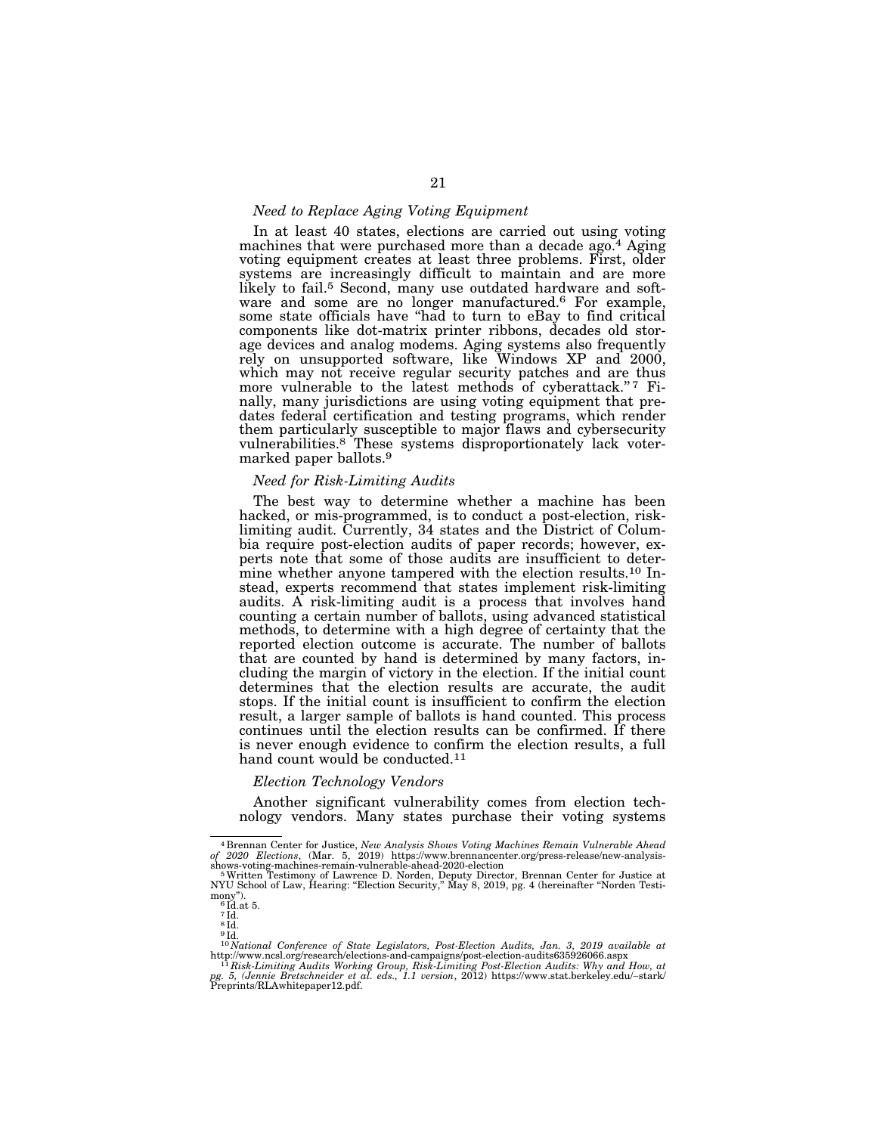### *Need to Replace Aging Voting Equipment*

In at least 40 states, elections are carried out using voting machines that were purchased more than a decade ago.<sup>4</sup> Aging voting equipment creates at least three problems. First, older systems are increasingly difficult to maintain and are more likely to fail.<sup>5</sup> Second, many use outdated hardware and software and some are no longer manufactured.6 For example, some state officials have ''had to turn to eBay to find critical components like dot-matrix printer ribbons, decades old storage devices and analog modems. Aging systems also frequently rely on unsupported software, like Windows XP and 2000, which may not receive regular security patches and are thus more vulnerable to the latest methods of cyberattack."7 Finally, many jurisdictions are using voting equipment that predates federal certification and testing programs, which render them particularly susceptible to major flaws and cybersecurity vulnerabilities.<sup>8</sup> These systems disproportionately lack votermarked paper ballots.9

### *Need for Risk-Limiting Audits*

The best way to determine whether a machine has been hacked, or mis-programmed, is to conduct a post-election, risklimiting audit. Currently, 34 states and the District of Columbia require post-election audits of paper records; however, experts note that some of those audits are insufficient to determine whether anyone tampered with the election results.<sup>10</sup> Instead, experts recommend that states implement risk-limiting audits. A risk-limiting audit is a process that involves hand counting a certain number of ballots, using advanced statistical methods, to determine with a high degree of certainty that the reported election outcome is accurate. The number of ballots that are counted by hand is determined by many factors, including the margin of victory in the election. If the initial count determines that the election results are accurate, the audit stops. If the initial count is insufficient to confirm the election result, a larger sample of ballots is hand counted. This process continues until the election results can be confirmed. If there is never enough evidence to confirm the election results, a full hand count would be conducted.<sup>11</sup>

### *Election Technology Vendors*

Another significant vulnerability comes from election technology vendors. Many states purchase their voting systems

<sup>4</sup> Brennan Center for Justice, *New Analysis Shows Voting Machines Remain Vulnerable Ahead of 2020 Elections*, (Mar. 5, 2019) https://www.brennancenter.org/press-release/new-analysis-

shows-voting-machines-remain-vulnerable-ahead-2020-election<br><sup>5</sup> Written Testimony of Lawrence D. Norden, Deputy Director, Brennan Center for Justice at<br>NYU School of Law, Hearing: "Election Security," May 8, 2019, pg. 4 (h mony''). 6 Id.at 5. 7 Id.

<sup>8</sup> Id.

<sup>&</sup>lt;sup>9</sup>Id.<br><sup>10</sup>National Conference of State Legislators, Post-Election Audits, Jan. 3, 2019 available at<br>http://www.ncsl.org/research/elections-and-campaigns/post-election-audits635926066.aspx<br><sup>11</sup>Risk-Limiting Audits Working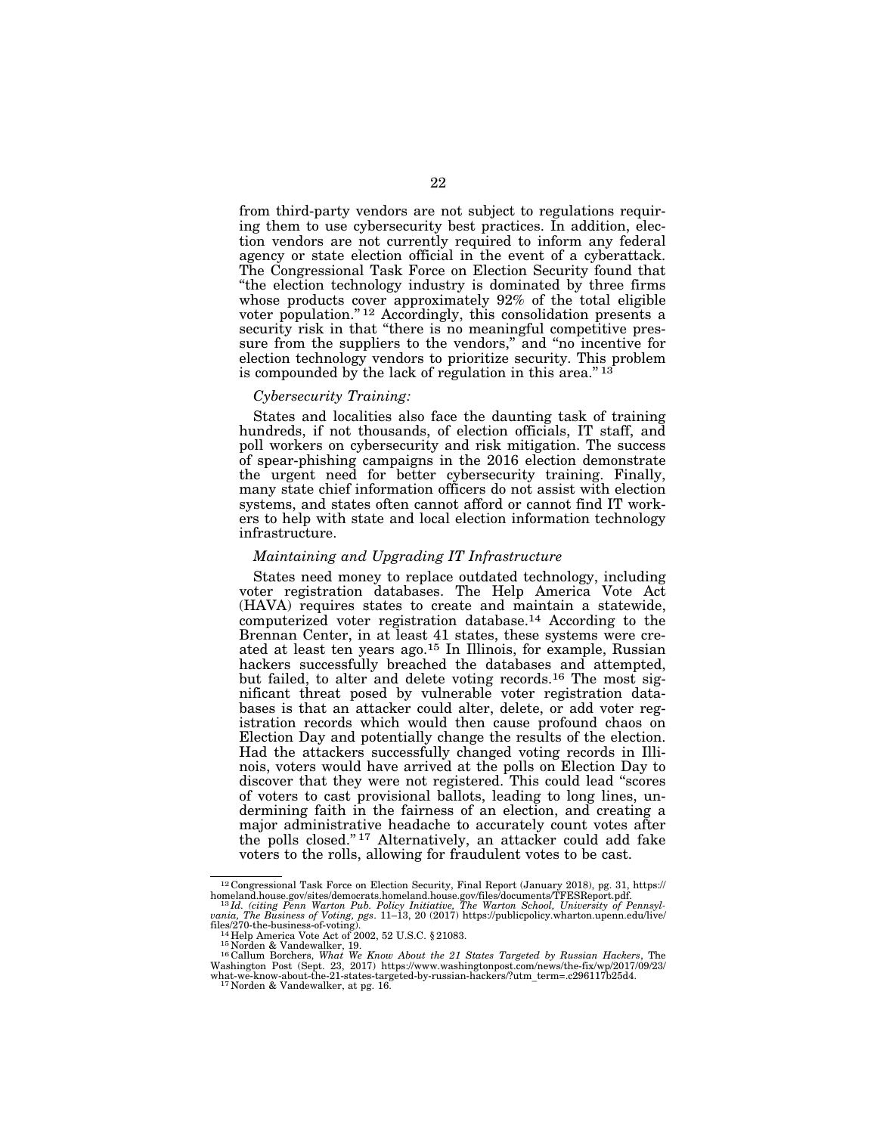from third-party vendors are not subject to regulations requiring them to use cybersecurity best practices. In addition, election vendors are not currently required to inform any federal agency or state election official in the event of a cyberattack. The Congressional Task Force on Election Security found that ''the election technology industry is dominated by three firms whose products cover approximately 92% of the total eligible voter population."<sup>12</sup> Accordingly, this consolidation presents a security risk in that "there is no meaningful competitive pressure from the suppliers to the vendors," and "no incentive for election technology vendors to prioritize security. This problem is compounded by the lack of regulation in this area."<sup>13</sup>

# *Cybersecurity Training:*

States and localities also face the daunting task of training hundreds, if not thousands, of election officials, IT staff, and poll workers on cybersecurity and risk mitigation. The success of spear-phishing campaigns in the 2016 election demonstrate the urgent need for better cybersecurity training. Finally, many state chief information officers do not assist with election systems, and states often cannot afford or cannot find IT workers to help with state and local election information technology infrastructure.

### *Maintaining and Upgrading IT Infrastructure*

States need money to replace outdated technology, including voter registration databases. The Help America Vote Act (HAVA) requires states to create and maintain a statewide, computerized voter registration database.14 According to the Brennan Center, in at least 41 states, these systems were created at least ten years ago.15 In Illinois, for example, Russian hackers successfully breached the databases and attempted, but failed, to alter and delete voting records.16 The most significant threat posed by vulnerable voter registration databases is that an attacker could alter, delete, or add voter registration records which would then cause profound chaos on Election Day and potentially change the results of the election. Had the attackers successfully changed voting records in Illinois, voters would have arrived at the polls on Election Day to discover that they were not registered. This could lead ''scores of voters to cast provisional ballots, leading to long lines, undermining faith in the fairness of an election, and creating a major administrative headache to accurately count votes after the polls closed."<sup>17</sup> Alternatively, an attacker could add fake voters to the rolls, allowing for fraudulent votes to be cast.

<sup>12</sup> Congressional Task Force on Election Security, Final Report (January 2018), pg. 31, https://<br>homeland.house.gov/files/documents/TFESReport.pdf.<br><sup>13</sup>*Id. (citing Penn Warton Pub. Policy Initiative, The Warton School,* 

Washington Post (Sept. 23, 2017) https://www.washingtonpost.com/news/the-fix/wp/2017/09/23/<br>what-we-know-about-the-21-states-targeted-by-russian-hackers/?utm\_term=.c296117b25d4.<br>1<sup>17</sup>Norden & Vandewalker, at pg. 16.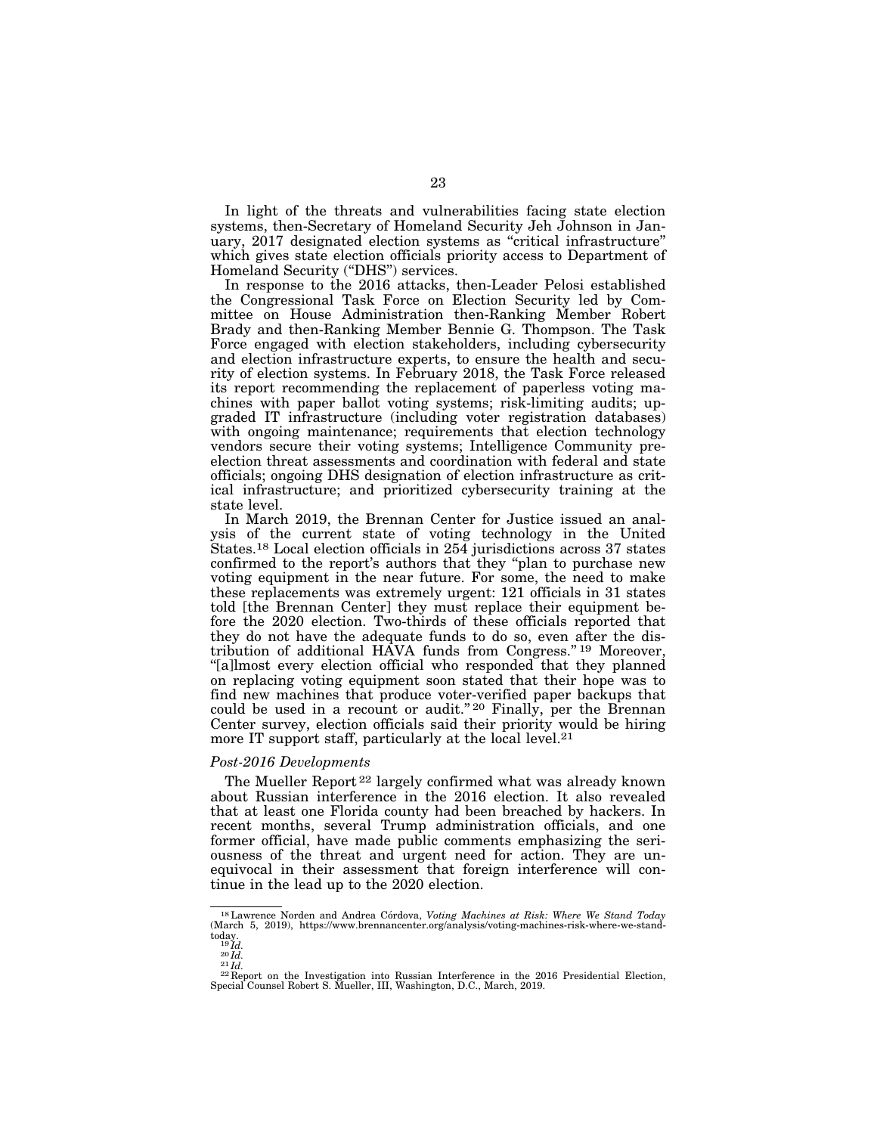In light of the threats and vulnerabilities facing state election systems, then-Secretary of Homeland Security Jeh Johnson in January, 2017 designated election systems as ''critical infrastructure'' which gives state election officials priority access to Department of Homeland Security ("DHS") services.

In response to the 2016 attacks, then-Leader Pelosi established the Congressional Task Force on Election Security led by Committee on House Administration then-Ranking Member Robert Brady and then-Ranking Member Bennie G. Thompson. The Task Force engaged with election stakeholders, including cybersecurity and election infrastructure experts, to ensure the health and security of election systems. In February 2018, the Task Force released its report recommending the replacement of paperless voting machines with paper ballot voting systems; risk-limiting audits; upgraded IT infrastructure (including voter registration databases) with ongoing maintenance; requirements that election technology vendors secure their voting systems; Intelligence Community preelection threat assessments and coordination with federal and state officials; ongoing DHS designation of election infrastructure as critical infrastructure; and prioritized cybersecurity training at the state level.

In March 2019, the Brennan Center for Justice issued an analysis of the current state of voting technology in the United States.<sup>18</sup> Local election officials in 254 jurisdictions across 37 states confirmed to the report's authors that they ''plan to purchase new voting equipment in the near future. For some, the need to make these replacements was extremely urgent: 121 officials in 31 states told [the Brennan Center] they must replace their equipment before the 2020 election. Two-thirds of these officials reported that they do not have the adequate funds to do so, even after the distribution of additional HAVA funds from Congress.'' 19 Moreover, ''[a]lmost every election official who responded that they planned on replacing voting equipment soon stated that their hope was to find new machines that produce voter-verified paper backups that could be used in a recount or audit."<sup>20</sup> Finally, per the Brennan Center survey, election officials said their priority would be hiring more IT support staff, particularly at the local level.<sup>21</sup>

### *Post-2016 Developments*

The Mueller Report 22 largely confirmed what was already known about Russian interference in the 2016 election. It also revealed that at least one Florida county had been breached by hackers. In recent months, several Trump administration officials, and one former official, have made public comments emphasizing the seriousness of the threat and urgent need for action. They are unequivocal in their assessment that foreign interference will continue in the lead up to the 2020 election.

<sup>&</sup>lt;sup>18</sup> Lawrence Norden and Andrea Córdova, *Voting Machines at Risk: Where We Stand Today* (March 5, 2019), https://www.brennancenter.org/analysis/voting-machines-risk-where-we-stand-<br>  $\frac{19}{1d}$ .

today.<br><sup>29</sup>*Id.*<br><sup>22</sup> *Id.*<br><sup>22</sup> Report on the Investigation into Russian Interference in the 2016 Presidential Election,<br>Special Counsel Robert S. Mueller, III, Washington, D.C., March, 2019.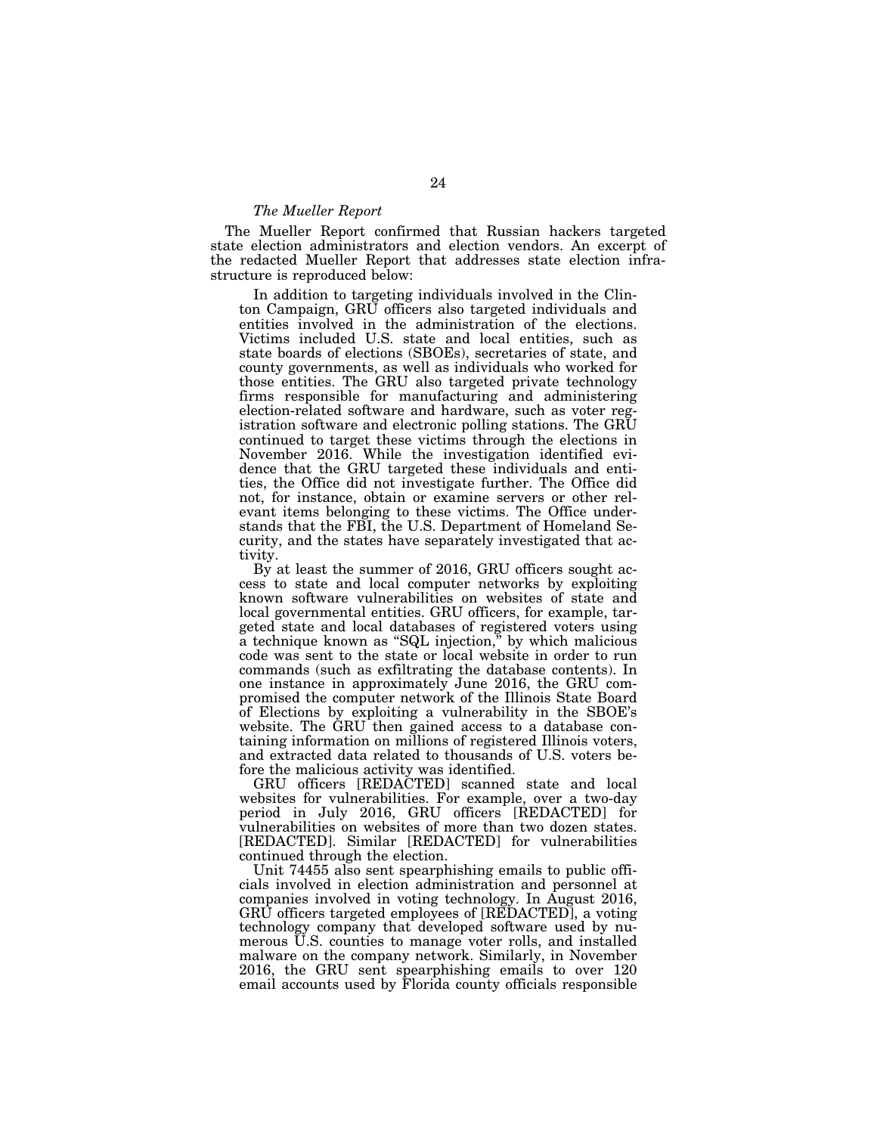### *The Mueller Report*

The Mueller Report confirmed that Russian hackers targeted state election administrators and election vendors. An excerpt of the redacted Mueller Report that addresses state election infrastructure is reproduced below:

In addition to targeting individuals involved in the Clinton Campaign, GRU officers also targeted individuals and entities involved in the administration of the elections. Victims included U.S. state and local entities, such as state boards of elections (SBOEs), secretaries of state, and county governments, as well as individuals who worked for those entities. The GRU also targeted private technology firms responsible for manufacturing and administering election-related software and hardware, such as voter registration software and electronic polling stations. The GRU continued to target these victims through the elections in November 2016. While the investigation identified evidence that the GRU targeted these individuals and entities, the Office did not investigate further. The Office did not, for instance, obtain or examine servers or other relevant items belonging to these victims. The Office understands that the FBI, the U.S. Department of Homeland Security, and the states have separately investigated that activity.

By at least the summer of 2016, GRU officers sought access to state and local computer networks by exploiting known software vulnerabilities on websites of state and local governmental entities. GRU officers, for example, targeted state and local databases of registered voters using a technique known as ''SQL injection,'' by which malicious code was sent to the state or local website in order to run commands (such as exfiltrating the database contents). In one instance in approximately June 2016, the GRU compromised the computer network of the Illinois State Board of Elections by exploiting a vulnerability in the SBOE's website. The GRU then gained access to a database containing information on millions of registered Illinois voters, and extracted data related to thousands of U.S. voters before the malicious activity was identified.

GRU officers [REDACTED] scanned state and local websites for vulnerabilities. For example, over a two-day period in July 2016, GRU officers [REDACTED] for vulnerabilities on websites of more than two dozen states. [REDACTED]. Similar [REDACTED] for vulnerabilities continued through the election.

Unit 74455 also sent spearphishing emails to public officials involved in election administration and personnel at companies involved in voting technology. In August 2016, GRU officers targeted employees of [REDACTED], a voting technology company that developed software used by numerous U.S. counties to manage voter rolls, and installed malware on the company network. Similarly, in November 2016, the GRU sent spearphishing emails to over 120 email accounts used by Florida county officials responsible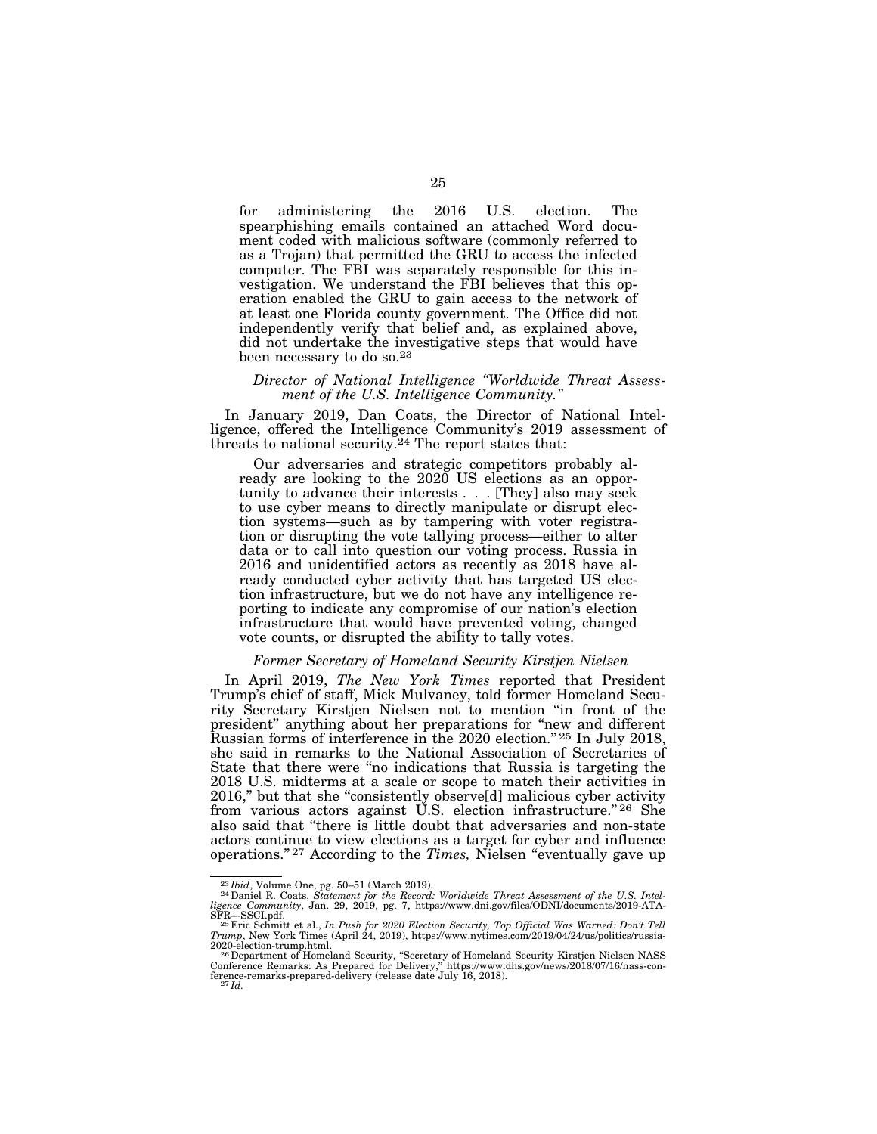for administering the 2016 U.S. election. The spearphishing emails contained an attached Word document coded with malicious software (commonly referred to as a Trojan) that permitted the GRU to access the infected computer. The FBI was separately responsible for this investigation. We understand the FBI believes that this operation enabled the GRU to gain access to the network of at least one Florida county government. The Office did not independently verify that belief and, as explained above, did not undertake the investigative steps that would have been necessary to do so.23

### *Director of National Intelligence ''Worldwide Threat Assessment of the U.S. Intelligence Community.''*

In January 2019, Dan Coats, the Director of National Intelligence, offered the Intelligence Community's 2019 assessment of threats to national security.24 The report states that:

Our adversaries and strategic competitors probably already are looking to the 2020 US elections as an opportunity to advance their interests . . . [They] also may seek to use cyber means to directly manipulate or disrupt election systems—such as by tampering with voter registration or disrupting the vote tallying process—either to alter data or to call into question our voting process. Russia in 2016 and unidentified actors as recently as 2018 have already conducted cyber activity that has targeted US election infrastructure, but we do not have any intelligence reporting to indicate any compromise of our nation's election infrastructure that would have prevented voting, changed vote counts, or disrupted the ability to tally votes.

### *Former Secretary of Homeland Security Kirstjen Nielsen*

In April 2019, *The New York Times* reported that President Trump's chief of staff, Mick Mulvaney, told former Homeland Security Secretary Kirstjen Nielsen not to mention ''in front of the president'' anything about her preparations for ''new and different Russian forms of interference in the 2020 election."<sup>25</sup> In July 2018, she said in remarks to the National Association of Secretaries of State that there were ''no indications that Russia is targeting the 2018 U.S. midterms at a scale or scope to match their activities in 2016,'' but that she ''consistently observe[d] malicious cyber activity from various actors against U.S. election infrastructure." 26 She also said that ''there is little doubt that adversaries and non-state actors continue to view elections as a target for cyber and influence operations.'' 27 According to the *Times,* Nielsen ''eventually gave up

<sup>&</sup>lt;sup>23</sup> *Ibid*, Volume One, pg. 50–51 (March 2019).<br><sup>24</sup> Daniel R. Coats, *Statement for the Record: Worldwide Threat Assessment of the U.S. Intelligence Community*, Jan. 29, 2019, pg. 7, https://www.dni.gov/files/ODNI/documents/2019-ATA-

<sup>&</sup>lt;sup>25</sup> Eric Schmitt et al., *In Push for 2020 Election Security, Top Official Was Warned: Don't Tell Trump*, New York Times (April 24, 2019), https://www.nytimes.com/2019/04/24/us/politics/russia-<br>2020-election-trump.html.

<sup>2020-</sup>election-trump.html.<br><sup>26</sup> Department of Homeland Security, "Secretary of Homeland Security Kirstjen Nielsen NASS<br>Conference Remarks: As Prepared for Delivery," https://www.dhs.gov/news/2018/07/16/nass-con-<br>ference-re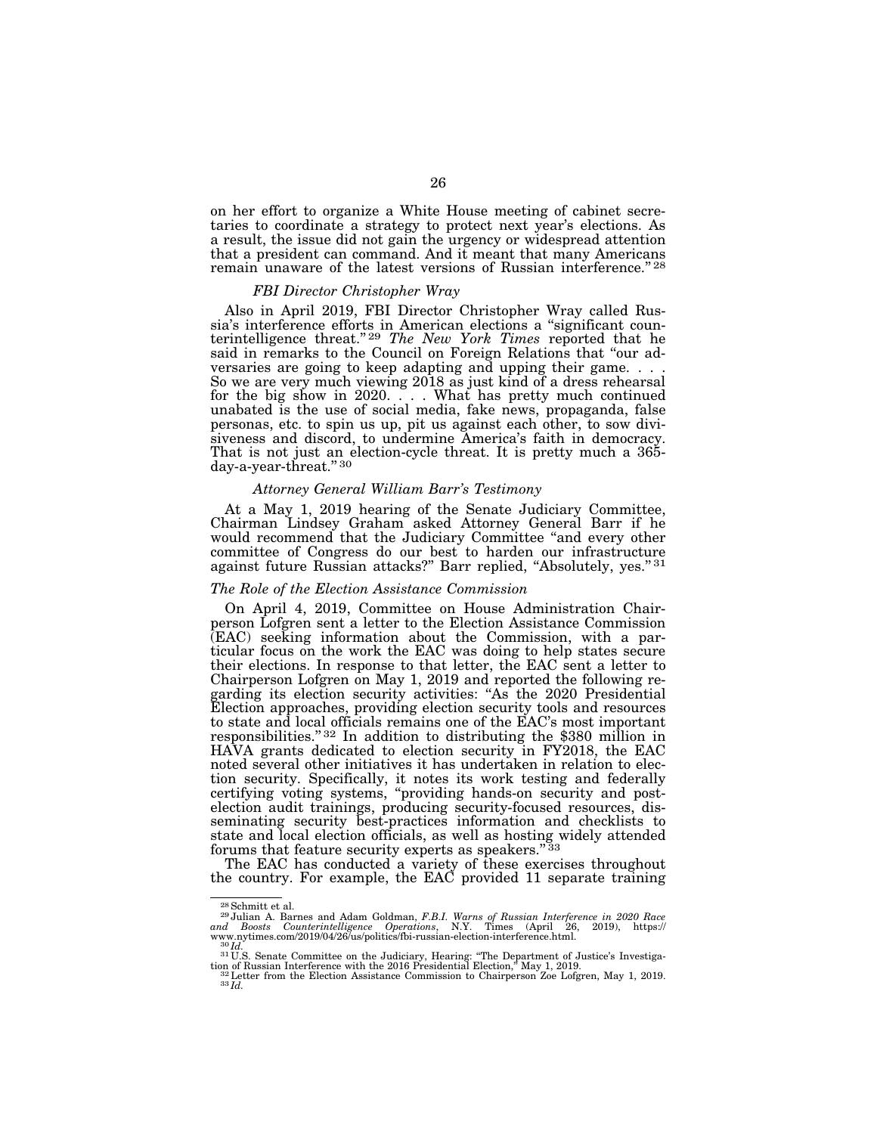on her effort to organize a White House meeting of cabinet secretaries to coordinate a strategy to protect next year's elections. As a result, the issue did not gain the urgency or widespread attention that a president can command. And it meant that many Americans remain unaware of the latest versions of Russian interference." 28

### *FBI Director Christopher Wray*

Also in April 2019, FBI Director Christopher Wray called Russia's interference efforts in American elections a ''significant counterintelligence threat.'' 29 *The New York Times* reported that he said in remarks to the Council on Foreign Relations that "our adversaries are going to keep adapting and upping their game... So we are very much viewing 2018 as just kind of a dress rehearsal for the big show in 2020.  $\ldots$  What has pretty much continued unabated is the use of social media, fake news, propaganda, false personas, etc. to spin us up, pit us against each other, to sow divisiveness and discord, to undermine America's faith in democracy. That is not just an election-cycle threat. It is pretty much a 365 day-a-year-threat." 30

# *Attorney General William Barr's Testimony*

At a May 1, 2019 hearing of the Senate Judiciary Committee, Chairman Lindsey Graham asked Attorney General Barr if he would recommend that the Judiciary Committee ''and every other committee of Congress do our best to harden our infrastructure against future Russian attacks?" Barr replied, "Absolutely, yes." 31

### *The Role of the Election Assistance Commission*

On April 4, 2019, Committee on House Administration Chairperson Lofgren sent a letter to the Election Assistance Commission (EAC) seeking information about the Commission, with a particular focus on the work the EAC was doing to help states secure their elections. In response to that letter, the EAC sent a letter to Chairperson Lofgren on May 1, 2019 and reported the following regarding its election security activities: ''As the 2020 Presidential Election approaches, providing election security tools and resources to state and local officials remains one of the EAC's most important responsibilities." 32 In addition to distributing the \$380 million in HAVA grants dedicated to election security in FY2018, the EAC noted several other initiatives it has undertaken in relation to election security. Specifically, it notes its work testing and federally certifying voting systems, ''providing hands-on security and postelection audit trainings, producing security-focused resources, disseminating security best-practices information and checklists to state and local election officials, as well as hosting widely attended forums that feature security experts as speakers."<sup>33</sup>

The EAC has conducted a variety of these exercises throughout the country. For example, the EAC provided 11 separate training

<sup>&</sup>lt;sup>28</sup> Schmitt et al.<br><sup>29</sup> Julian A. Barnes and Adam Goldman, *F.B.I. Warns of Russian Interference in 2020 Race*<br>*and Boosts Counterintelligence Operations*, N.Y. Times (April 26, 2019), https://<br>www.nytimes.com/2019/04/26

<sup>&</sup>lt;sup>30</sup> IL.S. Senate Committee on the Judiciary, Hearing: "The Department of Justice's Investigation of Russian Interference with the 2016 Presidential Election," May 1, 2019. <sup>32</sup>Letter from the Election Assistance Commissio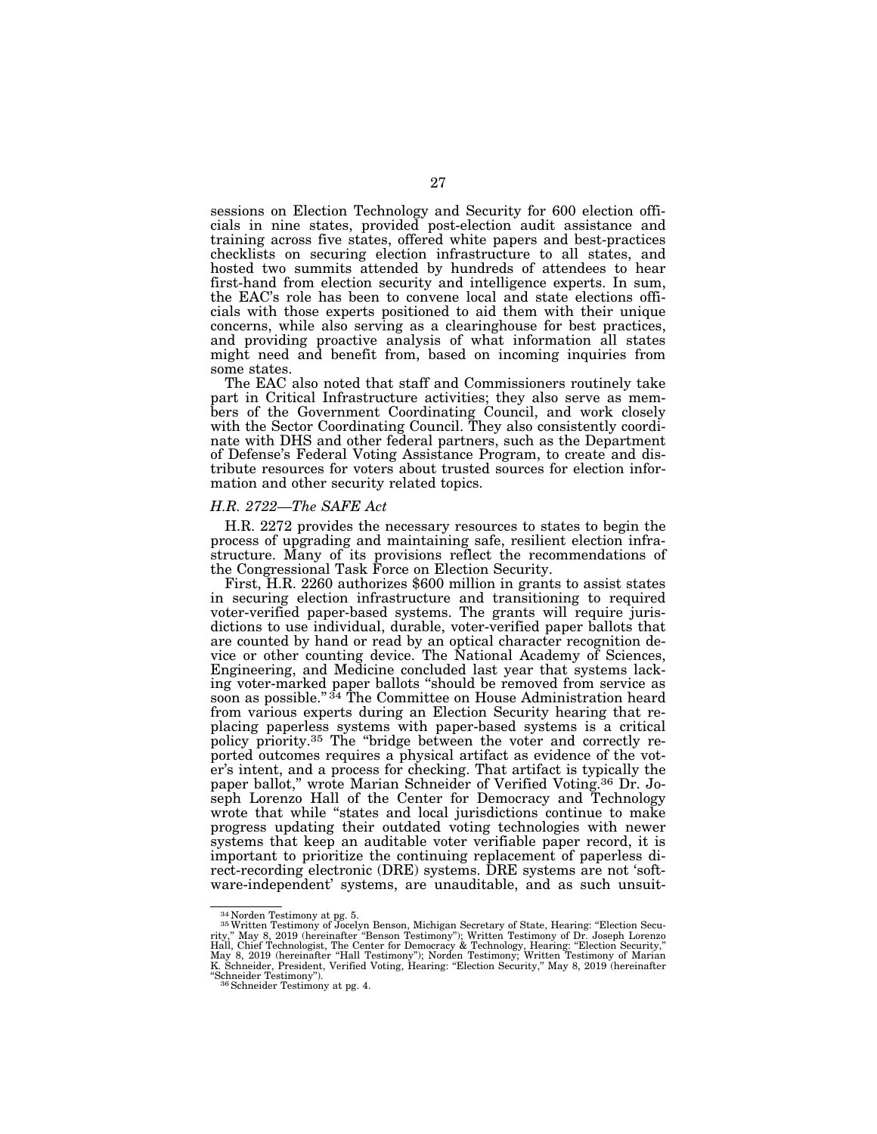sessions on Election Technology and Security for 600 election officials in nine states, provided post-election audit assistance and training across five states, offered white papers and best-practices checklists on securing election infrastructure to all states, and hosted two summits attended by hundreds of attendees to hear first-hand from election security and intelligence experts. In sum, the EAC's role has been to convene local and state elections officials with those experts positioned to aid them with their unique concerns, while also serving as a clearinghouse for best practices, and providing proactive analysis of what information all states might need and benefit from, based on incoming inquiries from some states.

The EAC also noted that staff and Commissioners routinely take part in Critical Infrastructure activities; they also serve as members of the Government Coordinating Council, and work closely with the Sector Coordinating Council. They also consistently coordinate with DHS and other federal partners, such as the Department of Defense's Federal Voting Assistance Program, to create and distribute resources for voters about trusted sources for election information and other security related topics.

### *H.R. 2722—The SAFE Act*

H.R. 2272 provides the necessary resources to states to begin the process of upgrading and maintaining safe, resilient election infrastructure. Many of its provisions reflect the recommendations of the Congressional Task Force on Election Security.

First, H.R. 2260 authorizes \$600 million in grants to assist states in securing election infrastructure and transitioning to required voter-verified paper-based systems. The grants will require jurisdictions to use individual, durable, voter-verified paper ballots that are counted by hand or read by an optical character recognition device or other counting device. The National Academy of Sciences, Engineering, and Medicine concluded last year that systems lacking voter-marked paper ballots ''should be removed from service as soon as possible."<sup>34</sup> The Committee on House Administration heard from various experts during an Election Security hearing that replacing paperless systems with paper-based systems is a critical policy priority.35 The ''bridge between the voter and correctly reported outcomes requires a physical artifact as evidence of the voter's intent, and a process for checking. That artifact is typically the paper ballot," wrote Marian Schneider of Verified Voting.<sup>36</sup> Dr. Joseph Lorenzo Hall of the Center for Democracy and Technology wrote that while "states and local jurisdictions continue to make progress updating their outdated voting technologies with newer systems that keep an auditable voter verifiable paper record, it is important to prioritize the continuing replacement of paperless direct-recording electronic (DRE) systems. DRE systems are not 'software-independent' systems, are unauditable, and as such unsuit-

<sup>&</sup>lt;sup>34</sup> Norden Testimony at pg. 5.<br><sup>35</sup> Written Testimony of Jocelyn Benson, Michigan Secretary of State, Hearing: "Election Secu-<br>rity," May 8, 2019 (hereinafter "Benson Testimony"); Written Testimony of Dr. Joseph Lorenzo<br>H K. Schneider, President, Verified Voting, Hearing: "Election Security," May 8, 2019 (hereinafter "Schneider Testimony").

<sup>36</sup> Schneider Testimony at pg. 4.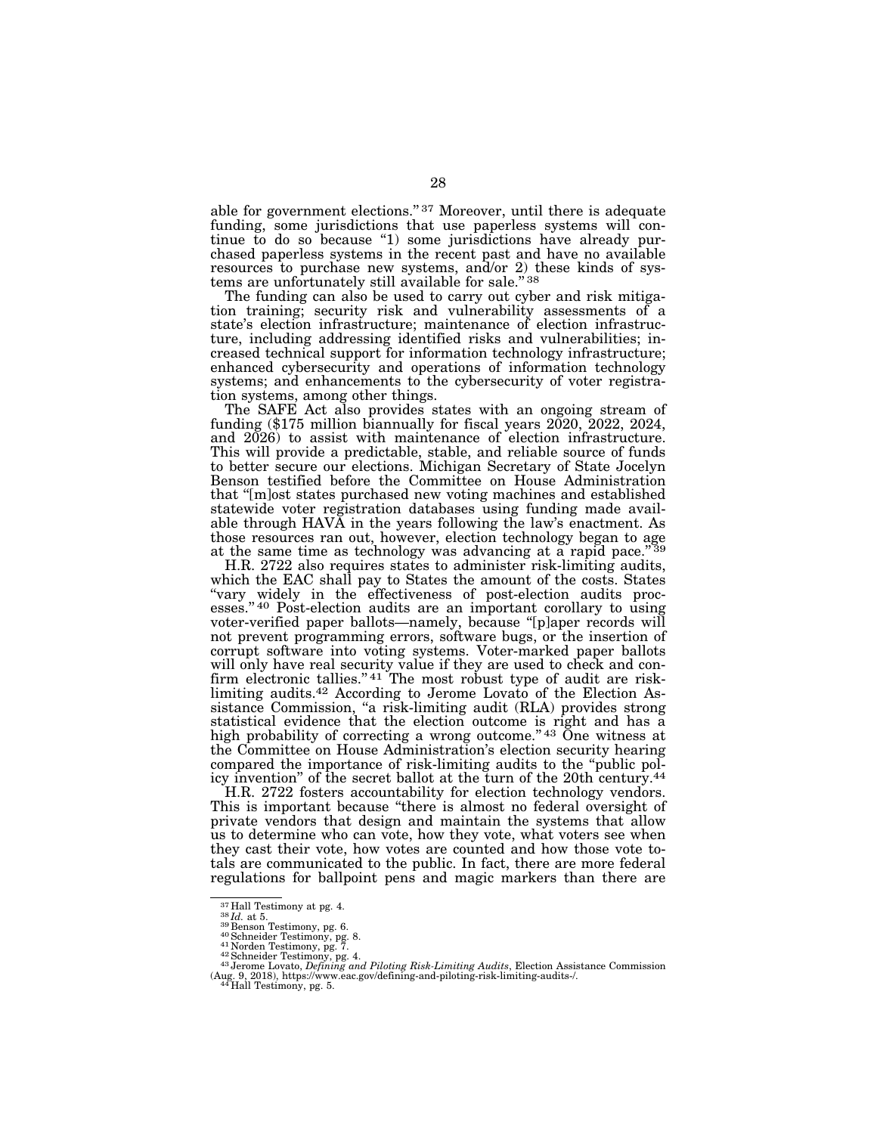able for government elections."<sup>37</sup> Moreover, until there is adequate funding, some jurisdictions that use paperless systems will continue to do so because "1) some jurisdictions have already purchased paperless systems in the recent past and have no available resources to purchase new systems, and/or 2) these kinds of systems are unfortunately still available for sale."<sup>38</sup>

The funding can also be used to carry out cyber and risk mitigation training; security risk and vulnerability assessments of a state's election infrastructure; maintenance of election infrastructure, including addressing identified risks and vulnerabilities; increased technical support for information technology infrastructure; enhanced cybersecurity and operations of information technology systems; and enhancements to the cybersecurity of voter registra-

tion systems, among other things.<br>The SAFE Act also provides states with an ongoing stream of funding (\$175 million biannually for fiscal years 2020, 2022, 2024, and 2026) to assist with maintenance of election infrastructure. This will provide a predictable, stable, and reliable source of funds to better secure our elections. Michigan Secretary of State Jocelyn Benson testified before the Committee on House Administration that ''[m]ost states purchased new voting machines and established statewide voter registration databases using funding made available through HAVA in the years following the law's enactment. As those resources ran out, however, election technology began to age at the same time as technology was advancing at a rapid pace.'

H.R. 2722 also requires states to administer risk-limiting audits, which the EAC shall pay to States the amount of the costs. States "vary widely in the effectiveness of post-election audits processes."<sup>40</sup> Post-election audits are an important corollary to using voter-verified paper ballots—namely, because ''[p]aper records will not prevent programming errors, software bugs, or the insertion of corrupt software into voting systems. Voter-marked paper ballots will only have real security value if they are used to check and confirm electronic tallies."<sup>41</sup> The most robust type of audit are risklimiting audits.42 According to Jerome Lovato of the Election Assistance Commission, "a risk-limiting audit (RLA) provides strong statistical evidence that the election outcome is right and has a high probability of correcting a wrong outcome."<sup>43</sup> One witness at the Committee on House Administration's election security hearing compared the importance of risk-limiting audits to the ''public policy invention'' of the secret ballot at the turn of the 20th century.44

H.R. 2722 fosters accountability for election technology vendors. This is important because "there is almost no federal oversight of private vendors that design and maintain the systems that allow us to determine who can vote, how they vote, what voters see when they cast their vote, how votes are counted and how those vote totals are communicated to the public. In fact, there are more federal regulations for ballpoint pens and magic markers than there are

<sup>&</sup>lt;sup>37</sup> Hall Testimony at pg. 4.<br><sup>38</sup> Ed. at 5.<br><sup>39</sup> Benson Testimony, pg. 6.<br><sup>49</sup> Schneider Testimony, pg. 8.<br><sup>41</sup> Schneider Testimony, pg. 7.<br><sup>42</sup> Schneider Testimony, pg. 4.<br><sup>43</sup> Jerome Lovato, *Defining and Piloting Risk-*(Aug. 9, 2018), https://www.eac.gov/defining-and-piloting-risk-limiting-audits-/. 44 Hall Testimony, pg. 5.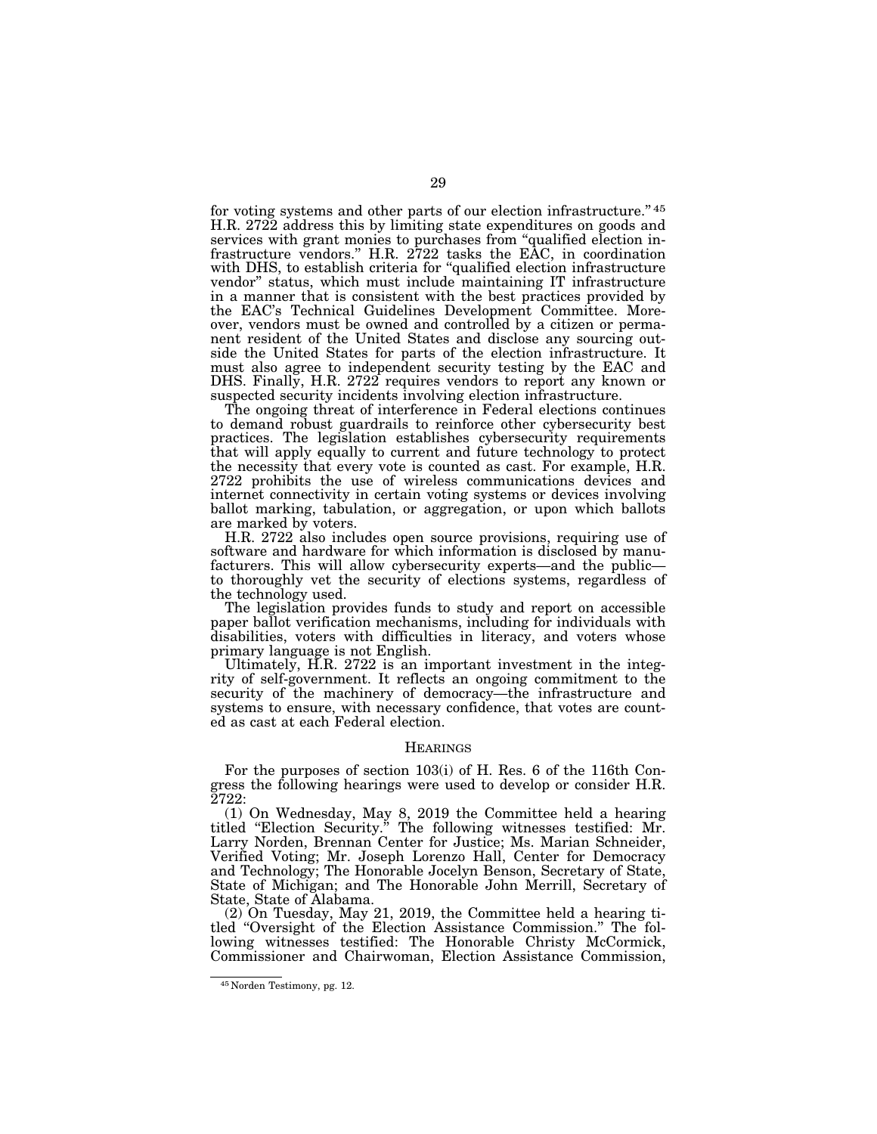for voting systems and other parts of our election infrastructure.'' 45 H.R. 2722 address this by limiting state expenditures on goods and services with grant monies to purchases from "qualified election infrastructure vendors.'' H.R. 2722 tasks the EAC, in coordination with DHS, to establish criteria for "qualified election infrastructure vendor'' status, which must include maintaining IT infrastructure in a manner that is consistent with the best practices provided by the EAC's Technical Guidelines Development Committee. Moreover, vendors must be owned and controlled by a citizen or permanent resident of the United States and disclose any sourcing outside the United States for parts of the election infrastructure. It must also agree to independent security testing by the EAC and DHS. Finally, H.R. 2722 requires vendors to report any known or suspected security incidents involving election infrastructure.

The ongoing threat of interference in Federal elections continues to demand robust guardrails to reinforce other cybersecurity best practices. The legislation establishes cybersecurity requirements that will apply equally to current and future technology to protect the necessity that every vote is counted as cast. For example, H.R. 2722 prohibits the use of wireless communications devices and internet connectivity in certain voting systems or devices involving ballot marking, tabulation, or aggregation, or upon which ballots are marked by voters.

H.R. 2722 also includes open source provisions, requiring use of software and hardware for which information is disclosed by manufacturers. This will allow cybersecurity experts—and the public to thoroughly vet the security of elections systems, regardless of the technology used.

The legislation provides funds to study and report on accessible paper ballot verification mechanisms, including for individuals with disabilities, voters with difficulties in literacy, and voters whose primary language is not English.

Ultimately, H.R. 2722 is an important investment in the integrity of self-government. It reflects an ongoing commitment to the security of the machinery of democracy—the infrastructure and systems to ensure, with necessary confidence, that votes are counted as cast at each Federal election.

# **HEARINGS**

For the purposes of section 103(i) of H. Res. 6 of the 116th Congress the following hearings were used to develop or consider H.R. 2722:

(1) On Wednesday, May 8, 2019 the Committee held a hearing titled ''Election Security.'' The following witnesses testified: Mr. Larry Norden, Brennan Center for Justice; Ms. Marian Schneider, Verified Voting; Mr. Joseph Lorenzo Hall, Center for Democracy and Technology; The Honorable Jocelyn Benson, Secretary of State, State of Michigan; and The Honorable John Merrill, Secretary of State, State of Alabama.

(2) On Tuesday, May 21, 2019, the Committee held a hearing titled ''Oversight of the Election Assistance Commission.'' The following witnesses testified: The Honorable Christy McCormick, Commissioner and Chairwoman, Election Assistance Commission,

<sup>45</sup> Norden Testimony, pg. 12.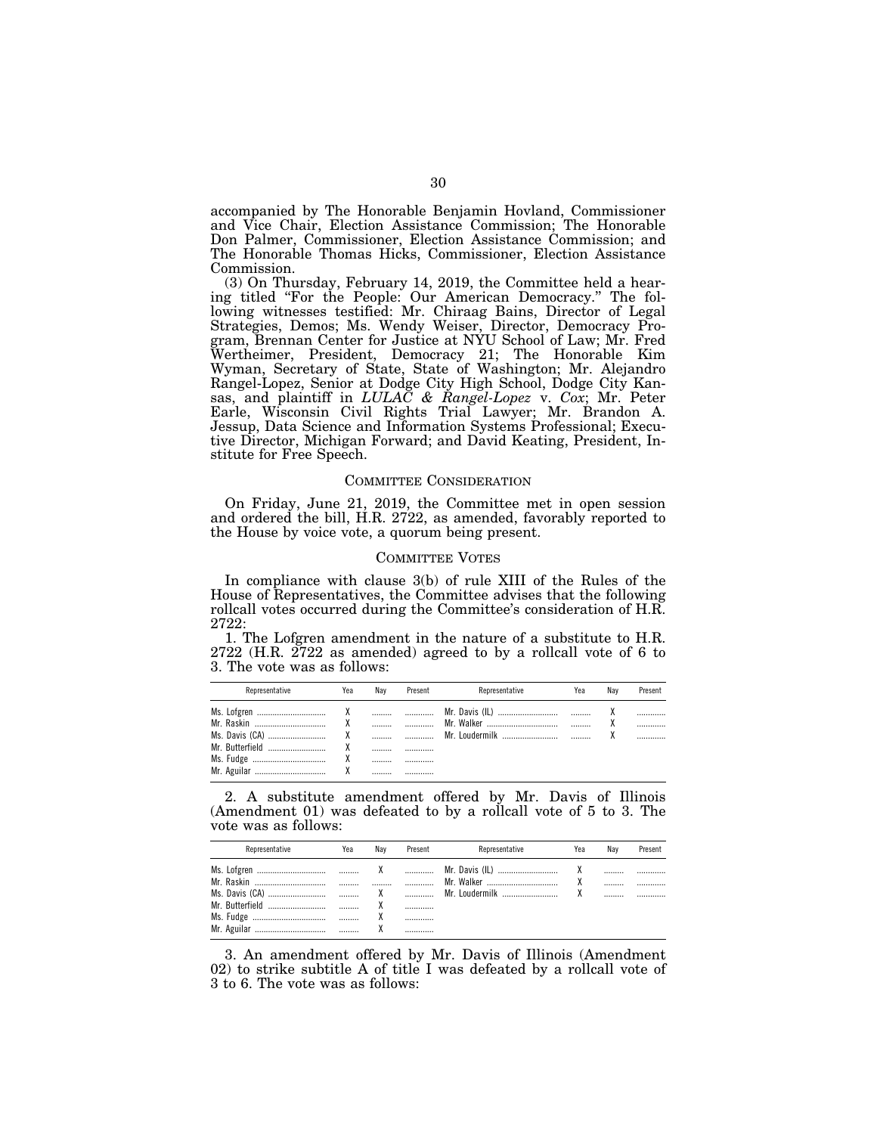accompanied by The Honorable Benjamin Hovland, Commissioner and Vice Chair, Election Assistance Commission; The Honorable Don Palmer, Commissioner, Election Assistance Commission; and The Honorable Thomas Hicks, Commissioner, Election Assistance Commission.

(3) On Thursday, February 14, 2019, the Committee held a hearing titled ''For the People: Our American Democracy.'' The following witnesses testified: Mr. Chiraag Bains, Director of Legal Strategies, Demos; Ms. Wendy Weiser, Director, Democracy Program, Brennan Center for Justice at NYU School of Law; Mr. Fred Wertheimer, President, Democracy 21; The Honorable Kim Wyman, Secretary of State, State of Washington; Mr. Alejandro Rangel-Lopez, Senior at Dodge City High School, Dodge City Kansas, and plaintiff in *LULAC & Rangel-Lopez* v. *Cox*; Mr. Peter Earle, Wisconsin Civil Rights Trial Lawyer; Mr. Brandon A. Jessup, Data Science and Information Systems Professional; Executive Director, Michigan Forward; and David Keating, President, Institute for Free Speech.

### COMMITTEE CONSIDERATION

On Friday, June 21, 2019, the Committee met in open session and ordered the bill, H.R. 2722, as amended, favorably reported to the House by voice vote, a quorum being present.

## COMMITTEE VOTES

In compliance with clause 3(b) of rule XIII of the Rules of the House of Representatives, the Committee advises that the following rollcall votes occurred during the Committee's consideration of H.R. 2722:

1. The Lofgren amendment in the nature of a substitute to H.R. 2722 (H.R. 2722 as amended) agreed to by a rollcall vote of 6 to 3. The vote was as follows:

| Representative | Yea | Nav      | Present  | Representative | Yea | Nav | Present  |
|----------------|-----|----------|----------|----------------|-----|-----|----------|
|                |     | <br><br> | <br><br> |                |     | λ   | <br><br> |

2. A substitute amendment offered by Mr. Davis of Illinois (Amendment 01) was defeated to by a rollcall vote of 5 to 3. The vote was as follows:

| Representative<br>a Maring Maring Maring Navigna Maring Navigna Maring Navigna (1986) and the Navigna Maring Maring M |  | Present <b>Representative</b> Yea Nav |  | Present |
|-----------------------------------------------------------------------------------------------------------------------|--|---------------------------------------|--|---------|
|                                                                                                                       |  | <br><br>                              |  |         |
|                                                                                                                       |  |                                       |  |         |

3. An amendment offered by Mr. Davis of Illinois (Amendment 02) to strike subtitle A of title I was defeated by a rollcall vote of 3 to 6. The vote was as follows: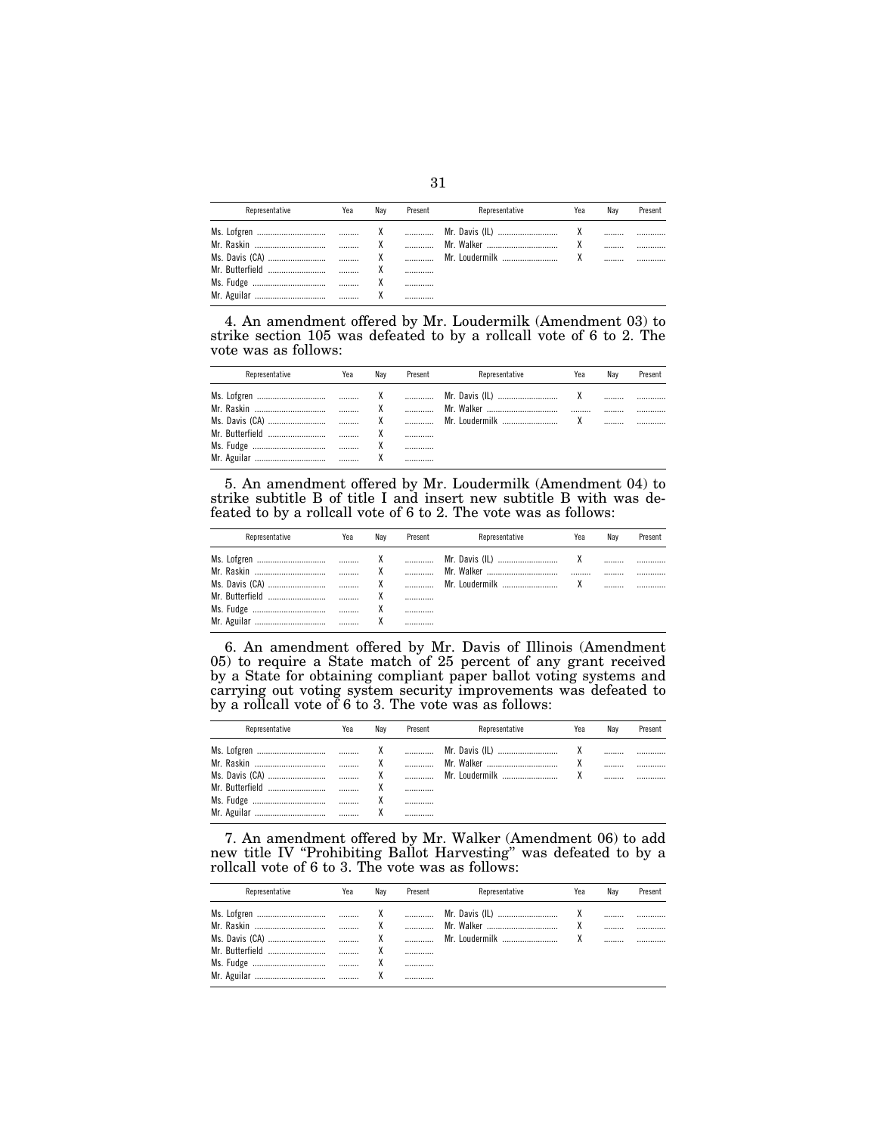| Representative<br>a base of the Year of the Year of the State of the State of the State of the State of the State of the State o | Nav | Present <b>Representative</b> Yea | Nav | Present |
|----------------------------------------------------------------------------------------------------------------------------------|-----|-----------------------------------|-----|---------|
|                                                                                                                                  |     |                                   |     |         |
|                                                                                                                                  |     |                                   |     |         |
|                                                                                                                                  |     |                                   |     |         |
|                                                                                                                                  |     |                                   |     |         |
|                                                                                                                                  |     |                                   |     |         |
|                                                                                                                                  |     |                                   |     |         |

4. An amendment offered by Mr. Loudermilk (Amendment 03) to strike section 105 was defeated to by a rollcall vote of 6 to 2. The vote was as follows:

|  |  |  | Nav | Present |
|--|--|--|-----|---------|
|  |  |  |     |         |
|  |  |  |     |         |
|  |  |  |     |         |
|  |  |  |     |         |
|  |  |  |     |         |
|  |  |  |     |         |

5. An amendment offered by Mr. Loudermilk (Amendment 04) to strike subtitle B of title I and insert new subtitle B with was defeated to by a rollcall vote of 6 to 2. The vote was as follows:

| Representative<br>a Maring Maring Maring Maring Maring Street, Maring Street, 2014, 2015, 2016, 2017, 2017, 2017, 2017, 2017, 20 |  | Present |  | Nav | Present |
|----------------------------------------------------------------------------------------------------------------------------------|--|---------|--|-----|---------|
|                                                                                                                                  |  |         |  |     |         |
|                                                                                                                                  |  |         |  |     |         |
|                                                                                                                                  |  |         |  |     |         |

6. An amendment offered by Mr. Davis of Illinois (Amendment 05) to require a State match of 25 percent of any grant received by a State for obtaining compliant paper ballot voting systems and carrying out voting system security improvements was defeated to by a rollcall vote of 6 to 3. The vote was as follows:

|  | Present <b>Representative</b> Yea Nav |  |  | Present |
|--|---------------------------------------|--|--|---------|
|  |                                       |  |  |         |
|  |                                       |  |  |         |
|  |                                       |  |  |         |
|  |                                       |  |  |         |
|  |                                       |  |  |         |
|  |                                       |  |  |         |

7. An amendment offered by Mr. Walker (Amendment 06) to add new title IV ''Prohibiting Ballot Harvesting'' was defeated to by a rollcall vote of 6 to 3. The vote was as follows:

| Representative | Yea | Nav | Present |  | Nav | Present |
|----------------|-----|-----|---------|--|-----|---------|
|                |     |     |         |  |     |         |
|                |     |     |         |  |     |         |
|                |     |     |         |  |     |         |
|                |     |     |         |  |     |         |
|                |     |     |         |  |     |         |
|                |     |     |         |  |     |         |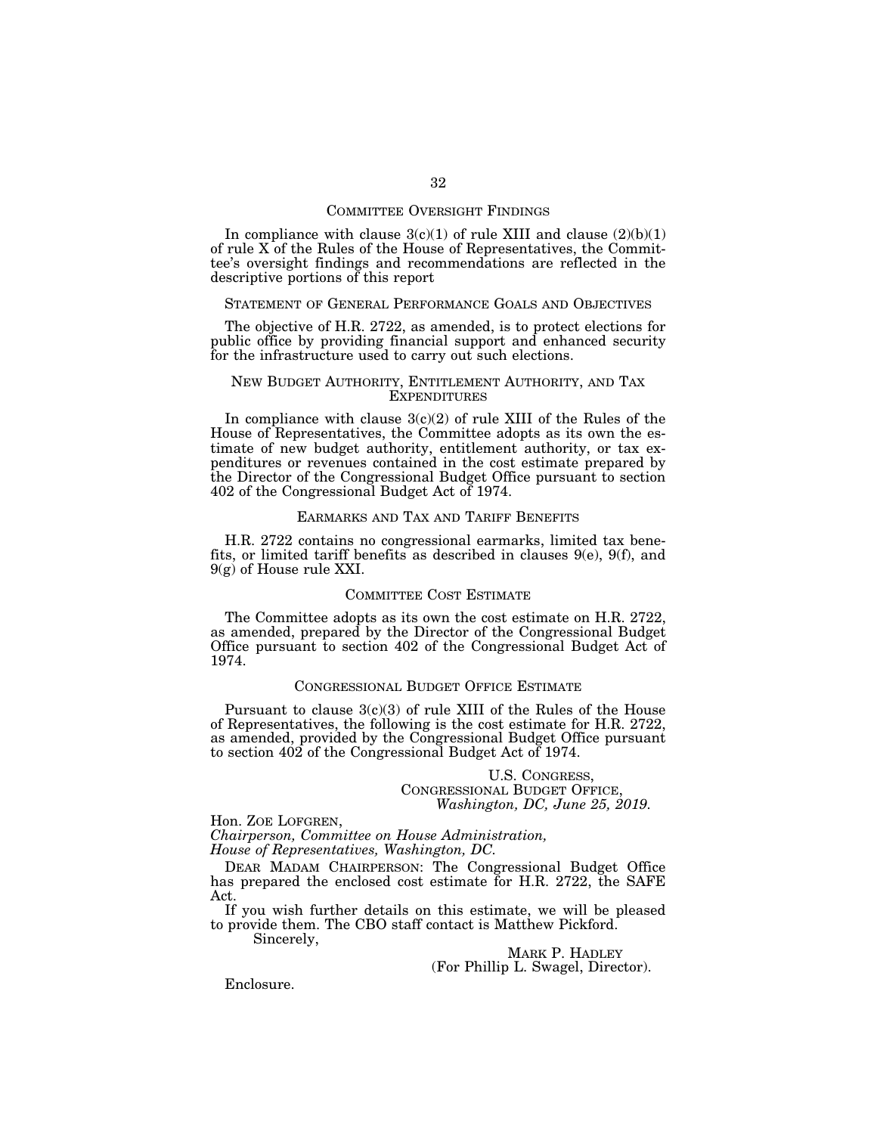### COMMITTEE OVERSIGHT FINDINGS

In compliance with clause  $3(c)(1)$  of rule XIII and clause  $(2)(b)(1)$ of rule X of the Rules of the House of Representatives, the Committee's oversight findings and recommendations are reflected in the descriptive portions of this report

### STATEMENT OF GENERAL PERFORMANCE GOALS AND OBJECTIVES

The objective of H.R. 2722, as amended, is to protect elections for public office by providing financial support and enhanced security for the infrastructure used to carry out such elections.

### NEW BUDGET AUTHORITY, ENTITLEMENT AUTHORITY, AND TAX **EXPENDITURES**

In compliance with clause  $3(c)(2)$  of rule XIII of the Rules of the House of Representatives, the Committee adopts as its own the estimate of new budget authority, entitlement authority, or tax expenditures or revenues contained in the cost estimate prepared by the Director of the Congressional Budget Office pursuant to section 402 of the Congressional Budget Act of 1974.

### EARMARKS AND TAX AND TARIFF BENEFITS

H.R. 2722 contains no congressional earmarks, limited tax benefits, or limited tariff benefits as described in clauses  $9(e)$ ,  $9(f)$ , and 9(g) of House rule XXI.

# COMMITTEE COST ESTIMATE

The Committee adopts as its own the cost estimate on H.R. 2722, as amended, prepared by the Director of the Congressional Budget Office pursuant to section 402 of the Congressional Budget Act of 1974.

### CONGRESSIONAL BUDGET OFFICE ESTIMATE

Pursuant to clause 3(c)(3) of rule XIII of the Rules of the House of Representatives, the following is the cost estimate for H.R. 2722, as amended, provided by the Congressional Budget Office pursuant to section 402 of the Congressional Budget Act of 1974.

### U.S. CONGRESS, CONGRESSIONAL BUDGET OFFICE, *Washington, DC, June 25, 2019.*

Hon. ZOE LOFGREN,

*Chairperson, Committee on House Administration, House of Representatives, Washington, DC.* 

DEAR MADAM CHAIRPERSON: The Congressional Budget Office has prepared the enclosed cost estimate for H.R. 2722, the SAFE Act.

If you wish further details on this estimate, we will be pleased to provide them. The CBO staff contact is Matthew Pickford.

Sincerely,

MARK P. HADLEY (For Phillip L. Swagel, Director).

Enclosure.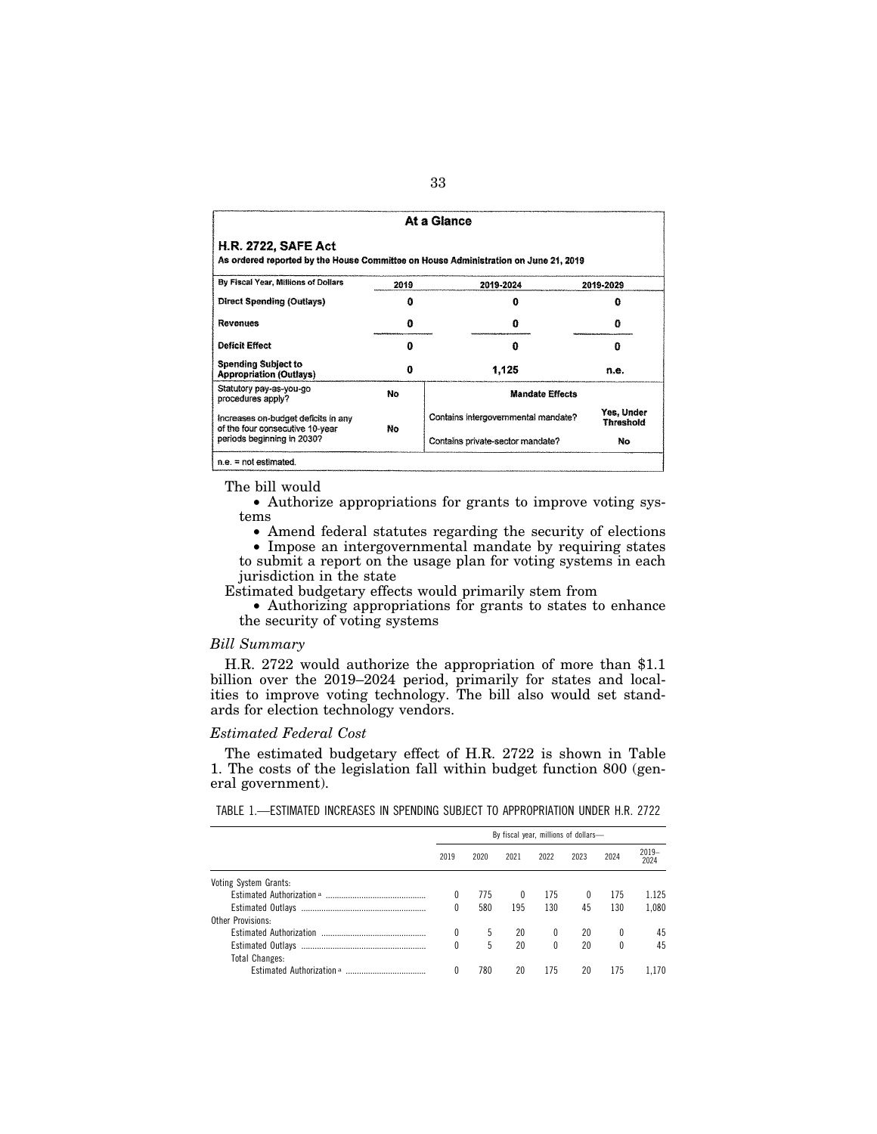|                                                                        |          | At a Glance                                                                         |                                |
|------------------------------------------------------------------------|----------|-------------------------------------------------------------------------------------|--------------------------------|
| <b>H.R. 2722, SAFE Act</b>                                             |          | As ordered reported by the House Committee on House Administration on June 21, 2019 |                                |
| By Fiscal Year, Millions of Dollars                                    | 2019     | 2019-2024                                                                           | 2019-2029                      |
| <b>Direct Spending (Outlays)</b><br>n                                  |          | п                                                                                   | a                              |
| Revenues                                                               | a        | o                                                                                   | 0                              |
| <b>Deficit Effect</b>                                                  | Ω        | n                                                                                   | п                              |
| <b>Spending Subject to</b><br><b>Appropriation (Outlays)</b>           | $\Omega$ | 1.125                                                                               | n.e.                           |
| Statutory pay-as-you-go<br>procedures apply?                           | No       | <b>Mandate Effects</b>                                                              |                                |
| Increases on-budget deficits in any<br>of the four consecutive 10-year | No       | Contains intergovernmental mandate?                                                 | Yes, Under<br><b>Threshold</b> |
| periods beginning in 2030?                                             |          | Contains private-sector mandate?                                                    | No                             |

The bill would

• Authorize appropriations for grants to improve voting systems

• Amend federal statutes regarding the security of elections

• Impose an intergovernmental mandate by requiring states to submit a report on the usage plan for voting systems in each jurisdiction in the state

Estimated budgetary effects would primarily stem from

• Authorizing appropriations for grants to states to enhance the security of voting systems

# *Bill Summary*

H.R. 2722 would authorize the appropriation of more than \$1.1 billion over the 2019–2024 period, primarily for states and localities to improve voting technology. The bill also would set standards for election technology vendors.

# *Estimated Federal Cost*

The estimated budgetary effect of H.R. 2722 is shown in Table 1. The costs of the legislation fall within budget function 800 (general government).

TABLE 1.—ESTIMATED INCREASES IN SPENDING SUBJECT TO APPROPRIATION UNDER H.R. 2722

|                                      | By fiscal year, millions of dollars- |      |          |      |          |              |                 |
|--------------------------------------|--------------------------------------|------|----------|------|----------|--------------|-----------------|
|                                      | 2019                                 | 2020 | 2021     | 2022 | 2023     | 2024         | $2019-$<br>2024 |
| Voting System Grants:                |                                      |      |          |      |          |              |                 |
|                                      | 0                                    | 775  | $\theta$ | 175  | $\left($ | 175          | 1.125           |
|                                      | $\theta$                             | 580  | 195      | 130  | 45       | 130          | 1.080           |
| Other Provisions:                    |                                      |      |          |      |          |              |                 |
|                                      | 0                                    | 5    | 20       | 0    | 20       | $\mathbf{0}$ | 45              |
|                                      | $\theta$                             | 5    | 20       | 0    | 20       | $\theta$     | 45              |
| <b>Total Changes:</b>                |                                      |      |          |      |          |              |                 |
| Estimated Authorization <sup>a</sup> | 0                                    | 780  | 20       | 175  | 20       | 175          | 1.170           |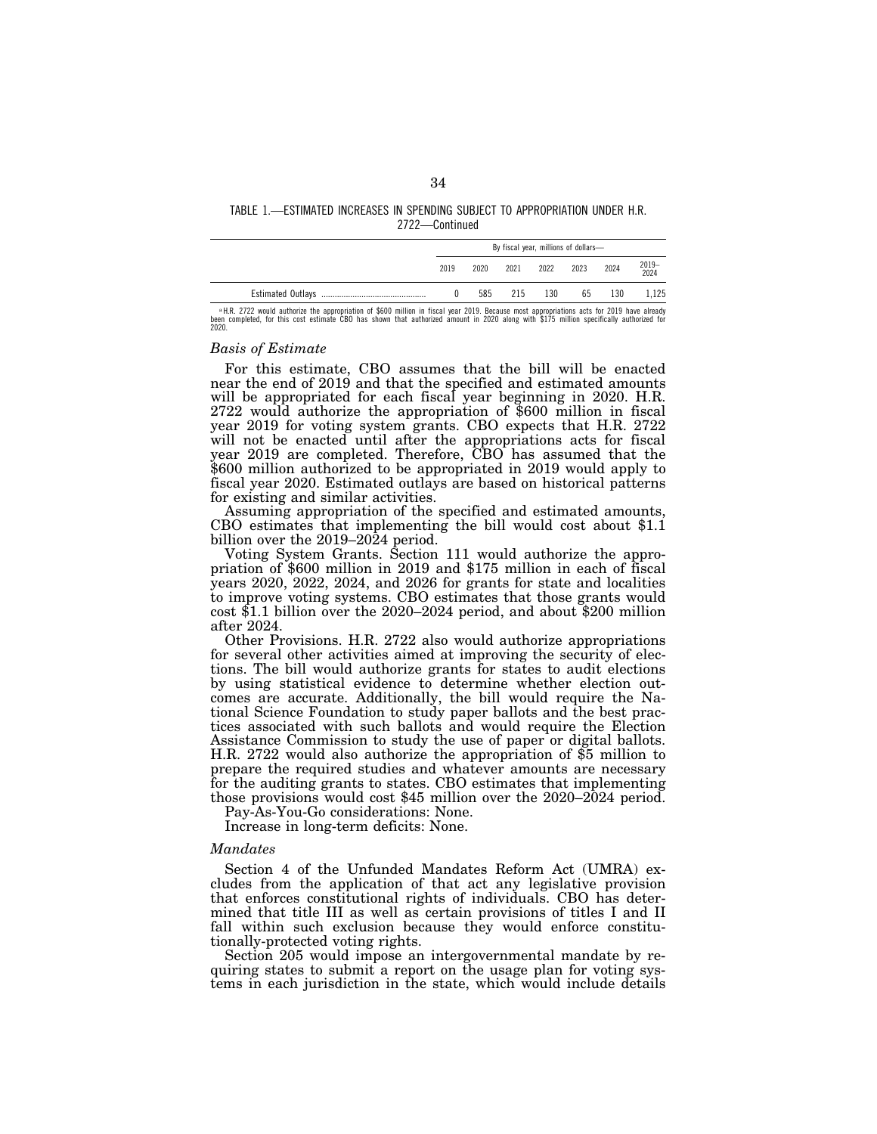### TABLE 1.—ESTIMATED INCREASES IN SPENDING SUBJECT TO APPROPRIATION UNDER H.R. 2722—Continued

| By fiscal year, millions of dollars- |      |         |      |      |      |           |  |
|--------------------------------------|------|---------|------|------|------|-----------|--|
| 2019                                 | 2020 | 2021    | 2022 | 2023 | 2024 | 2019-2024 |  |
|                                      |      | 585 215 | 130  | 65   | 130  | 1.125     |  |

a H.R. 2722 would authorize the appropriation of \$600 million in fiscal year 2019. Because most appropriations acts for 2019 have already<br>been completed, for this cost estimate CBO has shown that authorized amount in 2020

# *Basis of Estimate*

For this estimate, CBO assumes that the bill will be enacted near the end of 2019 and that the specified and estimated amounts will be appropriated for each fiscal year beginning in 2020. H.R. 2722 would authorize the appropriation of \$600 million in fiscal year 2019 for voting system grants. CBO expects that H.R. 2722 will not be enacted until after the appropriations acts for fiscal year 2019 are completed. Therefore, CBO has assumed that the \$600 million authorized to be appropriated in 2019 would apply to fiscal year 2020. Estimated outlays are based on historical patterns for existing and similar activities.<br>Assuming appropriation of the specified and estimated amounts,

CBO estimates that implementing the bill would cost about  $$1.1$ billion over the 2019–2024 period.

Voting System Grants. Section 111 would authorize the appropriation of \$600 million in 2019 and \$175 million in each of fiscal years 2020, 2022, 2024, and 2026 for grants for state and localities to improve voting systems. CBO estimates that those grants would cost \$1.1 billion over the 2020–2024 period, and about \$200 million after 2024.

Other Provisions. H.R. 2722 also would authorize appropriations for several other activities aimed at improving the security of elections. The bill would authorize grants for states to audit elections by using statistical evidence to determine whether election outcomes are accurate. Additionally, the bill would require the National Science Foundation to study paper ballots and the best practices associated with such ballots and would require the Election Assistance Commission to study the use of paper or digital ballots. H.R. 2722 would also authorize the appropriation of \$5 million to prepare the required studies and whatever amounts are necessary for the auditing grants to states. CBO estimates that implementing those provisions would cost \$45 million over the 2020–2024 period.

Pay-As-You-Go considerations: None.

Increase in long-term deficits: None.

### *Mandates*

Section 4 of the Unfunded Mandates Reform Act (UMRA) excludes from the application of that act any legislative provision that enforces constitutional rights of individuals. CBO has determined that title III as well as certain provisions of titles I and II fall within such exclusion because they would enforce constitutionally-protected voting rights.

Section 205 would impose an intergovernmental mandate by requiring states to submit a report on the usage plan for voting systems in each jurisdiction in the state, which would include details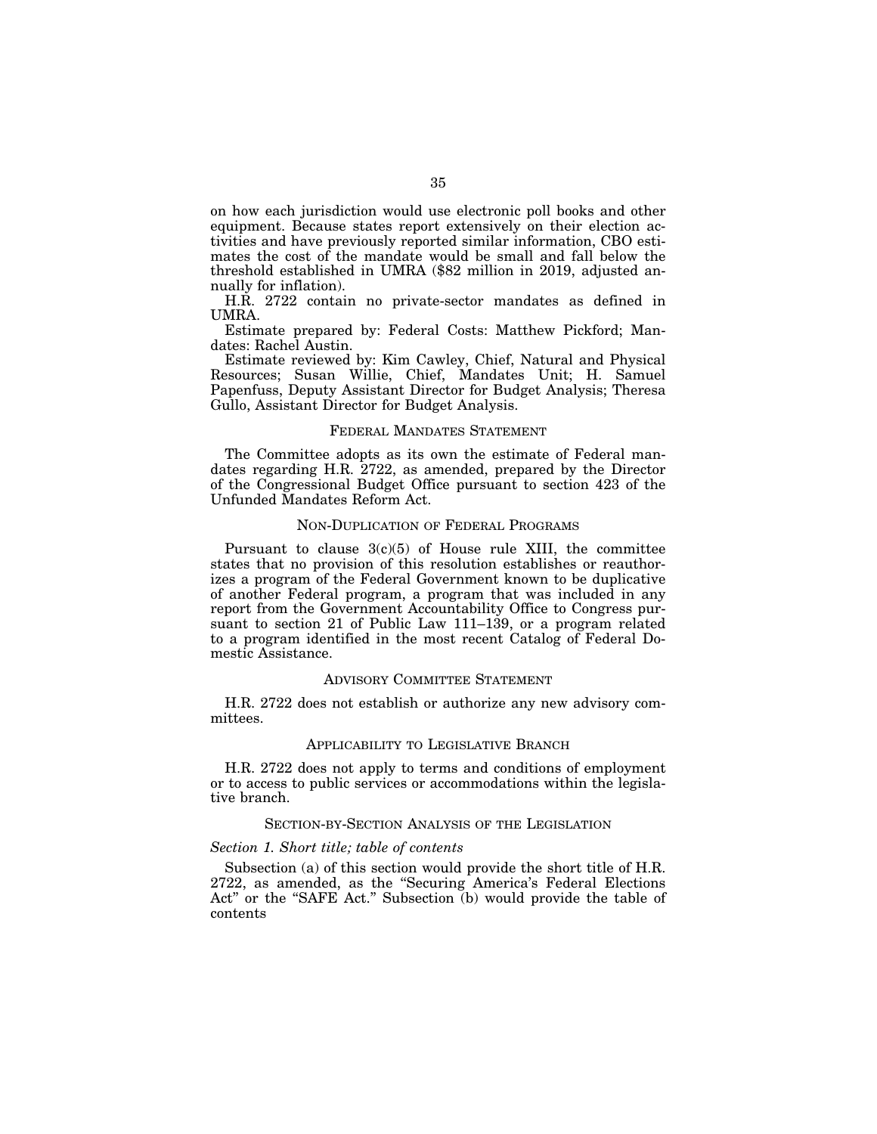on how each jurisdiction would use electronic poll books and other equipment. Because states report extensively on their election activities and have previously reported similar information, CBO estimates the cost of the mandate would be small and fall below the threshold established in UMRA (\$82 million in 2019, adjusted annually for inflation).

H.R. 2722 contain no private-sector mandates as defined in UMRA.

Estimate prepared by: Federal Costs: Matthew Pickford; Mandates: Rachel Austin.

Estimate reviewed by: Kim Cawley, Chief, Natural and Physical Resources; Susan Willie, Chief, Mandates Unit; H. Samuel Papenfuss, Deputy Assistant Director for Budget Analysis; Theresa Gullo, Assistant Director for Budget Analysis.

### FEDERAL MANDATES STATEMENT

The Committee adopts as its own the estimate of Federal mandates regarding H.R. 2722, as amended, prepared by the Director of the Congressional Budget Office pursuant to section 423 of the Unfunded Mandates Reform Act.

### NON-DUPLICATION OF FEDERAL PROGRAMS

Pursuant to clause  $3(c)(5)$  of House rule XIII, the committee states that no provision of this resolution establishes or reauthorizes a program of the Federal Government known to be duplicative of another Federal program, a program that was included in any report from the Government Accountability Office to Congress pursuant to section 21 of Public Law 111–139, or a program related to a program identified in the most recent Catalog of Federal Domestic Assistance.

### ADVISORY COMMITTEE STATEMENT

H.R. 2722 does not establish or authorize any new advisory committees.

### APPLICABILITY TO LEGISLATIVE BRANCH

H.R. 2722 does not apply to terms and conditions of employment or to access to public services or accommodations within the legislative branch.

### SECTION-BY-SECTION ANALYSIS OF THE LEGISLATION

### *Section 1. Short title; table of contents*

Subsection (a) of this section would provide the short title of H.R. 2722, as amended, as the ''Securing America's Federal Elections Act" or the "SAFE Act." Subsection (b) would provide the table of contents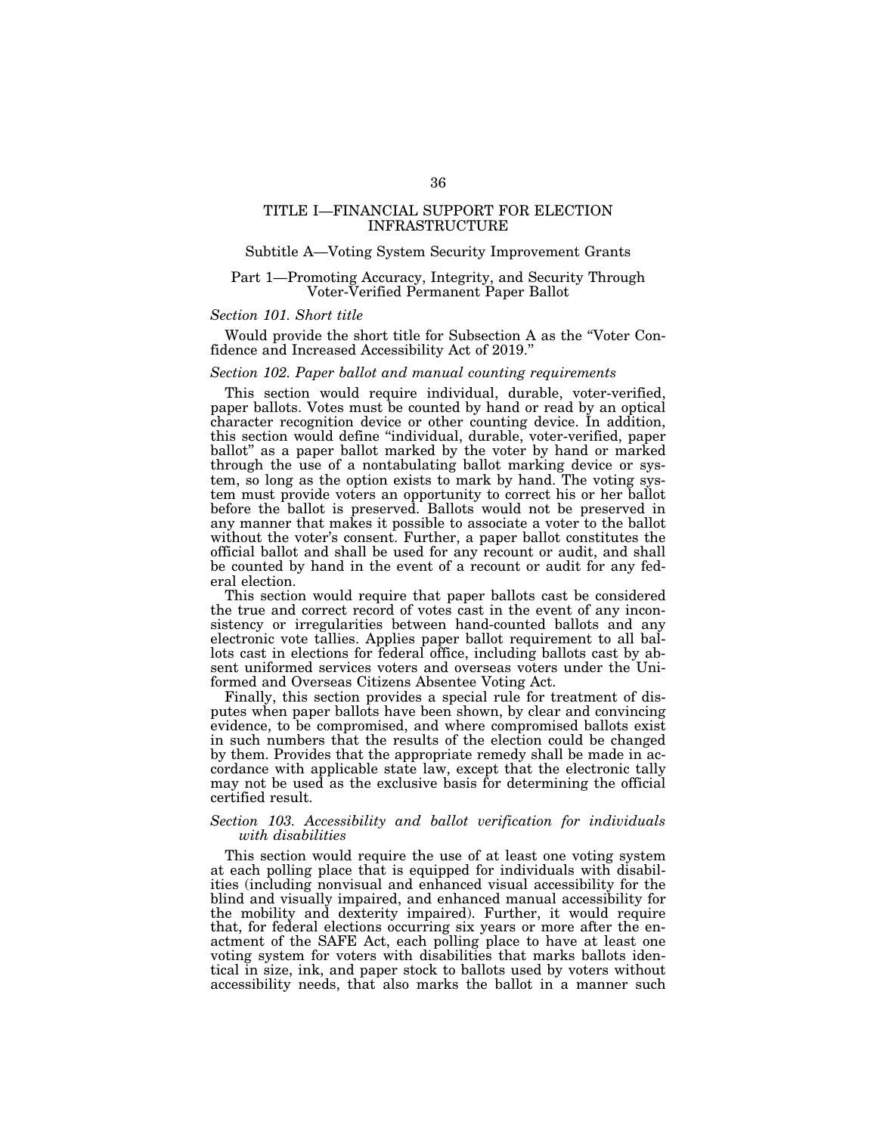# TITLE I—FINANCIAL SUPPORT FOR ELECTION INFRASTRUCTURE

# Subtitle A—Voting System Security Improvement Grants

# Part 1—Promoting Accuracy, Integrity, and Security Through Voter-Verified Permanent Paper Ballot

# *Section 101. Short title*

Would provide the short title for Subsection A as the ''Voter Confidence and Increased Accessibility Act of 2019.''

### *Section 102. Paper ballot and manual counting requirements*

This section would require individual, durable, voter-verified, paper ballots. Votes must be counted by hand or read by an optical character recognition device or other counting device. In addition, this section would define ''individual, durable, voter-verified, paper ballot" as a paper ballot marked by the voter by hand or marked through the use of a nontabulating ballot marking device or system, so long as the option exists to mark by hand. The voting system must provide voters an opportunity to correct his or her ballot before the ballot is preserved. Ballots would not be preserved in any manner that makes it possible to associate a voter to the ballot without the voter's consent. Further, a paper ballot constitutes the official ballot and shall be used for any recount or audit, and shall be counted by hand in the event of a recount or audit for any federal election.

This section would require that paper ballots cast be considered the true and correct record of votes cast in the event of any inconsistency or irregularities between hand-counted ballots and any electronic vote tallies. Applies paper ballot requirement to all ballots cast in elections for federal office, including ballots cast by absent uniformed services voters and overseas voters under the Uniformed and Overseas Citizens Absentee Voting Act.

Finally, this section provides a special rule for treatment of disputes when paper ballots have been shown, by clear and convincing evidence, to be compromised, and where compromised ballots exist in such numbers that the results of the election could be changed by them. Provides that the appropriate remedy shall be made in accordance with applicable state law, except that the electronic tally may not be used as the exclusive basis for determining the official certified result.

# *Section 103. Accessibility and ballot verification for individuals with disabilities*

This section would require the use of at least one voting system at each polling place that is equipped for individuals with disabilities (including nonvisual and enhanced visual accessibility for the blind and visually impaired, and enhanced manual accessibility for the mobility and dexterity impaired). Further, it would require that, for federal elections occurring six years or more after the enactment of the SAFE Act, each polling place to have at least one voting system for voters with disabilities that marks ballots identical in size, ink, and paper stock to ballots used by voters without accessibility needs, that also marks the ballot in a manner such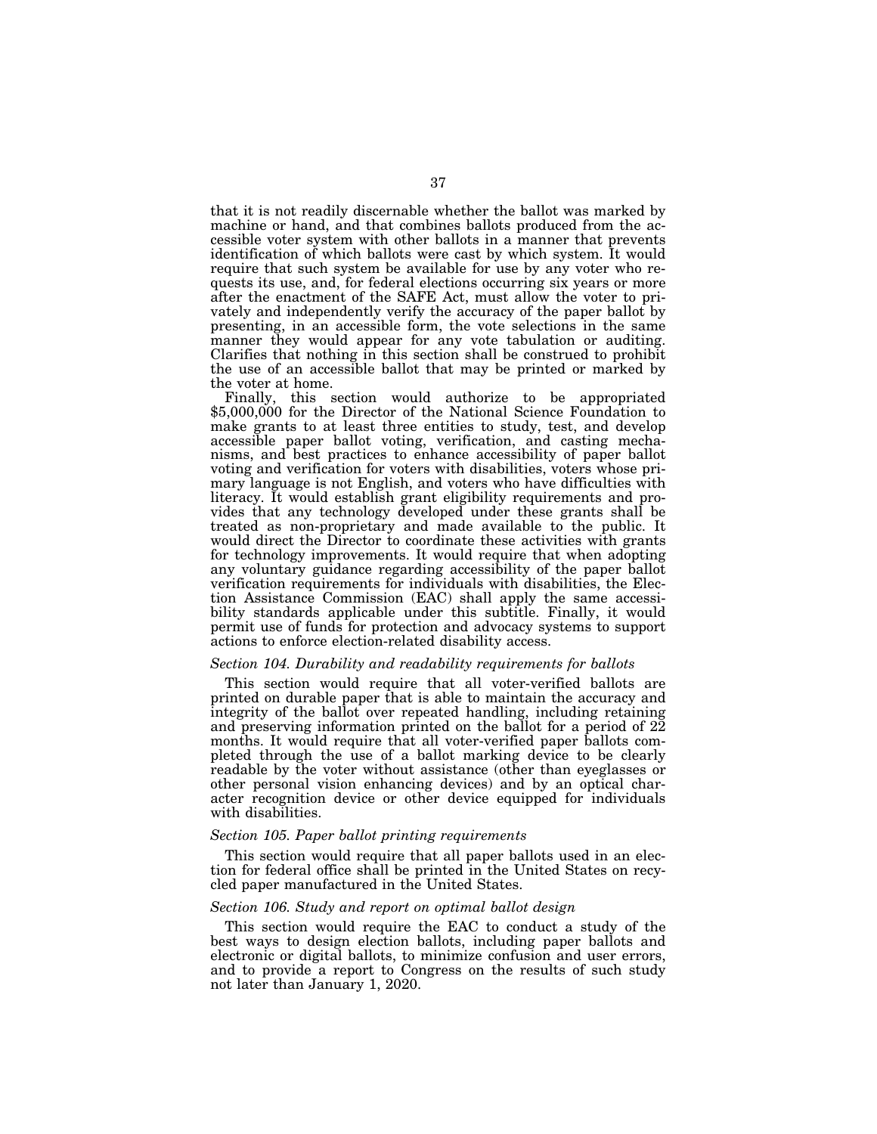that it is not readily discernable whether the ballot was marked by machine or hand, and that combines ballots produced from the accessible voter system with other ballots in a manner that prevents identification of which ballots were cast by which system. It would require that such system be available for use by any voter who requests its use, and, for federal elections occurring six years or more after the enactment of the SAFE Act, must allow the voter to privately and independently verify the accuracy of the paper ballot by presenting, in an accessible form, the vote selections in the same manner they would appear for any vote tabulation or auditing. Clarifies that nothing in this section shall be construed to prohibit the use of an accessible ballot that may be printed or marked by the voter at home.<br>Finally, this section would authorize to be appropriated

\$5,000,000 for the Director of the National Science Foundation to make grants to at least three entities to study, test, and develop accessible paper ballot voting, verification, and casting mechanisms, and best practices to enhance accessibility of paper ballot voting and verification for voters with disabilities, voters whose primary language is not English, and voters who have difficulties with literacy. It would establish grant eligibility requirements and provides that any technology developed under these grants shall be treated as non-proprietary and made available to the public. It would direct the Director to coordinate these activities with grants for technology improvements. It would require that when adopting any voluntary guidance regarding accessibility of the paper ballot verification requirements for individuals with disabilities, the Election Assistance Commission (EAC) shall apply the same accessibility standards applicable under this subtitle. Finally, it would permit use of funds for protection and advocacy systems to support actions to enforce election-related disability access.

### *Section 104. Durability and readability requirements for ballots*

This section would require that all voter-verified ballots are printed on durable paper that is able to maintain the accuracy and integrity of the ballot over repeated handling, including retaining and preserving information printed on the ballot for a period of 22 months. It would require that all voter-verified paper ballots completed through the use of a ballot marking device to be clearly readable by the voter without assistance (other than eyeglasses or other personal vision enhancing devices) and by an optical character recognition device or other device equipped for individuals with disabilities.

### *Section 105. Paper ballot printing requirements*

This section would require that all paper ballots used in an election for federal office shall be printed in the United States on recycled paper manufactured in the United States.

### *Section 106. Study and report on optimal ballot design*

This section would require the EAC to conduct a study of the best ways to design election ballots, including paper ballots and electronic or digital ballots, to minimize confusion and user errors, and to provide a report to Congress on the results of such study not later than January 1, 2020.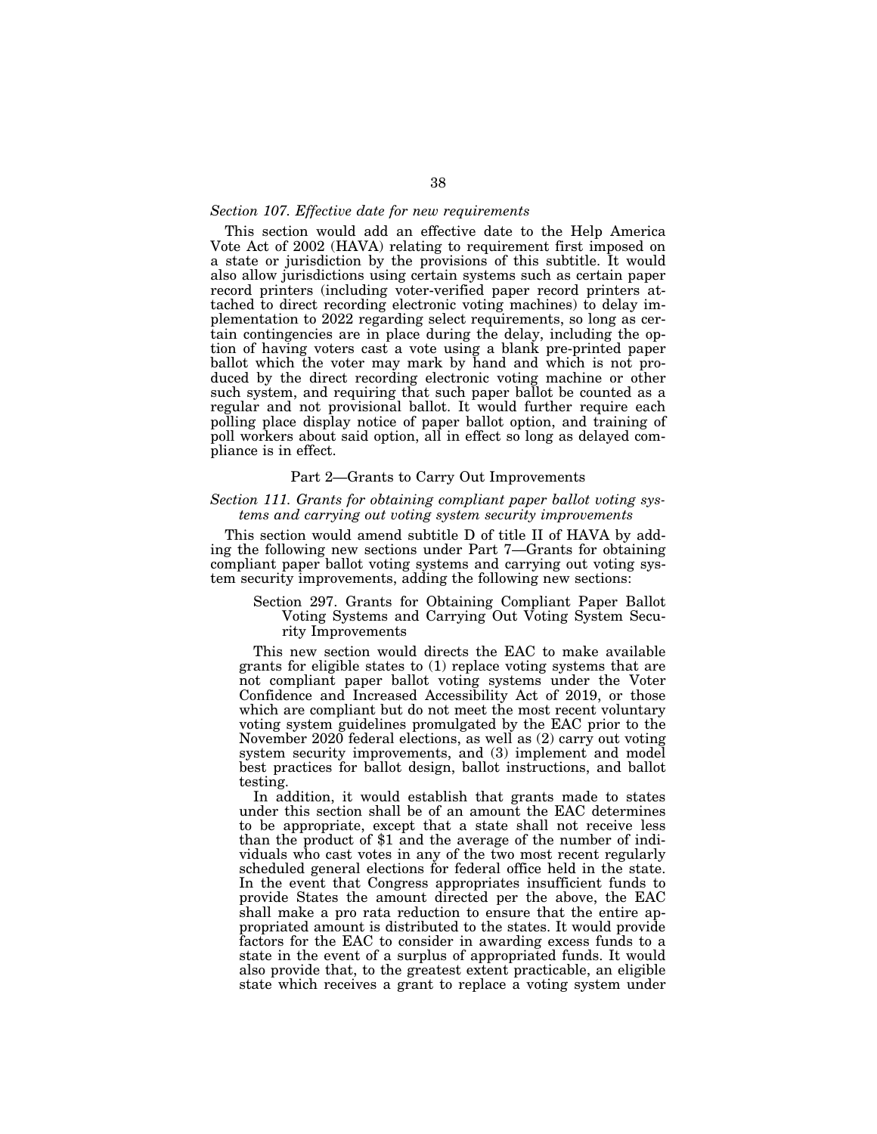### *Section 107. Effective date for new requirements*

This section would add an effective date to the Help America Vote Act of 2002 (HAVA) relating to requirement first imposed on a state or jurisdiction by the provisions of this subtitle. It would also allow jurisdictions using certain systems such as certain paper record printers (including voter-verified paper record printers attached to direct recording electronic voting machines) to delay implementation to 2022 regarding select requirements, so long as certain contingencies are in place during the delay, including the option of having voters cast a vote using a blank pre-printed paper ballot which the voter may mark by hand and which is not produced by the direct recording electronic voting machine or other such system, and requiring that such paper ballot be counted as a regular and not provisional ballot. It would further require each polling place display notice of paper ballot option, and training of poll workers about said option, all in effect so long as delayed compliance is in effect.

### Part 2—Grants to Carry Out Improvements

### *Section 111. Grants for obtaining compliant paper ballot voting systems and carrying out voting system security improvements*

This section would amend subtitle D of title II of HAVA by adding the following new sections under Part 7—Grants for obtaining compliant paper ballot voting systems and carrying out voting system security improvements, adding the following new sections:

### Section 297. Grants for Obtaining Compliant Paper Ballot Voting Systems and Carrying Out Voting System Security Improvements

This new section would directs the EAC to make available grants for eligible states to (1) replace voting systems that are not compliant paper ballot voting systems under the Voter Confidence and Increased Accessibility Act of 2019, or those which are compliant but do not meet the most recent voluntary voting system guidelines promulgated by the EAC prior to the November 2020 federal elections, as well as (2) carry out voting system security improvements, and (3) implement and model best practices for ballot design, ballot instructions, and ballot testing.

In addition, it would establish that grants made to states under this section shall be of an amount the EAC determines to be appropriate, except that a state shall not receive less than the product of \$1 and the average of the number of individuals who cast votes in any of the two most recent regularly scheduled general elections for federal office held in the state. In the event that Congress appropriates insufficient funds to provide States the amount directed per the above, the EAC shall make a pro rata reduction to ensure that the entire appropriated amount is distributed to the states. It would provide factors for the EAC to consider in awarding excess funds to a state in the event of a surplus of appropriated funds. It would also provide that, to the greatest extent practicable, an eligible state which receives a grant to replace a voting system under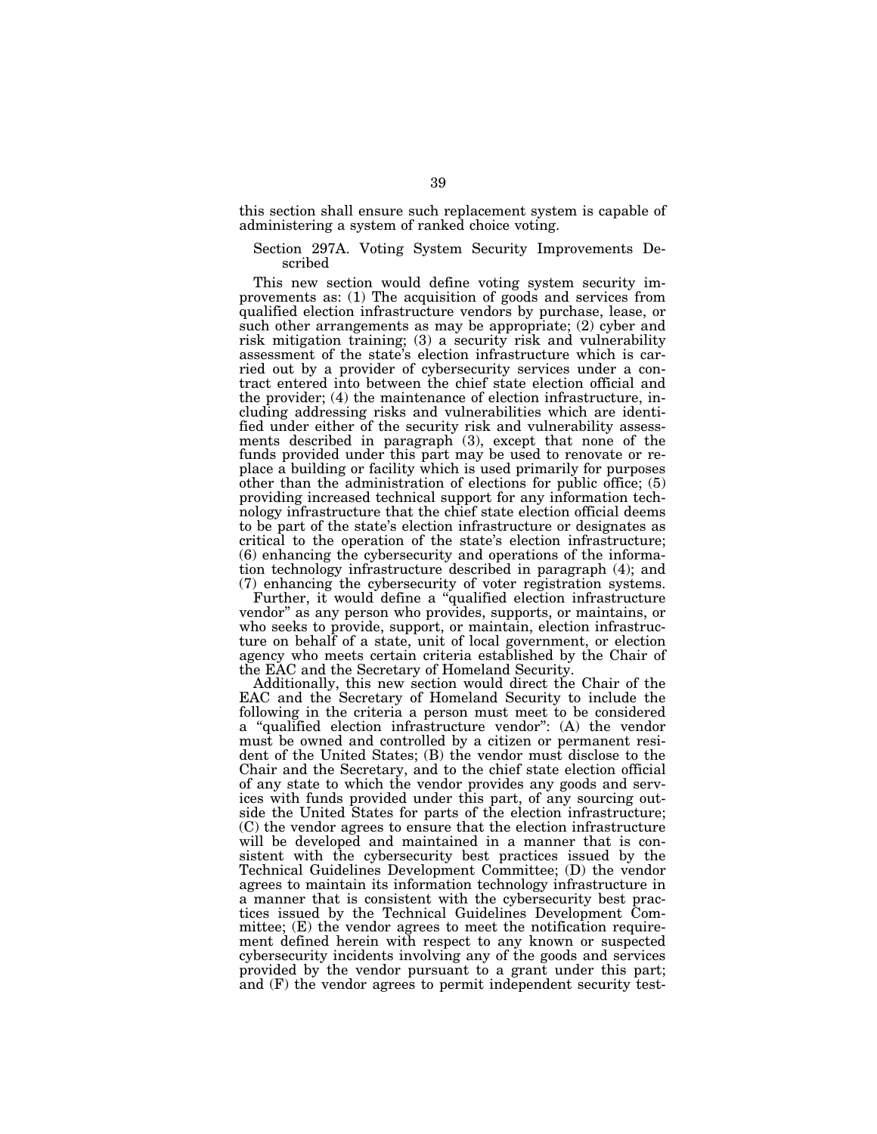this section shall ensure such replacement system is capable of administering a system of ranked choice voting.

### Section 297A. Voting System Security Improvements Described

This new section would define voting system security improvements as: (1) The acquisition of goods and services from qualified election infrastructure vendors by purchase, lease, or such other arrangements as may be appropriate; (2) cyber and risk mitigation training; (3) a security risk and vulnerability assessment of the state's election infrastructure which is carried out by a provider of cybersecurity services under a contract entered into between the chief state election official and the provider; (4) the maintenance of election infrastructure, including addressing risks and vulnerabilities which are identified under either of the security risk and vulnerability assessments described in paragraph (3), except that none of the funds provided under this part may be used to renovate or replace a building or facility which is used primarily for purposes other than the administration of elections for public office; (5) providing increased technical support for any information technology infrastructure that the chief state election official deems to be part of the state's election infrastructure or designates as critical to the operation of the state's election infrastructure; (6) enhancing the cybersecurity and operations of the information technology infrastructure described in paragraph (4); and (7) enhancing the cybersecurity of voter registration systems.

Further, it would define a ''qualified election infrastructure vendor'' as any person who provides, supports, or maintains, or who seeks to provide, support, or maintain, election infrastructure on behalf of a state, unit of local government, or election agency who meets certain criteria established by the Chair of the EAC and the Secretary of Homeland Security.

Additionally, this new section would direct the Chair of the EAC and the Secretary of Homeland Security to include the following in the criteria a person must meet to be considered a ''qualified election infrastructure vendor'': (A) the vendor must be owned and controlled by a citizen or permanent resident of the United States; (B) the vendor must disclose to the Chair and the Secretary, and to the chief state election official of any state to which the vendor provides any goods and services with funds provided under this part, of any sourcing outside the United States for parts of the election infrastructure; (C) the vendor agrees to ensure that the election infrastructure will be developed and maintained in a manner that is consistent with the cybersecurity best practices issued by the Technical Guidelines Development Committee; (D) the vendor agrees to maintain its information technology infrastructure in a manner that is consistent with the cybersecurity best practices issued by the Technical Guidelines Development Committee; (E) the vendor agrees to meet the notification requirement defined herein with respect to any known or suspected cybersecurity incidents involving any of the goods and services provided by the vendor pursuant to a grant under this part; and (F) the vendor agrees to permit independent security test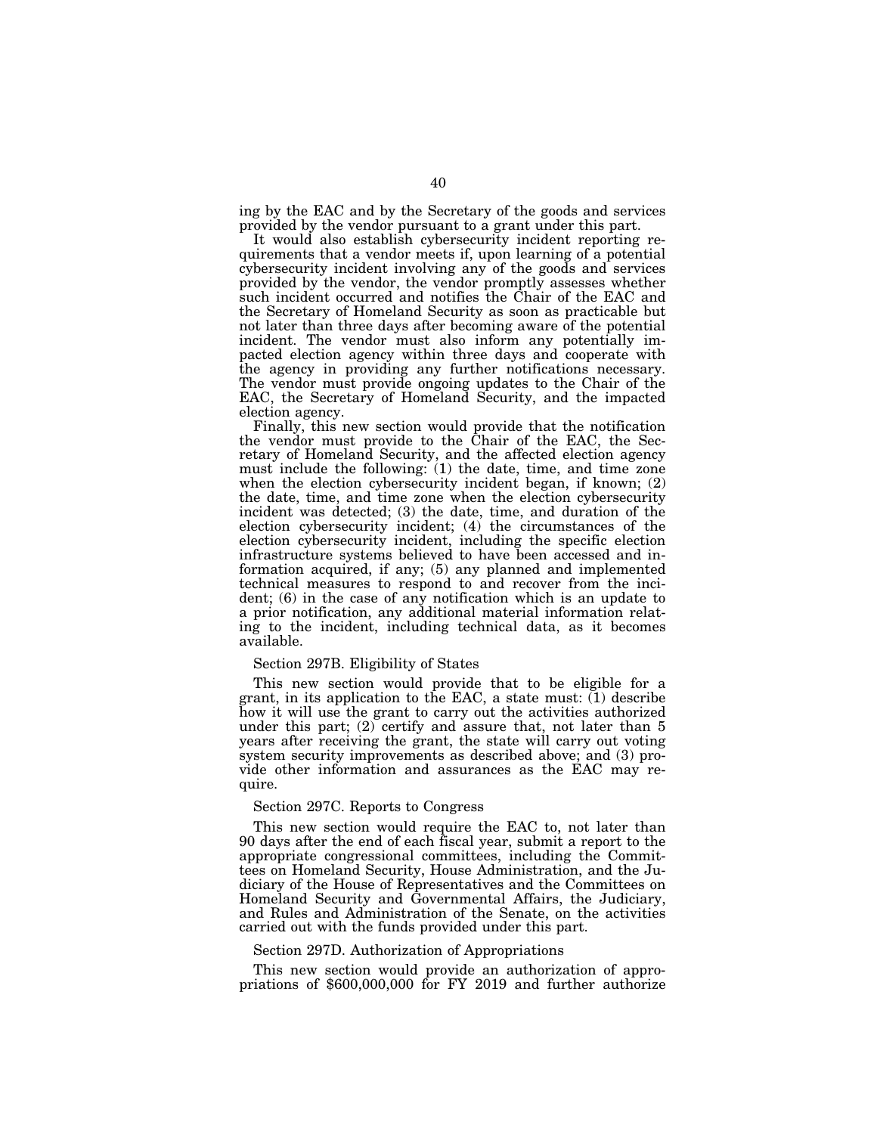ing by the EAC and by the Secretary of the goods and services provided by the vendor pursuant to a grant under this part.

It would also establish cybersecurity incident reporting requirements that a vendor meets if, upon learning of a potential cybersecurity incident involving any of the goods and services provided by the vendor, the vendor promptly assesses whether such incident occurred and notifies the Chair of the EAC and the Secretary of Homeland Security as soon as practicable but not later than three days after becoming aware of the potential incident. The vendor must also inform any potentially impacted election agency within three days and cooperate with the agency in providing any further notifications necessary. The vendor must provide ongoing updates to the Chair of the EAC, the Secretary of Homeland Security, and the impacted election agency.

Finally, this new section would provide that the notification the vendor must provide to the Chair of the EAC, the Secretary of Homeland Security, and the affected election agency must include the following: (1) the date, time, and time zone when the election cybersecurity incident began, if known; (2) the date, time, and time zone when the election cybersecurity incident was detected; (3) the date, time, and duration of the election cybersecurity incident; (4) the circumstances of the election cybersecurity incident, including the specific election infrastructure systems believed to have been accessed and information acquired, if any; (5) any planned and implemented technical measures to respond to and recover from the incident; (6) in the case of any notification which is an update to a prior notification, any additional material information relating to the incident, including technical data, as it becomes available.

### Section 297B. Eligibility of States

This new section would provide that to be eligible for a grant, in its application to the EAC, a state must: (1) describe how it will use the grant to carry out the activities authorized under this part;  $(2)$  certify and assure that, not later than 5 years after receiving the grant, the state will carry out voting system security improvements as described above; and (3) provide other information and assurances as the EAC may require.

### Section 297C. Reports to Congress

This new section would require the EAC to, not later than 90 days after the end of each fiscal year, submit a report to the appropriate congressional committees, including the Committees on Homeland Security, House Administration, and the Judiciary of the House of Representatives and the Committees on Homeland Security and Governmental Affairs, the Judiciary, and Rules and Administration of the Senate, on the activities carried out with the funds provided under this part.

### Section 297D. Authorization of Appropriations

This new section would provide an authorization of appropriations of \$600,000,000 for FY 2019 and further authorize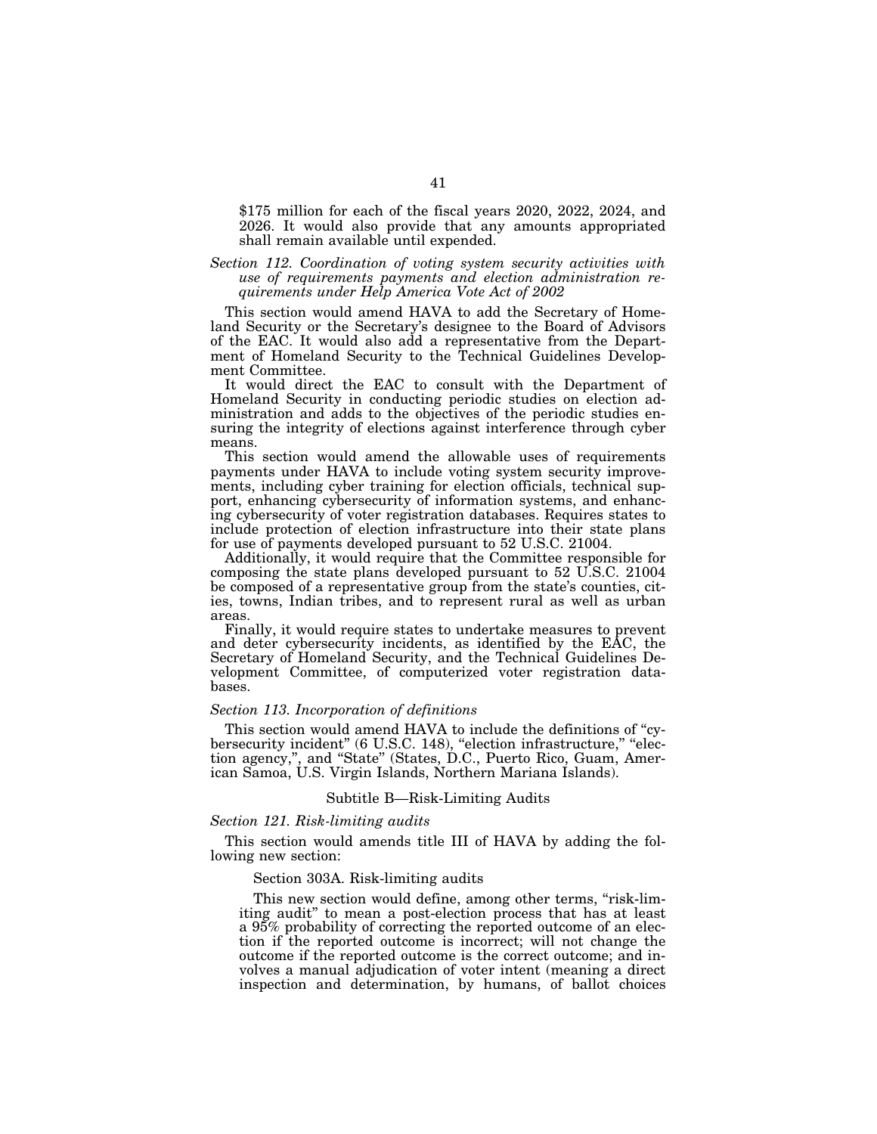\$175 million for each of the fiscal years 2020, 2022, 2024, and 2026. It would also provide that any amounts appropriated shall remain available until expended.

### *Section 112. Coordination of voting system security activities with use of requirements payments and election administration requirements under Help America Vote Act of 2002*

This section would amend HAVA to add the Secretary of Homeland Security or the Secretary's designee to the Board of Advisors of the EAC. It would also add a representative from the Department of Homeland Security to the Technical Guidelines Development Committee.

It would direct the EAC to consult with the Department of Homeland Security in conducting periodic studies on election administration and adds to the objectives of the periodic studies ensuring the integrity of elections against interference through cyber means.

This section would amend the allowable uses of requirements payments under HAVA to include voting system security improvements, including cyber training for election officials, technical support, enhancing cybersecurity of information systems, and enhancing cybersecurity of voter registration databases. Requires states to include protection of election infrastructure into their state plans for use of payments developed pursuant to 52 U.S.C. 21004.

Additionally, it would require that the Committee responsible for composing the state plans developed pursuant to 52 U.S.C. 21004 be composed of a representative group from the state's counties, cities, towns, Indian tribes, and to represent rural as well as urban areas.

Finally, it would require states to undertake measures to prevent and deter cybersecurity incidents, as identified by the EAC, the Secretary of Homeland Security, and the Technical Guidelines Development Committee, of computerized voter registration databases.

### *Section 113. Incorporation of definitions*

This section would amend HAVA to include the definitions of "cybersecurity incident" (6 U.S.C. 148), "election infrastructure," "election agency,", and "State" (States, D.C., Puerto Rico, Guam, American Samoa, U.S. Virgin Islands, Northern Mariana Islands).

### Subtitle B—Risk-Limiting Audits

### *Section 121. Risk-limiting audits*

This section would amends title III of HAVA by adding the following new section:

### Section 303A. Risk-limiting audits

This new section would define, among other terms, "risk-limiting audit'' to mean a post-election process that has at least a 95% probability of correcting the reported outcome of an election if the reported outcome is incorrect; will not change the outcome if the reported outcome is the correct outcome; and involves a manual adjudication of voter intent (meaning a direct inspection and determination, by humans, of ballot choices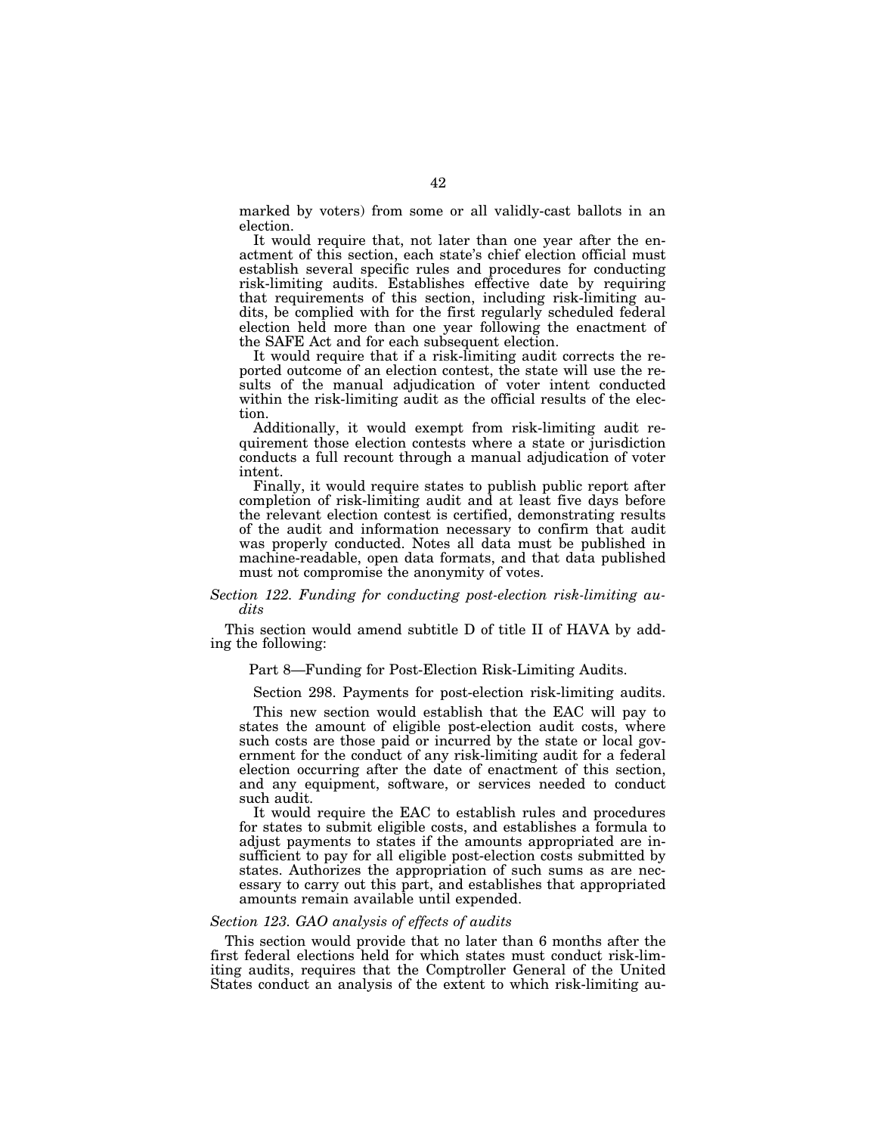marked by voters) from some or all validly-cast ballots in an election.

It would require that, not later than one year after the enactment of this section, each state's chief election official must establish several specific rules and procedures for conducting risk-limiting audits. Establishes effective date by requiring that requirements of this section, including risk-limiting audits, be complied with for the first regularly scheduled federal election held more than one year following the enactment of the SAFE Act and for each subsequent election.

It would require that if a risk-limiting audit corrects the reported outcome of an election contest, the state will use the results of the manual adjudication of voter intent conducted within the risk-limiting audit as the official results of the election.

Additionally, it would exempt from risk-limiting audit requirement those election contests where a state or jurisdiction conducts a full recount through a manual adjudication of voter intent.

Finally, it would require states to publish public report after completion of risk-limiting audit and at least five days before the relevant election contest is certified, demonstrating results of the audit and information necessary to confirm that audit was properly conducted. Notes all data must be published in machine-readable, open data formats, and that data published must not compromise the anonymity of votes.

### *Section 122. Funding for conducting post-election risk-limiting audits*

This section would amend subtitle D of title II of HAVA by adding the following:

Part 8—Funding for Post-Election Risk-Limiting Audits.

Section 298. Payments for post-election risk-limiting audits.

This new section would establish that the EAC will pay to states the amount of eligible post-election audit costs, where such costs are those paid or incurred by the state or local government for the conduct of any risk-limiting audit for a federal election occurring after the date of enactment of this section, and any equipment, software, or services needed to conduct such audit.

It would require the EAC to establish rules and procedures for states to submit eligible costs, and establishes a formula to adjust payments to states if the amounts appropriated are insufficient to pay for all eligible post-election costs submitted by states. Authorizes the appropriation of such sums as are necessary to carry out this part, and establishes that appropriated amounts remain available until expended.

### *Section 123. GAO analysis of effects of audits*

This section would provide that no later than 6 months after the first federal elections held for which states must conduct risk-limiting audits, requires that the Comptroller General of the United States conduct an analysis of the extent to which risk-limiting au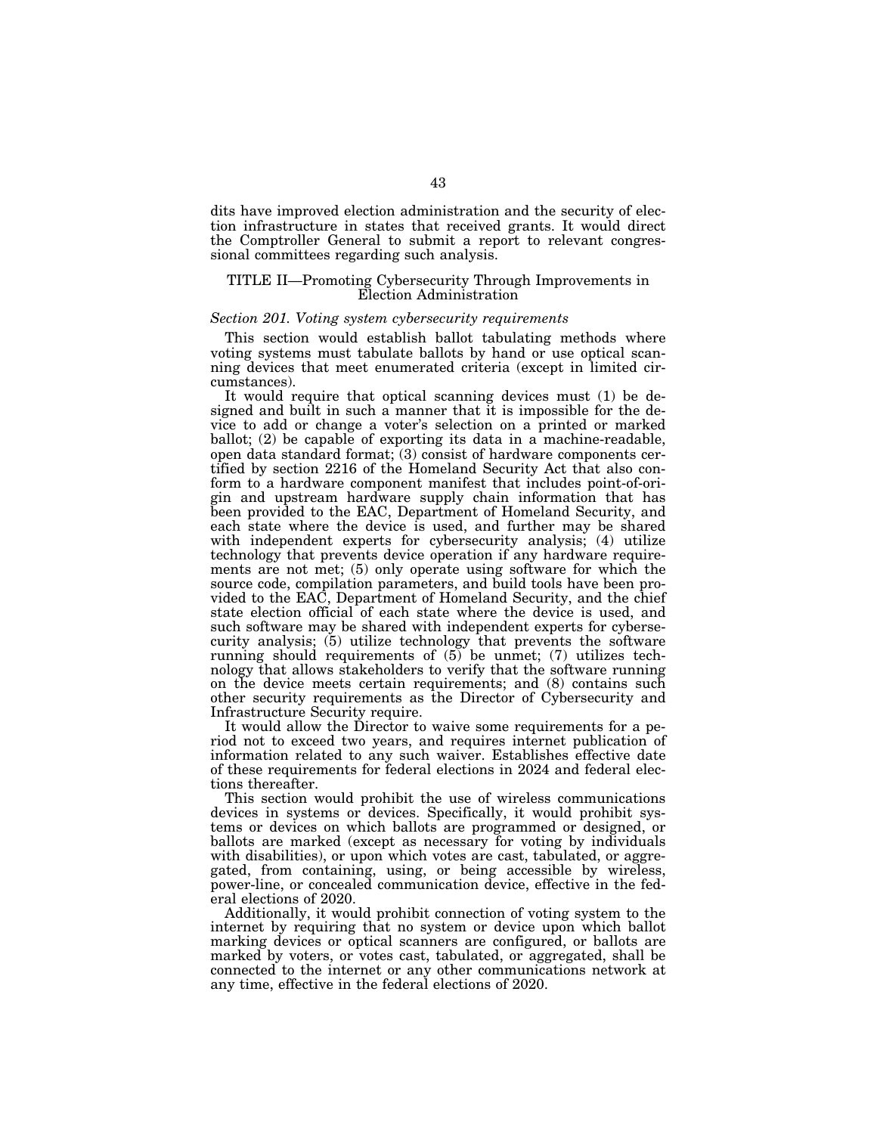dits have improved election administration and the security of election infrastructure in states that received grants. It would direct the Comptroller General to submit a report to relevant congressional committees regarding such analysis.

### TITLE II—Promoting Cybersecurity Through Improvements in Election Administration

### *Section 201. Voting system cybersecurity requirements*

This section would establish ballot tabulating methods where voting systems must tabulate ballots by hand or use optical scanning devices that meet enumerated criteria (except in limited circumstances).

It would require that optical scanning devices must (1) be designed and built in such a manner that it is impossible for the device to add or change a voter's selection on a printed or marked ballot;  $(2)$  be capable of exporting its data in a machine-readable, open data standard format; (3) consist of hardware components certified by section 2216 of the Homeland Security Act that also conform to a hardware component manifest that includes point-of-origin and upstream hardware supply chain information that has been provided to the EAC, Department of Homeland Security, and each state where the device is used, and further may be shared with independent experts for cybersecurity analysis; (4) utilize technology that prevents device operation if any hardware requirements are not met; (5) only operate using software for which the source code, compilation parameters, and build tools have been provided to the EAC, Department of Homeland Security, and the chief state election official of each state where the device is used, and such software may be shared with independent experts for cybersecurity analysis; (5) utilize technology that prevents the software running should requirements of  $(5)$  be unmet; (7) utilizes technology that allows stakeholders to verify that the software running on the device meets certain requirements; and (8) contains such other security requirements as the Director of Cybersecurity and Infrastructure Security require.

It would allow the Director to waive some requirements for a period not to exceed two years, and requires internet publication of information related to any such waiver. Establishes effective date of these requirements for federal elections in 2024 and federal elections thereafter.

This section would prohibit the use of wireless communications devices in systems or devices. Specifically, it would prohibit systems or devices on which ballots are programmed or designed, or ballots are marked (except as necessary for voting by individuals with disabilities), or upon which votes are cast, tabulated, or aggregated, from containing, using, or being accessible by wireless, power-line, or concealed communication device, effective in the federal elections of 2020.

Additionally, it would prohibit connection of voting system to the internet by requiring that no system or device upon which ballot marking devices or optical scanners are configured, or ballots are marked by voters, or votes cast, tabulated, or aggregated, shall be connected to the internet or any other communications network at any time, effective in the federal elections of 2020.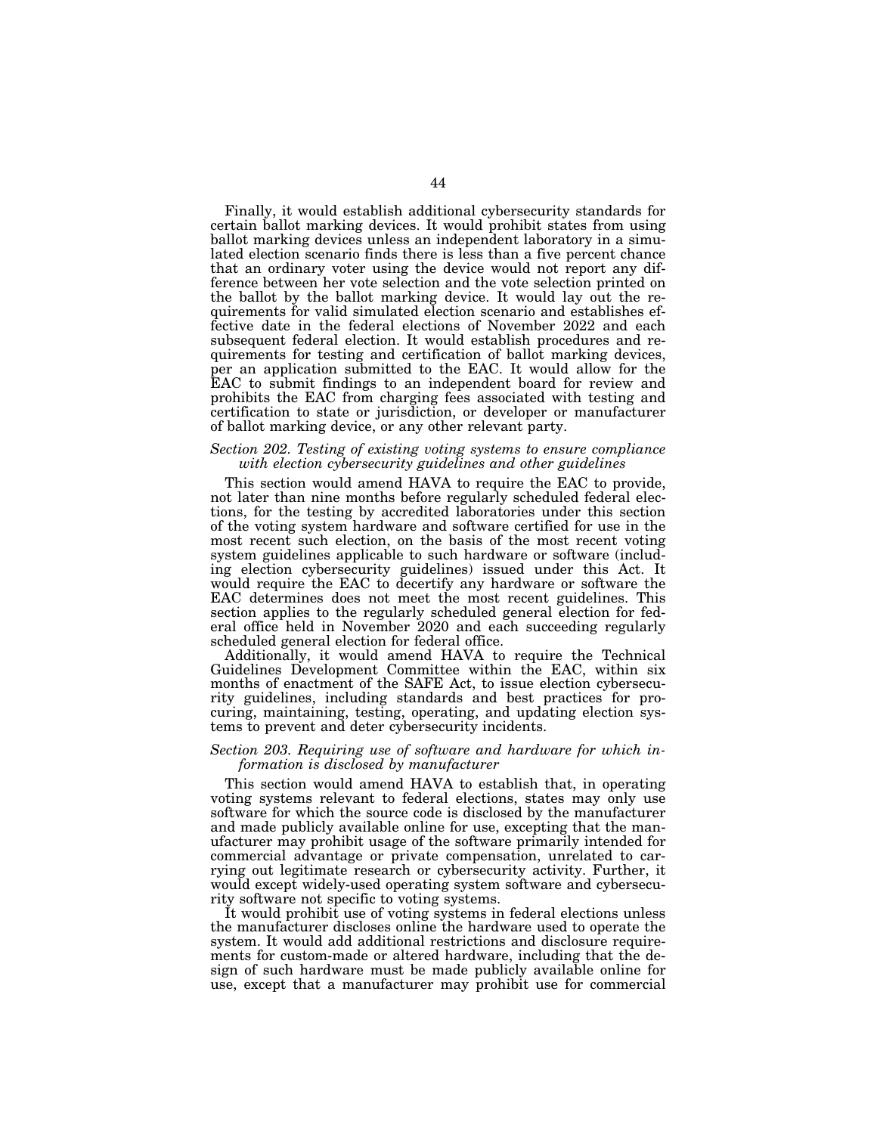Finally, it would establish additional cybersecurity standards for certain ballot marking devices. It would prohibit states from using ballot marking devices unless an independent laboratory in a simulated election scenario finds there is less than a five percent chance that an ordinary voter using the device would not report any difference between her vote selection and the vote selection printed on the ballot by the ballot marking device. It would lay out the requirements for valid simulated election scenario and establishes effective date in the federal elections of November 2022 and each subsequent federal election. It would establish procedures and requirements for testing and certification of ballot marking devices, per an application submitted to the EAC. It would allow for the EAC to submit findings to an independent board for review and prohibits the EAC from charging fees associated with testing and certification to state or jurisdiction, or developer or manufacturer of ballot marking device, or any other relevant party.

### *Section 202. Testing of existing voting systems to ensure compliance with election cybersecurity guidelines and other guidelines*

This section would amend HAVA to require the EAC to provide, not later than nine months before regularly scheduled federal elections, for the testing by accredited laboratories under this section of the voting system hardware and software certified for use in the most recent such election, on the basis of the most recent voting system guidelines applicable to such hardware or software (including election cybersecurity guidelines) issued under this Act. It would require the EAC to decertify any hardware or software the EAC determines does not meet the most recent guidelines. This section applies to the regularly scheduled general election for federal office held in November 2020 and each succeeding regularly scheduled general election for federal office.

Additionally, it would amend HAVA to require the Technical Guidelines Development Committee within the EAC, within six months of enactment of the SAFE Act, to issue election cybersecurity guidelines, including standards and best practices for procuring, maintaining, testing, operating, and updating election systems to prevent and deter cybersecurity incidents.

### *Section 203. Requiring use of software and hardware for which information is disclosed by manufacturer*

This section would amend HAVA to establish that, in operating voting systems relevant to federal elections, states may only use software for which the source code is disclosed by the manufacturer and made publicly available online for use, excepting that the manufacturer may prohibit usage of the software primarily intended for commercial advantage or private compensation, unrelated to carrying out legitimate research or cybersecurity activity. Further, it would except widely-used operating system software and cybersecurity software not specific to voting systems.

It would prohibit use of voting systems in federal elections unless the manufacturer discloses online the hardware used to operate the system. It would add additional restrictions and disclosure requirements for custom-made or altered hardware, including that the design of such hardware must be made publicly available online for use, except that a manufacturer may prohibit use for commercial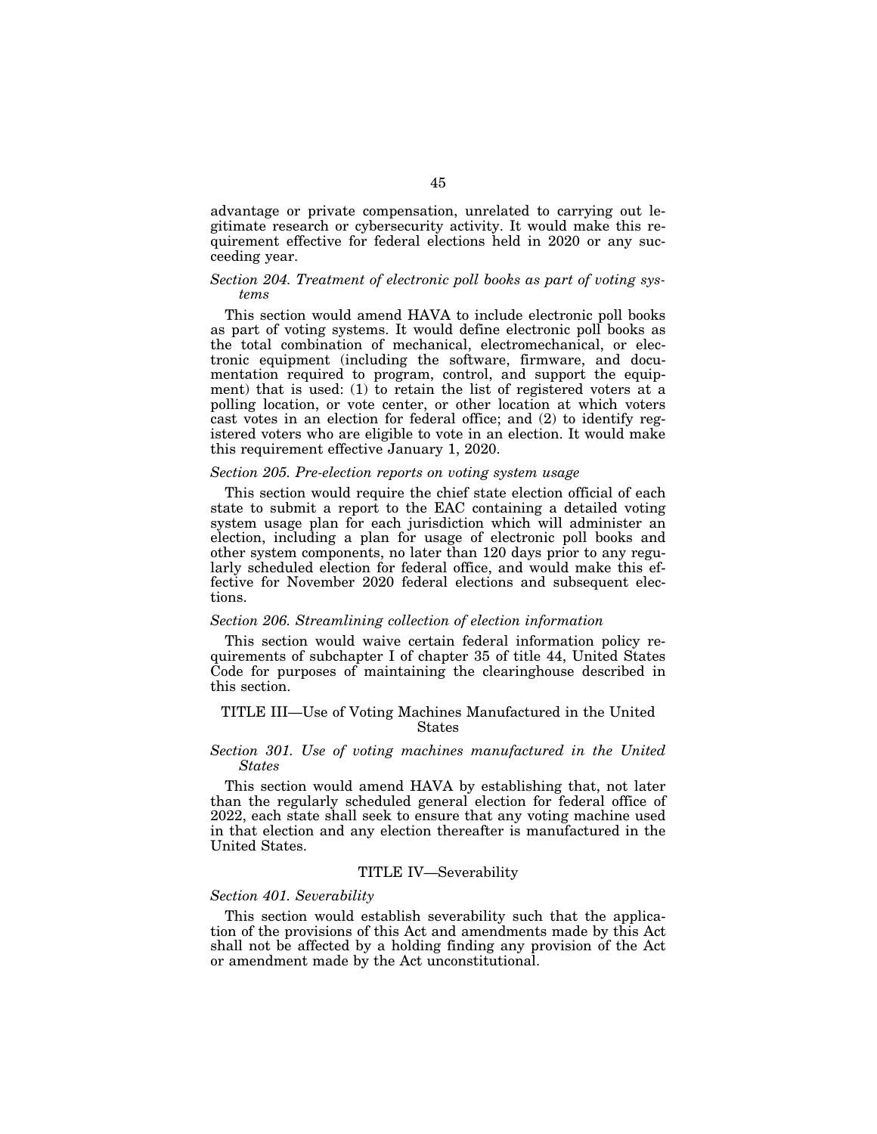advantage or private compensation, unrelated to carrying out legitimate research or cybersecurity activity. It would make this requirement effective for federal elections held in 2020 or any succeeding year.

### *Section 204. Treatment of electronic poll books as part of voting systems*

This section would amend HAVA to include electronic poll books as part of voting systems. It would define electronic poll books as the total combination of mechanical, electromechanical, or electronic equipment (including the software, firmware, and documentation required to program, control, and support the equipment) that is used: (1) to retain the list of registered voters at a polling location, or vote center, or other location at which voters cast votes in an election for federal office; and (2) to identify registered voters who are eligible to vote in an election. It would make this requirement effective January 1, 2020.

### *Section 205. Pre-election reports on voting system usage*

This section would require the chief state election official of each state to submit a report to the EAC containing a detailed voting system usage plan for each jurisdiction which will administer an election, including a plan for usage of electronic poll books and other system components, no later than 120 days prior to any regularly scheduled election for federal office, and would make this effective for November 2020 federal elections and subsequent elections.

### *Section 206. Streamlining collection of election information*

This section would waive certain federal information policy requirements of subchapter I of chapter 35 of title 44, United States Code for purposes of maintaining the clearinghouse described in this section.

### TITLE III—Use of Voting Machines Manufactured in the United **States**

### *Section 301. Use of voting machines manufactured in the United States*

This section would amend HAVA by establishing that, not later than the regularly scheduled general election for federal office of 2022, each state shall seek to ensure that any voting machine used in that election and any election thereafter is manufactured in the United States.

### TITLE IV—Severability

### *Section 401. Severability*

This section would establish severability such that the application of the provisions of this Act and amendments made by this Act shall not be affected by a holding finding any provision of the Act or amendment made by the Act unconstitutional.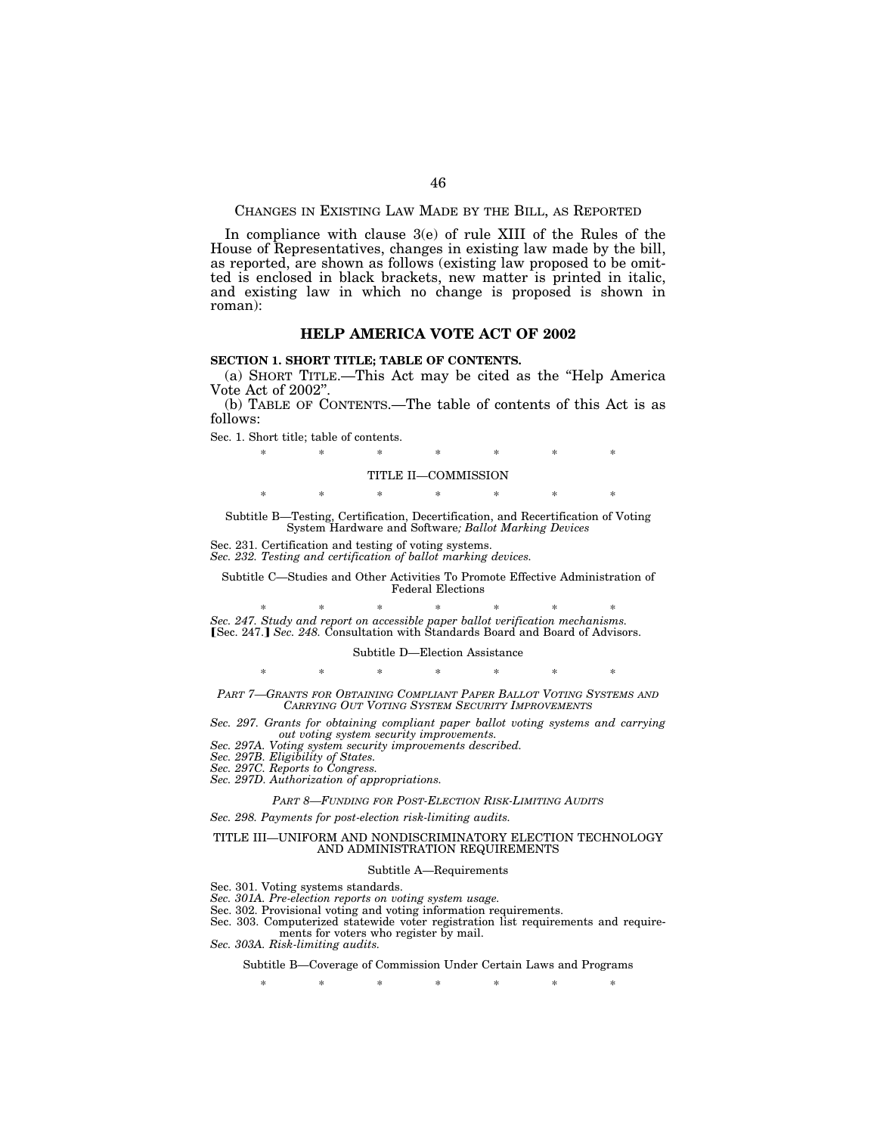CHANGES IN EXISTING LAW MADE BY THE BILL, AS REPORTED

In compliance with clause 3(e) of rule XIII of the Rules of the House of Representatives, changes in existing law made by the bill, as reported, are shown as follows (existing law proposed to be omitted is enclosed in black brackets, new matter is printed in italic, and existing law in which no change is proposed is shown in roman):

### **HELP AMERICA VOTE ACT OF 2002**

### **SECTION 1. SHORT TITLE; TABLE OF CONTENTS.**

(a) SHORT TITLE.—This Act may be cited as the ''Help America Vote Act of 2002''.

(b) TABLE OF CONTENTS.—The table of contents of this Act is as follows:

Sec. 1. Short title; table of contents.

\* \* \* \* \* \* \* TITLE II—COMMISSION

\* \* \* \* \* \* \* \* Subtitle B—Testing, Certification, Decertification, and Recertification of Voting System Hardware and Software*; Ballot Marking Devices* 

Sec. 231. Certification and testing of voting systems.

*Sec. 232. Testing and certification of ballot marking devices.* 

Subtitle C—Studies and Other Activities To Promote Effective Administration of Federal Elections

\* \* \* \* \* \* \* Sec. 247. Study and report on accessible paper ballot verification mechanisms.<br>[Sec. 247.] *Sec. 248. Consultation with Standards Board and Board of Advisors.* 

Subtitle D—Election Assistance

\* \* \* \* \* \* \*

*PART 7—GRANTS FOR OBTAINING COMPLIANT PAPER BALLOT VOTING SYSTEMS AND CARRYING OUT VOTING SYSTEM SECURITY IMPROVEMENTS*

*Sec. 297. Grants for obtaining compliant paper ballot voting systems and carrying out voting system security improvements.* 

- *Sec. 297A. Voting system security improvements described.*
- *Sec. 297B. Eligibility of States.*
- *Sec. 297C. Reports to Congress.*

*Sec. 297D. Authorization of appropriations.* 

*PART 8—FUNDING FOR POST-ELECTION RISK-LIMITING AUDITS*

*Sec. 298. Payments for post-election risk-limiting audits.* 

### TITLE III—UNIFORM AND NONDISCRIMINATORY ELECTION TECHNOLOGY AND ADMINISTRATION REQUIREMENTS

#### Subtitle A—Requirements

- Sec. 301. Voting systems standards.
- *Sec. 301A. Pre-election reports on voting system usage.*
- Sec. 302. Provisional voting and voting information requirements.
- Sec. 303. Computerized statewide voter registration list requirements and requirements for voters who register by mail.
- *Sec. 303A. Risk-limiting audits.*

Subtitle B—Coverage of Commission Under Certain Laws and Programs

\* \* \* \* \* \* \*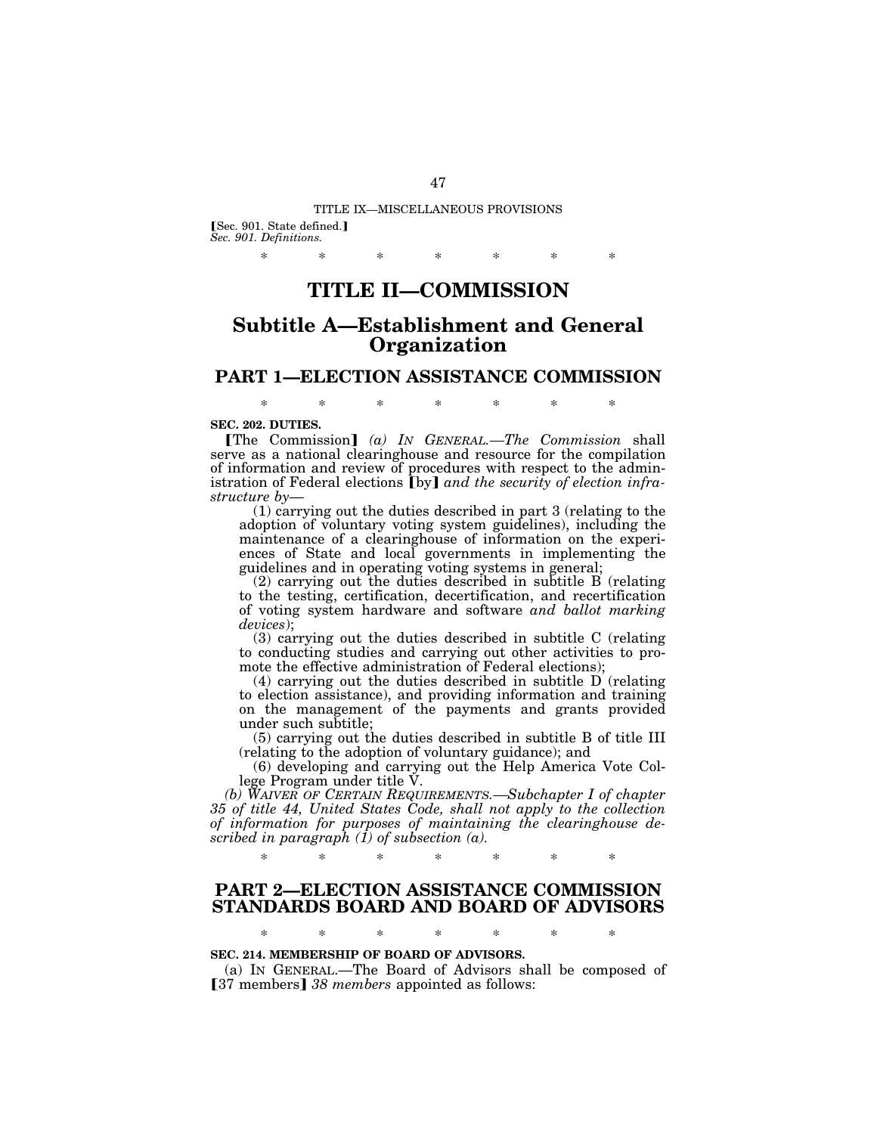### TITLE IX—MISCELLANEOUS PROVISIONS

[Sec. 901. State defined.] *Sec. 901. Definitions.* 

\* \* \* \* \* \* \*

# **TITLE II—COMMISSION**

# **Subtitle A—Establishment and General Organization**

### **PART 1—ELECTION ASSISTANCE COMMISSION**

\* \* \* \* \* \* \*

### **SEC. 202. DUTIES.**

øThe Commission¿ *(a) IN GENERAL.—The Commission* shall serve as a national clearinghouse and resource for the compilation of information and review of procedures with respect to the admin-<br>istration of Federal elections *[by] and the security of election infrastructure by*— (1) carrying out the duties described in part 3 (relating to the

adoption of voluntary voting system guidelines), including the maintenance of a clearinghouse of information on the experiences of State and local governments in implementing the guidelines and in operating voting systems in general;

(2) carrying out the duties described in subtitle B (relating to the testing, certification, decertification, and recertification of voting system hardware and software *and ballot marking devices*);

(3) carrying out the duties described in subtitle C (relating to conducting studies and carrying out other activities to promote the effective administration of Federal elections);

(4) carrying out the duties described in subtitle D (relating to election assistance), and providing information and training on the management of the payments and grants provided under such subtitle;

(5) carrying out the duties described in subtitle B of title III (relating to the adoption of voluntary guidance); and

(6) developing and carrying out the Help America Vote College Program under title V.

*(b) WAIVER OF CERTAIN REQUIREMENTS.—Subchapter I of chapter 35 of title 44, United States Code, shall not apply to the collection of information for purposes of maintaining the clearinghouse described in paragraph (1) of subsection (a).* 

\* \* \* \* \* \* \*

## **PART 2—ELECTION ASSISTANCE COMMISSION STANDARDS BOARD AND BOARD OF ADVISORS**

**SEC. 214. MEMBERSHIP OF BOARD OF ADVISORS.** 

(a) IN GENERAL.—The Board of Advisors shall be composed of [37 members] 38 members appointed as follows:

\* \* \* \* \* \* \*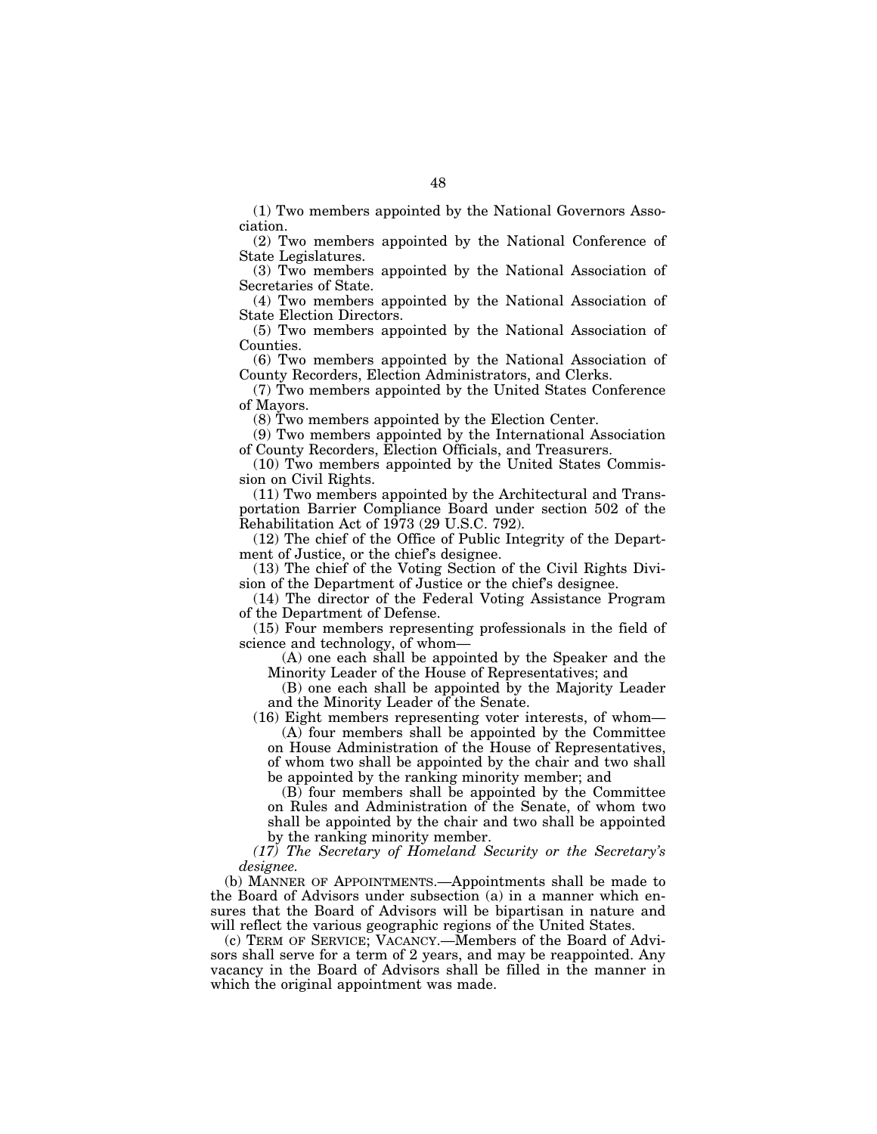(1) Two members appointed by the National Governors Association.

(2) Two members appointed by the National Conference of State Legislatures.

(3) Two members appointed by the National Association of Secretaries of State.

(4) Two members appointed by the National Association of State Election Directors.

(5) Two members appointed by the National Association of Counties.

(6) Two members appointed by the National Association of County Recorders, Election Administrators, and Clerks.

(7) Two members appointed by the United States Conference of Mayors.

(8) Two members appointed by the Election Center.

(9) Two members appointed by the International Association of County Recorders, Election Officials, and Treasurers.

(10) Two members appointed by the United States Commission on Civil Rights.

(11) Two members appointed by the Architectural and Transportation Barrier Compliance Board under section 502 of the Rehabilitation Act of 1973 (29 U.S.C. 792).

(12) The chief of the Office of Public Integrity of the Department of Justice, or the chief's designee.

(13) The chief of the Voting Section of the Civil Rights Division of the Department of Justice or the chief's designee.

(14) The director of the Federal Voting Assistance Program of the Department of Defense.

(15) Four members representing professionals in the field of science and technology, of whom—

(A) one each shall be appointed by the Speaker and the Minority Leader of the House of Representatives; and

(B) one each shall be appointed by the Majority Leader and the Minority Leader of the Senate.

(16) Eight members representing voter interests, of whom—

(A) four members shall be appointed by the Committee on House Administration of the House of Representatives, of whom two shall be appointed by the chair and two shall be appointed by the ranking minority member; and

(B) four members shall be appointed by the Committee on Rules and Administration of the Senate, of whom two shall be appointed by the chair and two shall be appointed by the ranking minority member.

*(17) The Secretary of Homeland Security or the Secretary's designee.* 

(b) MANNER OF APPOINTMENTS.—Appointments shall be made to the Board of Advisors under subsection (a) in a manner which ensures that the Board of Advisors will be bipartisan in nature and will reflect the various geographic regions of the United States.

(c) TERM OF SERVICE; VACANCY.—Members of the Board of Advisors shall serve for a term of 2 years, and may be reappointed. Any vacancy in the Board of Advisors shall be filled in the manner in which the original appointment was made.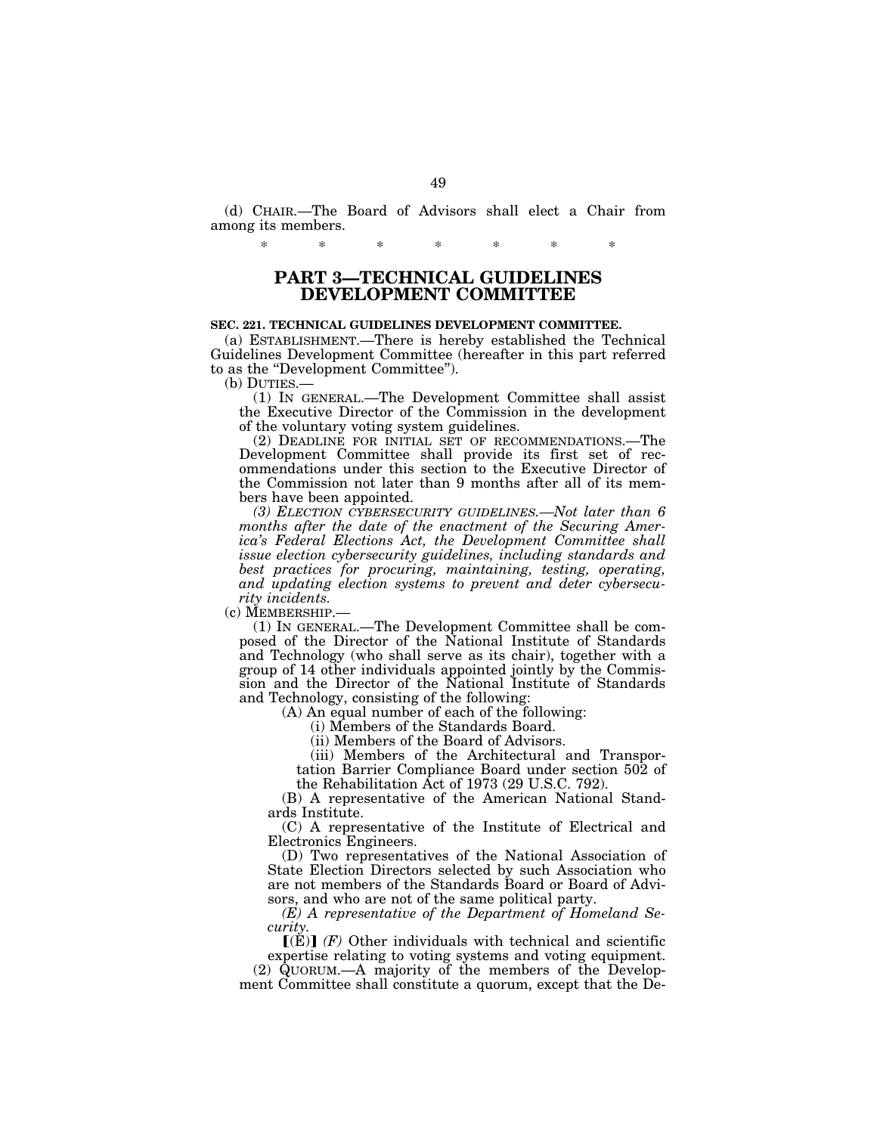(d) CHAIR.—The Board of Advisors shall elect a Chair from among its members.

\* \* \* \* \* \* \*

# **PART 3—TECHNICAL GUIDELINES DEVELOPMENT COMMITTEE**

### **SEC. 221. TECHNICAL GUIDELINES DEVELOPMENT COMMITTEE.**

(a) ESTABLISHMENT.—There is hereby established the Technical Guidelines Development Committee (hereafter in this part referred to as the "Development Committee").<br>
(b) DUTIES.—

 $(1)$  In GENERAL.—The Development Committee shall assist the Executive Director of the Commission in the development of the voluntary voting system guidelines.

(2) DEADLINE FOR INITIAL SET OF RECOMMENDATIONS.—The Development Committee shall provide its first set of recommendations under this section to the Executive Director of the Commission not later than 9 months after all of its members have been appointed.

*(3) ELECTION CYBERSECURITY GUIDELINES.—Not later than 6 months after the date of the enactment of the Securing America's Federal Elections Act, the Development Committee shall issue election cybersecurity guidelines, including standards and best practices for procuring, maintaining, testing, operating, and updating election systems to prevent and deter cybersecurity incidents.* 

 $(1)$  In GENERAL.—The Development Committee shall be composed of the Director of the National Institute of Standards and Technology (who shall serve as its chair), together with a group of 14 other individuals appointed jointly by the Commission and the Director of the National Institute of Standards and Technology, consisting of the following:

(A) An equal number of each of the following:

(i) Members of the Standards Board.

(ii) Members of the Board of Advisors.

(iii) Members of the Architectural and Transportation Barrier Compliance Board under section 502 of the Rehabilitation Act of 1973 (29 U.S.C. 792).

(B) A representative of the American National Standards Institute.

(C) A representative of the Institute of Electrical and Electronics Engineers.

(D) Two representatives of the National Association of State Election Directors selected by such Association who are not members of the Standards Board or Board of Advisors, and who are not of the same political party.

*(E) A representative of the Department of Homeland Security.* 

 $\lceil (E) \rceil$  *(F)* Other individuals with technical and scientific expertise relating to voting systems and voting equipment.

(2) QUORUM.—A majority of the members of the Development Committee shall constitute a quorum, except that the De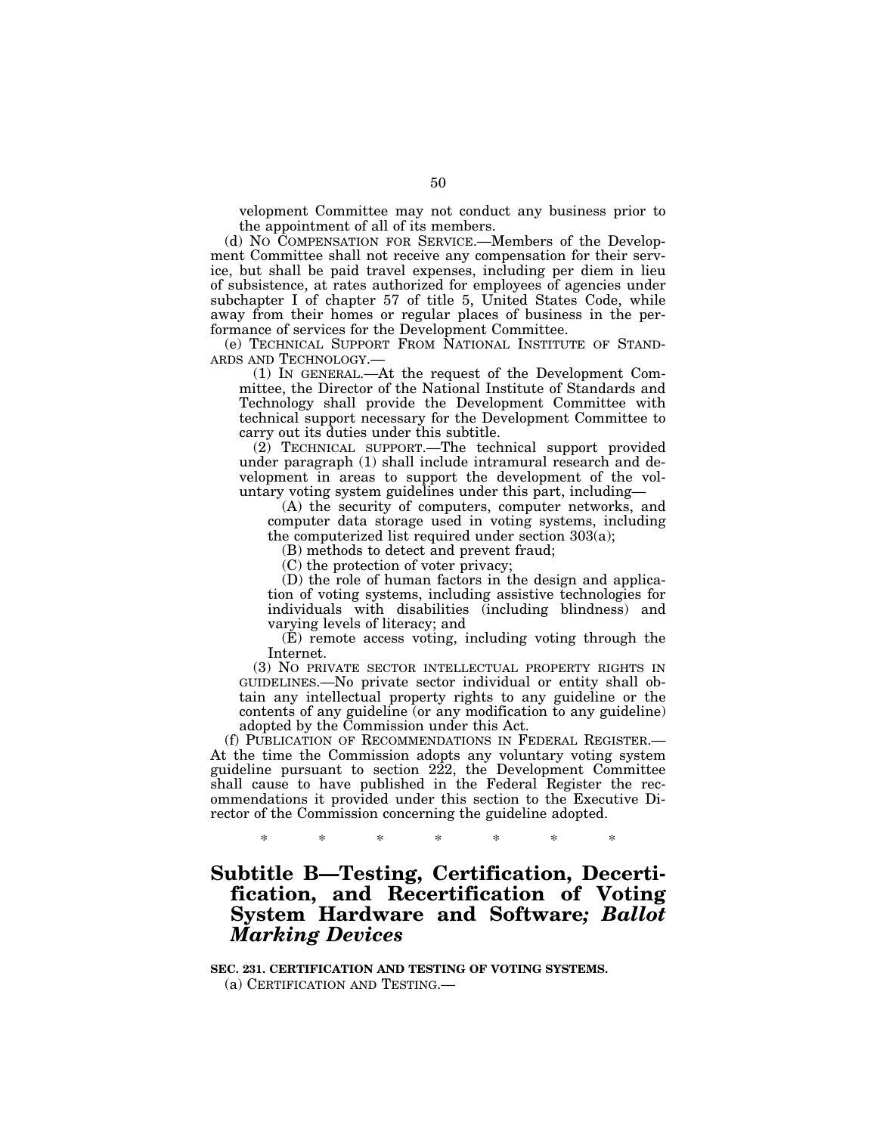velopment Committee may not conduct any business prior to the appointment of all of its members.

(d) NO COMPENSATION FOR SERVICE.—Members of the Development Committee shall not receive any compensation for their service, but shall be paid travel expenses, including per diem in lieu of subsistence, at rates authorized for employees of agencies under subchapter I of chapter 57 of title 5, United States Code, while away from their homes or regular places of business in the performance of services for the Development Committee.

(e) TECHNICAL SUPPORT FROM NATIONAL INSTITUTE OF STAND-ARDS AND TECHNOLOGY.—

(1) IN GENERAL.—At the request of the Development Committee, the Director of the National Institute of Standards and Technology shall provide the Development Committee with technical support necessary for the Development Committee to carry out its duties under this subtitle.

(2) TECHNICAL SUPPORT.—The technical support provided under paragraph (1) shall include intramural research and development in areas to support the development of the voluntary voting system guidelines under this part, including—

(A) the security of computers, computer networks, and computer data storage used in voting systems, including the computerized list required under section 303(a);

(B) methods to detect and prevent fraud;

(C) the protection of voter privacy;

(D) the role of human factors in the design and application of voting systems, including assistive technologies for individuals with disabilities (including blindness) and varying levels of literacy; and

(E) remote access voting, including voting through the Internet.

(3) NO PRIVATE SECTOR INTELLECTUAL PROPERTY RIGHTS IN GUIDELINES.—No private sector individual or entity shall obtain any intellectual property rights to any guideline or the contents of any guideline (or any modification to any guideline) adopted by the Commission under this Act.

(f) PUBLICATION OF RECOMMENDATIONS IN FEDERAL REGISTER.— At the time the Commission adopts any voluntary voting system guideline pursuant to section 222, the Development Committee shall cause to have published in the Federal Register the recommendations it provided under this section to the Executive Director of the Commission concerning the guideline adopted.

\* \* \* \* \* \* \*

# **Subtitle B—Testing, Certification, Decertification, and Recertification of Voting System Hardware and Software***; Ballot Marking Devices*

**SEC. 231. CERTIFICATION AND TESTING OF VOTING SYSTEMS.**  (a) CERTIFICATION AND TESTING.—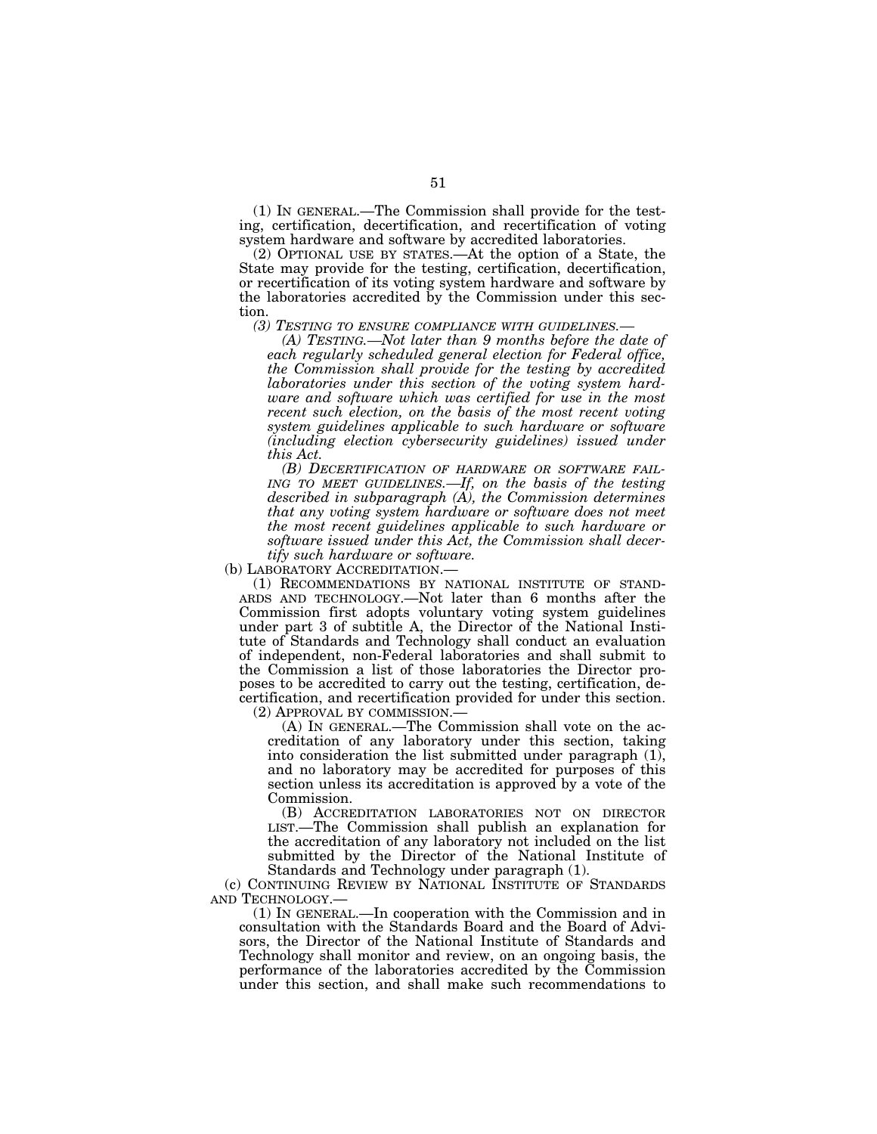(1) IN GENERAL.—The Commission shall provide for the testing, certification, decertification, and recertification of voting system hardware and software by accredited laboratories.

(2) OPTIONAL USE BY STATES.—At the option of a State, the State may provide for the testing, certification, decertification, or recertification of its voting system hardware and software by the laboratories accredited by the Commission under this section.

*(3) TESTING TO ENSURE COMPLIANCE WITH GUIDELINES.— (A) TESTING.—Not later than 9 months before the date of* 

*each regularly scheduled general election for Federal office, the Commission shall provide for the testing by accredited laboratories under this section of the voting system hardware and software which was certified for use in the most recent such election, on the basis of the most recent voting system guidelines applicable to such hardware or software (including election cybersecurity guidelines) issued under this Act.* 

*(B) DECERTIFICATION OF HARDWARE OR SOFTWARE FAIL-ING TO MEET GUIDELINES.—If, on the basis of the testing described in subparagraph (A), the Commission determines that any voting system hardware or software does not meet the most recent guidelines applicable to such hardware or software issued under this Act, the Commission shall decertify such hardware or software.* 

(b) LABORATORY ACCREDITATION.— (1) RECOMMENDATIONS BY NATIONAL INSTITUTE OF STAND- ARDS AND TECHNOLOGY.—Not later than 6 months after the Commission first adopts voluntary voting system guidelines under part 3 of subtitle A, the Director of the National Institute of Standards and Technology shall conduct an evaluation of independent, non-Federal laboratories and shall submit to the Commission a list of those laboratories the Director proposes to be accredited to carry out the testing, certification, decertification, and recertification provided for under this section.

(2) APPROVAL BY COMMISSION.— (A) IN GENERAL.—The Commission shall vote on the accreditation of any laboratory under this section, taking into consideration the list submitted under paragraph (1), and no laboratory may be accredited for purposes of this section unless its accreditation is approved by a vote of the

Commission. (B) ACCREDITATION LABORATORIES NOT ON DIRECTOR LIST.—The Commission shall publish an explanation for the accreditation of any laboratory not included on the list submitted by the Director of the National Institute of Standards and Technology under paragraph (1).

(c) CONTINUING REVIEW BY NATIONAL INSTITUTE OF STANDARDS

AND TECHNOLOGY.—<br>(1) IN GENERAL.—In cooperation with the Commission and in consultation with the Standards Board and the Board of Advisors, the Director of the National Institute of Standards and Technology shall monitor and review, on an ongoing basis, the performance of the laboratories accredited by the Commission under this section, and shall make such recommendations to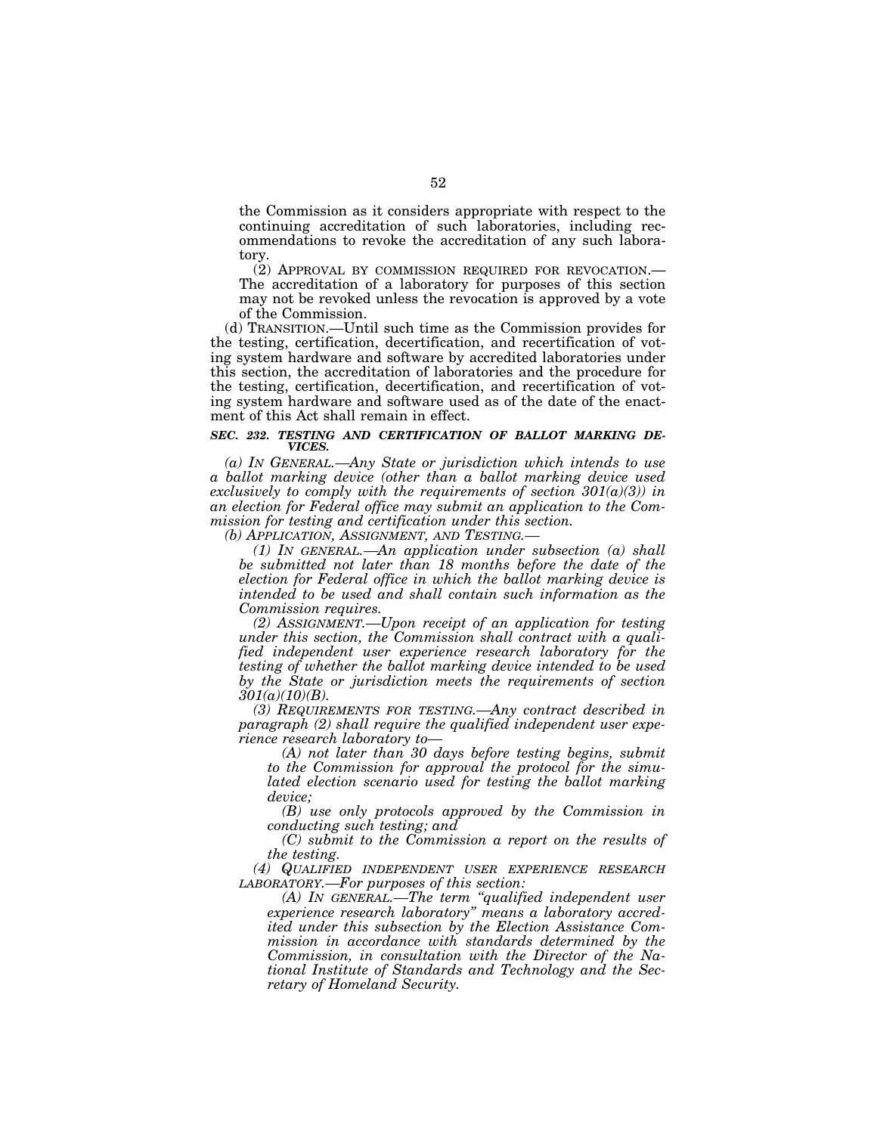the Commission as it considers appropriate with respect to the continuing accreditation of such laboratories, including recommendations to revoke the accreditation of any such laboratory.

(2) APPROVAL BY COMMISSION REQUIRED FOR REVOCATION.— The accreditation of a laboratory for purposes of this section may not be revoked unless the revocation is approved by a vote of the Commission.

(d) TRANSITION.—Until such time as the Commission provides for the testing, certification, decertification, and recertification of voting system hardware and software by accredited laboratories under this section, the accreditation of laboratories and the procedure for the testing, certification, decertification, and recertification of voting system hardware and software used as of the date of the enactment of this Act shall remain in effect.

### *SEC. 232. TESTING AND CERTIFICATION OF BALLOT MARKING DE-VICES.*

*(a) IN GENERAL.—Any State or jurisdiction which intends to use a ballot marking device (other than a ballot marking device used*  exclusively to comply with the requirements of section  $301(a)(3)$  in *an election for Federal office may submit an application to the Commission for testing and certification under this section.* 

*(b) APPLICATION, ASSIGNMENT, AND TESTING.—* 

*(1) IN GENERAL.—An application under subsection (a) shall be submitted not later than 18 months before the date of the election for Federal office in which the ballot marking device is intended to be used and shall contain such information as the Commission requires.* 

*(2) ASSIGNMENT.—Upon receipt of an application for testing under this section, the Commission shall contract with a qualified independent user experience research laboratory for the testing of whether the ballot marking device intended to be used by the State or jurisdiction meets the requirements of section 301(a)(10)(B).* 

*(3) REQUIREMENTS FOR TESTING.—Any contract described in paragraph (2) shall require the qualified independent user experience research laboratory to—* 

*(A) not later than 30 days before testing begins, submit to the Commission for approval the protocol for the simulated election scenario used for testing the ballot marking device;* 

*(B) use only protocols approved by the Commission in conducting such testing; and* 

*(C) submit to the Commission a report on the results of the testing.* 

*(4) QUALIFIED INDEPENDENT USER EXPERIENCE RESEARCH LABORATORY.—For purposes of this section:* 

*(A) IN GENERAL.—The term ''qualified independent user experience research laboratory'' means a laboratory accredited under this subsection by the Election Assistance Commission in accordance with standards determined by the Commission, in consultation with the Director of the National Institute of Standards and Technology and the Secretary of Homeland Security.*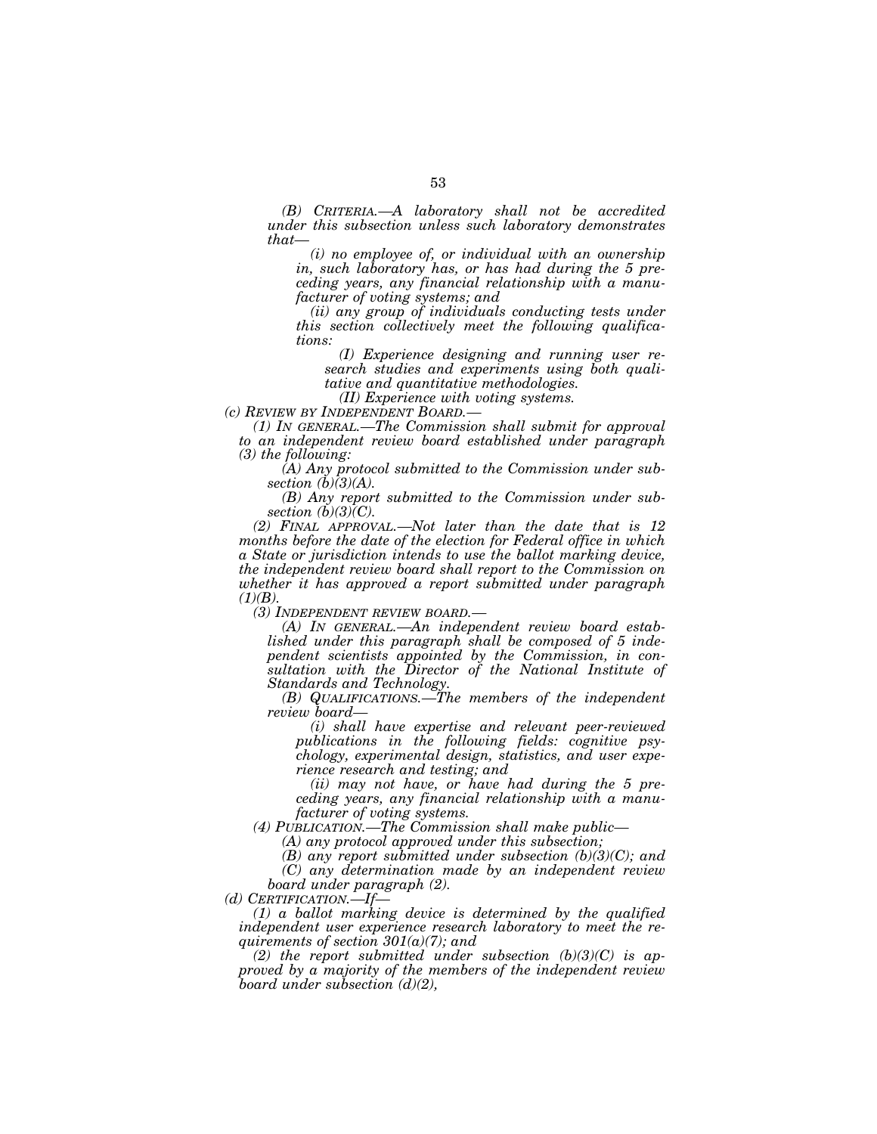*(B) CRITERIA.—A laboratory shall not be accredited under this subsection unless such laboratory demonstrates that—* 

*(i) no employee of, or individual with an ownership in, such laboratory has, or has had during the 5 preceding years, any financial relationship with a manufacturer of voting systems; and* 

*(ii) any group of individuals conducting tests under this section collectively meet the following qualifications:* 

*(I) Experience designing and running user research studies and experiments using both qualitative and quantitative methodologies.* 

*(II) Experience with voting systems.* 

*(c) REVIEW BY INDEPENDENT BOARD.—* 

*(1) IN GENERAL.—The Commission shall submit for approval to an independent review board established under paragraph (3) the following:* 

*(A) Any protocol submitted to the Commission under subsection (b)(3)(A).* 

*(B) Any report submitted to the Commission under subsection (b)(3)(C).* 

*(2) FINAL APPROVAL.—Not later than the date that is 12 months before the date of the election for Federal office in which a State or jurisdiction intends to use the ballot marking device, the independent review board shall report to the Commission on whether it has approved a report submitted under paragraph*   $(1)(B)$ .

*(3) INDEPENDENT REVIEW BOARD.—* 

*(A) IN GENERAL.—An independent review board established under this paragraph shall be composed of 5 independent scientists appointed by the Commission, in consultation with the Director of the National Institute of Standards and Technology.* 

*(B) QUALIFICATIONS.—The members of the independent review board—* 

*(i) shall have expertise and relevant peer-reviewed publications in the following fields: cognitive psychology, experimental design, statistics, and user experience research and testing; and* 

*(ii) may not have, or have had during the 5 preceding years, any financial relationship with a manufacturer of voting systems.* 

*(4) PUBLICATION.—The Commission shall make public—* 

*(A) any protocol approved under this subsection;* 

*(B) any report submitted under subsection (b)(3)(C); and* 

*(C) any determination made by an independent review board under paragraph (2).* 

*(d) CERTIFICATION.—If—* 

*(1) a ballot marking device is determined by the qualified independent user experience research laboratory to meet the requirements of section 301(a)(7); and* 

*(2) the report submitted under subsection (b)(3)(C) is approved by a majority of the members of the independent review board under subsection (d)(2),*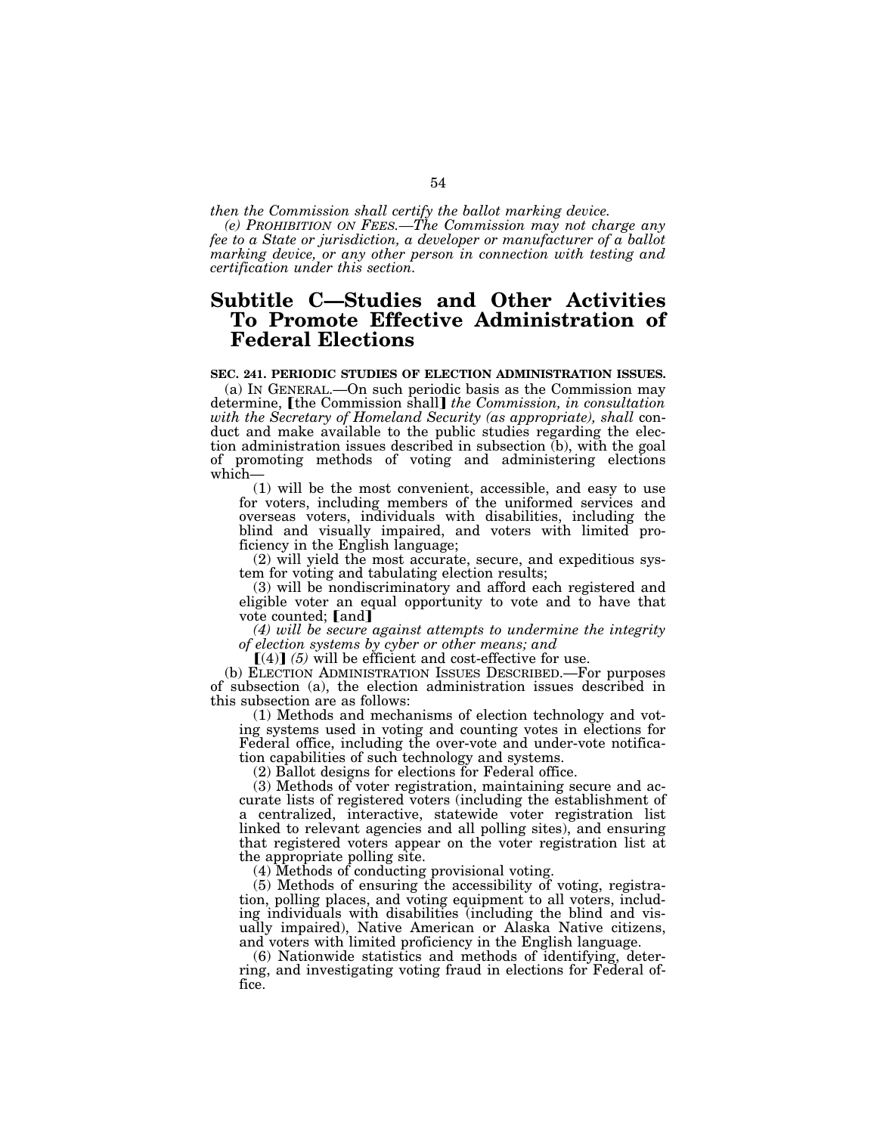*then the Commission shall certify the ballot marking device.* 

*(e) PROHIBITION ON FEES.—The Commission may not charge any fee to a State or jurisdiction, a developer or manufacturer of a ballot marking device, or any other person in connection with testing and certification under this section.* 

# **Subtitle C—Studies and Other Activities To Promote Effective Administration of Federal Elections**

### **SEC. 241. PERIODIC STUDIES OF ELECTION ADMINISTRATION ISSUES.**

(a) IN GENERAL.—On such periodic basis as the Commission may determine, **[the Commission shall]** the Commission, in consultation *with the Secretary of Homeland Security (as appropriate), shall* conduct and make available to the public studies regarding the election administration issues described in subsection (b), with the goal of promoting methods of voting and administering elections which—

(1) will be the most convenient, accessible, and easy to use for voters, including members of the uniformed services and overseas voters, individuals with disabilities, including the blind and visually impaired, and voters with limited proficiency in the English language;

(2) will yield the most accurate, secure, and expeditious system for voting and tabulating election results;

(3) will be nondiscriminatory and afford each registered and eligible voter an equal opportunity to vote and to have that vote counted; [and]

*(4) will be secure against attempts to undermine the integrity of election systems by cyber or other means; and* 

 $(4)$  (5) will be efficient and cost-effective for use.

(b) ELECTION ADMINISTRATION ISSUES DESCRIBED.—For purposes of subsection (a), the election administration issues described in this subsection are as follows:

(1) Methods and mechanisms of election technology and voting systems used in voting and counting votes in elections for Federal office, including the over-vote and under-vote notification capabilities of such technology and systems.

(2) Ballot designs for elections for Federal office.

 $(3)$  Methods of voter registration, maintaining secure and accurate lists of registered voters (including the establishment of a centralized, interactive, statewide voter registration list linked to relevant agencies and all polling sites), and ensuring that registered voters appear on the voter registration list at the appropriate polling site.

(4) Methods of conducting provisional voting.

(5) Methods of ensuring the accessibility of voting, registration, polling places, and voting equipment to all voters, including individuals with disabilities (including the blind and visually impaired), Native American or Alaska Native citizens, and voters with limited proficiency in the English language.

(6) Nationwide statistics and methods of identifying, deterring, and investigating voting fraud in elections for Federal office.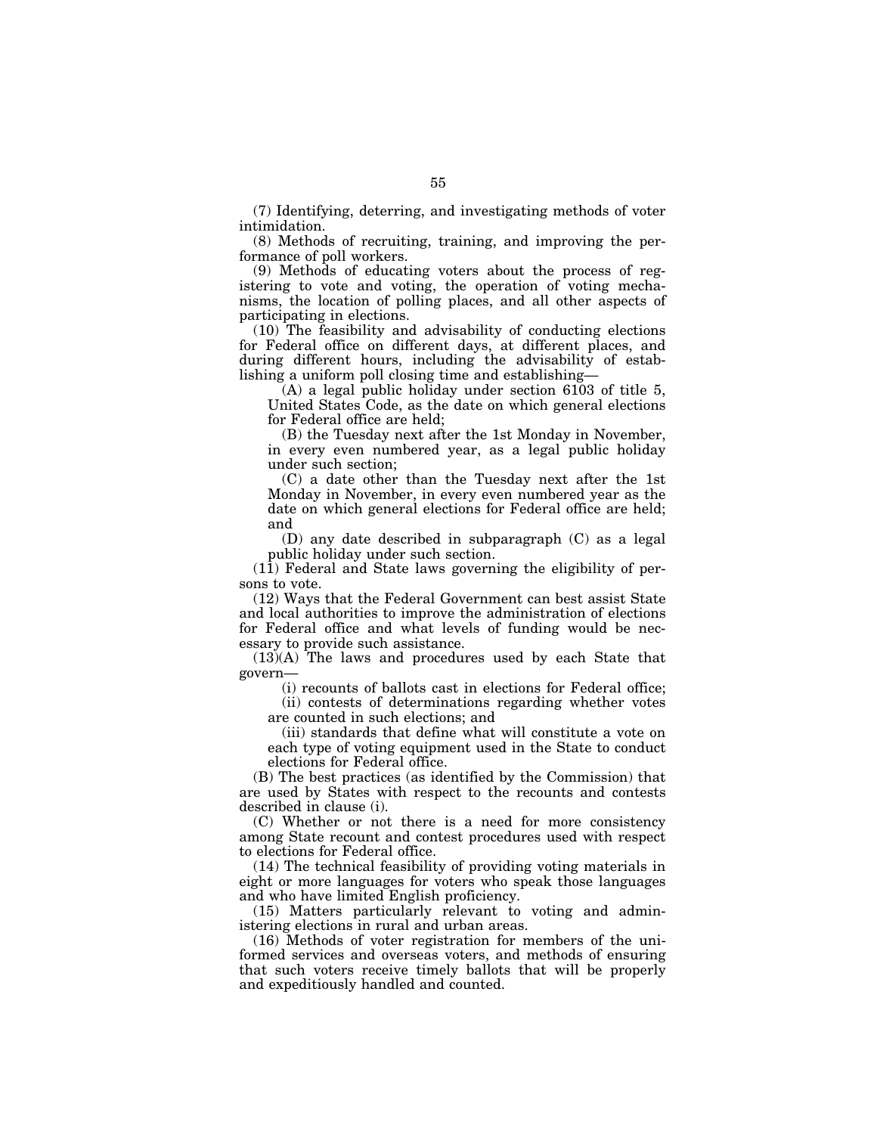(7) Identifying, deterring, and investigating methods of voter intimidation.

(8) Methods of recruiting, training, and improving the performance of poll workers.

(9) Methods of educating voters about the process of registering to vote and voting, the operation of voting mechanisms, the location of polling places, and all other aspects of participating in elections.

(10) The feasibility and advisability of conducting elections for Federal office on different days, at different places, and during different hours, including the advisability of establishing a uniform poll closing time and establishing—

(A) a legal public holiday under section 6103 of title 5, United States Code, as the date on which general elections for Federal office are held;

(B) the Tuesday next after the 1st Monday in November, in every even numbered year, as a legal public holiday under such section;

(C) a date other than the Tuesday next after the 1st Monday in November, in every even numbered year as the date on which general elections for Federal office are held; and

(D) any date described in subparagraph (C) as a legal public holiday under such section.

(11) Federal and State laws governing the eligibility of persons to vote.

(12) Ways that the Federal Government can best assist State and local authorities to improve the administration of elections for Federal office and what levels of funding would be necessary to provide such assistance.

 $(13)(A)$  The laws and procedures used by each State that govern—

(i) recounts of ballots cast in elections for Federal office;

(ii) contests of determinations regarding whether votes are counted in such elections; and

(iii) standards that define what will constitute a vote on each type of voting equipment used in the State to conduct elections for Federal office.

(B) The best practices (as identified by the Commission) that are used by States with respect to the recounts and contests described in clause (i).

(C) Whether or not there is a need for more consistency among State recount and contest procedures used with respect to elections for Federal office.

(14) The technical feasibility of providing voting materials in eight or more languages for voters who speak those languages and who have limited English proficiency.

(15) Matters particularly relevant to voting and administering elections in rural and urban areas.

(16) Methods of voter registration for members of the uniformed services and overseas voters, and methods of ensuring that such voters receive timely ballots that will be properly and expeditiously handled and counted.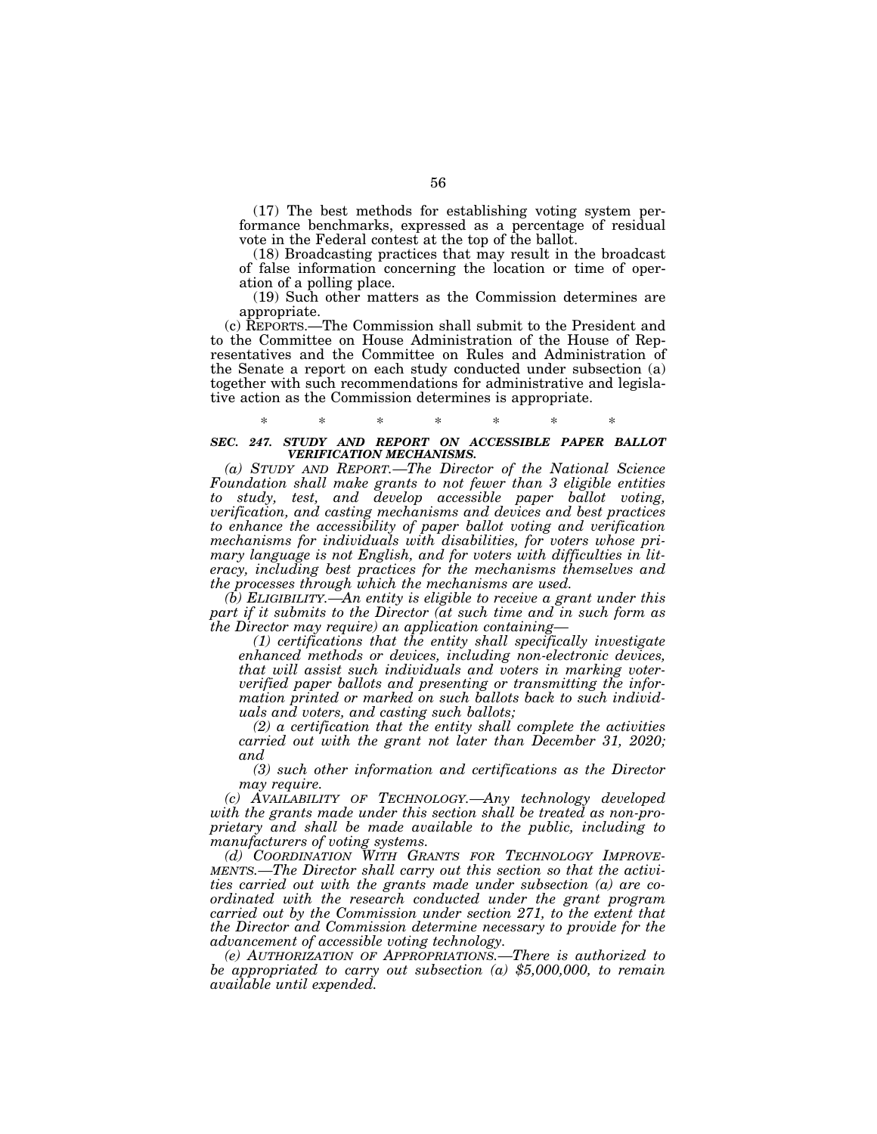(17) The best methods for establishing voting system performance benchmarks, expressed as a percentage of residual vote in the Federal contest at the top of the ballot.

(18) Broadcasting practices that may result in the broadcast of false information concerning the location or time of operation of a polling place.

(19) Such other matters as the Commission determines are appropriate.

(c) REPORTS.—The Commission shall submit to the President and to the Committee on House Administration of the House of Representatives and the Committee on Rules and Administration of the Senate a report on each study conducted under subsection (a) together with such recommendations for administrative and legislative action as the Commission determines is appropriate.

### \* \* \* \* \* \* \* *SEC. 247. STUDY AND REPORT ON ACCESSIBLE PAPER BALLOT VERIFICATION MECHANISMS.*

*(a) STUDY AND REPORT.—The Director of the National Science Foundation shall make grants to not fewer than 3 eligible entities to study, test, and develop accessible paper ballot voting, verification, and casting mechanisms and devices and best practices to enhance the accessibility of paper ballot voting and verification mechanisms for individuals with disabilities, for voters whose primary language is not English, and for voters with difficulties in literacy, including best practices for the mechanisms themselves and the processes through which the mechanisms are used.* 

*(b) ELIGIBILITY.—An entity is eligible to receive a grant under this part if it submits to the Director (at such time and in such form as the Director may require) an application containing—* 

*(1) certifications that the entity shall specifically investigate enhanced methods or devices, including non-electronic devices, that will assist such individuals and voters in marking voterverified paper ballots and presenting or transmitting the information printed or marked on such ballots back to such individuals and voters, and casting such ballots;* 

*(2) a certification that the entity shall complete the activities carried out with the grant not later than December 31, 2020; and* 

*(3) such other information and certifications as the Director may require.* 

*(c) AVAILABILITY OF TECHNOLOGY.—Any technology developed with the grants made under this section shall be treated as non-proprietary and shall be made available to the public, including to manufacturers of voting systems.* 

*(d) COORDINATION WITH GRANTS FOR TECHNOLOGY IMPROVE-MENTS.—The Director shall carry out this section so that the activities carried out with the grants made under subsection (a) are coordinated with the research conducted under the grant program carried out by the Commission under section 271, to the extent that the Director and Commission determine necessary to provide for the advancement of accessible voting technology.* 

*(e) AUTHORIZATION OF APPROPRIATIONS.—There is authorized to be appropriated to carry out subsection (a) \$5,000,000, to remain available until expended.*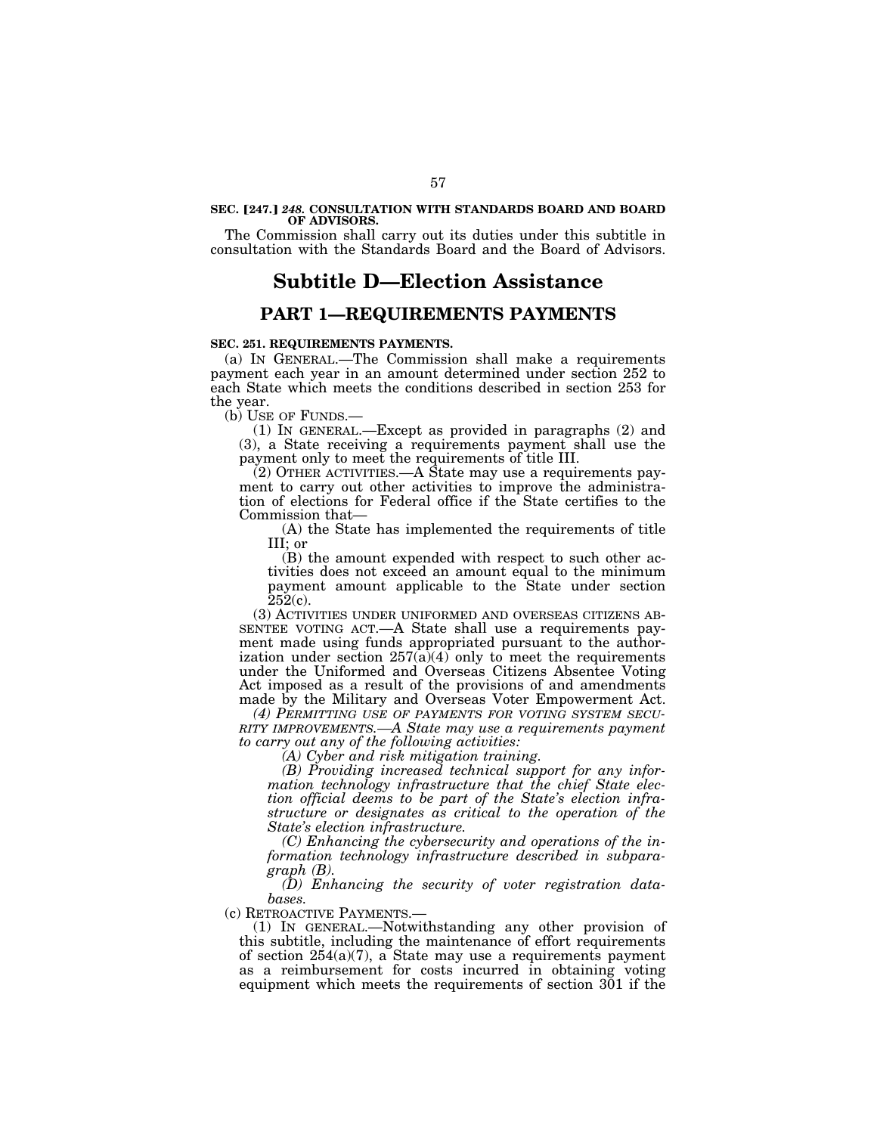# **SEC. [247.] 248. CONSULTATION WITH STANDARDS BOARD AND BOARD OF ADVISORS.**

The Commission shall carry out its duties under this subtitle in consultation with the Standards Board and the Board of Advisors.

# **Subtitle D—Election Assistance**

# **PART 1—REQUIREMENTS PAYMENTS**

### **SEC. 251. REQUIREMENTS PAYMENTS.**

(a) IN GENERAL.—The Commission shall make a requirements payment each year in an amount determined under section 252 to each State which meets the conditions described in section 253 for the year.<br>(b) USE OF FUNDS.—

(1) IN GENERAL.—Except as provided in paragraphs  $(2)$  and (3), a State receiving a requirements payment shall use the payment only to meet the requirements of title III.

(2) OTHER ACTIVITIES.—A State may use a requirements payment to carry out other activities to improve the administration of elections for Federal office if the State certifies to the Commission that—

(A) the State has implemented the requirements of title III; or

(B) the amount expended with respect to such other activities does not exceed an amount equal to the minimum payment amount applicable to the State under section  $252(c)$ .

(3) ACTIVITIES UNDER UNIFORMED AND OVERSEAS CITIZENS AB- SENTEE VOTING ACT.—A State shall use a requirements payment made using funds appropriated pursuant to the authorization under section  $257(a)(4)$  only to meet the requirements under the Uniformed and Overseas Citizens Absentee Voting Act imposed as a result of the provisions of and amendments made by the Military and Overseas Voter Empowerment Act. (4) PERMITTING USE OF PAYMENTS FOR VOTING SYSTEM SECU-

*(4) PERMITTING USE OF PAYMENTS FOR VOTING SYSTEM SECU- RITY IMPROVEMENTS.—A State may use a requirements payment to carry out any of the following activities:* 

*(A) Cyber and risk mitigation training.* 

*(B) Providing increased technical support for any information technology infrastructure that the chief State election official deems to be part of the State's election infrastructure or designates as critical to the operation of the State's election infrastructure.* 

*(C) Enhancing the cybersecurity and operations of the information technology infrastructure described in subparagraph (B).* 

*(D) Enhancing the security of voter registration databases.* 

(c) RETROACTIVE PAYMENTS.—

(1) IN GENERAL.—Notwithstanding any other provision of this subtitle, including the maintenance of effort requirements of section  $254(a)(7)$ , a State may use a requirements payment as a reimbursement for costs incurred in obtaining voting equipment which meets the requirements of section 301 if the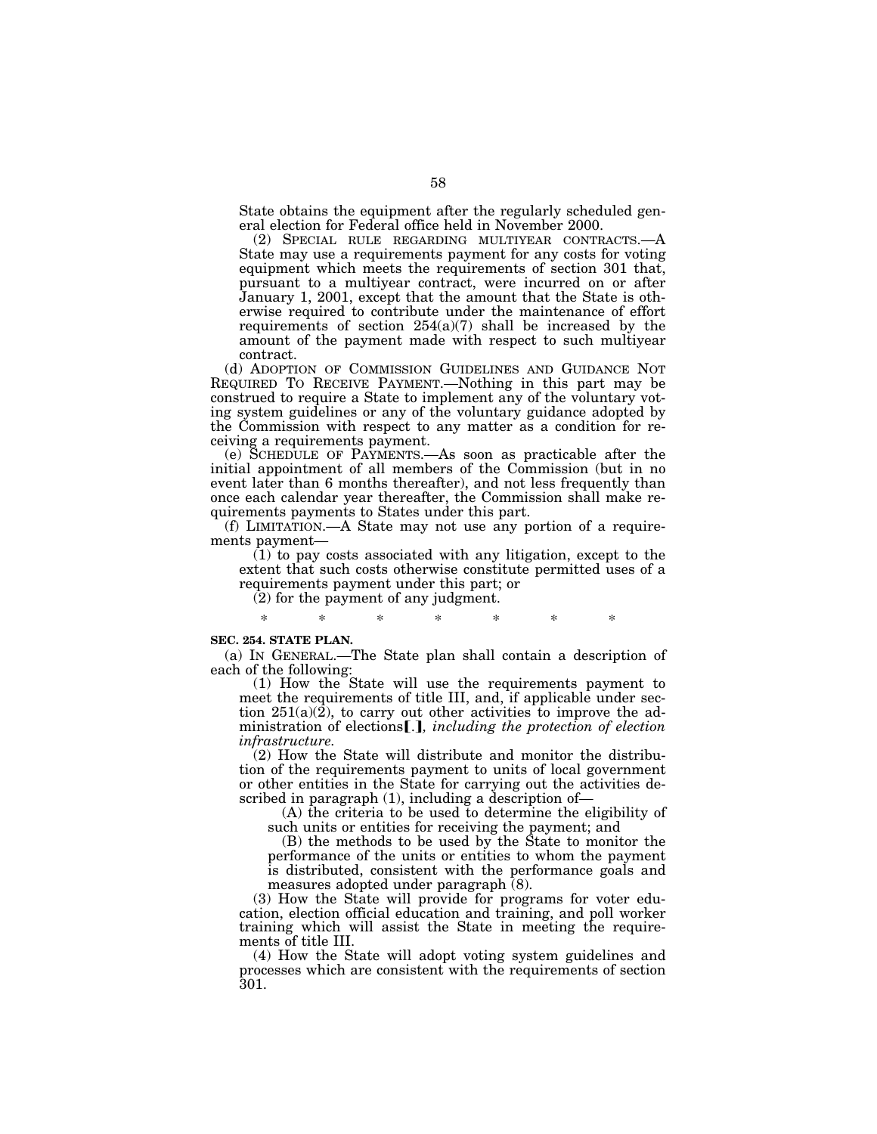State obtains the equipment after the regularly scheduled general election for Federal office held in November 2000.

(2) SPECIAL RULE REGARDING MULTIYEAR CONTRACTS.—A State may use a requirements payment for any costs for voting equipment which meets the requirements of section 301 that, pursuant to a multiyear contract, were incurred on or after January 1, 2001, except that the amount that the State is otherwise required to contribute under the maintenance of effort requirements of section  $254(a)(7)$  shall be increased by the amount of the payment made with respect to such multiyear contract.

(d) ADOPTION OF COMMISSION GUIDELINES AND GUIDANCE NOT REQUIRED TO RECEIVE PAYMENT.—Nothing in this part may be construed to require a State to implement any of the voluntary voting system guidelines or any of the voluntary guidance adopted by the Commission with respect to any matter as a condition for receiving a requirements payment.

(e) SCHEDULE OF PAYMENTS.—As soon as practicable after the initial appointment of all members of the Commission (but in no event later than 6 months thereafter), and not less frequently than once each calendar year thereafter, the Commission shall make requirements payments to States under this part.

(f) LIMITATION.—A State may not use any portion of a requirements payment—

(1) to pay costs associated with any litigation, except to the extent that such costs otherwise constitute permitted uses of a requirements payment under this part; or

(2) for the payment of any judgment.

\* \* \* \* \* \* \*

### **SEC. 254. STATE PLAN.**

(a) IN GENERAL.—The State plan shall contain a description of each of the following:

(1) How the State will use the requirements payment to meet the requirements of title III, and, if applicable under section 251(a)(2), to carry out other activities to improve the administration of elections [.], *including the protection of election infrastructure.* 

(2) How the State will distribute and monitor the distribution of the requirements payment to units of local government or other entities in the State for carrying out the activities described in paragraph (1), including a description of—

(A) the criteria to be used to determine the eligibility of such units or entities for receiving the payment; and

(B) the methods to be used by the State to monitor the performance of the units or entities to whom the payment is distributed, consistent with the performance goals and measures adopted under paragraph (8).

(3) How the State will provide for programs for voter education, election official education and training, and poll worker training which will assist the State in meeting the requirements of title III.

(4) How the State will adopt voting system guidelines and processes which are consistent with the requirements of section 301.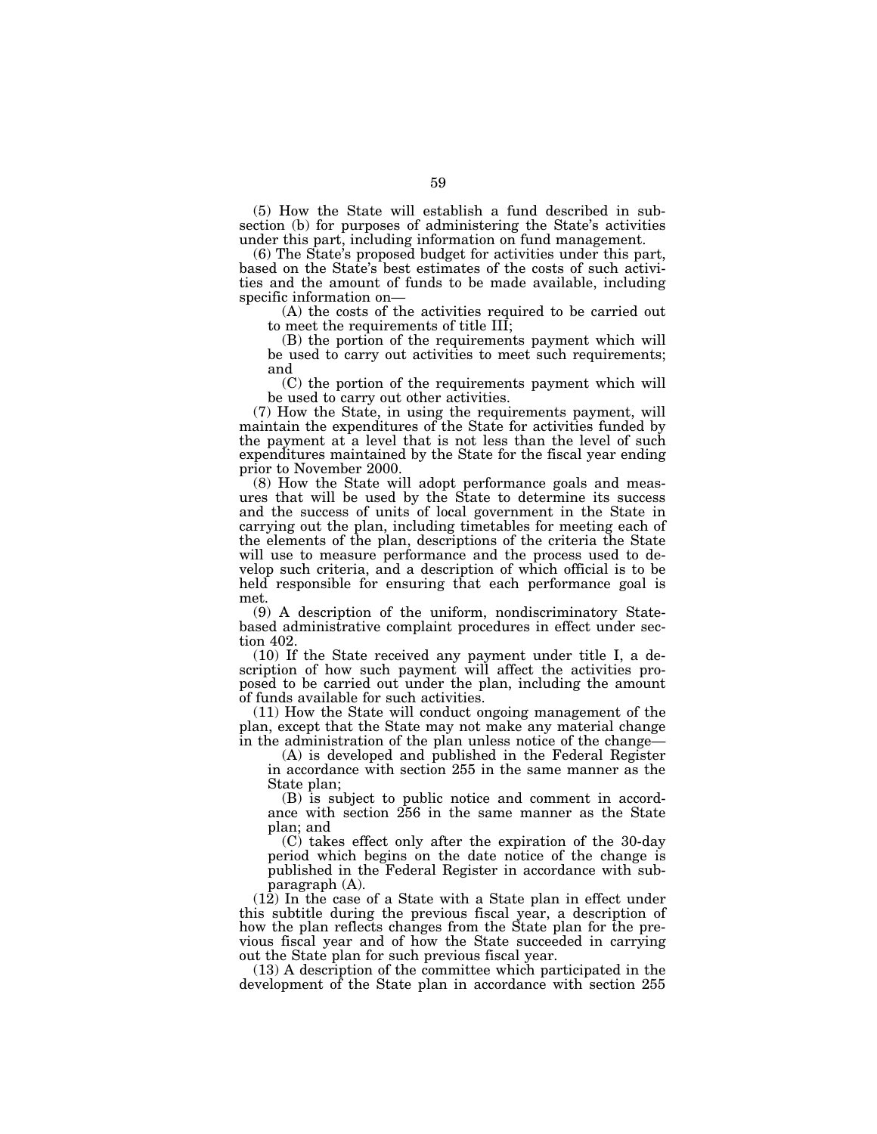(5) How the State will establish a fund described in subsection (b) for purposes of administering the State's activities under this part, including information on fund management.

(6) The State's proposed budget for activities under this part, based on the State's best estimates of the costs of such activities and the amount of funds to be made available, including specific information on—

(A) the costs of the activities required to be carried out to meet the requirements of title III;

(B) the portion of the requirements payment which will be used to carry out activities to meet such requirements; and

(C) the portion of the requirements payment which will be used to carry out other activities.

(7) How the State, in using the requirements payment, will maintain the expenditures of the State for activities funded by the payment at a level that is not less than the level of such expenditures maintained by the State for the fiscal year ending prior to November 2000.

(8) How the State will adopt performance goals and measures that will be used by the State to determine its success and the success of units of local government in the State in carrying out the plan, including timetables for meeting each of the elements of the plan, descriptions of the criteria the State will use to measure performance and the process used to develop such criteria, and a description of which official is to be held responsible for ensuring that each performance goal is met.

(9) A description of the uniform, nondiscriminatory Statebased administrative complaint procedures in effect under section 402.

(10) If the State received any payment under title I, a description of how such payment will affect the activities proposed to be carried out under the plan, including the amount of funds available for such activities.

(11) How the State will conduct ongoing management of the plan, except that the State may not make any material change in the administration of the plan unless notice of the change—

(A) is developed and published in the Federal Register in accordance with section 255 in the same manner as the State plan;

(B) is subject to public notice and comment in accordance with section 256 in the same manner as the State plan; and

(C) takes effect only after the expiration of the 30-day period which begins on the date notice of the change is published in the Federal Register in accordance with subparagraph (A).

(12) In the case of a State with a State plan in effect under this subtitle during the previous fiscal year, a description of how the plan reflects changes from the State plan for the previous fiscal year and of how the State succeeded in carrying out the State plan for such previous fiscal year.

(13) A description of the committee which participated in the development of the State plan in accordance with section 255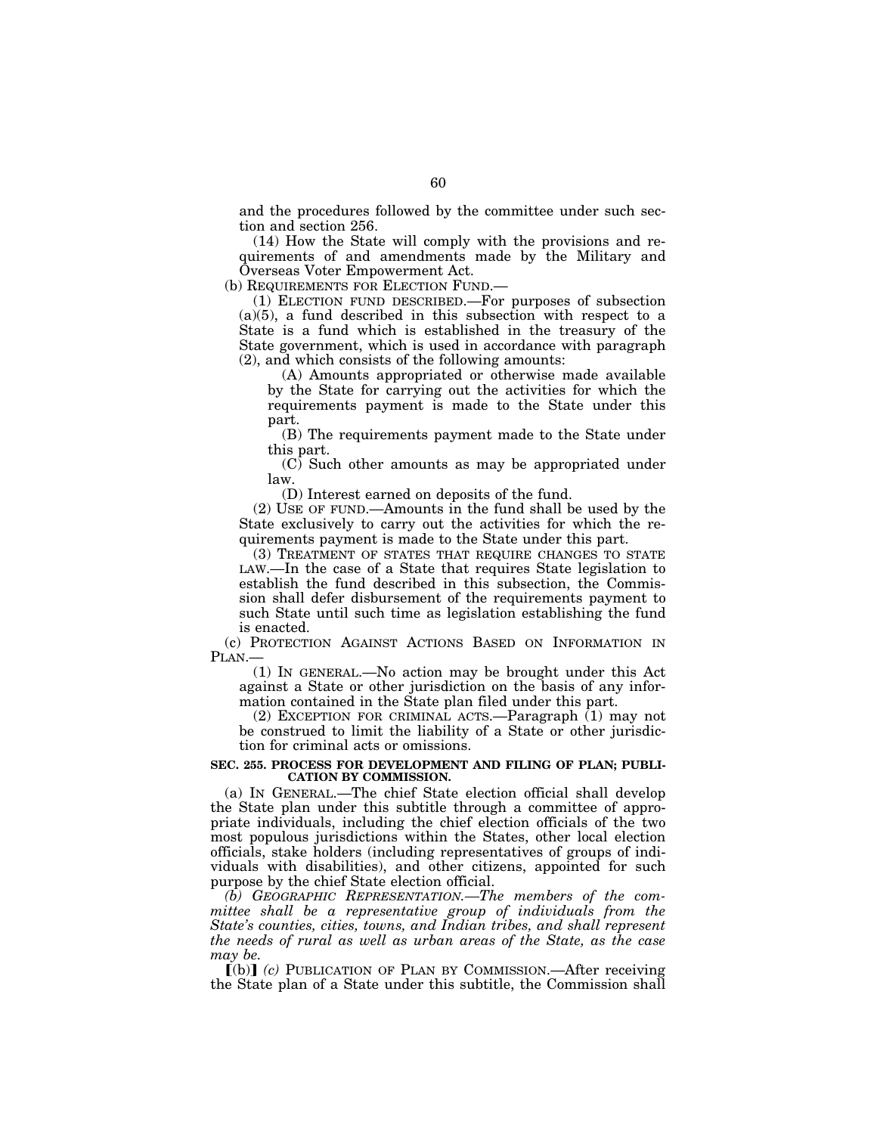and the procedures followed by the committee under such section and section 256.

(14) How the State will comply with the provisions and requirements of and amendments made by the Military and Overseas Voter Empowerment Act.

(b) REQUIREMENTS FOR ELECTION FUND.—

(1) ELECTION FUND DESCRIBED.—For purposes of subsection  $(a)(5)$ , a fund described in this subsection with respect to a State is a fund which is established in the treasury of the State government, which is used in accordance with paragraph (2), and which consists of the following amounts:

(A) Amounts appropriated or otherwise made available by the State for carrying out the activities for which the requirements payment is made to the State under this part.

(B) The requirements payment made to the State under this part.

(C) Such other amounts as may be appropriated under law.

(D) Interest earned on deposits of the fund.

(2) USE OF FUND.—Amounts in the fund shall be used by the State exclusively to carry out the activities for which the requirements payment is made to the State under this part.

(3) TREATMENT OF STATES THAT REQUIRE CHANGES TO STATE LAW.—In the case of a State that requires State legislation to establish the fund described in this subsection, the Commission shall defer disbursement of the requirements payment to such State until such time as legislation establishing the fund is enacted.

(c) PROTECTION AGAINST ACTIONS BASED ON INFORMATION IN PLAN.—

(1) IN GENERAL.—No action may be brought under this Act against a State or other jurisdiction on the basis of any information contained in the State plan filed under this part.

(2) EXCEPTION FOR CRIMINAL ACTS.—Paragraph (1) may not be construed to limit the liability of a State or other jurisdiction for criminal acts or omissions.

### **SEC. 255. PROCESS FOR DEVELOPMENT AND FILING OF PLAN; PUBLI-CATION BY COMMISSION.**

(a) IN GENERAL.—The chief State election official shall develop the State plan under this subtitle through a committee of appropriate individuals, including the chief election officials of the two most populous jurisdictions within the States, other local election officials, stake holders (including representatives of groups of individuals with disabilities), and other citizens, appointed for such purpose by the chief State election official.

*(b) GEOGRAPHIC REPRESENTATION.—The members of the committee shall be a representative group of individuals from the State's counties, cities, towns, and Indian tribes, and shall represent the needs of rural as well as urban areas of the State, as the case may be.* 

[(b)] (c) PUBLICATION OF PLAN BY COMMISSION.—After receiving the State plan of a State under this subtitle, the Commission shall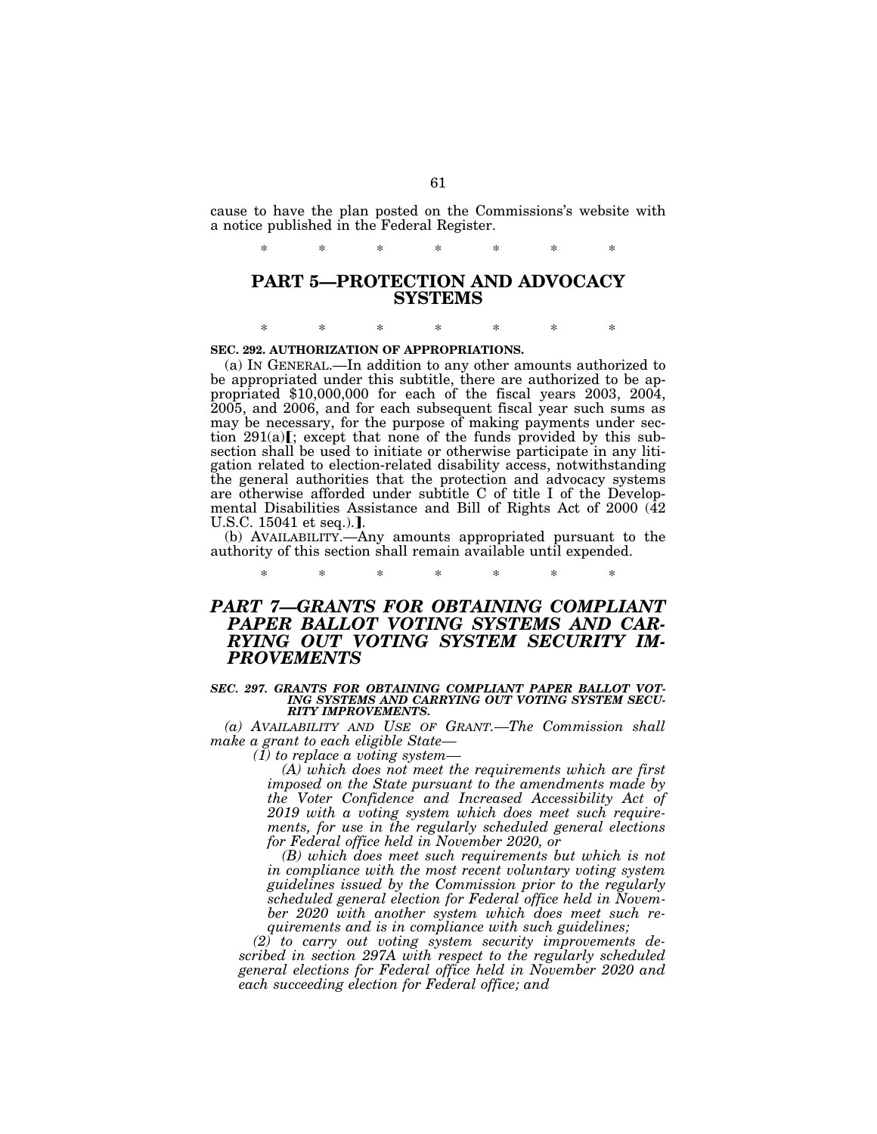cause to have the plan posted on the Commissions's website with a notice published in the Federal Register.

\* \* \* \* \* \* \*

# **PART 5—PROTECTION AND ADVOCACY SYSTEMS**

\* \* \* \* \* \* \*

#### **SEC. 292. AUTHORIZATION OF APPROPRIATIONS.**

(a) IN GENERAL.—In addition to any other amounts authorized to be appropriated under this subtitle, there are authorized to be appropriated \$10,000,000 for each of the fiscal years 2003, 2004, 2005, and 2006, and for each subsequent fiscal year such sums as may be necessary, for the purpose of making payments under section 291(a)[; except that none of the funds provided by this subsection shall be used to initiate or otherwise participate in any litigation related to election-related disability access, notwithstanding the general authorities that the protection and advocacy systems are otherwise afforded under subtitle C of title I of the Developmental Disabilities Assistance and Bill of Rights Act of 2000 (42 U.S.C. 15041 et seq.).*J.* 

(b) AVAILABILITY.—Any amounts appropriated pursuant to the authority of this section shall remain available until expended.

\* \* \* \* \* \* \*

# *PART 7—GRANTS FOR OBTAINING COMPLIANT PAPER BALLOT VOTING SYSTEMS AND CAR-RYING OUT VOTING SYSTEM SECURITY IM-PROVEMENTS*

#### *SEC. 297. GRANTS FOR OBTAINING COMPLIANT PAPER BALLOT VOT-ING SYSTEMS AND CARRYING OUT VOTING SYSTEM SECU-RITY IMPROVEMENTS.*

*(a) AVAILABILITY AND USE OF GRANT.—The Commission shall make a grant to each eligible State—* 

*(1) to replace a voting system—* 

*(A) which does not meet the requirements which are first imposed on the State pursuant to the amendments made by the Voter Confidence and Increased Accessibility Act of 2019 with a voting system which does meet such requirements, for use in the regularly scheduled general elections for Federal office held in November 2020, or* 

*(B) which does meet such requirements but which is not in compliance with the most recent voluntary voting system guidelines issued by the Commission prior to the regularly scheduled general election for Federal office held in November 2020 with another system which does meet such requirements and is in compliance with such guidelines;* 

*(2) to carry out voting system security improvements described in section 297A with respect to the regularly scheduled general elections for Federal office held in November 2020 and each succeeding election for Federal office; and*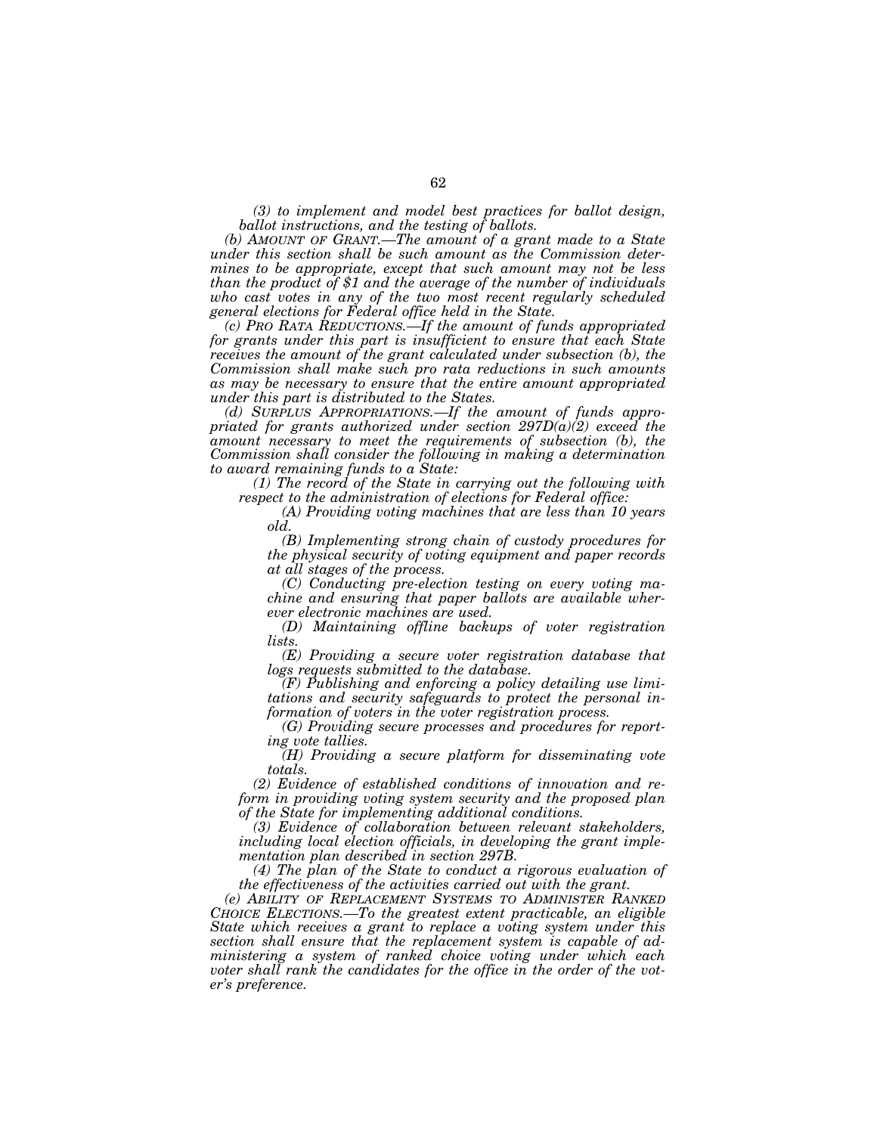*(3) to implement and model best practices for ballot design, ballot instructions, and the testing of ballots.* 

*(b) AMOUNT OF GRANT.—The amount of a grant made to a State under this section shall be such amount as the Commission determines to be appropriate, except that such amount may not be less than the product of \$1 and the average of the number of individuals who cast votes in any of the two most recent regularly scheduled general elections for Federal office held in the State.* 

*(c) PRO RATA REDUCTIONS.—If the amount of funds appropriated for grants under this part is insufficient to ensure that each State receives the amount of the grant calculated under subsection (b), the Commission shall make such pro rata reductions in such amounts as may be necessary to ensure that the entire amount appropriated under this part is distributed to the States.* 

*(d) SURPLUS APPROPRIATIONS.—If the amount of funds appropriated for grants authorized under section 297D(a)(2) exceed the amount necessary to meet the requirements of subsection (b), the Commission shall consider the following in making a determination to award remaining funds to a State:* 

*(1) The record of the State in carrying out the following with respect to the administration of elections for Federal office:* 

*(A) Providing voting machines that are less than 10 years old.* 

*(B) Implementing strong chain of custody procedures for the physical security of voting equipment and paper records at all stages of the process.* 

*(C) Conducting pre-election testing on every voting machine and ensuring that paper ballots are available wherever electronic machines are used.* 

*(D) Maintaining offline backups of voter registration lists.* 

*(E) Providing a secure voter registration database that logs requests submitted to the database.* 

*(F) Publishing and enforcing a policy detailing use limitations and security safeguards to protect the personal information of voters in the voter registration process.* 

*(G) Providing secure processes and procedures for reporting vote tallies.* 

*(H) Providing a secure platform for disseminating vote totals.* 

*(2) Evidence of established conditions of innovation and reform in providing voting system security and the proposed plan of the State for implementing additional conditions.* 

*(3) Evidence of collaboration between relevant stakeholders, including local election officials, in developing the grant implementation plan described in section 297B.* 

*(4) The plan of the State to conduct a rigorous evaluation of the effectiveness of the activities carried out with the grant.* 

*(e) ABILITY OF REPLACEMENT SYSTEMS TO ADMINISTER RANKED CHOICE ELECTIONS.—To the greatest extent practicable, an eligible State which receives a grant to replace a voting system under this section shall ensure that the replacement system is capable of administering a system of ranked choice voting under which each voter shall rank the candidates for the office in the order of the voter's preference.*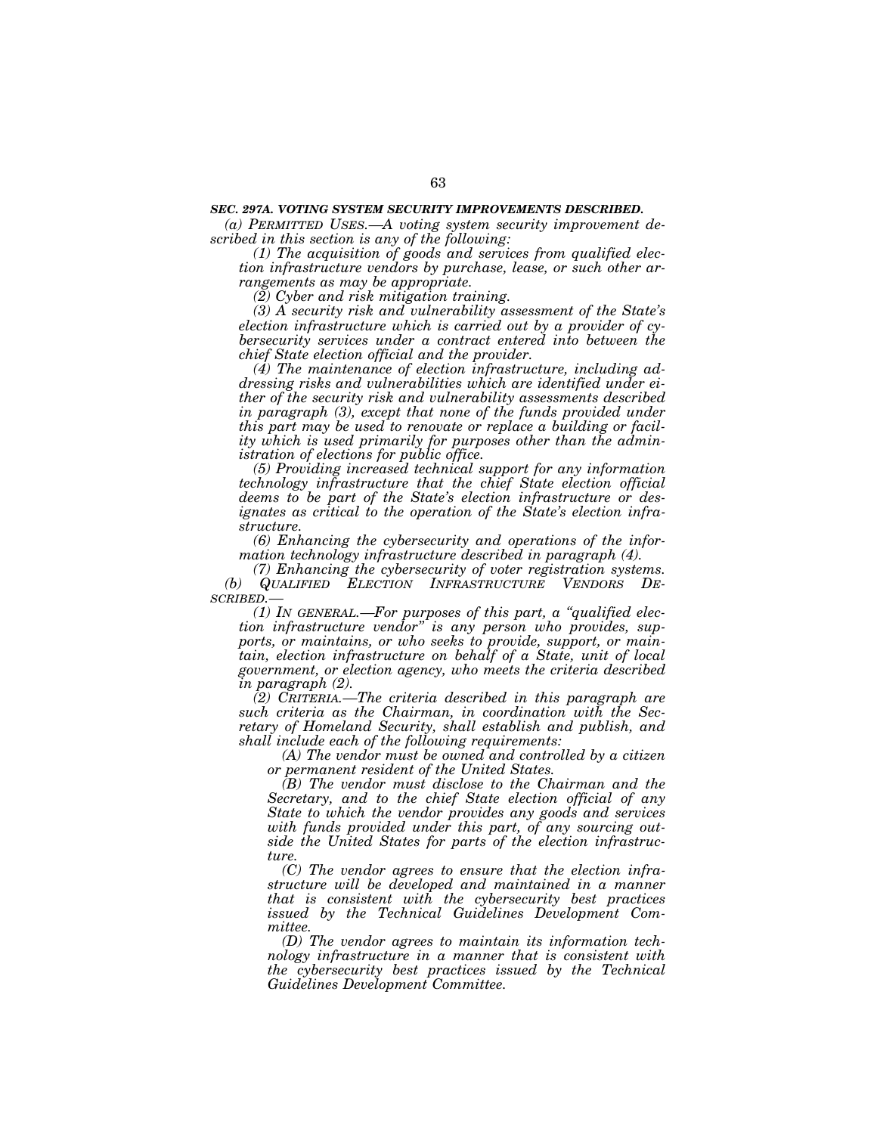### *SEC. 297A. VOTING SYSTEM SECURITY IMPROVEMENTS DESCRIBED.*

*(a) PERMITTED USES.—A voting system security improvement described in this section is any of the following:* 

*(1) The acquisition of goods and services from qualified election infrastructure vendors by purchase, lease, or such other arrangements as may be appropriate.* 

*(2) Cyber and risk mitigation training.* 

*(3) A security risk and vulnerability assessment of the State's election infrastructure which is carried out by a provider of cybersecurity services under a contract entered into between the chief State election official and the provider.* 

*(4) The maintenance of election infrastructure, including addressing risks and vulnerabilities which are identified under either of the security risk and vulnerability assessments described*  in paragraph (3), except that none of the funds provided under *this part may be used to renovate or replace a building or facility which is used primarily for purposes other than the administration of elections for public office.* 

*(5) Providing increased technical support for any information technology infrastructure that the chief State election official deems to be part of the State's election infrastructure or designates as critical to the operation of the State's election infrastructure.* 

*(6) Enhancing the cybersecurity and operations of the information technology infrastructure described in paragraph (4).* 

*(7) Enhancing the cybersecurity of voter registration systems. (b) QUALIFIED ELECTION INFRASTRUCTURE VENDORS DE-SCRIBED.—* 

*(1) IN GENERAL.—For purposes of this part, a ''qualified election infrastructure vendor'' is any person who provides, supports, or maintains, or who seeks to provide, support, or maintain, election infrastructure on behalf of a State, unit of local government, or election agency, who meets the criteria described in paragraph (2).* 

*(2) CRITERIA.—The criteria described in this paragraph are such criteria as the Chairman, in coordination with the Secretary of Homeland Security, shall establish and publish, and shall include each of the following requirements:* 

*(A) The vendor must be owned and controlled by a citizen or permanent resident of the United States.* 

*(B) The vendor must disclose to the Chairman and the Secretary, and to the chief State election official of any State to which the vendor provides any goods and services with funds provided under this part, of any sourcing outside the United States for parts of the election infrastructure.* 

*(C) The vendor agrees to ensure that the election infrastructure will be developed and maintained in a manner that is consistent with the cybersecurity best practices issued by the Technical Guidelines Development Committee.* 

*(D) The vendor agrees to maintain its information technology infrastructure in a manner that is consistent with the cybersecurity best practices issued by the Technical Guidelines Development Committee.*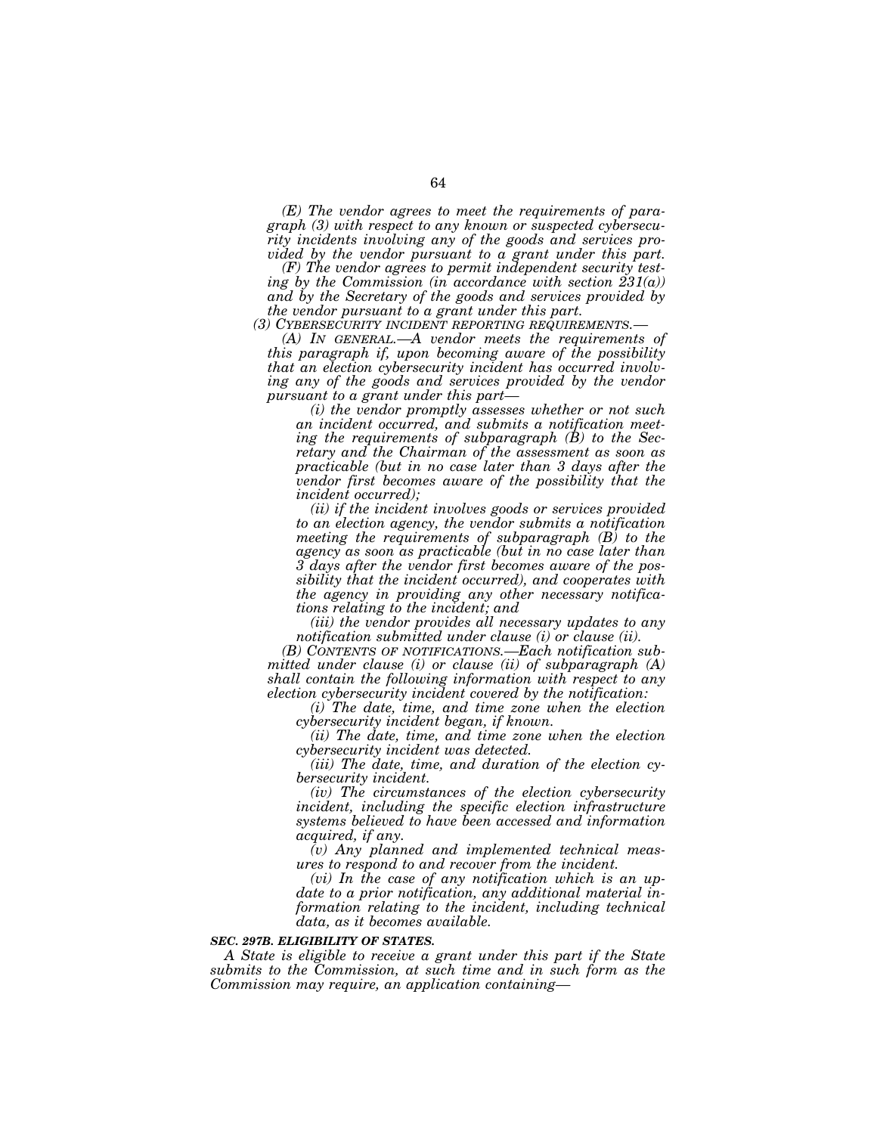*(E) The vendor agrees to meet the requirements of paragraph (3) with respect to any known or suspected cybersecurity incidents involving any of the goods and services provided by the vendor pursuant to a grant under this part.* 

*(F) The vendor agrees to permit independent security testing by the Commission (in accordance with section 231(a)) and by the Secretary of the goods and services provided by the vendor pursuant to a grant under this part.* 

*(3) CYBERSECURITY INCIDENT REPORTING REQUIREMENTS.— (A) IN GENERAL.—A vendor meets the requirements of* 

*this paragraph if, upon becoming aware of the possibility that an election cybersecurity incident has occurred involving any of the goods and services provided by the vendor pursuant to a grant under this part—* 

*(i) the vendor promptly assesses whether or not such an incident occurred, and submits a notification meeting the requirements of subparagraph (B) to the Secretary and the Chairman of the assessment as soon as practicable (but in no case later than 3 days after the vendor first becomes aware of the possibility that the incident occurred);* 

*(ii) if the incident involves goods or services provided to an election agency, the vendor submits a notification meeting the requirements of subparagraph (B) to the agency as soon as practicable (but in no case later than 3 days after the vendor first becomes aware of the possibility that the incident occurred), and cooperates with the agency in providing any other necessary notifications relating to the incident; and* 

*(iii) the vendor provides all necessary updates to any notification submitted under clause (i) or clause (ii).* 

*(B) CONTENTS OF NOTIFICATIONS.—Each notification submitted under clause (i) or clause (ii) of subparagraph (A) shall contain the following information with respect to any election cybersecurity incident covered by the notification:* 

*(i) The date, time, and time zone when the election cybersecurity incident began, if known.* 

*(ii) The date, time, and time zone when the election cybersecurity incident was detected.* 

*(iii) The date, time, and duration of the election cybersecurity incident.* 

*(iv) The circumstances of the election cybersecurity incident, including the specific election infrastructure systems believed to have been accessed and information acquired, if any.* 

*(v) Any planned and implemented technical measures to respond to and recover from the incident.* 

*(vi) In the case of any notification which is an update to a prior notification, any additional material information relating to the incident, including technical data, as it becomes available.* 

### *SEC. 297B. ELIGIBILITY OF STATES.*

*A State is eligible to receive a grant under this part if the State submits to the Commission, at such time and in such form as the Commission may require, an application containing—*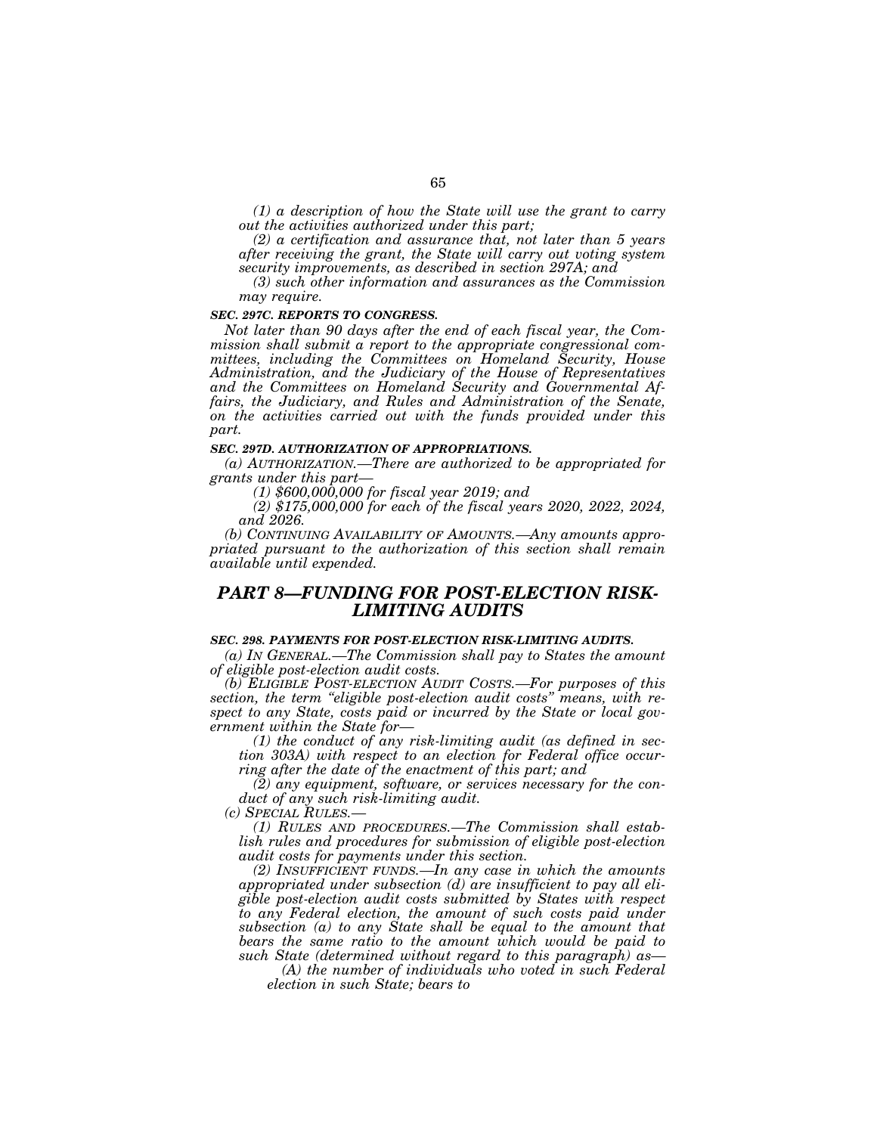*(1) a description of how the State will use the grant to carry out the activities authorized under this part;* 

*(2) a certification and assurance that, not later than 5 years after receiving the grant, the State will carry out voting system security improvements, as described in section 297A; and* 

*(3) such other information and assurances as the Commission may require.* 

### *SEC. 297C. REPORTS TO CONGRESS.*

*Not later than 90 days after the end of each fiscal year, the Commission shall submit a report to the appropriate congressional committees, including the Committees on Homeland Security, House Administration, and the Judiciary of the House of Representatives and the Committees on Homeland Security and Governmental Affairs, the Judiciary, and Rules and Administration of the Senate, on the activities carried out with the funds provided under this part.* 

### *SEC. 297D. AUTHORIZATION OF APPROPRIATIONS.*

*(a) AUTHORIZATION.—There are authorized to be appropriated for* 

*grants under this part— (1) \$600,000,000 for fiscal year 2019; and* 

*(2) \$175,000,000 for each of the fiscal years 2020, 2022, 2024, and 2026.* 

*(b) CONTINUING AVAILABILITY OF AMOUNTS.—Any amounts appropriated pursuant to the authorization of this section shall remain available until expended.* 

# *PART 8—FUNDING FOR POST-ELECTION RISK-LIMITING AUDITS*

### *SEC. 298. PAYMENTS FOR POST-ELECTION RISK-LIMITING AUDITS.*

*(a) IN GENERAL.—The Commission shall pay to States the amount of eligible post-election audit costs.* 

*(b) ELIGIBLE POST-ELECTION AUDIT COSTS.—For purposes of this section, the term ''eligible post-election audit costs'' means, with respect to any State, costs paid or incurred by the State or local government within the State for—* 

*(1) the conduct of any risk-limiting audit (as defined in section 303A) with respect to an election for Federal office occurring after the date of the enactment of this part; and* 

*(2) any equipment, software, or services necessary for the conduct of any such risk-limiting audit.* 

*(c) SPECIAL RULES.—* 

*(1) RULES AND PROCEDURES.—The Commission shall establish rules and procedures for submission of eligible post-election audit costs for payments under this section.* 

*(2) INSUFFICIENT FUNDS.—In any case in which the amounts appropriated under subsection (d) are insufficient to pay all eligible post-election audit costs submitted by States with respect*  to any Federal election, the amount of such costs paid under *subsection (a) to any State shall be equal to the amount that bears the same ratio to the amount which would be paid to such State (determined without regard to this paragraph) as—* 

*(A) the number of individuals who voted in such Federal election in such State; bears to*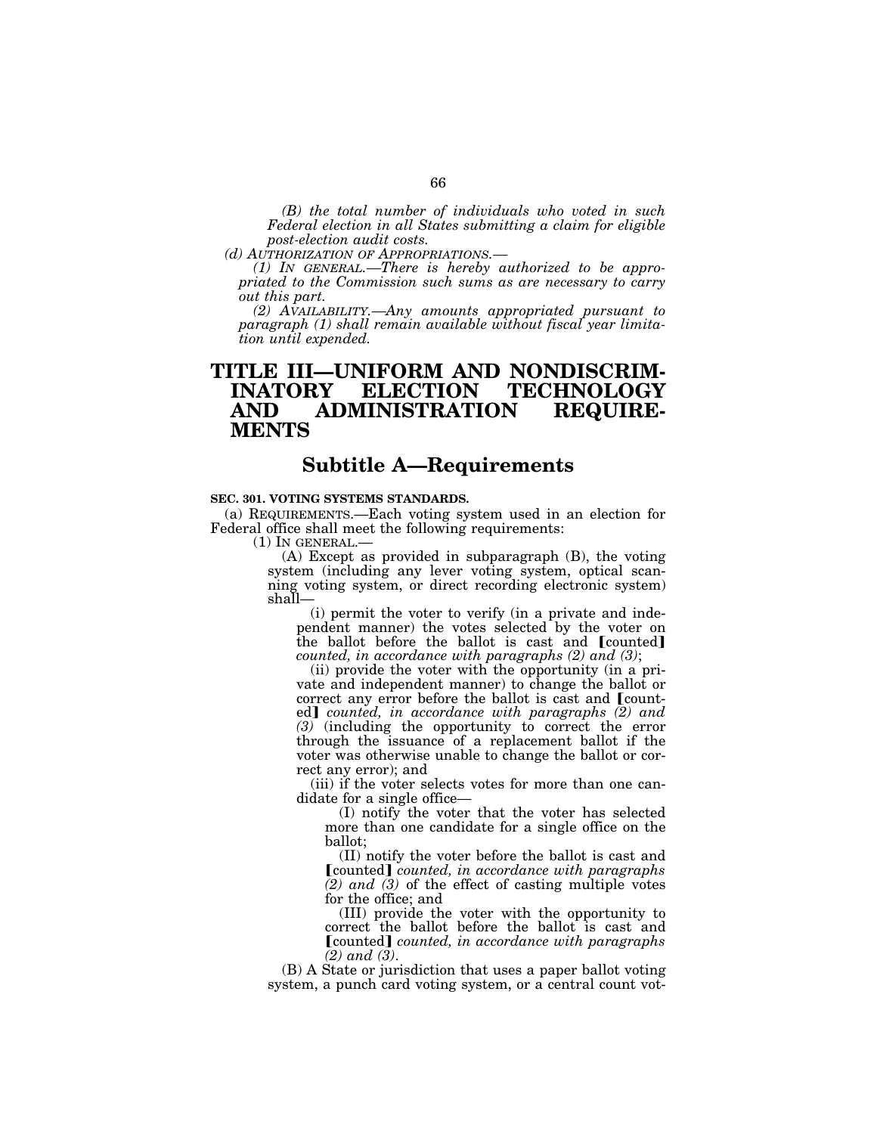*(B) the total number of individuals who voted in such Federal election in all States submitting a claim for eligible post-election audit costs.* 

*(1) IN GENERAL.—There is hereby authorized to be appropriated to the Commission such sums as are necessary to carry out this part.* 

*(2) AVAILABILITY.—Any amounts appropriated pursuant to paragraph (1) shall remain available without fiscal year limitation until expended.* 

# **TITLE III—UNIFORM AND NONDISCRIM-INATORY ELECTION TECHNOLOGY AND ADMINISTRATION REQUIRE-MENTS**

# **Subtitle A—Requirements**

### **SEC. 301. VOTING SYSTEMS STANDARDS.**

(a) REQUIREMENTS.—Each voting system used in an election for Federal office shall meet the following requirements:

(1) IN GENERAL.— (A) Except as provided in subparagraph (B), the voting system (including any lever voting system, optical scanning voting system, or direct recording electronic system) shall—

> (i) permit the voter to verify (in a private and independent manner) the votes selected by the voter on the ballot before the ballot is cast and [counted] *counted, in accordance with paragraphs (2) and (3)*;

> (ii) provide the voter with the opportunity (in a private and independent manner) to change the ballot or correct any error before the ballot is cast and **[**counted] *counted, in accordance with paragraphs (2) and (3)* (including the opportunity to correct the error through the issuance of a replacement ballot if the voter was otherwise unable to change the ballot or correct any error); and

> (iii) if the voter selects votes for more than one candidate for a single office—

(I) notify the voter that the voter has selected more than one candidate for a single office on the ballot;

(II) notify the voter before the ballot is cast and øcounted¿ *counted, in accordance with paragraphs (2) and (3)* of the effect of casting multiple votes for the office; and

(III) provide the voter with the opportunity to correct the ballot before the ballot is cast and øcounted¿ *counted, in accordance with paragraphs (2) and (3)*.

(B) A State or jurisdiction that uses a paper ballot voting system, a punch card voting system, or a central count vot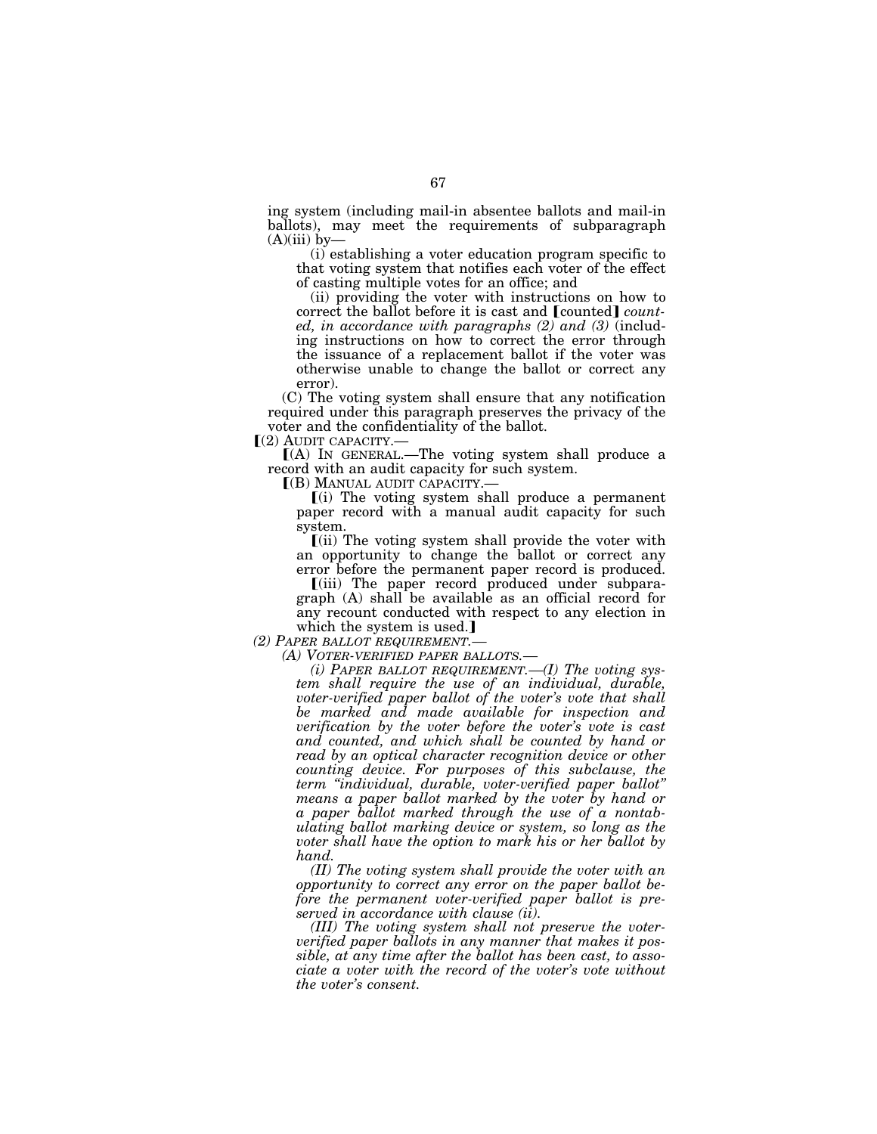ing system (including mail-in absentee ballots and mail-in ballots), may meet the requirements of subparagraph  $(A)(iii)$  by

(i) establishing a voter education program specific to that voting system that notifies each voter of the effect of casting multiple votes for an office; and

(ii) providing the voter with instructions on how to correct the ballot before it is cast and **[counted]** *counted, in accordance with paragraphs (2) and (3)* (including instructions on how to correct the error through the issuance of a replacement ballot if the voter was otherwise unable to change the ballot or correct any error).

(C) The voting system shall ensure that any notification required under this paragraph preserves the privacy of the voter and the confidentiality of the ballot.

 $(2)$  AUDIT CAPACITY.—

ø(A) IN GENERAL.—The voting system shall produce a record with an audit capacity for such system.

ø(B) MANUAL AUDIT CAPACITY.—

ø(i) The voting system shall produce a permanent paper record with a manual audit capacity for such system.

ø(ii) The voting system shall provide the voter with an opportunity to change the ballot or correct any error before the permanent paper record is produced.

ø(iii) The paper record produced under subparagraph (A) shall be available as an official record for any recount conducted with respect to any election in

which the system is used.]<br>(2) PAPER BALLOT REQUIREMENT.

*(A) VOTER-VERIFIED PAPER BALLOTS.* 

*(i) PAPER BALLOT REQUIREMENT.—(I) The voting system shall require the use of an individual, durable, voter-verified paper ballot of the voter's vote that shall be marked and made available for inspection and verification by the voter before the voter's vote is cast and counted, and which shall be counted by hand or read by an optical character recognition device or other counting device. For purposes of this subclause, the term ''individual, durable, voter-verified paper ballot'' means a paper ballot marked by the voter by hand or a paper ballot marked through the use of a nontabulating ballot marking device or system, so long as the voter shall have the option to mark his or her ballot by hand.* 

*(II) The voting system shall provide the voter with an opportunity to correct any error on the paper ballot before the permanent voter-verified paper ballot is preserved in accordance with clause (ii).* 

*(III) The voting system shall not preserve the voterverified paper ballots in any manner that makes it possible, at any time after the ballot has been cast, to associate a voter with the record of the voter's vote without the voter's consent.*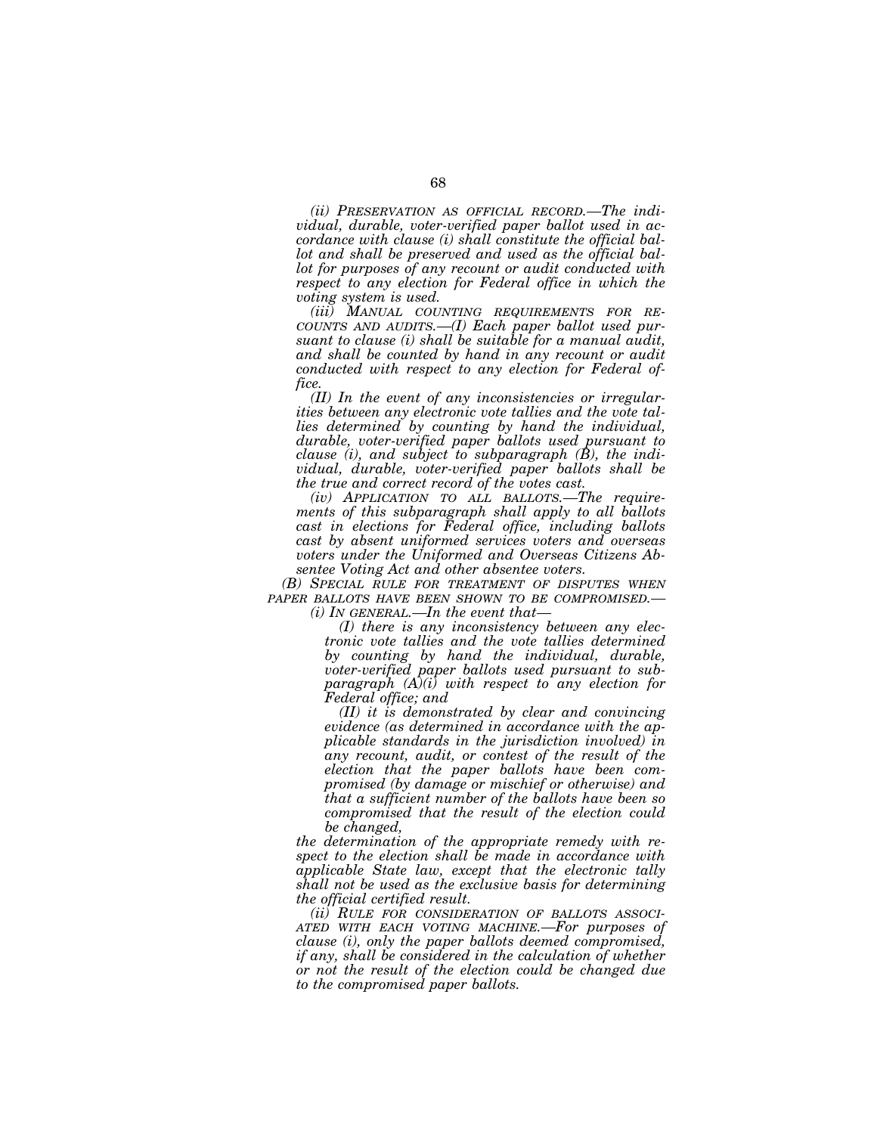*(ii) PRESERVATION AS OFFICIAL RECORD.—The individual, durable, voter-verified paper ballot used in accordance with clause (i) shall constitute the official ballot and shall be preserved and used as the official ballot for purposes of any recount or audit conducted with respect to any election for Federal office in which the voting system is used.* 

*(iii) MANUAL COUNTING REQUIREMENTS FOR RE- COUNTS AND AUDITS.—(I) Each paper ballot used pursuant to clause (i) shall be suitable for a manual audit, and shall be counted by hand in any recount or audit conducted with respect to any election for Federal office.* 

*(II) In the event of any inconsistencies or irregularities between any electronic vote tallies and the vote tallies determined by counting by hand the individual, durable, voter-verified paper ballots used pursuant to clause (i), and subject to subparagraph (B), the individual, durable, voter-verified paper ballots shall be the true and correct record of the votes cast.* 

*(iv) APPLICATION TO ALL BALLOTS.—The requirements of this subparagraph shall apply to all ballots cast in elections for Federal office, including ballots cast by absent uniformed services voters and overseas voters under the Uniformed and Overseas Citizens Absentee Voting Act and other absentee voters.* 

*(B) SPECIAL RULE FOR TREATMENT OF DISPUTES WHEN PAPER BALLOTS HAVE BEEN SHOWN TO BE COMPROMISED.— (i) IN GENERAL.—In the event that—* 

*(I) there is any inconsistency between any electronic vote tallies and the vote tallies determined by counting by hand the individual, durable, voter-verified paper ballots used pursuant to subparagraph (A)(i) with respect to any election for Federal office; and* 

*(II) it is demonstrated by clear and convincing evidence (as determined in accordance with the applicable standards in the jurisdiction involved) in any recount, audit, or contest of the result of the election that the paper ballots have been compromised (by damage or mischief or otherwise) and that a sufficient number of the ballots have been so compromised that the result of the election could be changed,* 

*the determination of the appropriate remedy with respect to the election shall be made in accordance with applicable State law, except that the electronic tally shall not be used as the exclusive basis for determining the official certified result.* 

*(ii) RULE FOR CONSIDERATION OF BALLOTS ASSOCI- ATED WITH EACH VOTING MACHINE.—For purposes of clause (i), only the paper ballots deemed compromised, if any, shall be considered in the calculation of whether or not the result of the election could be changed due to the compromised paper ballots.*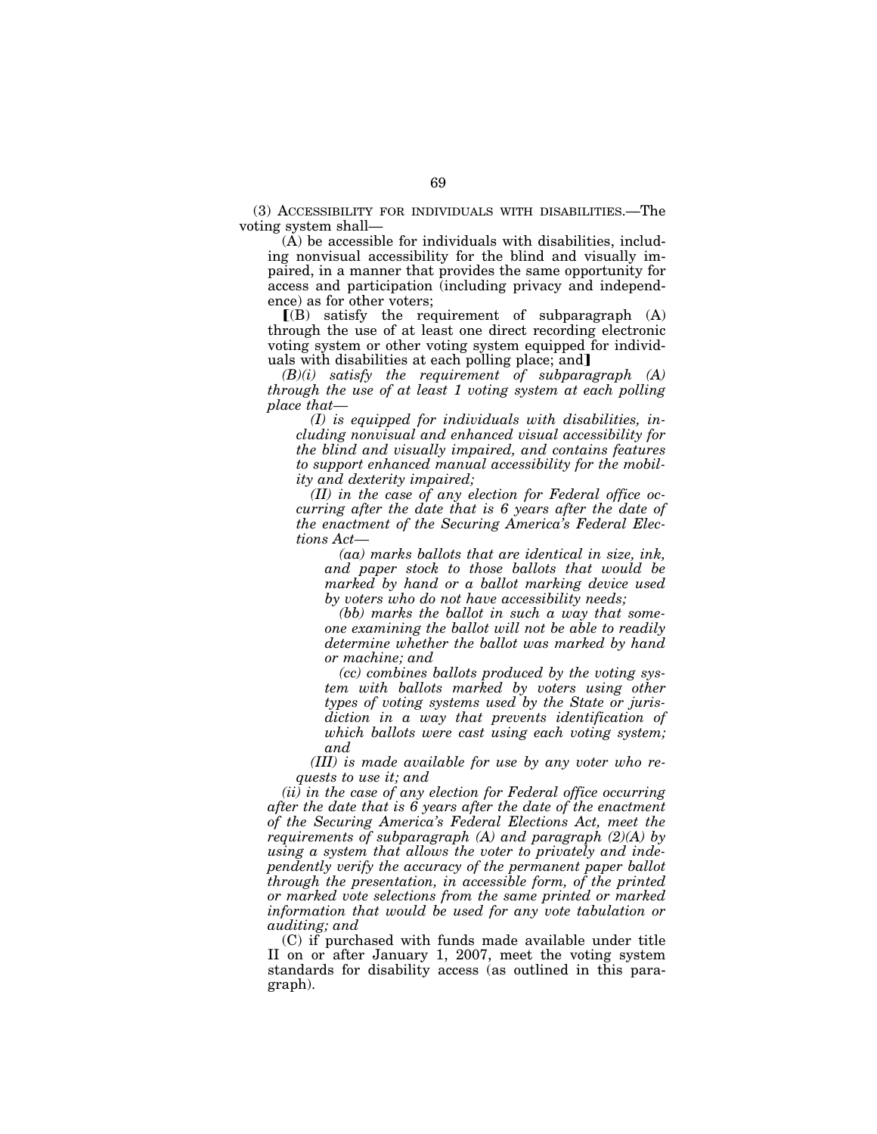(3) ACCESSIBILITY FOR INDIVIDUALS WITH DISABILITIES.—The voting system shall—

(A) be accessible for individuals with disabilities, including nonvisual accessibility for the blind and visually impaired, in a manner that provides the same opportunity for access and participation (including privacy and independence) as for other voters;

 $(R)$  satisfy the requirement of subparagraph  $(A)$ through the use of at least one direct recording electronic voting system or other voting system equipped for individuals with disabilities at each polling place; and

*(B)(i) satisfy the requirement of subparagraph (A) through the use of at least 1 voting system at each polling place that—* 

*(I) is equipped for individuals with disabilities, including nonvisual and enhanced visual accessibility for the blind and visually impaired, and contains features to support enhanced manual accessibility for the mobility and dexterity impaired;* 

*(II) in the case of any election for Federal office occurring after the date that is 6 years after the date of the enactment of the Securing America's Federal Elections Act—* 

*(aa) marks ballots that are identical in size, ink, and paper stock to those ballots that would be marked by hand or a ballot marking device used by voters who do not have accessibility needs;* 

*(bb) marks the ballot in such a way that someone examining the ballot will not be able to readily determine whether the ballot was marked by hand or machine; and* 

*(cc) combines ballots produced by the voting system with ballots marked by voters using other types of voting systems used by the State or jurisdiction in a way that prevents identification of which ballots were cast using each voting system; and* 

*(III) is made available for use by any voter who requests to use it; and* 

*(ii) in the case of any election for Federal office occurring after the date that is 6 years after the date of the enactment of the Securing America's Federal Elections Act, meet the requirements of subparagraph (A) and paragraph (2)(A) by using a system that allows the voter to privately and independently verify the accuracy of the permanent paper ballot through the presentation, in accessible form, of the printed or marked vote selections from the same printed or marked information that would be used for any vote tabulation or auditing; and* 

(C) if purchased with funds made available under title II on or after January 1, 2007, meet the voting system standards for disability access (as outlined in this paragraph).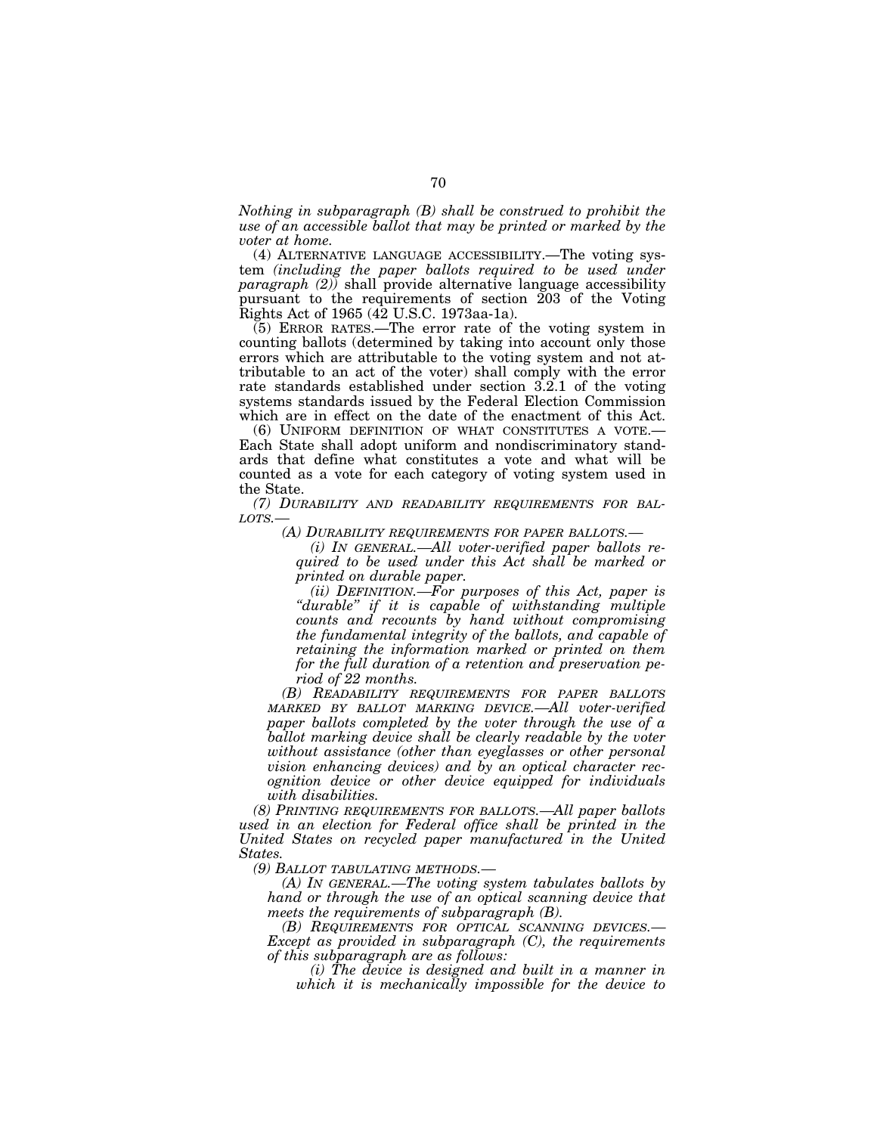*Nothing in subparagraph (B) shall be construed to prohibit the use of an accessible ballot that may be printed or marked by the voter at home.* 

(4) ALTERNATIVE LANGUAGE ACCESSIBILITY.—The voting system *(including the paper ballots required to be used under paragraph*  $(2)$  shall provide alternative language accessibility pursuant to the requirements of section 203 of the Voting Rights Act of 1965 (42 U.S.C. 1973aa-1a).

(5) ERROR RATES.—The error rate of the voting system in counting ballots (determined by taking into account only those errors which are attributable to the voting system and not attributable to an act of the voter) shall comply with the error rate standards established under section 3.2.1 of the voting systems standards issued by the Federal Election Commission which are in effect on the date of the enactment of this Act.

(6) UNIFORM DEFINITION OF WHAT CONSTITUTES A VOTE.— Each State shall adopt uniform and nondiscriminatory standards that define what constitutes a vote and what will be counted as a vote for each category of voting system used in the State.

*(7) DURABILITY AND READABILITY REQUIREMENTS FOR BAL-LOTS.—* 

*(A) DURABILITY REQUIREMENTS FOR PAPER BALLOTS.—* 

*(i) IN GENERAL.—All voter-verified paper ballots required to be used under this Act shall be marked or printed on durable paper.* 

*(ii) DEFINITION.—For purposes of this Act, paper is ''durable'' if it is capable of withstanding multiple counts and recounts by hand without compromising the fundamental integrity of the ballots, and capable of retaining the information marked or printed on them for the full duration of a retention and preservation period of 22 months.* 

*(B) READABILITY REQUIREMENTS FOR PAPER BALLOTS MARKED BY BALLOT MARKING DEVICE.—All voter-verified paper ballots completed by the voter through the use of a*  ballot marking device shall be clearly readable by the voter *without assistance (other than eyeglasses or other personal vision enhancing devices) and by an optical character recognition device or other device equipped for individuals with disabilities.* 

*(8) PRINTING REQUIREMENTS FOR BALLOTS.—All paper ballots used in an election for Federal office shall be printed in the United States on recycled paper manufactured in the United States.* 

*(9) BALLOT TABULATING METHODS.—* 

*(A) IN GENERAL.—The voting system tabulates ballots by hand or through the use of an optical scanning device that meets the requirements of subparagraph (B).* 

*(B) REQUIREMENTS FOR OPTICAL SCANNING DEVICES.— Except as provided in subparagraph (C), the requirements of this subparagraph are as follows:* 

*(i) The device is designed and built in a manner in which it is mechanically impossible for the device to*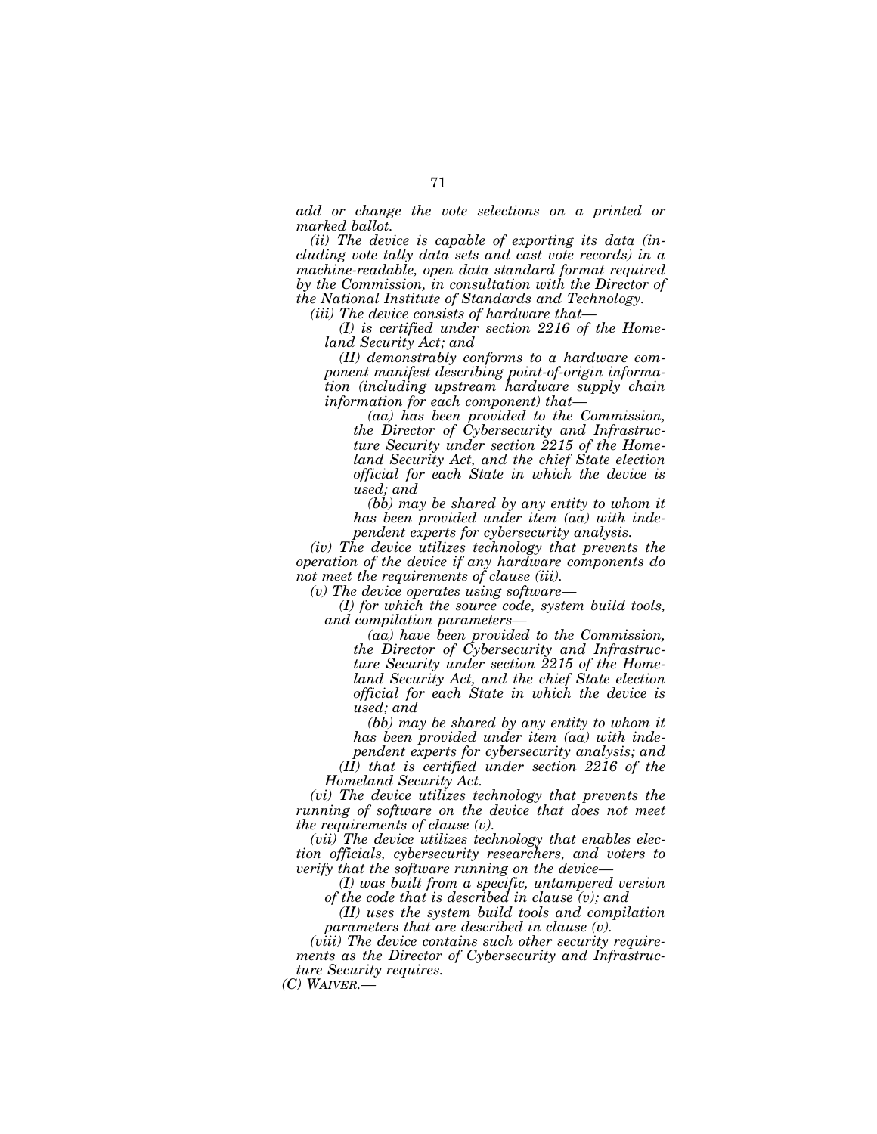*add or change the vote selections on a printed or marked ballot.* 

*(ii) The device is capable of exporting its data (including vote tally data sets and cast vote records) in a machine-readable, open data standard format required by the Commission, in consultation with the Director of the National Institute of Standards and Technology.* 

*(iii) The device consists of hardware that—* 

*(I) is certified under section 2216 of the Homeland Security Act; and* 

*(II) demonstrably conforms to a hardware component manifest describing point-of-origin information (including upstream hardware supply chain information for each component) that—* 

*(aa) has been provided to the Commission, the Director of Cybersecurity and Infrastructure Security under section 2215 of the Homeland Security Act, and the chief State election official for each State in which the device is used; and* 

*(bb) may be shared by any entity to whom it has been provided under item (aa) with independent experts for cybersecurity analysis.* 

*(iv) The device utilizes technology that prevents the operation of the device if any hardware components do not meet the requirements of clause (iii).* 

*(v) The device operates using software—* 

*(I) for which the source code, system build tools, and compilation parameters—* 

*(aa) have been provided to the Commission, the Director of Cybersecurity and Infrastructure Security under section 2215 of the Homeland Security Act, and the chief State election official for each State in which the device is used; and* 

*(bb) may be shared by any entity to whom it has been provided under item (aa) with independent experts for cybersecurity analysis; and (II) that is certified under section 2216 of the* 

*Homeland Security Act.* 

*(vi) The device utilizes technology that prevents the running of software on the device that does not meet the requirements of clause (v).* 

*(vii) The device utilizes technology that enables election officials, cybersecurity researchers, and voters to verify that the software running on the device—* 

*(I) was built from a specific, untampered version of the code that is described in clause (v); and* 

*(II) uses the system build tools and compilation parameters that are described in clause (v).* 

*(viii) The device contains such other security requirements as the Director of Cybersecurity and Infrastructure Security requires.* 

*(C) WAIVER.—*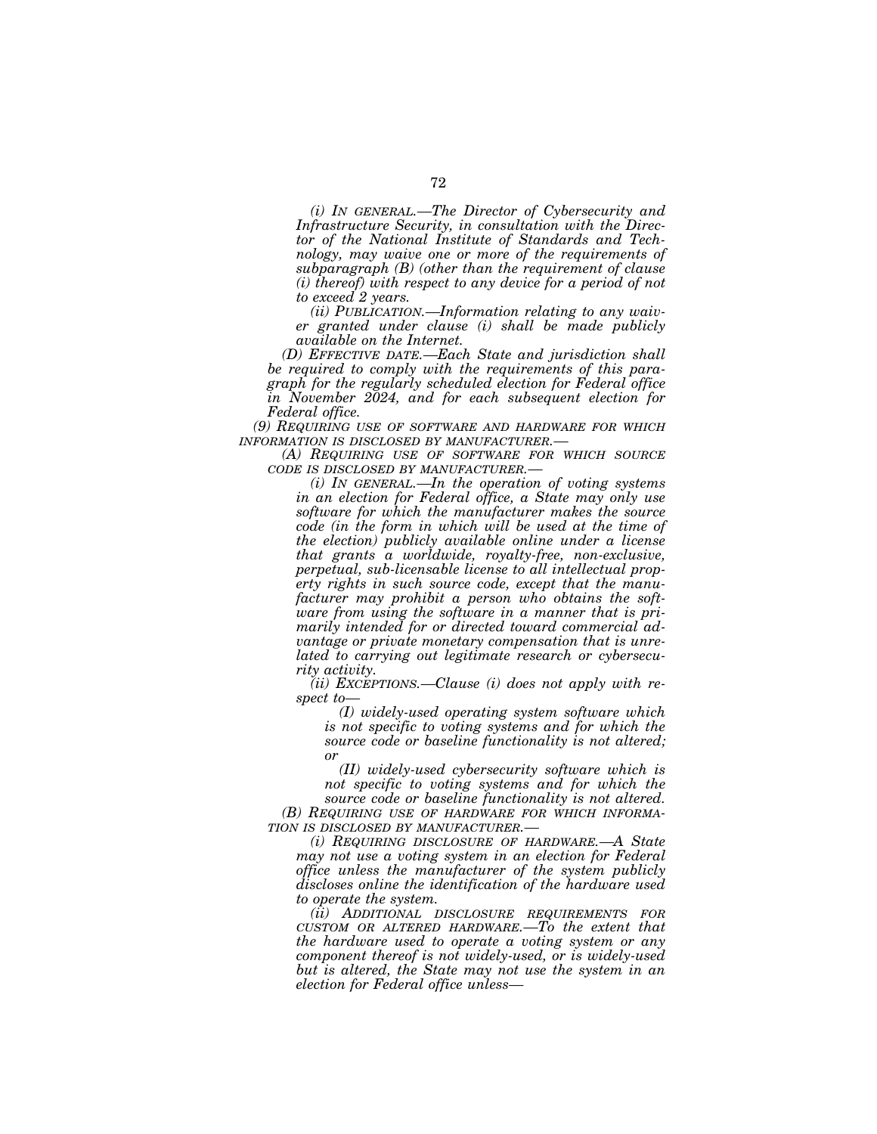*(i) IN GENERAL.—The Director of Cybersecurity and Infrastructure Security, in consultation with the Director of the National Institute of Standards and Technology, may waive one or more of the requirements of subparagraph (B) (other than the requirement of clause (i) thereof) with respect to any device for a period of not to exceed 2 years.* 

*(ii) PUBLICATION.—Information relating to any waiver granted under clause (i) shall be made publicly available on the Internet.* 

*(D) EFFECTIVE DATE.—Each State and jurisdiction shall be required to comply with the requirements of this paragraph for the regularly scheduled election for Federal office in November 2024, and for each subsequent election for Federal office.* 

*(9) REQUIRING USE OF SOFTWARE AND HARDWARE FOR WHICH INFORMATION IS DISCLOSED BY MANUFACTURER.—* 

*(A) REQUIRING USE OF SOFTWARE FOR WHICH SOURCE CODE IS DISCLOSED BY MANUFACTURER.—* 

*(i) IN GENERAL.—In the operation of voting systems in an election for Federal office, a State may only use software for which the manufacturer makes the source code (in the form in which will be used at the time of the election) publicly available online under a license that grants a worldwide, royalty-free, non-exclusive, perpetual, sub-licensable license to all intellectual property rights in such source code, except that the manufacturer may prohibit a person who obtains the software from using the software in a manner that is primarily intended for or directed toward commercial advantage or private monetary compensation that is unrelated to carrying out legitimate research or cybersecurity activity.* 

*(ii) EXCEPTIONS.—Clause (i) does not apply with respect to—* 

*(I) widely-used operating system software which is not specific to voting systems and for which the source code or baseline functionality is not altered; or* 

*(II) widely-used cybersecurity software which is not specific to voting systems and for which the source code or baseline functionality is not altered.* 

*(B) REQUIRING USE OF HARDWARE FOR WHICH INFORMA-TION IS DISCLOSED BY MANUFACTURER.—* 

*(i) REQUIRING DISCLOSURE OF HARDWARE.—A State may not use a voting system in an election for Federal office unless the manufacturer of the system publicly discloses online the identification of the hardware used to operate the system.* 

*(ii) ADDITIONAL DISCLOSURE REQUIREMENTS FOR CUSTOM OR ALTERED HARDWARE.—To the extent that the hardware used to operate a voting system or any component thereof is not widely-used, or is widely-used but is altered, the State may not use the system in an election for Federal office unless—*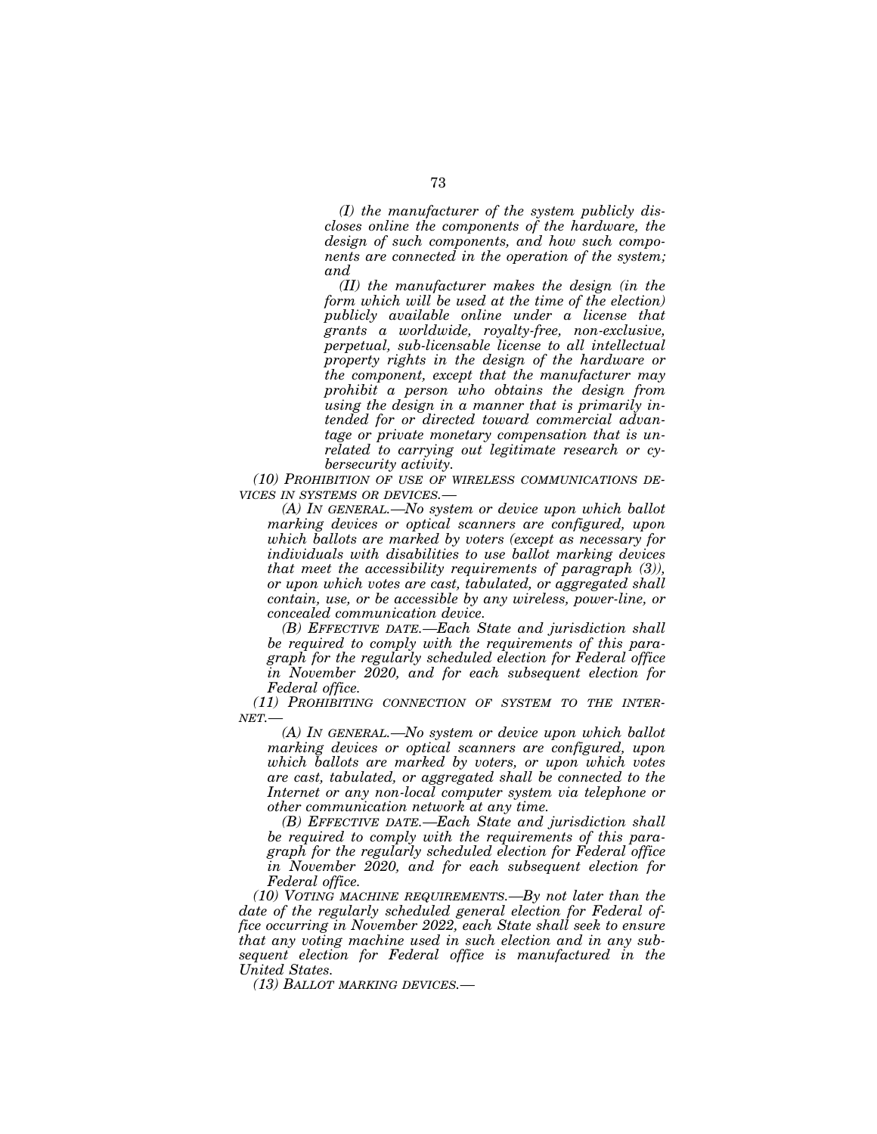*(I) the manufacturer of the system publicly discloses online the components of the hardware, the design of such components, and how such components are connected in the operation of the system; and* 

*(II) the manufacturer makes the design (in the form which will be used at the time of the election) publicly available online under a license that grants a worldwide, royalty-free, non-exclusive, perpetual, sub-licensable license to all intellectual property rights in the design of the hardware or the component, except that the manufacturer may prohibit a person who obtains the design from using the design in a manner that is primarily intended for or directed toward commercial advantage or private monetary compensation that is unrelated to carrying out legitimate research or cybersecurity activity.* 

*(10) PROHIBITION OF USE OF WIRELESS COMMUNICATIONS DE-VICES IN SYSTEMS OR DEVICES.—* 

*(A) IN GENERAL.—No system or device upon which ballot marking devices or optical scanners are configured, upon which ballots are marked by voters (except as necessary for individuals with disabilities to use ballot marking devices that meet the accessibility requirements of paragraph (3)), or upon which votes are cast, tabulated, or aggregated shall contain, use, or be accessible by any wireless, power-line, or concealed communication device.* 

*(B) EFFECTIVE DATE.—Each State and jurisdiction shall be required to comply with the requirements of this paragraph for the regularly scheduled election for Federal office in November 2020, and for each subsequent election for Federal office.* 

*(11) PROHIBITING CONNECTION OF SYSTEM TO THE INTER-NET.—* 

*(A) IN GENERAL.—No system or device upon which ballot marking devices or optical scanners are configured, upon which ballots are marked by voters, or upon which votes are cast, tabulated, or aggregated shall be connected to the Internet or any non-local computer system via telephone or other communication network at any time.* 

*(B) EFFECTIVE DATE.—Each State and jurisdiction shall be required to comply with the requirements of this paragraph for the regularly scheduled election for Federal office in November 2020, and for each subsequent election for Federal office.* 

*(10) VOTING MACHINE REQUIREMENTS.—By not later than the date of the regularly scheduled general election for Federal office occurring in November 2022, each State shall seek to ensure that any voting machine used in such election and in any subsequent election for Federal office is manufactured in the United States.* 

*(13) BALLOT MARKING DEVICES.—*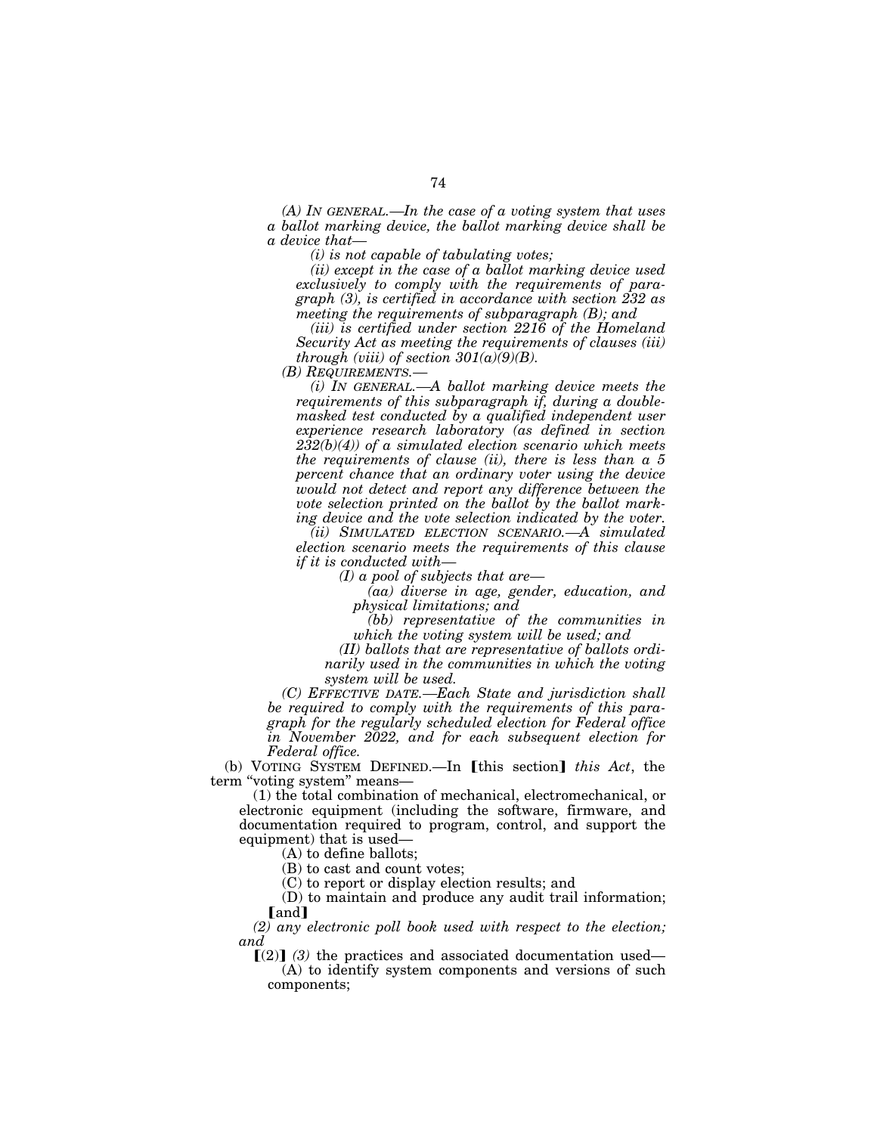*(A) IN GENERAL.—In the case of a voting system that uses a ballot marking device, the ballot marking device shall be a device that—* 

*(i) is not capable of tabulating votes;* 

*(ii) except in the case of a ballot marking device used exclusively to comply with the requirements of paragraph (3), is certified in accordance with section 232 as meeting the requirements of subparagraph (B); and* 

*(iii) is certified under section 2216 of the Homeland Security Act as meeting the requirements of clauses (iii) through (viii) of section 301(a)(9)(B).* 

*(B) REQUIREMENTS.—* 

*(i) IN GENERAL.—A ballot marking device meets the requirements of this subparagraph if, during a doublemasked test conducted by a qualified independent user experience research laboratory (as defined in section 232(b)(4)) of a simulated election scenario which meets the requirements of clause (ii), there is less than a 5 percent chance that an ordinary voter using the device would not detect and report any difference between the*  vote selection printed on the ballot by the ballot mark*ing device and the vote selection indicated by the voter.* 

*(ii) SIMULATED ELECTION SCENARIO.—A simulated election scenario meets the requirements of this clause if it is conducted with—* 

*(I) a pool of subjects that are—* 

*(aa) diverse in age, gender, education, and physical limitations; and* 

*(bb) representative of the communities in which the voting system will be used; and* 

*(II) ballots that are representative of ballots ordinarily used in the communities in which the voting system will be used.* 

*(C) EFFECTIVE DATE.—Each State and jurisdiction shall be required to comply with the requirements of this paragraph for the regularly scheduled election for Federal office in November 2022, and for each subsequent election for Federal office.* 

(b) VOTING SYSTEM DEFINED.—In [this section] *this Act*, the term "voting system" means—

(1) the total combination of mechanical, electromechanical, or electronic equipment (including the software, firmware, and documentation required to program, control, and support the equipment) that is used—

(A) to define ballots;

(B) to cast and count votes;

(C) to report or display election results; and

(D) to maintain and produce any audit trail information; [and]

*(2) any electronic poll book used with respect to the election; and* 

 $\lceil (2) \rceil$  (3) the practices and associated documentation used—

(A) to identify system components and versions of such components;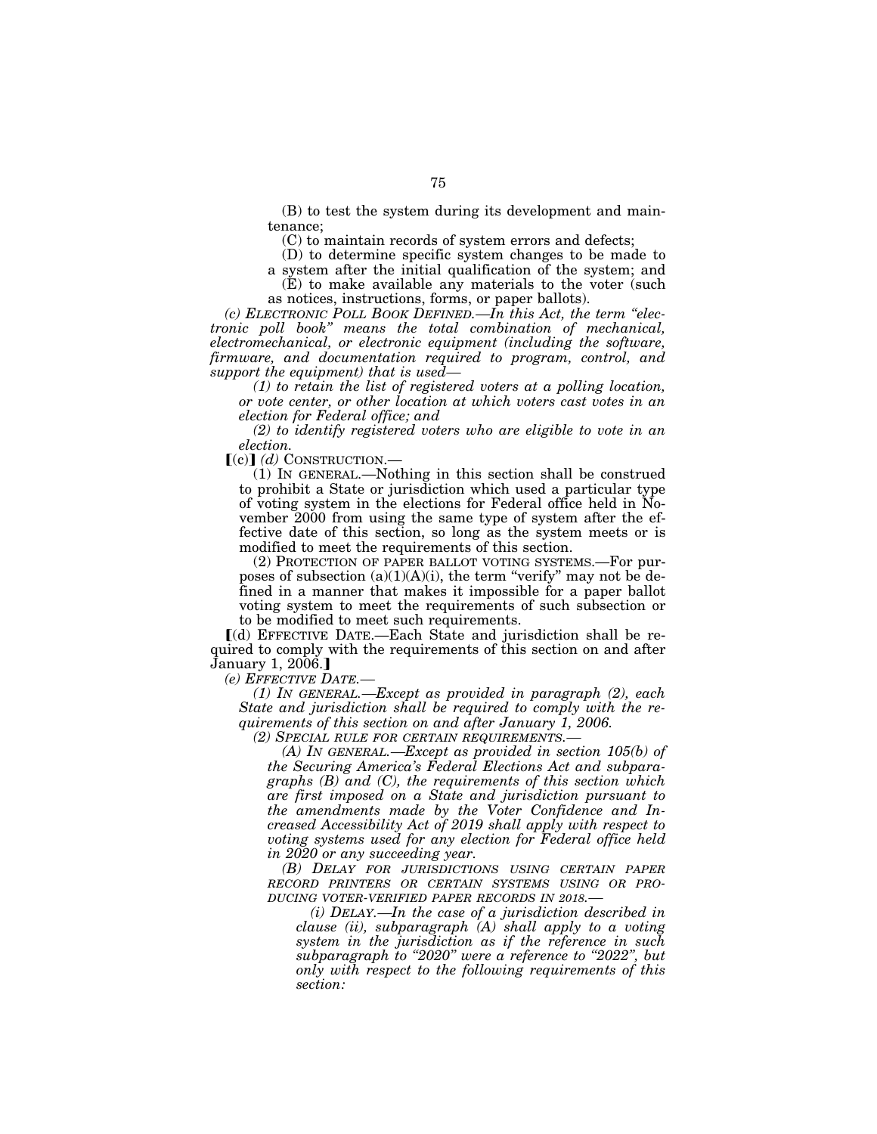(B) to test the system during its development and maintenance;

(C) to maintain records of system errors and defects;

(D) to determine specific system changes to be made to a system after the initial qualification of the system; and

(E) to make available any materials to the voter (such as notices, instructions, forms, or paper ballots).

*(c) ELECTRONIC POLL BOOK DEFINED.—In this Act, the term ''electronic poll book'' means the total combination of mechanical, electromechanical, or electronic equipment (including the software, firmware, and documentation required to program, control, and support the equipment) that is used—* 

*(1) to retain the list of registered voters at a polling location, or vote center, or other location at which voters cast votes in an election for Federal office; and* 

*(2) to identify registered voters who are eligible to vote in an election.* 

 $[(c)]$   $(d)$  CONSTRUCTION.

(1) IN GENERAL.—Nothing in this section shall be construed to prohibit a State or jurisdiction which used a particular type of voting system in the elections for Federal office held in November 2000 from using the same type of system after the effective date of this section, so long as the system meets or is modified to meet the requirements of this section.

(2) PROTECTION OF PAPER BALLOT VOTING SYSTEMS.—For purposes of subsection  $(a)(1)(A)(i)$ , the term "verify" may not be defined in a manner that makes it impossible for a paper ballot voting system to meet the requirements of such subsection or to be modified to meet such requirements.

ø(d) EFFECTIVE DATE.—Each State and jurisdiction shall be required to comply with the requirements of this section on and after January 1, 2006.

*(e) EFFECTIVE DATE.—* 

*(1) IN GENERAL.—Except as provided in paragraph (2), each State and jurisdiction shall be required to comply with the requirements of this section on and after January 1, 2006.* 

*(2) SPECIAL RULE FOR CERTAIN REQUIREMENTS.—* 

*(A) IN GENERAL.—Except as provided in section 105(b) of the Securing America's Federal Elections Act and subparagraphs (B) and (C), the requirements of this section which are first imposed on a State and jurisdiction pursuant to the amendments made by the Voter Confidence and Increased Accessibility Act of 2019 shall apply with respect to voting systems used for any election for Federal office held in 2020 or any succeeding year.* 

*(B) DELAY FOR JURISDICTIONS USING CERTAIN PAPER RECORD PRINTERS OR CERTAIN SYSTEMS USING OR PRO-DUCING VOTER-VERIFIED PAPER RECORDS IN 2018.—* 

*(i) DELAY.—In the case of a jurisdiction described in clause (ii), subparagraph (A) shall apply to a voting system in the jurisdiction as if the reference in such subparagraph to ''2020'' were a reference to ''2022'', but only with respect to the following requirements of this section:*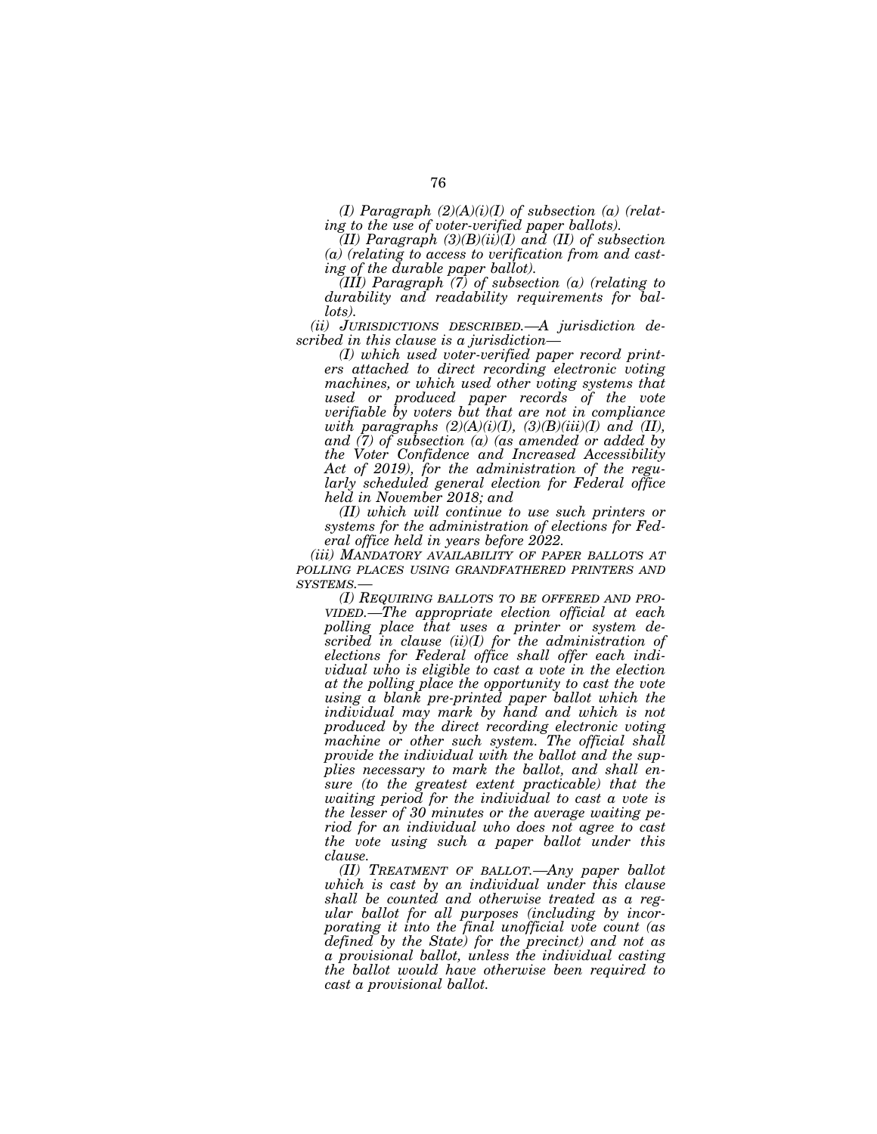*(I) Paragraph (2)(A)(i)(I) of subsection (a) (relating to the use of voter-verified paper ballots).* 

*(II) Paragraph (3)(B)(ii)(I) and (II) of subsection (a) (relating to access to verification from and casting of the durable paper ballot).* 

*(III) Paragraph (7) of subsection (a) (relating to durability and readability requirements for ballots).* 

*(ii) JURISDICTIONS DESCRIBED.—A jurisdiction described in this clause is a jurisdiction—* 

*(I) which used voter-verified paper record printers attached to direct recording electronic voting machines, or which used other voting systems that used or produced paper records of the vote verifiable by voters but that are not in compliance*  with paragraphs  $(2)(A)(i)(I)$ ,  $(3)(B)(iii)(I)$  and  $(II)$ , *and (7) of subsection (a) (as amended or added by the Voter Confidence and Increased Accessibility Act of 2019), for the administration of the regularly scheduled general election for Federal office held in November 2018; and* 

*(II) which will continue to use such printers or systems for the administration of elections for Federal office held in years before 2022.* 

*(iii) MANDATORY AVAILABILITY OF PAPER BALLOTS AT POLLING PLACES USING GRANDFATHERED PRINTERS AND SYSTEMS.— (I) REQUIRING BALLOTS TO BE OFFERED AND PRO-*

*VIDED.—The appropriate election official at each polling place that uses a printer or system described in clause (ii)(I) for the administration of elections for Federal office shall offer each individual who is eligible to cast a vote in the election at the polling place the opportunity to cast the vote using a blank pre-printed paper ballot which the individual may mark by hand and which is not produced by the direct recording electronic voting machine or other such system. The official shall provide the individual with the ballot and the supplies necessary to mark the ballot, and shall ensure (to the greatest extent practicable) that the waiting period for the individual to cast a vote is the lesser of 30 minutes or the average waiting period for an individual who does not agree to cast the vote using such a paper ballot under this clause.* 

*(II) TREATMENT OF BALLOT.—Any paper ballot which is cast by an individual under this clause shall be counted and otherwise treated as a regular ballot for all purposes (including by incorporating it into the final unofficial vote count (as defined by the State) for the precinct) and not as a provisional ballot, unless the individual casting the ballot would have otherwise been required to cast a provisional ballot.*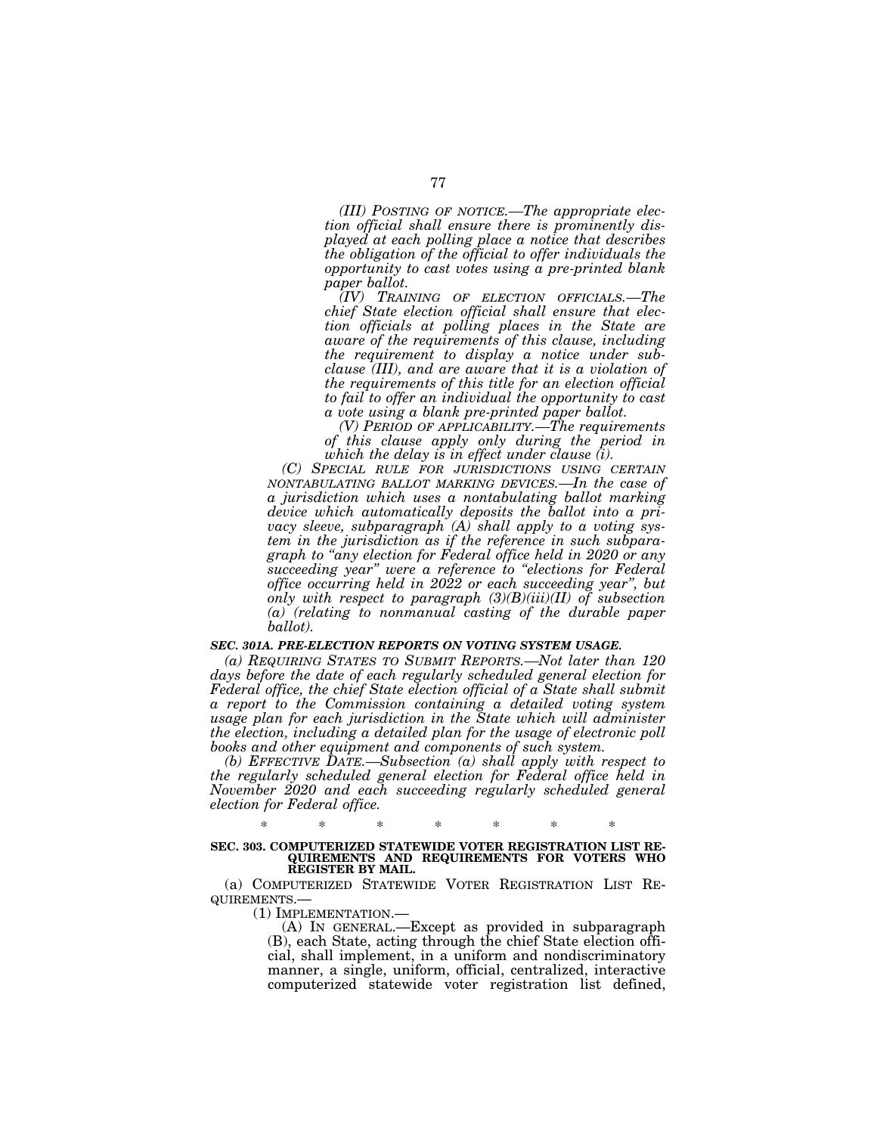*(III) POSTING OF NOTICE.—The appropriate election official shall ensure there is prominently displayed at each polling place a notice that describes the obligation of the official to offer individuals the opportunity to cast votes using a pre-printed blank paper ballot.* 

*(IV) TRAINING OF ELECTION OFFICIALS.—The chief State election official shall ensure that election officials at polling places in the State are aware of the requirements of this clause, including the requirement to display a notice under subclause (III), and are aware that it is a violation of the requirements of this title for an election official to fail to offer an individual the opportunity to cast a vote using a blank pre-printed paper ballot.* 

*(V) PERIOD OF APPLICABILITY.—The requirements of this clause apply only during the period in which the delay is in effect under clause (i).* 

*(C) SPECIAL RULE FOR JURISDICTIONS USING CERTAIN NONTABULATING BALLOT MARKING DEVICES.—In the case of a jurisdiction which uses a nontabulating ballot marking device which automatically deposits the ballot into a privacy sleeve, subparagraph (A) shall apply to a voting system in the jurisdiction as if the reference in such subparagraph to ''any election for Federal office held in 2020 or any succeeding year'' were a reference to ''elections for Federal office occurring held in 2022 or each succeeding year'', but only with respect to paragraph (3)(B)(iii)(II) of subsection (a) (relating to nonmanual casting of the durable paper ballot).* 

#### *SEC. 301A. PRE-ELECTION REPORTS ON VOTING SYSTEM USAGE.*

*(a) REQUIRING STATES TO SUBMIT REPORTS.—Not later than 120 days before the date of each regularly scheduled general election for Federal office, the chief State election official of a State shall submit a report to the Commission containing a detailed voting system usage plan for each jurisdiction in the State which will administer the election, including a detailed plan for the usage of electronic poll books and other equipment and components of such system.* 

*(b) EFFECTIVE DATE.—Subsection (a) shall apply with respect to the regularly scheduled general election for Federal office held in November 2020 and each succeeding regularly scheduled general election for Federal office.* 

#### \* \* \* \* \* \* \* **SEC. 303. COMPUTERIZED STATEWIDE VOTER REGISTRATION LIST RE-QUIREMENTS AND REQUIREMENTS FOR VOTERS WHO REGISTER BY MAIL.**

(a) COMPUTERIZED STATEWIDE VOTER REGISTRATION LIST RE-

QUIREMENTS.— (1) IMPLEMENTATION.— (A) IN GENERAL.—Except as provided in subparagraph (B), each State, acting through the chief State election official, shall implement, in a uniform and nondiscriminatory manner, a single, uniform, official, centralized, interactive computerized statewide voter registration list defined,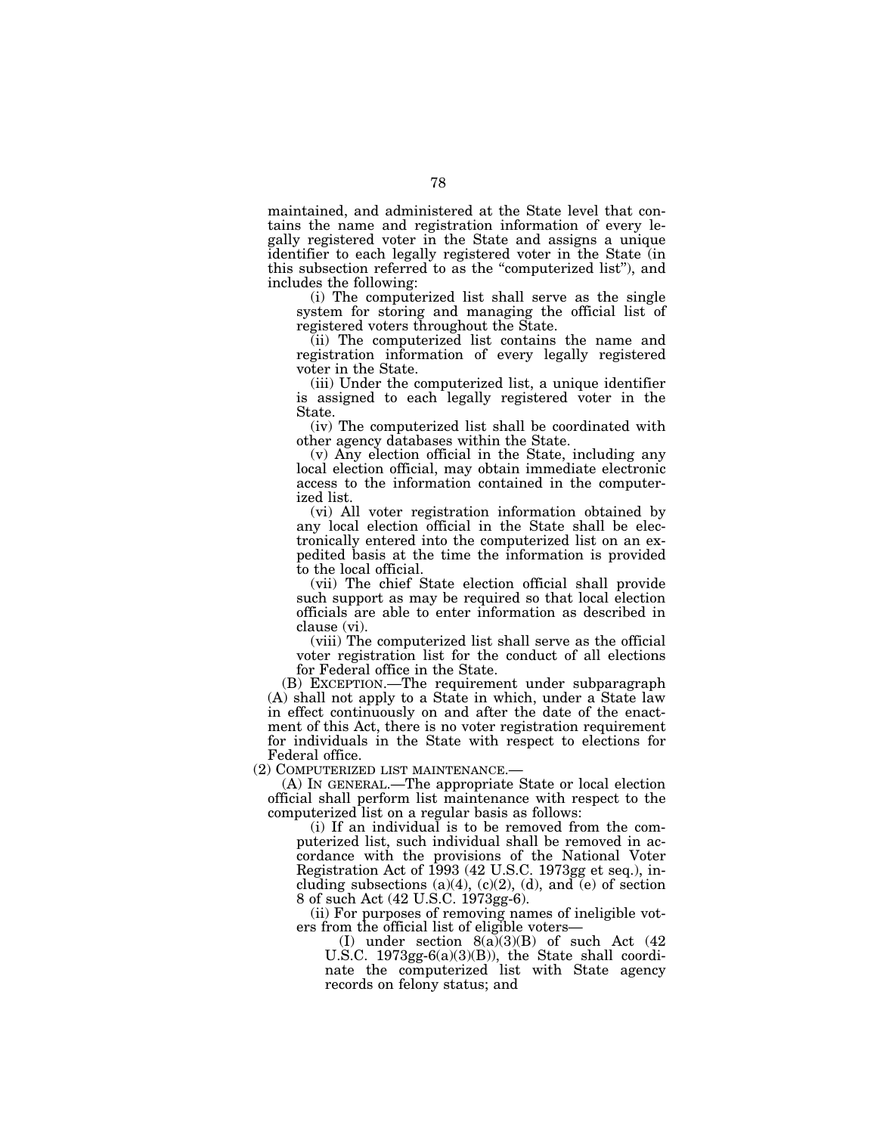maintained, and administered at the State level that contains the name and registration information of every legally registered voter in the State and assigns a unique identifier to each legally registered voter in the State (in this subsection referred to as the ''computerized list''), and includes the following:

(i) The computerized list shall serve as the single system for storing and managing the official list of registered voters throughout the State.

(ii) The computerized list contains the name and registration information of every legally registered voter in the State.

(iii) Under the computerized list, a unique identifier is assigned to each legally registered voter in the State.

(iv) The computerized list shall be coordinated with other agency databases within the State.

(v) Any election official in the State, including any local election official, may obtain immediate electronic access to the information contained in the computerized list.

(vi) All voter registration information obtained by any local election official in the State shall be electronically entered into the computerized list on an expedited basis at the time the information is provided to the local official.

(vii) The chief State election official shall provide such support as may be required so that local election officials are able to enter information as described in clause (vi).

(viii) The computerized list shall serve as the official voter registration list for the conduct of all elections for Federal office in the State.

(B) EXCEPTION.—The requirement under subparagraph (A) shall not apply to a State in which, under a State law in effect continuously on and after the date of the enactment of this Act, there is no voter registration requirement for individuals in the State with respect to elections for Federal office.

(2) COMPUTERIZED LIST MAINTENANCE.—

(A) IN GENERAL.—The appropriate State or local election official shall perform list maintenance with respect to the computerized list on a regular basis as follows:

(i) If an individual is to be removed from the computerized list, such individual shall be removed in accordance with the provisions of the National Voter Registration Act of 1993 (42 U.S.C. 1973gg et seq.), including subsections  $(a)(4)$ ,  $(c)(2)$ ,  $(d)$ , and  $(e)$  of section 8 of such Act (42 U.S.C. 1973gg-6).

(ii) For purposes of removing names of ineligible voters from the official list of eligible voters—

(I) under section  $8(a)(3)(B)$  of such Act (42) U.S.C.  $1973gg-6(a)(3)(B)$ , the State shall coordinate the computerized list with State agency records on felony status; and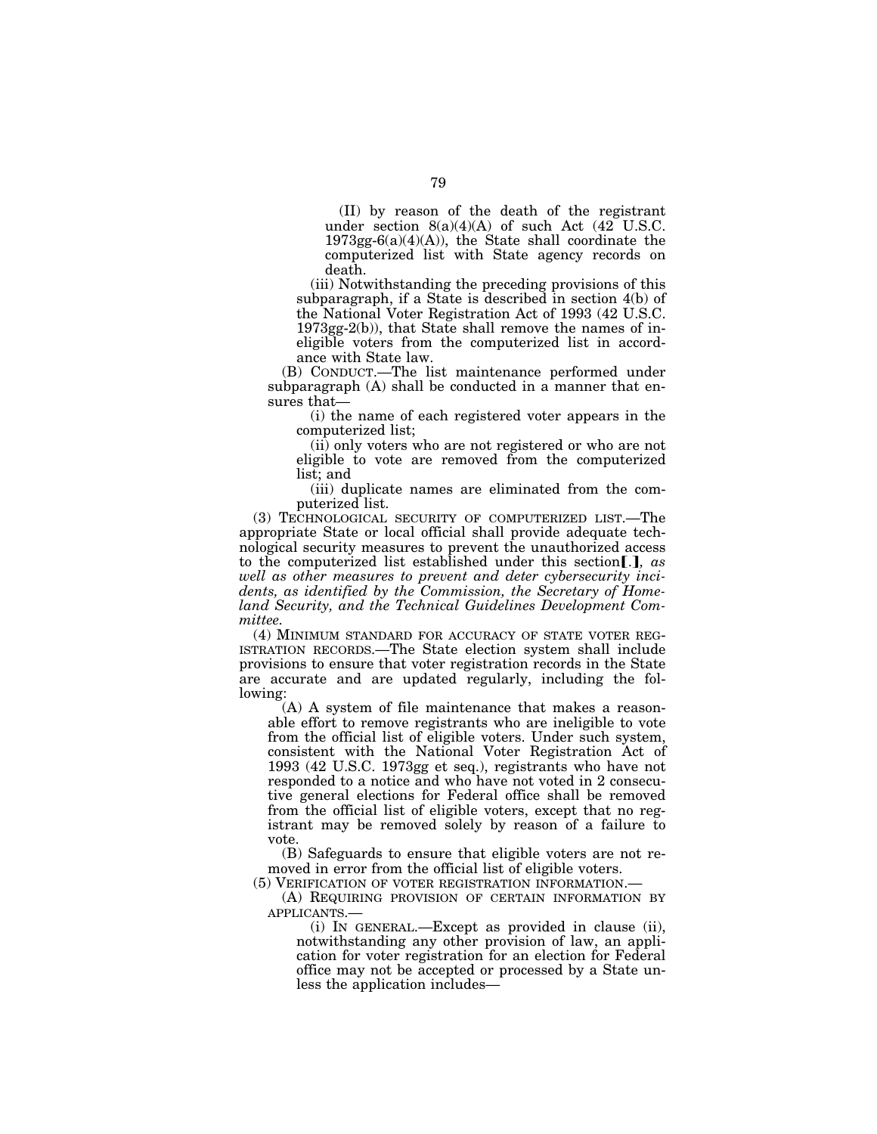(II) by reason of the death of the registrant under section  $8(a)(4)(A)$  of such Act  $(42 \text{ U.S.C.})$  $1973gg-6(a)(4)(A)$ , the State shall coordinate the computerized list with State agency records on death.

(iii) Notwithstanding the preceding provisions of this subparagraph, if a State is described in section 4(b) of the National Voter Registration Act of 1993 (42 U.S.C. 1973gg-2(b)), that State shall remove the names of ineligible voters from the computerized list in accordance with State law.

(B) CONDUCT.—The list maintenance performed under subparagraph (A) shall be conducted in a manner that ensures that—

(i) the name of each registered voter appears in the computerized list;

(ii) only voters who are not registered or who are not eligible to vote are removed from the computerized list; and

(iii) duplicate names are eliminated from the computerized list.

(3) TECHNOLOGICAL SECURITY OF COMPUTERIZED LIST.—The appropriate State or local official shall provide adequate technological security measures to prevent the unauthorized access to the computerized list established under this section..., as *well as other measures to prevent and deter cybersecurity incidents, as identified by the Commission, the Secretary of Homeland Security, and the Technical Guidelines Development Committee.* 

(4) MINIMUM STANDARD FOR ACCURACY OF STATE VOTER REG-ISTRATION RECORDS.—The State election system shall include provisions to ensure that voter registration records in the State are accurate and are updated regularly, including the following:

(A) A system of file maintenance that makes a reasonable effort to remove registrants who are ineligible to vote from the official list of eligible voters. Under such system, consistent with the National Voter Registration Act of 1993 (42 U.S.C. 1973gg et seq.), registrants who have not responded to a notice and who have not voted in 2 consecutive general elections for Federal office shall be removed from the official list of eligible voters, except that no registrant may be removed solely by reason of a failure to vote.

(B) Safeguards to ensure that eligible voters are not removed in error from the official list of eligible voters.

(5) VERIFICATION OF VOTER REGISTRATION INFORMATION.—

(A) REQUIRING PROVISION OF CERTAIN INFORMATION BY APPLICANTS.—

(i) IN GENERAL.—Except as provided in clause (ii), notwithstanding any other provision of law, an application for voter registration for an election for Federal office may not be accepted or processed by a State unless the application includes—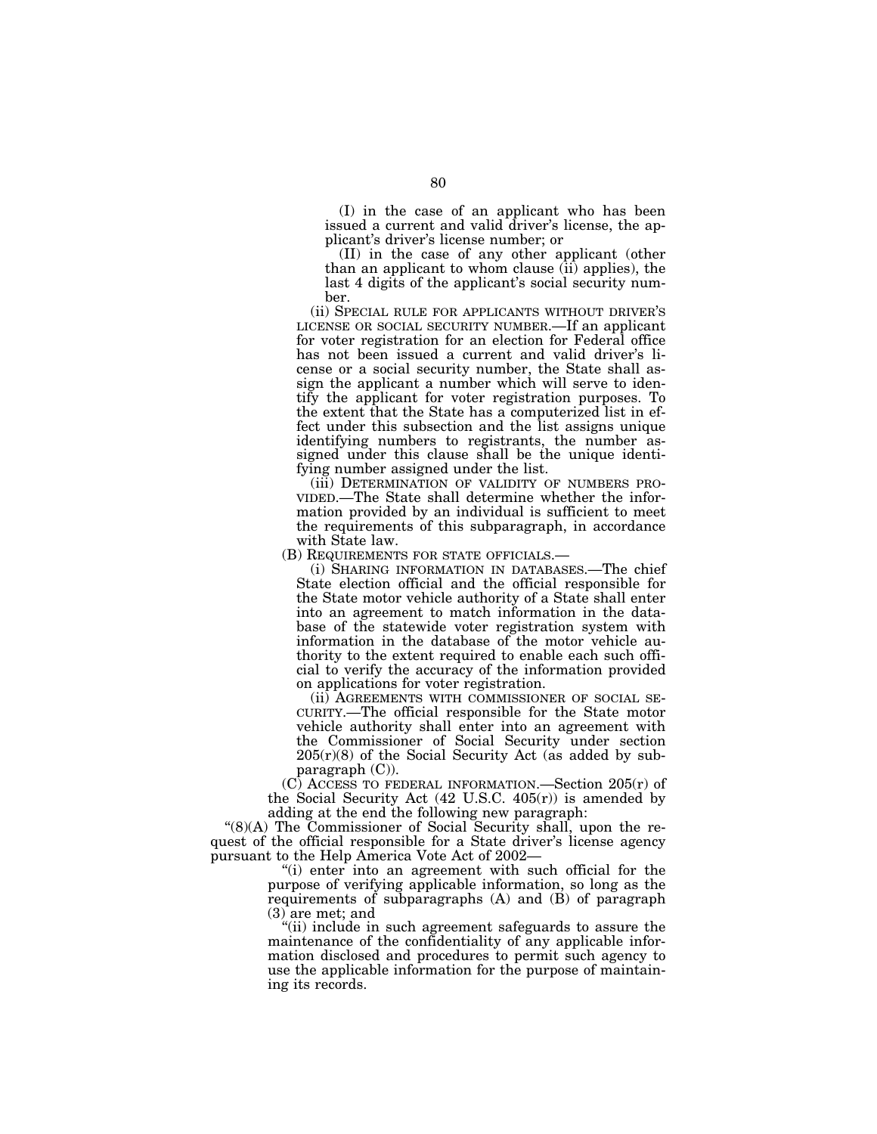(I) in the case of an applicant who has been issued a current and valid driver's license, the applicant's driver's license number; or

(II) in the case of any other applicant (other than an applicant to whom clause (ii) applies), the last 4 digits of the applicant's social security number.

(ii) SPECIAL RULE FOR APPLICANTS WITHOUT DRIVER'S LICENSE OR SOCIAL SECURITY NUMBER.—If an applicant for voter registration for an election for Federal office has not been issued a current and valid driver's license or a social security number, the State shall assign the applicant a number which will serve to identify the applicant for voter registration purposes. To the extent that the State has a computerized list in effect under this subsection and the list assigns unique identifying numbers to registrants, the number assigned under this clause shall be the unique identifying number assigned under the list.<br>(iii) DETERMINATION OF VALIDITY OF NUMBERS PRO-

VIDED.—The State shall determine whether the information provided by an individual is sufficient to meet the requirements of this subparagraph, in accordance with State law.

(B) REQUIREMENTS FOR STATE OFFICIALS.— (i) SHARING INFORMATION IN DATABASES.—The chief State election official and the official responsible for the State motor vehicle authority of a State shall enter into an agreement to match information in the database of the statewide voter registration system with information in the database of the motor vehicle authority to the extent required to enable each such official to verify the accuracy of the information provided on applications for voter registration.<br>(ii) AGREEMENTS WITH COMMISSIONER OF SOCIAL SE-

(ii) AGREEMENTS WITH COMMISSIONER OF SOCIAL SE- CURITY.—The official responsible for the State motor vehicle authority shall enter into an agreement with the Commissioner of Social Security under section 205(r)(8) of the Social Security Act (as added by subparagraph (C)).

(C) ACCESS TO FEDERAL INFORMATION.—Section 205(r) of the Social Security Act (42 U.S.C. 405(r)) is amended by adding at the end the following new paragraph:

" $(8)(A)$  The Commissioner of Social Security shall, upon the request of the official responsible for a State driver's license agency pursuant to the Help America Vote Act of 2002—

> "(i) enter into an agreement with such official for the purpose of verifying applicable information, so long as the requirements of subparagraphs (A) and (B) of paragraph (3) are met; and

> ''(ii) include in such agreement safeguards to assure the maintenance of the confidentiality of any applicable information disclosed and procedures to permit such agency to use the applicable information for the purpose of maintaining its records.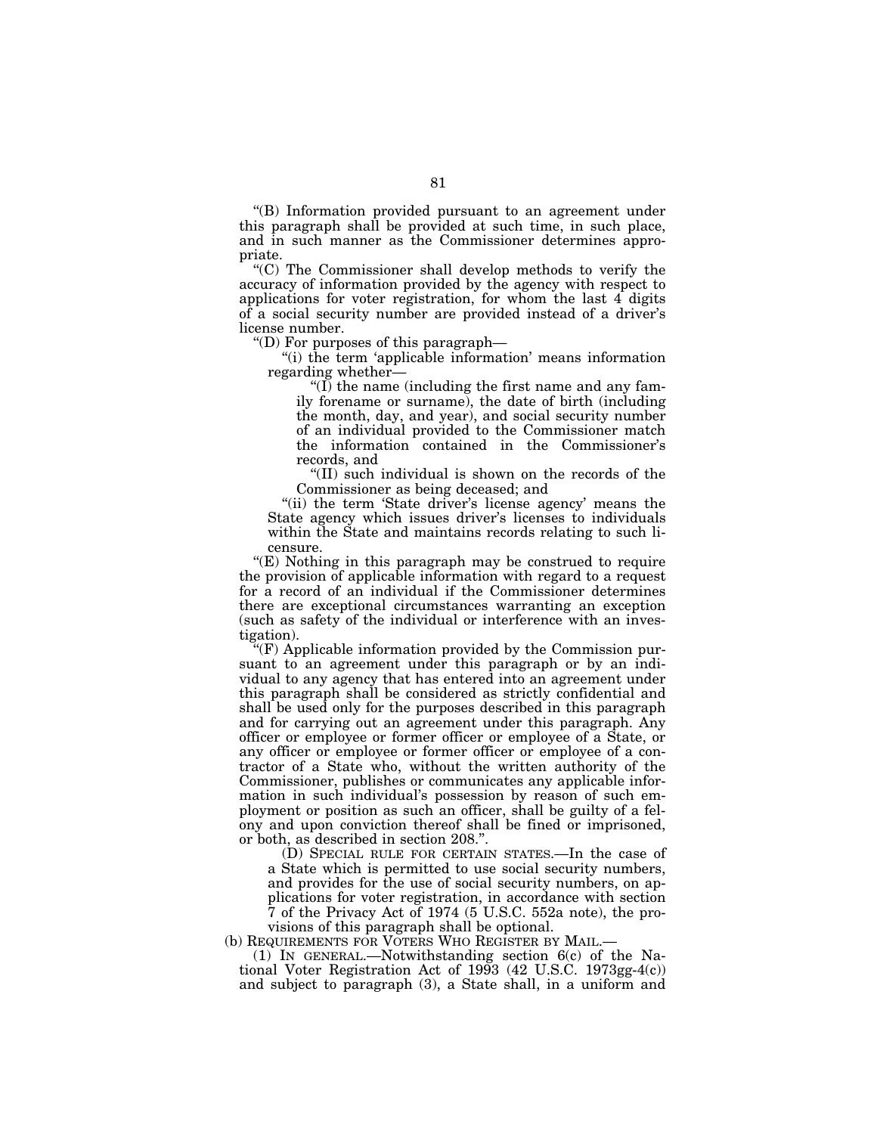''(B) Information provided pursuant to an agreement under this paragraph shall be provided at such time, in such place, and in such manner as the Commissioner determines appropriate.

''(C) The Commissioner shall develop methods to verify the accuracy of information provided by the agency with respect to applications for voter registration, for whom the last  $4$  digits of a social security number are provided instead of a driver's license number.

''(D) For purposes of this paragraph—

''(i) the term 'applicable information' means information regarding whether—

" $(I)$  the name (including the first name and any family forename or surname), the date of birth (including the month, day, and year), and social security number of an individual provided to the Commissioner match the information contained in the Commissioner's records, and

''(II) such individual is shown on the records of the Commissioner as being deceased; and

"(ii) the term 'State driver's license agency' means the State agency which issues driver's licenses to individuals within the State and maintains records relating to such licensure.

" $(E)$  Nothing in this paragraph may be construed to require the provision of applicable information with regard to a request for a record of an individual if the Commissioner determines there are exceptional circumstances warranting an exception (such as safety of the individual or interference with an investigation).

''(F) Applicable information provided by the Commission pursuant to an agreement under this paragraph or by an individual to any agency that has entered into an agreement under this paragraph shall be considered as strictly confidential and shall be used only for the purposes described in this paragraph and for carrying out an agreement under this paragraph. Any officer or employee or former officer or employee of a State, or any officer or employee or former officer or employee of a contractor of a State who, without the written authority of the Commissioner, publishes or communicates any applicable information in such individual's possession by reason of such employment or position as such an officer, shall be guilty of a felony and upon conviction thereof shall be fined or imprisoned, or both, as described in section 208.''.

(D) SPECIAL RULE FOR CERTAIN STATES.—In the case of a State which is permitted to use social security numbers, and provides for the use of social security numbers, on applications for voter registration, in accordance with section 7 of the Privacy Act of 1974 (5 U.S.C. 552a note), the provisions of this paragraph shall be optional.

(b) REQUIREMENTS FOR VOTERS WHO REGISTER BY MAIL.—

(1) IN GENERAL.—Notwithstanding section 6(c) of the National Voter Registration Act of 1993 (42 U.S.C. 1973gg-4(c)) and subject to paragraph (3), a State shall, in a uniform and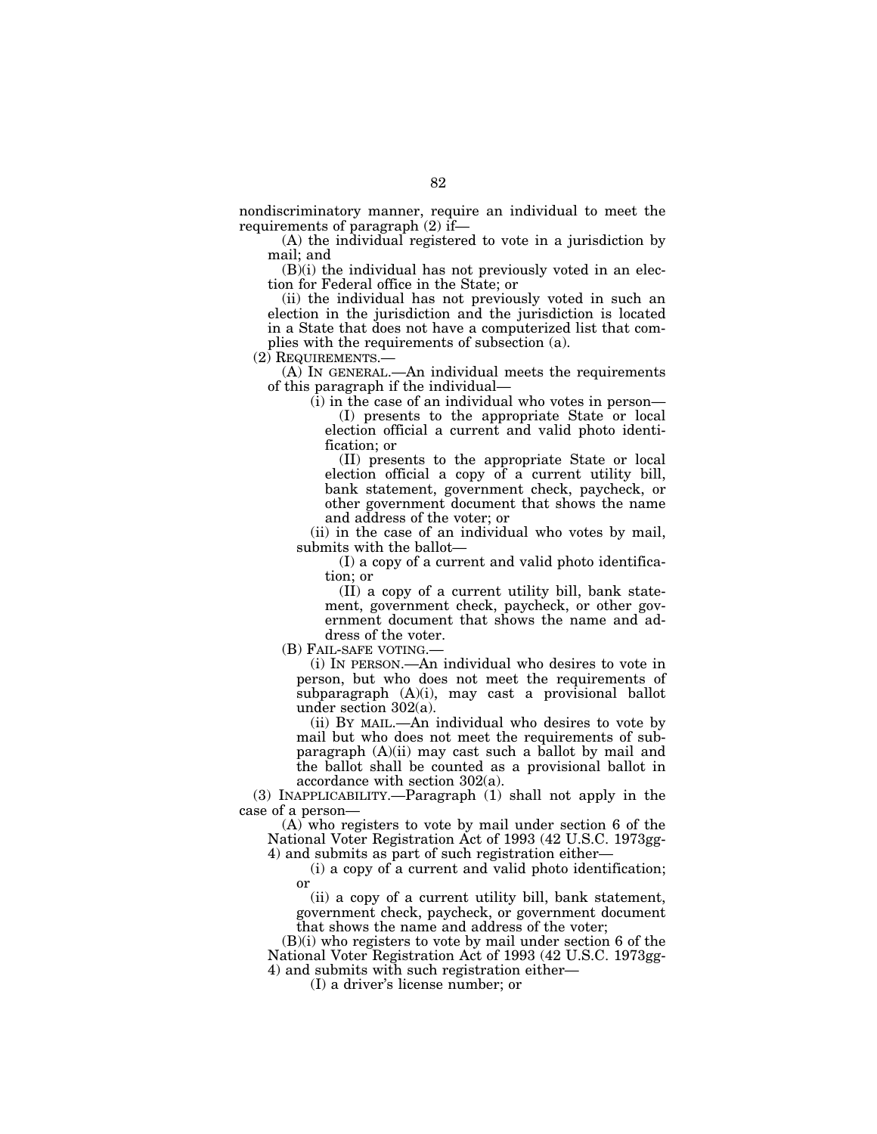nondiscriminatory manner, require an individual to meet the requirements of paragraph (2) if—

(A) the individual registered to vote in a jurisdiction by mail; and

 $(B)(i)$  the individual has not previously voted in an election for Federal office in the State; or

(ii) the individual has not previously voted in such an election in the jurisdiction and the jurisdiction is located in a State that does not have a computerized list that complies with the requirements of subsection (a).

(2) REQUIREMENTS.—

(A) IN GENERAL.—An individual meets the requirements of this paragraph if the individual—

(i) in the case of an individual who votes in person—

(I) presents to the appropriate State or local election official a current and valid photo identification; or

(II) presents to the appropriate State or local election official a copy of a current utility bill, bank statement, government check, paycheck, or other government document that shows the name and address of the voter; or

(ii) in the case of an individual who votes by mail, submits with the ballot—

(I) a copy of a current and valid photo identification; or

(II) a copy of a current utility bill, bank statement, government check, paycheck, or other government document that shows the name and address of the voter.

(B) FAIL-SAFE VOTING.—

(i) IN PERSON.—An individual who desires to vote in person, but who does not meet the requirements of subparagraph (A)(i), may cast a provisional ballot under section 302(a).

(ii) BY MAIL.—An individual who desires to vote by mail but who does not meet the requirements of subparagraph (A)(ii) may cast such a ballot by mail and the ballot shall be counted as a provisional ballot in accordance with section 302(a).

(3) INAPPLICABILITY.—Paragraph (1) shall not apply in the case of a person—

(A) who registers to vote by mail under section 6 of the National Voter Registration Act of 1993 (42 U.S.C. 1973gg-4) and submits as part of such registration either—

(i) a copy of a current and valid photo identification; or

(ii) a copy of a current utility bill, bank statement, government check, paycheck, or government document that shows the name and address of the voter;

(B)(i) who registers to vote by mail under section 6 of the National Voter Registration Act of 1993 (42 U.S.C. 1973gg-4) and submits with such registration either—

(I) a driver's license number; or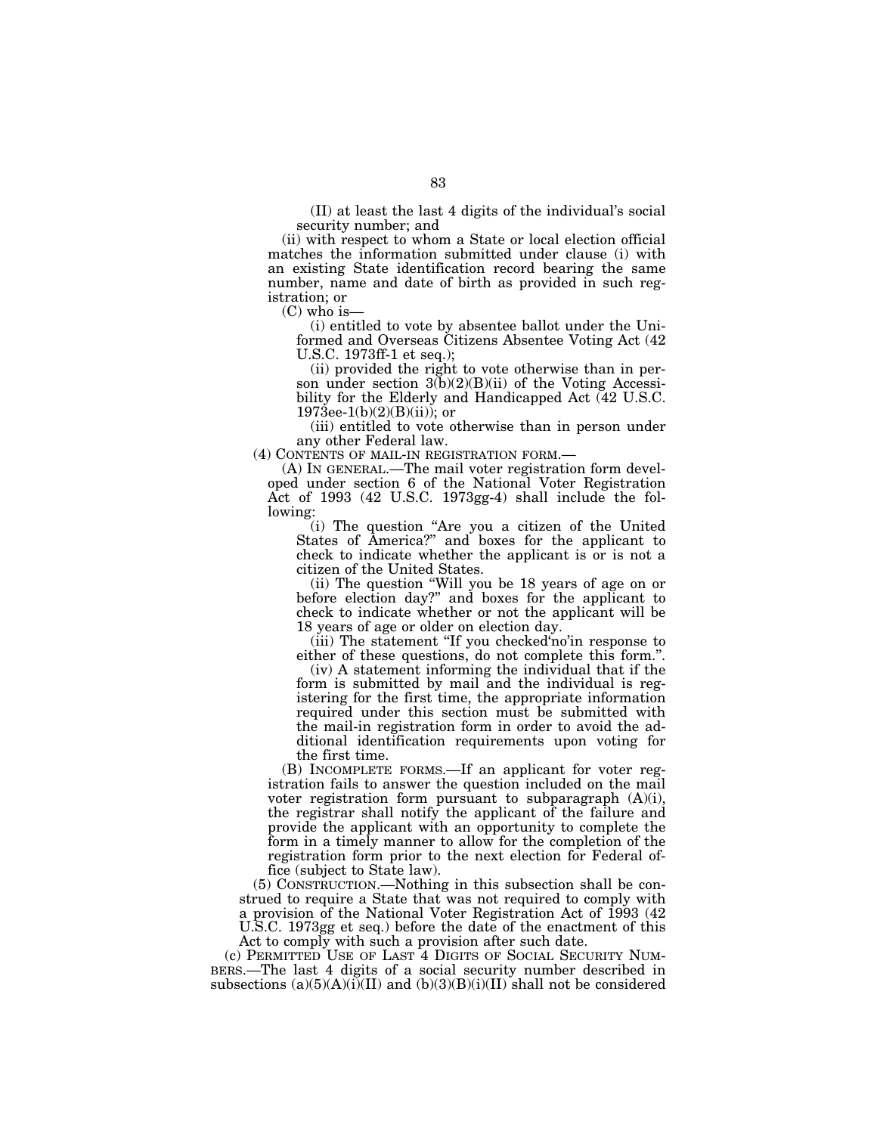(II) at least the last 4 digits of the individual's social security number; and

(ii) with respect to whom a State or local election official matches the information submitted under clause (i) with an existing State identification record bearing the same number, name and date of birth as provided in such registration; or

 $(C)$  who is-

(i) entitled to vote by absentee ballot under the Uniformed and Overseas Citizens Absentee Voting Act (42 U.S.C. 1973ff-1 et seq.);

(ii) provided the right to vote otherwise than in person under section  $3(b)(2)(B)(ii)$  of the Voting Accessibility for the Elderly and Handicapped Act (42 U.S.C. 1973ee-1(b)(2)(B)(ii)); or

(iii) entitled to vote otherwise than in person under

any other Federal law.<br>(4) CONTENTS OF MAIL-IN REGISTRATION FORM.—

 $(A)$  In GENERAL.—The mail voter registration form developed under section 6 of the National Voter Registration Act of 1993 (42 U.S.C. 1973gg-4) shall include the following:

(i) The question ''Are you a citizen of the United States of America?'' and boxes for the applicant to check to indicate whether the applicant is or is not a citizen of the United States.

(ii) The question ''Will you be 18 years of age on or before election day?'' and boxes for the applicant to check to indicate whether or not the applicant will be 18 years of age or older on election day.

(iii) The statement "If you checked'no'in response to either of these questions, do not complete this form.''.

(iv) A statement informing the individual that if the form is submitted by mail and the individual is registering for the first time, the appropriate information required under this section must be submitted with the mail-in registration form in order to avoid the additional identification requirements upon voting for the first time.

(B) INCOMPLETE FORMS.—If an applicant for voter registration fails to answer the question included on the mail voter registration form pursuant to subparagraph (A)(i), the registrar shall notify the applicant of the failure and provide the applicant with an opportunity to complete the form in a timely manner to allow for the completion of the registration form prior to the next election for Federal office (subject to State law).

(5) CONSTRUCTION.—Nothing in this subsection shall be construed to require a State that was not required to comply with a provision of the National Voter Registration Act of 1993 (42 U.S.C. 1973gg et seq.) before the date of the enactment of this Act to comply with such a provision after such date.

(c) PERMITTED USE OF LAST 4 DIGITS OF SOCIAL SECURITY NUM-BERS.—The last 4 digits of a social security number described in subsections  $(a)(5)(A)(i)(II)$  and  $(b)(3)(B)(i)(II)$  shall not be considered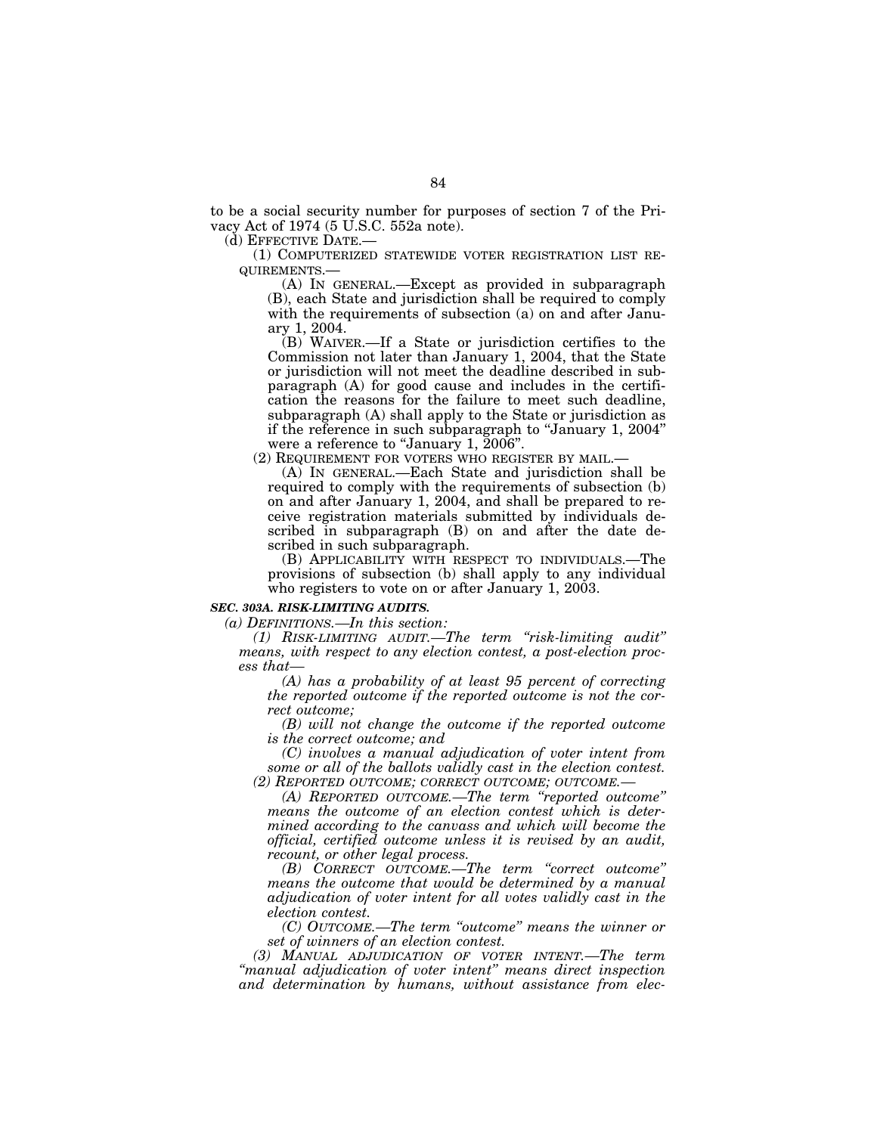to be a social security number for purposes of section 7 of the Privacy Act of 1974 (5 U.S.C. 552a note).

(d) EFFECTIVE DATE.—

(1) COMPUTERIZED STATEWIDE VOTER REGISTRATION LIST RE-QUIREMENTS.—

(A) IN GENERAL.—Except as provided in subparagraph (B), each State and jurisdiction shall be required to comply with the requirements of subsection (a) on and after January 1, 2004.

(B) WAIVER.—If a State or jurisdiction certifies to the Commission not later than January 1, 2004, that the State or jurisdiction will not meet the deadline described in subparagraph (A) for good cause and includes in the certification the reasons for the failure to meet such deadline, subparagraph (A) shall apply to the State or jurisdiction as if the reference in such subparagraph to ''January 1, 2004'' were a reference to "January 1, 2006".

(2) REQUIREMENT FOR VOTERS WHO REGISTER BY MAIL.—

(A) IN GENERAL.—Each State and jurisdiction shall be required to comply with the requirements of subsection (b) on and after January 1, 2004, and shall be prepared to receive registration materials submitted by individuals described in subparagraph (B) on and after the date described in such subparagraph.

(B) APPLICABILITY WITH RESPECT TO INDIVIDUALS.—The provisions of subsection (b) shall apply to any individual who registers to vote on or after January 1, 2003.

#### *SEC. 303A. RISK-LIMITING AUDITS.*

*(a) DEFINITIONS.—In this section:* 

*(1) RISK-LIMITING AUDIT.—The term ''risk-limiting audit'' means, with respect to any election contest, a post-election process that—* 

*(A) has a probability of at least 95 percent of correcting the reported outcome if the reported outcome is not the correct outcome;* 

*(B) will not change the outcome if the reported outcome is the correct outcome; and* 

*(C) involves a manual adjudication of voter intent from some or all of the ballots validly cast in the election contest. (2) REPORTED OUTCOME; CORRECT OUTCOME; OUTCOME.—* 

*(A) REPORTED OUTCOME.—The term ''reported outcome'' means the outcome of an election contest which is determined according to the canvass and which will become the official, certified outcome unless it is revised by an audit, recount, or other legal process.* 

*(B) CORRECT OUTCOME.—The term ''correct outcome'' means the outcome that would be determined by a manual adjudication of voter intent for all votes validly cast in the election contest.* 

*(C) OUTCOME.—The term ''outcome'' means the winner or set of winners of an election contest.* 

*(3) MANUAL ADJUDICATION OF VOTER INTENT.—The term ''manual adjudication of voter intent'' means direct inspection and determination by humans, without assistance from elec-*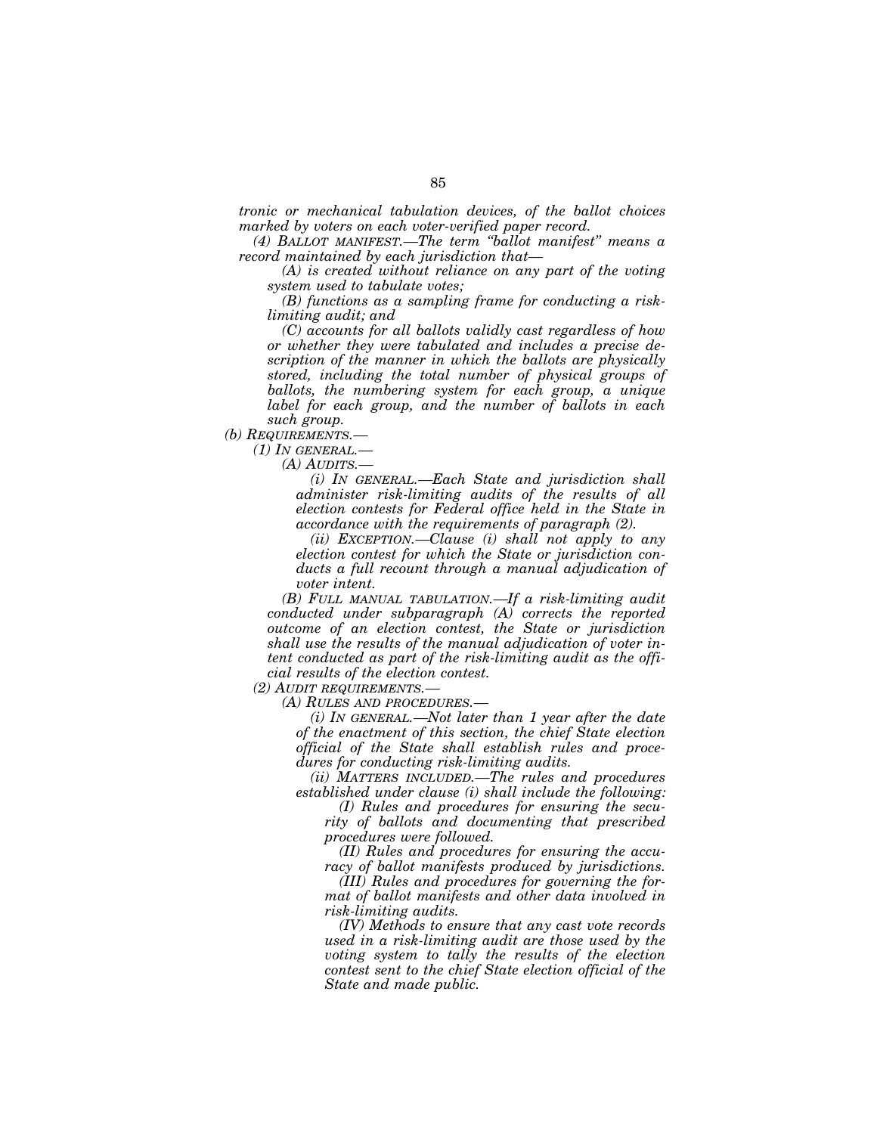*tronic or mechanical tabulation devices, of the ballot choices marked by voters on each voter-verified paper record.* 

*(4) BALLOT MANIFEST.—The term ''ballot manifest'' means a record maintained by each jurisdiction that—* 

*(A) is created without reliance on any part of the voting system used to tabulate votes;* 

*(B) functions as a sampling frame for conducting a risklimiting audit; and* 

*(C) accounts for all ballots validly cast regardless of how or whether they were tabulated and includes a precise description of the manner in which the ballots are physically stored, including the total number of physical groups of ballots, the numbering system for each group, a unique label for each group, and the number of ballots in each such group.* 

*(b) REQUIREMENTS.—* 

*(1) IN GENERAL.—* 

*(A) AUDITS.—* 

*(i) IN GENERAL.—Each State and jurisdiction shall administer risk-limiting audits of the results of all election contests for Federal office held in the State in accordance with the requirements of paragraph (2).* 

*(ii) EXCEPTION.—Clause (i) shall not apply to any election contest for which the State or jurisdiction conducts a full recount through a manual adjudication of voter intent.* 

*(B) FULL MANUAL TABULATION.—If a risk-limiting audit conducted under subparagraph (A) corrects the reported outcome of an election contest, the State or jurisdiction shall use the results of the manual adjudication of voter intent conducted as part of the risk-limiting audit as the official results of the election contest.* 

*(2) AUDIT REQUIREMENTS.—* 

*(A) RULES AND PROCEDURES.—* 

*(i) IN GENERAL.—Not later than 1 year after the date of the enactment of this section, the chief State election official of the State shall establish rules and procedures for conducting risk-limiting audits.* 

*(ii) MATTERS INCLUDED.—The rules and procedures established under clause (i) shall include the following:* 

*(I) Rules and procedures for ensuring the security of ballots and documenting that prescribed procedures were followed.* 

*(II) Rules and procedures for ensuring the accuracy of ballot manifests produced by jurisdictions.* 

*(III) Rules and procedures for governing the format of ballot manifests and other data involved in risk-limiting audits.* 

*(IV) Methods to ensure that any cast vote records used in a risk-limiting audit are those used by the voting system to tally the results of the election contest sent to the chief State election official of the State and made public.*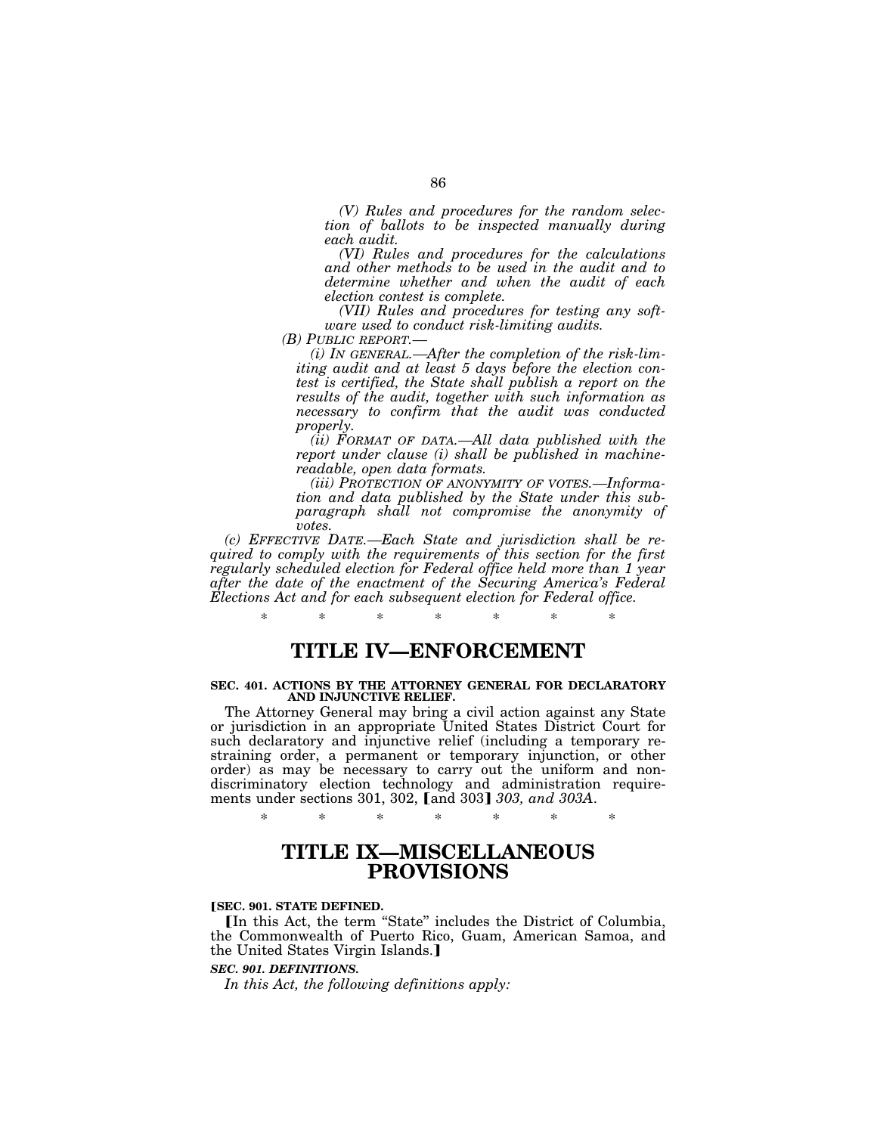*(V) Rules and procedures for the random selection of ballots to be inspected manually during each audit.* 

*(VI) Rules and procedures for the calculations and other methods to be used in the audit and to determine whether and when the audit of each election contest is complete.* 

*(VII) Rules and procedures for testing any software used to conduct risk-limiting audits.* 

*(i)* IN GENERAL.—After the completion of the risk-lim*iting audit and at least 5 days before the election contest is certified, the State shall publish a report on the results of the audit, together with such information as necessary to confirm that the audit was conducted properly.* 

*(ii) FORMAT OF DATA.—All data published with the report under clause (i) shall be published in machinereadable, open data formats.* 

*(iii) PROTECTION OF ANONYMITY OF VOTES.—Information and data published by the State under this subparagraph shall not compromise the anonymity of votes.* 

*(c) EFFECTIVE DATE.—Each State and jurisdiction shall be required to comply with the requirements of this section for the first regularly scheduled election for Federal office held more than 1 year after the date of the enactment of the Securing America's Federal Elections Act and for each subsequent election for Federal office.* 

# **TITLE IV—ENFORCEMENT**

\* \* \* \* \* \* \*

#### **SEC. 401. ACTIONS BY THE ATTORNEY GENERAL FOR DECLARATORY AND INJUNCTIVE RELIEF.**

The Attorney General may bring a civil action against any State or jurisdiction in an appropriate United States District Court for such declaratory and injunctive relief (including a temporary restraining order, a permanent or temporary injunction, or other order) as may be necessary to carry out the uniform and nondiscriminatory election technology and administration requirements under sections 301, 302, [and 303] 303, and 303A.

# **TITLE IX—MISCELLANEOUS PROVISIONS**

\* \* \* \* \* \* \*

#### **[SEC. 901. STATE DEFINED.**

øIn this Act, the term ''State'' includes the District of Columbia, the Commonwealth of Puerto Rico, Guam, American Samoa, and the United States Virgin Islands.]

### *SEC. 901. DEFINITIONS.*

*In this Act, the following definitions apply:*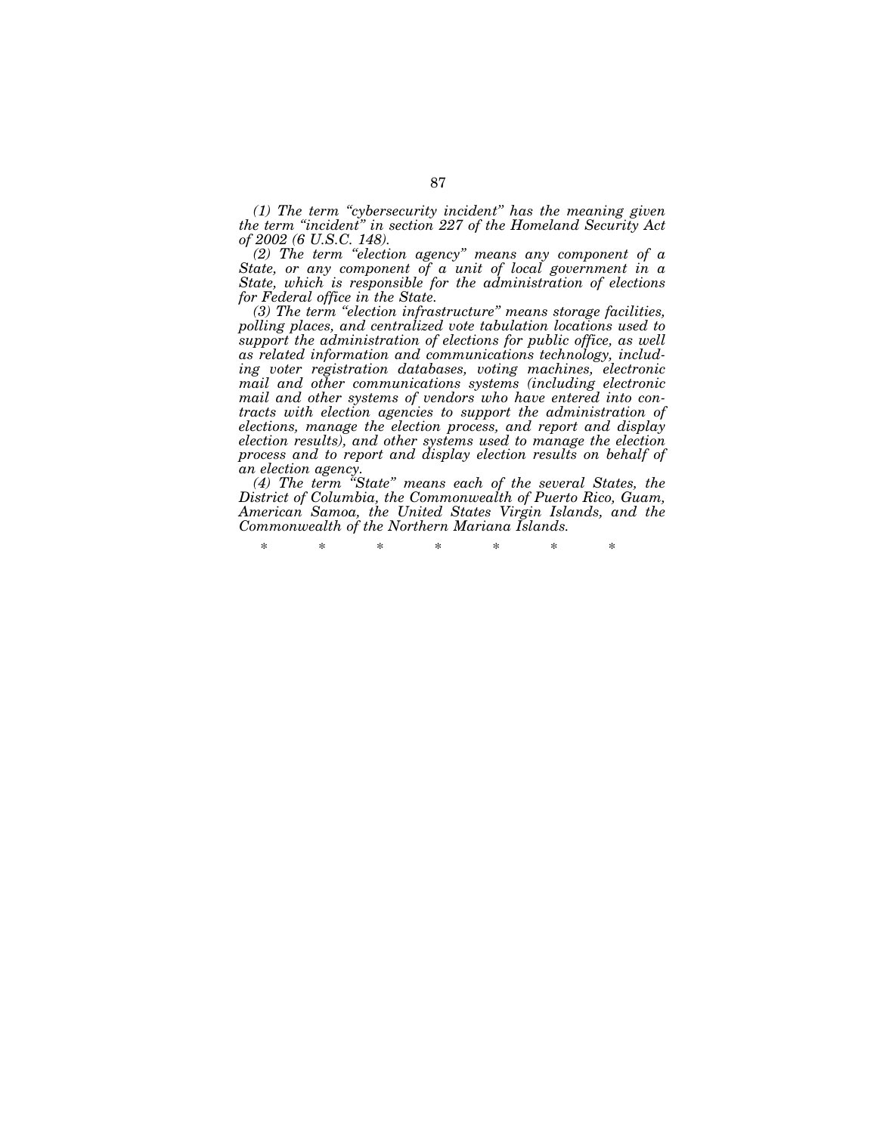*(1) The term ''cybersecurity incident'' has the meaning given the term ''incident'' in section 227 of the Homeland Security Act of 2002 (6 U.S.C. 148).* 

*(2) The term ''election agency'' means any component of a State, or any component of a unit of local government in a State, which is responsible for the administration of elections for Federal office in the State.* 

*(3) The term ''election infrastructure'' means storage facilities, polling places, and centralized vote tabulation locations used to support the administration of elections for public office, as well as related information and communications technology, including voter registration databases, voting machines, electronic mail and other communications systems (including electronic mail and other systems of vendors who have entered into contracts with election agencies to support the administration of elections, manage the election process, and report and display election results), and other systems used to manage the election process and to report and display election results on behalf of an election agency.* 

*(4) The term ''State'' means each of the several States, the District of Columbia, the Commonwealth of Puerto Rico, Guam, American Samoa, the United States Virgin Islands, and the Commonwealth of the Northern Mariana Islands.* 

\* \* \* \* \* \* \*